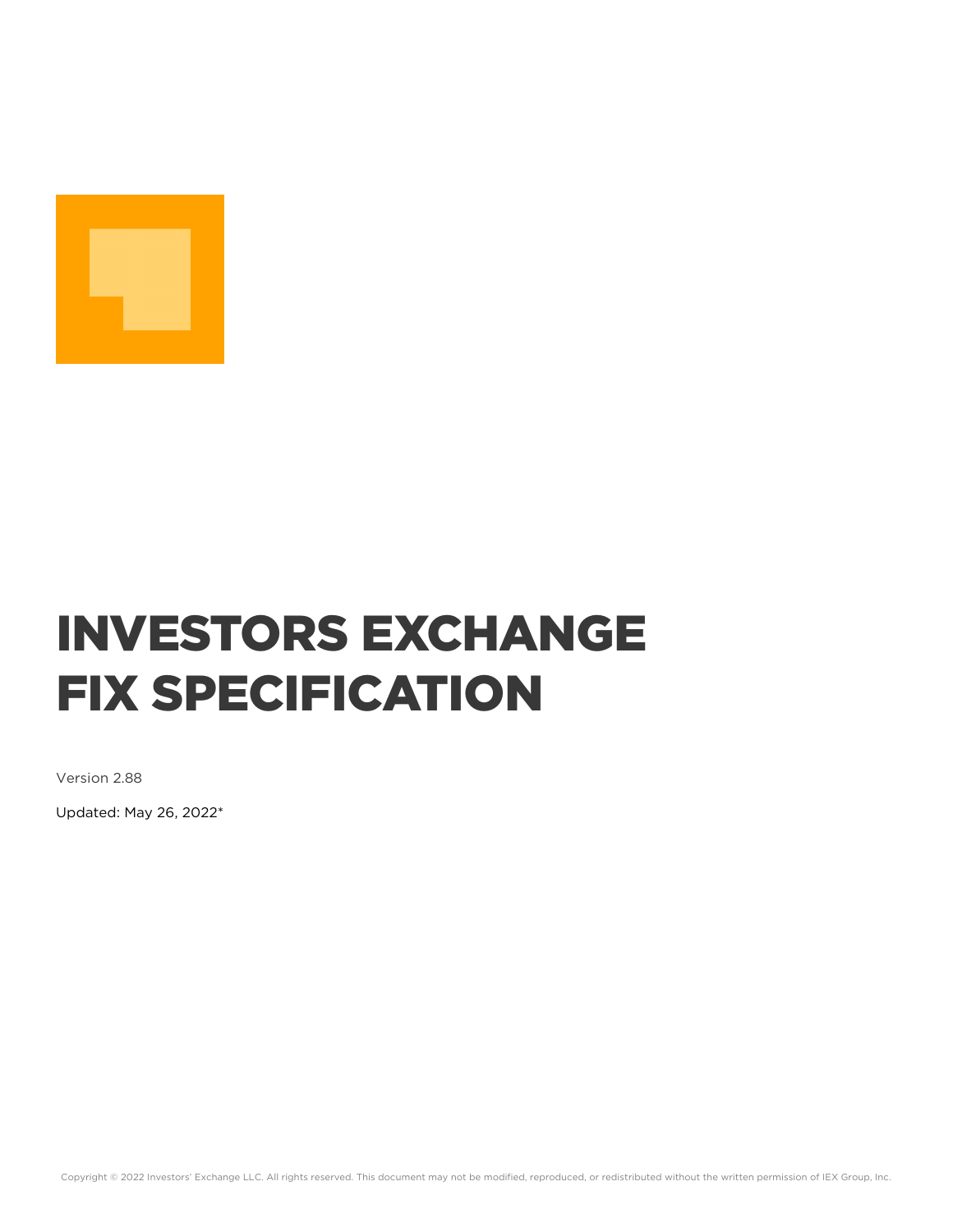

# INVESTORS EXCHANGE FIX SPECIFICATION

Version 2.88

Updated: May 26, 2022\*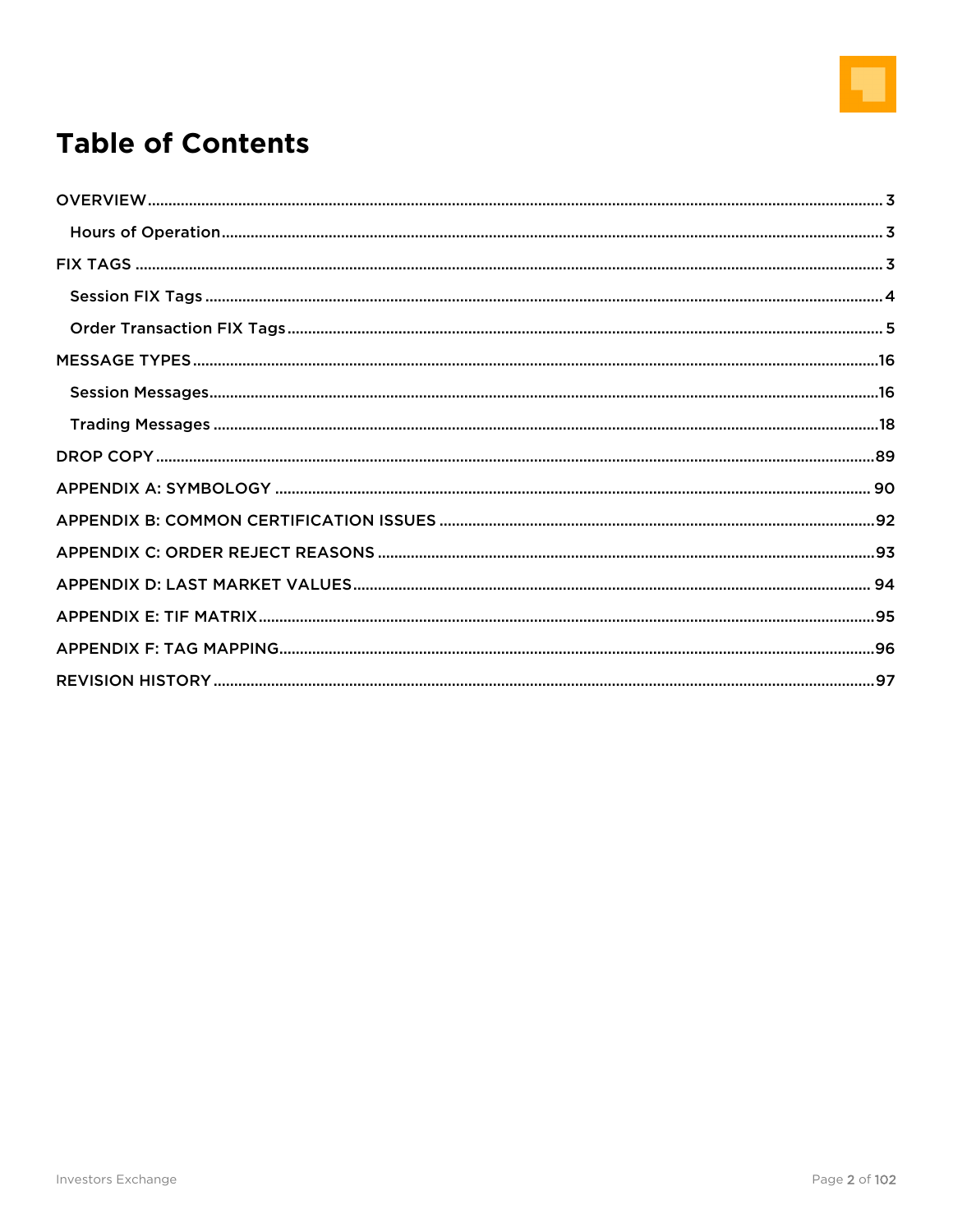

## **Table of Contents**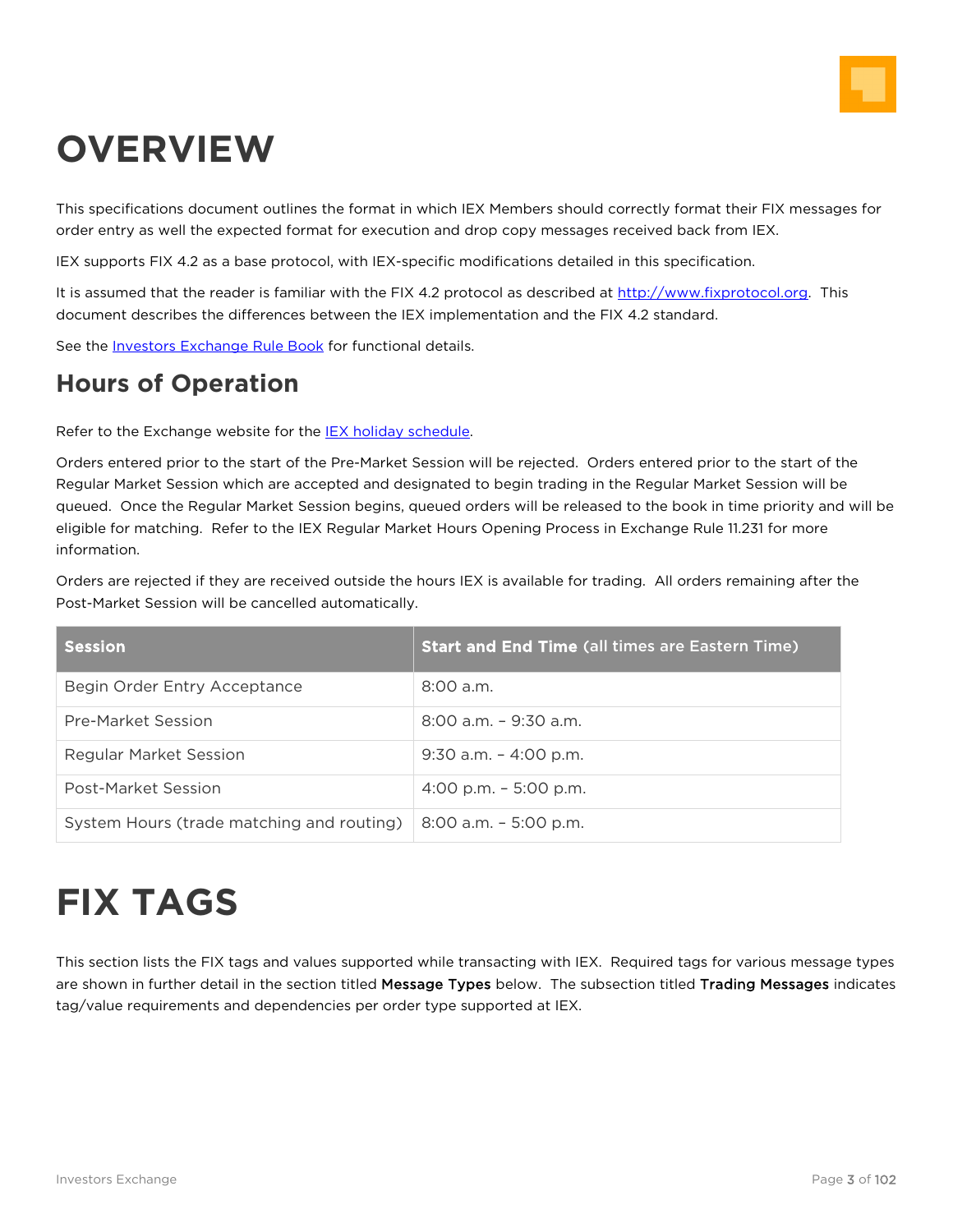

## <span id="page-2-0"></span>**OVERVIEW**

This specifications document outlines the format in which IEX Members should correctly format their FIX messages for order entry as well the expected format for execution and drop copy messages received back from IEX.

IEX supports FIX 4.2 as a base protocol, with IEX-specific modifications detailed in this specification.

It is assumed that the reader is familiar with the FIX 4.2 protocol as described at [http://www.fixprotocol.org.](http://www.fixprotocol.org/) This document describes the differences between the IEX implementation and the FIX 4.2 standard.

See the [Investors Exchange](http://iextrading.com/) Rule Book for functional details.

## <span id="page-2-1"></span>**Hours of Operation**

Refer to the Exchange website for the [IEX holiday schedule.](http://iextrading.com/services/#markethours)

Orders entered prior to the start of the Pre-Market Session will be rejected. Orders entered prior to the start of the Regular Market Session which are accepted and designated to begin trading in the Regular Market Session will be queued. Once the Regular Market Session begins, queued orders will be released to the book in time priority and will be eligible for matching. Refer to the IEX Regular Market Hours Opening Process in Exchange Rule 11.231 for more information.

Orders are rejected if they are received outside the hours IEX is available for trading. All orders remaining after the Post-Market Session will be cancelled automatically.

| <b>Session</b>                            | <b>Start and End Time (all times are Eastern Time)</b> |
|-------------------------------------------|--------------------------------------------------------|
| Begin Order Entry Acceptance              | $8:00$ a.m.                                            |
| Pre-Market Session                        | $8:00$ a.m. $-9:30$ a.m.                               |
| Regular Market Session                    | $9:30$ a.m. $-4:00$ p.m.                               |
| Post-Market Session                       | 4:00 p.m. $-$ 5:00 p.m.                                |
| System Hours (trade matching and routing) | 8:00 a.m. - 5:00 p.m.                                  |

## <span id="page-2-2"></span>**FIX TAGS**

This section lists the FIX tags and values supported while transacting with IEX. Required tags for various message types are shown in further detail in the section titled Message Types below. The subsection titled Trading Messages indicates tag/value requirements and dependencies per order type supported at IEX.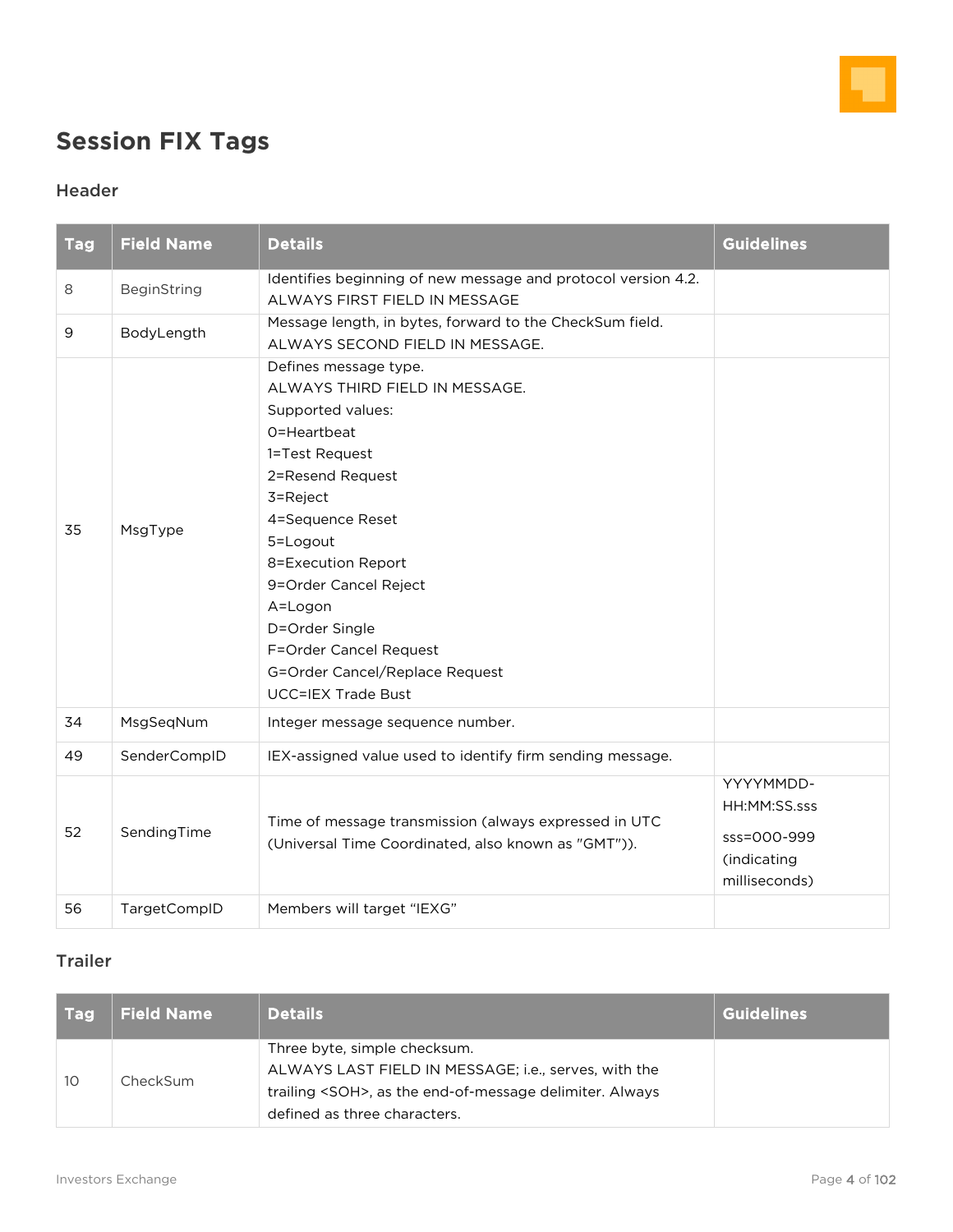

## <span id="page-3-0"></span>**Session FIX Tags**

#### Header

| <b>Tag</b> | <b>Field Name</b> | <b>Details</b>                                                                                                                                                                                                                                                                                                                                     | <b>Guidelines</b>                                                        |
|------------|-------------------|----------------------------------------------------------------------------------------------------------------------------------------------------------------------------------------------------------------------------------------------------------------------------------------------------------------------------------------------------|--------------------------------------------------------------------------|
| 8          | BeginString       | Identifies beginning of new message and protocol version 4.2.<br>ALWAYS FIRST FIELD IN MESSAGE                                                                                                                                                                                                                                                     |                                                                          |
| 9          | BodyLength        | Message length, in bytes, forward to the CheckSum field.<br>ALWAYS SECOND FIELD IN MESSAGE.                                                                                                                                                                                                                                                        |                                                                          |
| 35         | MsgType           | Defines message type.<br>ALWAYS THIRD FIELD IN MESSAGE.<br>Supported values:<br>O=Heartbeat<br>1=Test Request<br>2=Resend Request<br>3=Reject<br>4=Sequence Reset<br>5=Logout<br>8=Execution Report<br>9=Order Cancel Reject<br>A=Logon<br>D=Order Single<br>F=Order Cancel Request<br>G=Order Cancel/Replace Request<br><b>UCC=IEX Trade Bust</b> |                                                                          |
| 34         | MsgSeqNum         | Integer message sequence number.                                                                                                                                                                                                                                                                                                                   |                                                                          |
| 49         | SenderCompID      | IEX-assigned value used to identify firm sending message.                                                                                                                                                                                                                                                                                          |                                                                          |
| 52         | SendingTime       | Time of message transmission (always expressed in UTC<br>(Universal Time Coordinated, also known as "GMT")).                                                                                                                                                                                                                                       | YYYYMMDD-<br>HH:MM:SS.sss<br>sss=000-999<br>(indicating<br>milliseconds) |
| 56         | TargetCompID      | Members will target "IEXG"                                                                                                                                                                                                                                                                                                                         |                                                                          |

#### Trailer

| l Tagl | <b>Field Name</b> | <b>Details</b>                                                                                                                                                                         | <b>Guidelines</b> |
|--------|-------------------|----------------------------------------------------------------------------------------------------------------------------------------------------------------------------------------|-------------------|
| 10     | CheckSum          | Three byte, simple checksum.<br>ALWAYS LAST FIELD IN MESSAGE; i.e., serves, with the<br>trailing <soh>, as the end-of-message delimiter. Always<br/>defined as three characters.</soh> |                   |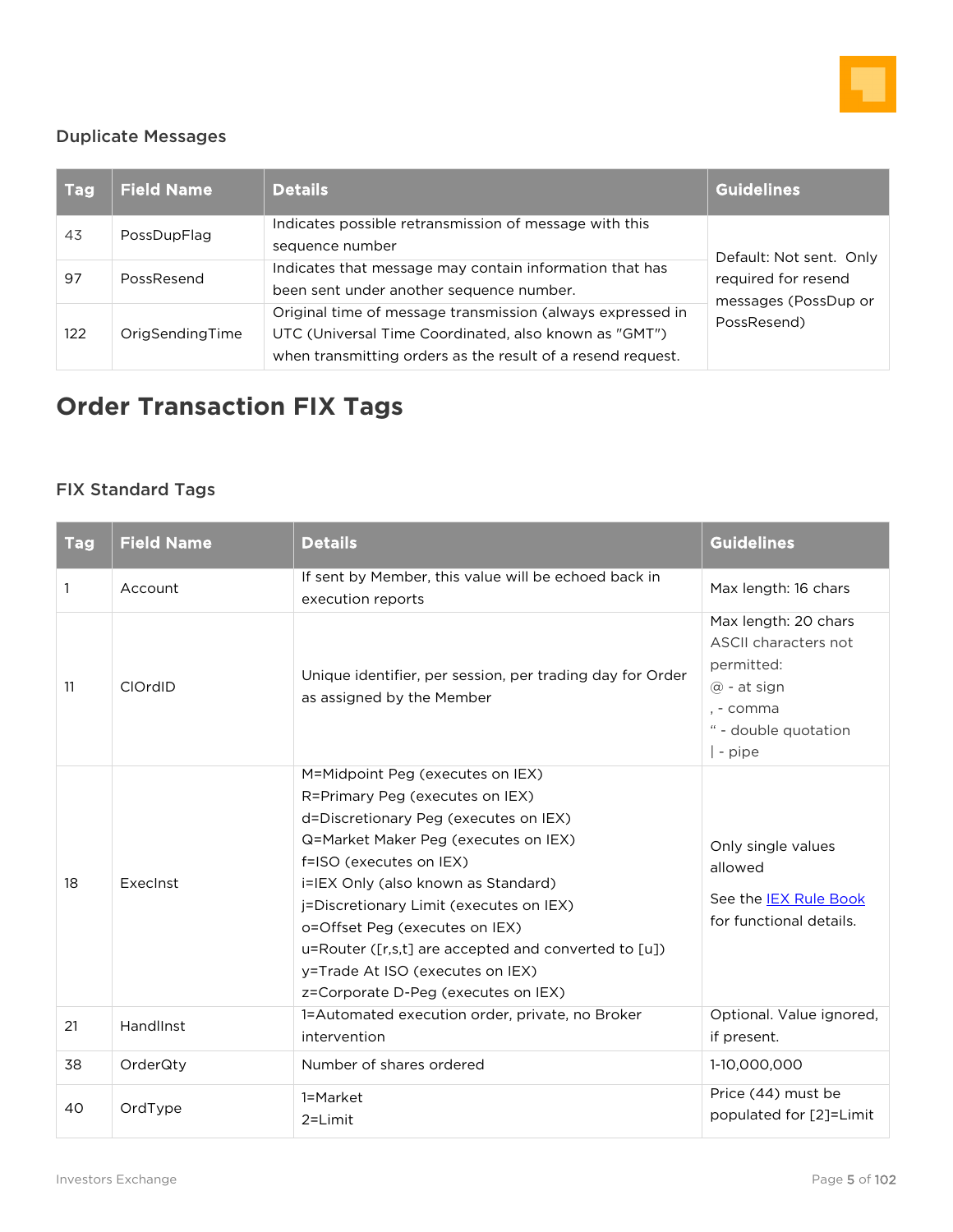

#### Duplicate Messages

| <b>Tag</b> | <b>Field Name</b> | <b>Details</b>                                                                                                                                                                     | <b>Guidelines</b>                           |
|------------|-------------------|------------------------------------------------------------------------------------------------------------------------------------------------------------------------------------|---------------------------------------------|
| 43         | PossDupFlag       | Indicates possible retransmission of message with this<br>sequence number                                                                                                          | Default: Not sent. Only                     |
| 97         | PossResend        | Indicates that message may contain information that has<br>been sent under another sequence number.                                                                                | required for resend<br>messages (PossDup or |
| 122        | OrigSendingTime   | Original time of message transmission (always expressed in<br>UTC (Universal Time Coordinated, also known as "GMT")<br>when transmitting orders as the result of a resend request. | PossResend)                                 |

## <span id="page-4-0"></span>**Order Transaction FIX Tags**

### FIX Standard Tags

| <b>Tag</b> | <b>Field Name</b> | <b>Details</b>                                                                                                                                                                                                                                                                                                                                                                                                                         | <b>Guidelines</b>                                                                                                            |
|------------|-------------------|----------------------------------------------------------------------------------------------------------------------------------------------------------------------------------------------------------------------------------------------------------------------------------------------------------------------------------------------------------------------------------------------------------------------------------------|------------------------------------------------------------------------------------------------------------------------------|
| 1          | Account           | If sent by Member, this value will be echoed back in<br>execution reports                                                                                                                                                                                                                                                                                                                                                              | Max length: 16 chars                                                                                                         |
| 11         | ClOrdID           | Unique identifier, per session, per trading day for Order<br>as assigned by the Member                                                                                                                                                                                                                                                                                                                                                 | Max length: 20 chars<br>ASCII characters not<br>permitted:<br>$@$ - at sign<br>. - comma<br>" - double quotation<br>  - pipe |
| 18         | ExecInst          | M=Midpoint Peg (executes on IEX)<br>R=Primary Peg (executes on IEX)<br>d=Discretionary Peg (executes on IEX)<br>Q=Market Maker Peg (executes on IEX)<br>f=ISO (executes on IEX)<br>i=IEX Only (also known as Standard)<br>j=Discretionary Limit (executes on IEX)<br>o=Offset Peg (executes on IEX)<br>u=Router ([r,s,t] are accepted and converted to [u])<br>y=Trade At ISO (executes on IEX)<br>z=Corporate D-Peg (executes on IEX) | Only single values<br>allowed<br>See the <b>IEX Rule Book</b><br>for functional details.                                     |
| 21         | HandlInst         | 1=Automated execution order, private, no Broker<br>intervention                                                                                                                                                                                                                                                                                                                                                                        | Optional. Value ignored,<br>if present.                                                                                      |
| 38         | OrderQty          | Number of shares ordered                                                                                                                                                                                                                                                                                                                                                                                                               | 1-10,000,000                                                                                                                 |
| 40         | OrdType           | 1=Market<br>$2=Limit$                                                                                                                                                                                                                                                                                                                                                                                                                  | Price (44) must be<br>populated for [2]=Limit                                                                                |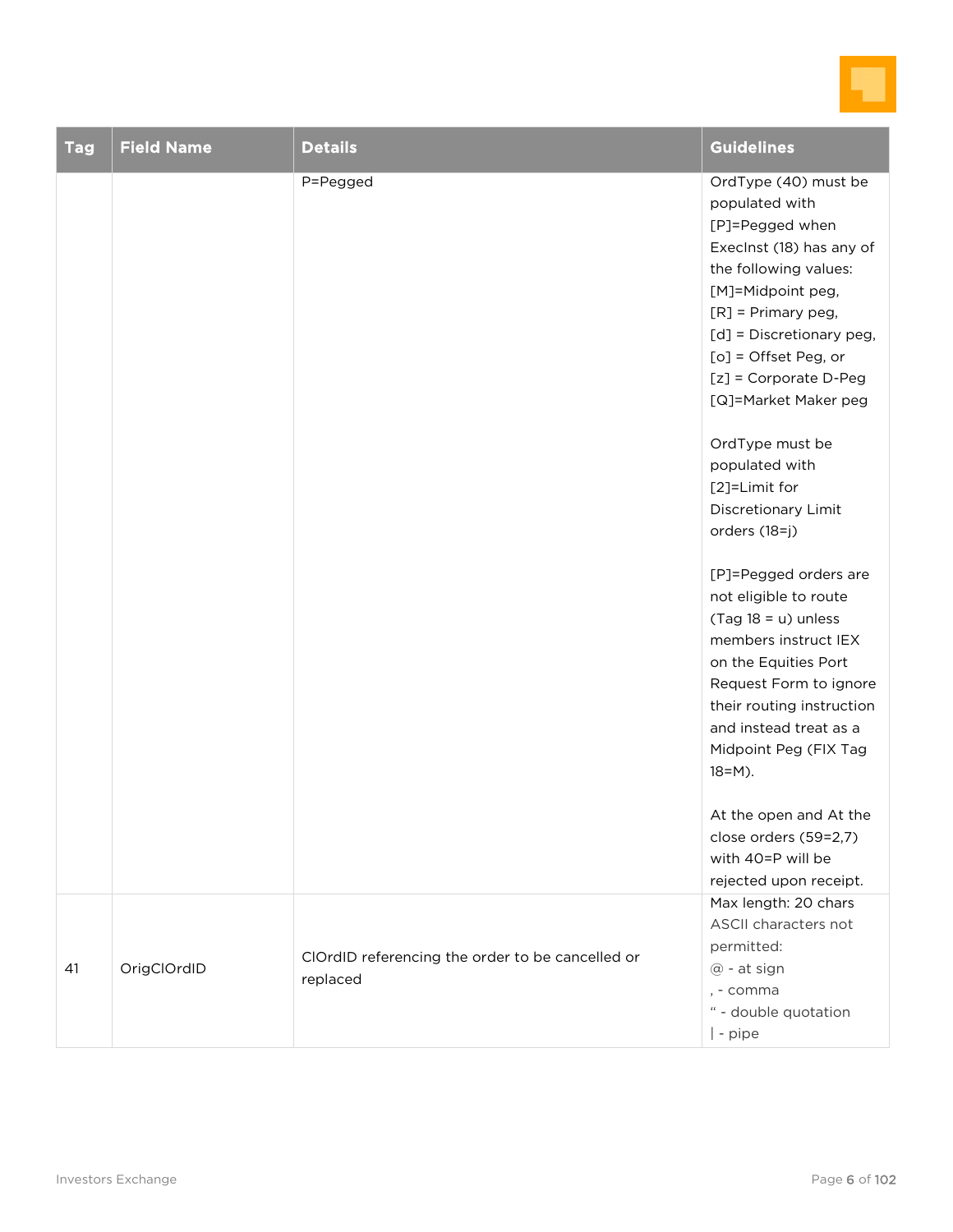

| <b>Tag</b> | <b>Field Name</b> | <b>Details</b>                                               | <b>Guidelines</b>                                                                                                                                                                                                                                                                                                                                                                                                                                                                                                                                                                                                                                                                                                      |
|------------|-------------------|--------------------------------------------------------------|------------------------------------------------------------------------------------------------------------------------------------------------------------------------------------------------------------------------------------------------------------------------------------------------------------------------------------------------------------------------------------------------------------------------------------------------------------------------------------------------------------------------------------------------------------------------------------------------------------------------------------------------------------------------------------------------------------------------|
|            |                   | P=Pegged                                                     | OrdType (40) must be<br>populated with<br>[P]=Pegged when<br>Execlnst (18) has any of<br>the following values:<br>[M]=Midpoint peg,<br>$[R]$ = Primary peg,<br>[d] = Discretionary peg,<br>$[o]$ = Offset Peg, or<br>[z] = Corporate D-Peg<br>[Q]=Market Maker peg<br>OrdType must be<br>populated with<br>[2]=Limit for<br>Discretionary Limit<br>orders (18=j)<br>[P]=Pegged orders are<br>not eligible to route<br>$(Tag 18 = u)$ unless<br>members instruct IEX<br>on the Equities Port<br>Request Form to ignore<br>their routing instruction<br>and instead treat as a<br>Midpoint Peg (FIX Tag<br>$18 = M$ ).<br>At the open and At the<br>close orders (59=2,7)<br>with 40=P will be<br>rejected upon receipt. |
| 41         | OrigClOrdID       | ClOrdID referencing the order to be cancelled or<br>replaced | Max length: 20 chars<br>ASCII characters not<br>permitted:<br>@ - at sign<br>, - comma<br>" - double quotation<br>  - pipe                                                                                                                                                                                                                                                                                                                                                                                                                                                                                                                                                                                             |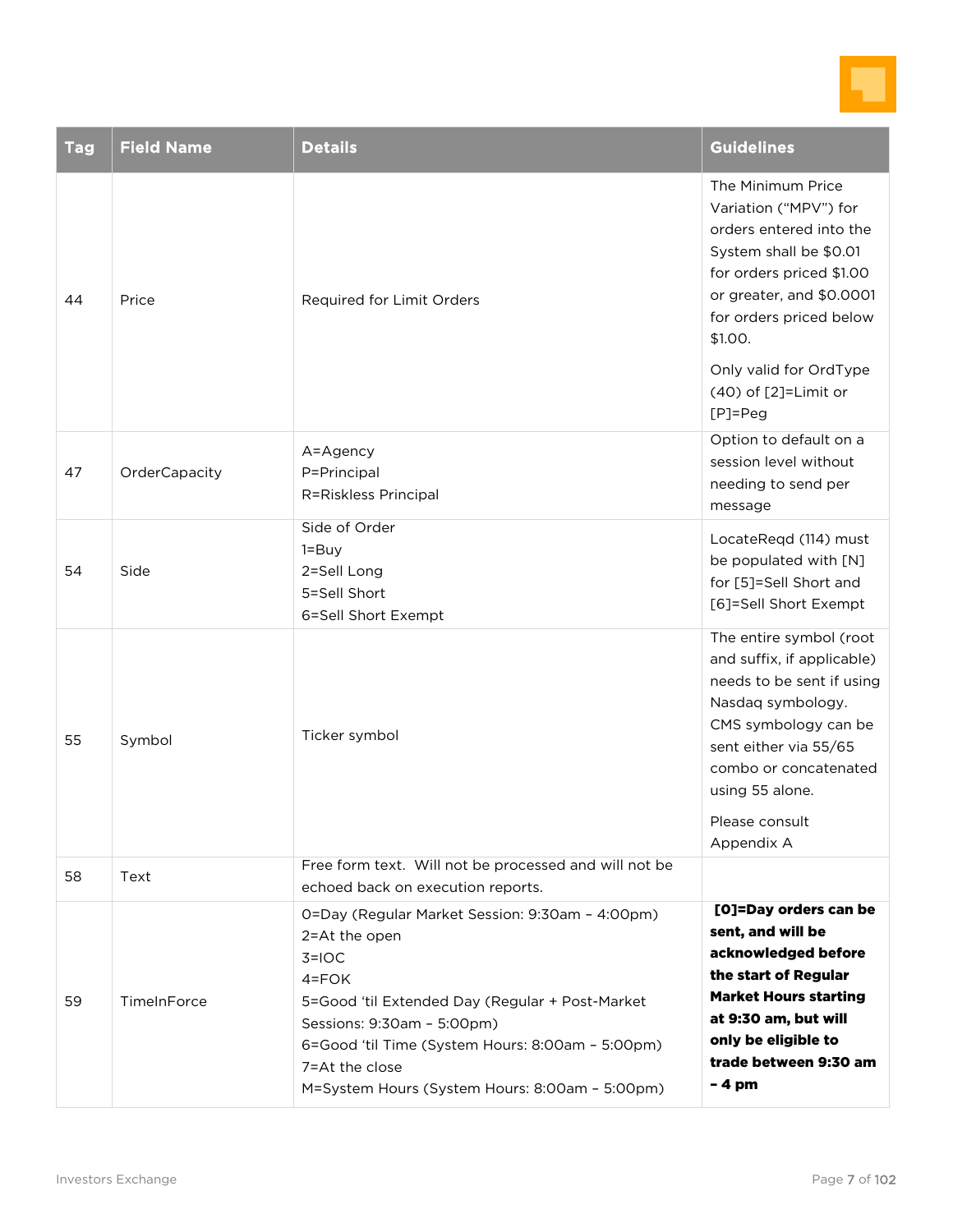

| <b>Tag</b> | <b>Field Name</b> | <b>Details</b>                                                                                                                                                                                                                                                                                    | <b>Guidelines</b>                                                                                                                                                                                                                    |
|------------|-------------------|---------------------------------------------------------------------------------------------------------------------------------------------------------------------------------------------------------------------------------------------------------------------------------------------------|--------------------------------------------------------------------------------------------------------------------------------------------------------------------------------------------------------------------------------------|
| 44         | Price             | Required for Limit Orders                                                                                                                                                                                                                                                                         | The Minimum Price<br>Variation ("MPV") for<br>orders entered into the<br>System shall be \$0.01<br>for orders priced \$1.00<br>or greater, and \$0.0001<br>for orders priced below<br>\$1.00.                                        |
|            |                   |                                                                                                                                                                                                                                                                                                   | Only valid for OrdType<br>(40) of [2]=Limit or<br>$[P]=Peg$                                                                                                                                                                          |
| 47         | OrderCapacity     | A=Agency<br>P=Principal<br>R=Riskless Principal                                                                                                                                                                                                                                                   | Option to default on a<br>session level without<br>needing to send per<br>message                                                                                                                                                    |
| 54         | Side              | Side of Order<br>$1 = Buy$<br>2=Sell Long<br>5=Sell Short<br>6=Sell Short Exempt                                                                                                                                                                                                                  | LocateReqd (114) must<br>be populated with [N]<br>for [5]=Sell Short and<br>[6]=Sell Short Exempt                                                                                                                                    |
| 55         | Symbol            | Ticker symbol                                                                                                                                                                                                                                                                                     | The entire symbol (root<br>and suffix, if applicable)<br>needs to be sent if using<br>Nasdaq symbology.<br>CMS symbology can be<br>sent either via 55/65<br>combo or concatenated<br>using 55 alone.<br>Please consult<br>Appendix A |
| 58         | Text              | Free form text. Will not be processed and will not be<br>echoed back on execution reports.                                                                                                                                                                                                        |                                                                                                                                                                                                                                      |
| 59         | TimeInForce       | 0=Day (Regular Market Session: 9:30am - 4:00pm)<br>2=At the open<br>$3=10C$<br>$4 = FOK$<br>5=Good 'til Extended Day (Regular + Post-Market<br>Sessions: 9:30am - 5:00pm)<br>6=Good 'til Time (System Hours: 8:00am - 5:00pm)<br>7=At the close<br>M=System Hours (System Hours: 8:00am - 5:00pm) | [O]=Day orders can be<br>sent, and will be<br>acknowledged before<br>the start of Regular<br><b>Market Hours starting</b><br>at 9:30 am, but will<br>only be eligible to<br>trade between 9:30 am<br>$-4$ pm                         |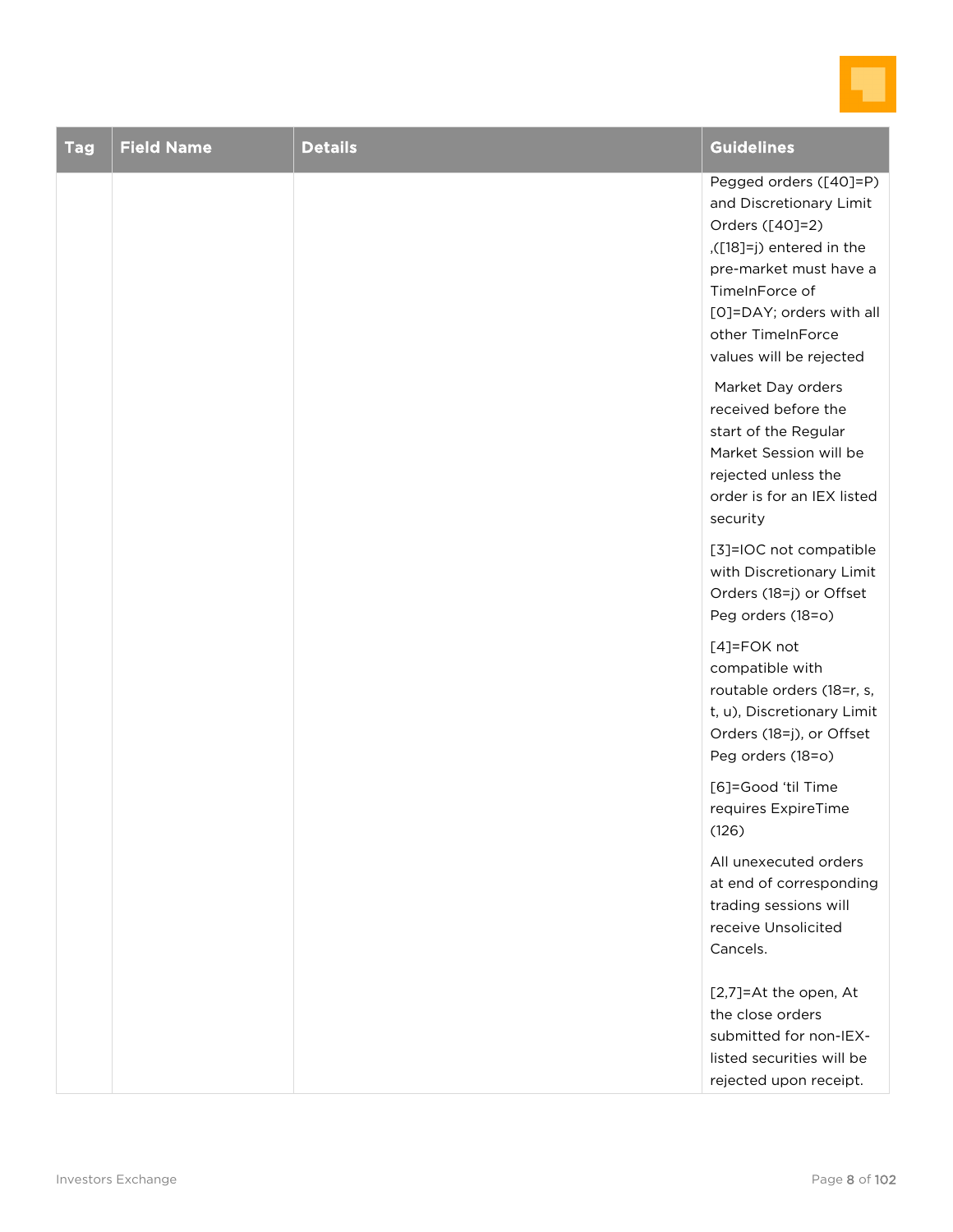

| <b>Tag</b> | <b>Field Name</b> | <b>Details</b> | <b>Guidelines</b>                                                                                                                                                                                                       |
|------------|-------------------|----------------|-------------------------------------------------------------------------------------------------------------------------------------------------------------------------------------------------------------------------|
|            |                   |                | Pegged orders ([40]=P)<br>and Discretionary Limit<br>Orders ([40]=2)<br>([18]=j) entered in the<br>pre-market must have a<br>TimeInForce of<br>[O]=DAY; orders with all<br>other TimeInForce<br>values will be rejected |
|            |                   |                | Market Day orders<br>received before the<br>start of the Regular<br>Market Session will be<br>rejected unless the<br>order is for an IEX listed<br>security                                                             |
|            |                   |                | [3]=IOC not compatible<br>with Discretionary Limit<br>Orders (18=j) or Offset<br>Peg orders (18=o)                                                                                                                      |
|            |                   |                | [4]=FOK not<br>compatible with<br>routable orders (18=r, s,<br>t, u), Discretionary Limit<br>Orders (18=j), or Offset<br>Peg orders (18=o)                                                                              |
|            |                   |                | [6]=Good 'til Time<br>requires ExpireTime<br>(126)                                                                                                                                                                      |
|            |                   |                | All unexecuted orders<br>at end of corresponding<br>trading sessions will<br>receive Unsolicited<br>Cancels.                                                                                                            |
|            |                   |                | [2,7]=At the open, At<br>the close orders<br>submitted for non-IEX-<br>listed securities will be<br>rejected upon receipt.                                                                                              |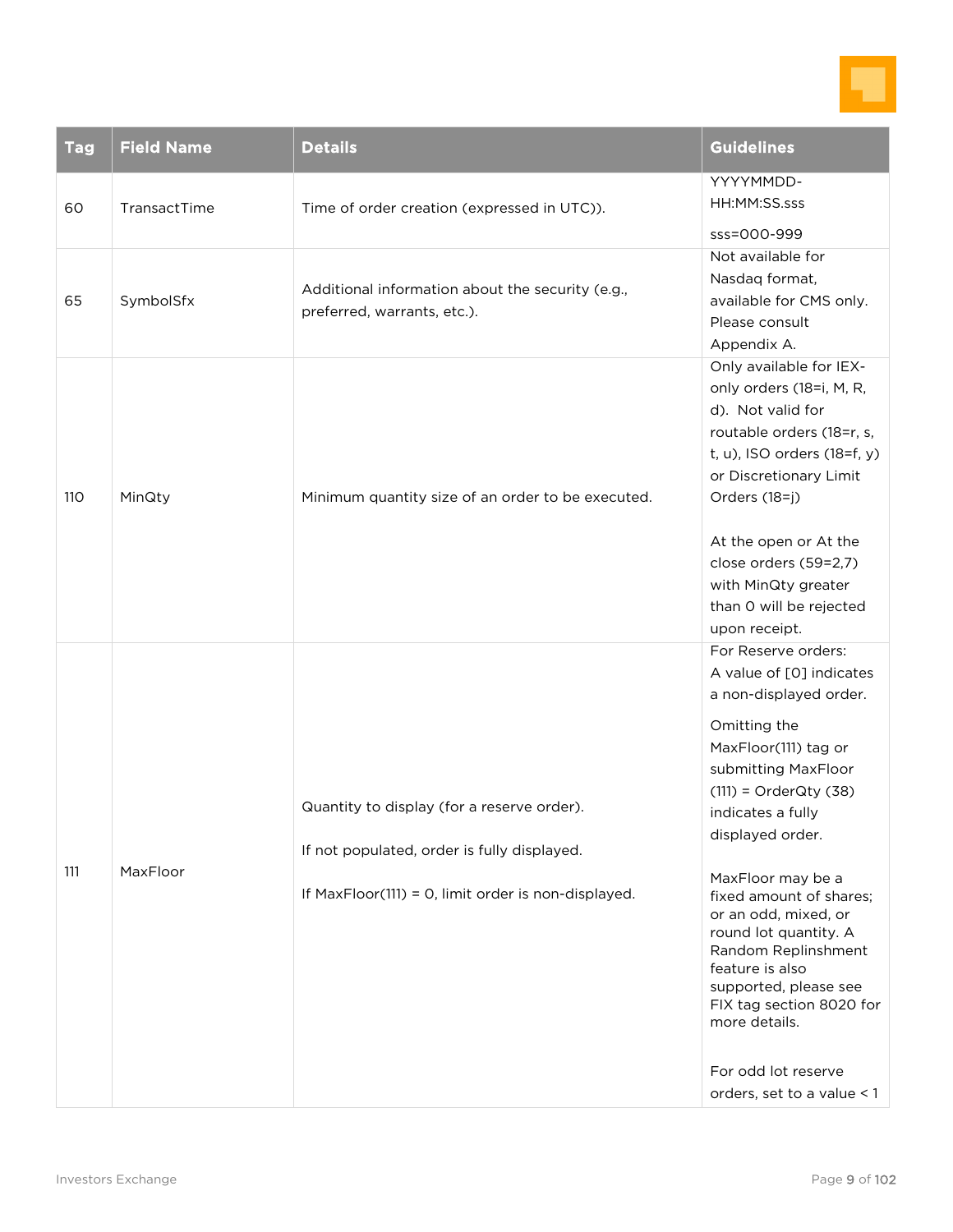

| <b>Tag</b> | <b>Field Name</b> | <b>Details</b>                                                                                                                                   | Guidelines                                                                                                                                                                                                                                                                                                                                                                                                                                                                           |
|------------|-------------------|--------------------------------------------------------------------------------------------------------------------------------------------------|--------------------------------------------------------------------------------------------------------------------------------------------------------------------------------------------------------------------------------------------------------------------------------------------------------------------------------------------------------------------------------------------------------------------------------------------------------------------------------------|
| 60         | TransactTime      | Time of order creation (expressed in UTC)).                                                                                                      | YYYYMMDD-<br>HH:MM:SS.sss<br>sss=000-999                                                                                                                                                                                                                                                                                                                                                                                                                                             |
| 65         | SymbolSfx         | Additional information about the security (e.g.,<br>preferred, warrants, etc.).                                                                  | Not available for<br>Nasdaq format,<br>available for CMS only.<br>Please consult<br>Appendix A.                                                                                                                                                                                                                                                                                                                                                                                      |
| 110        | MinQty            | Minimum quantity size of an order to be executed.                                                                                                | Only available for IEX-<br>only orders (18=i, M, R,<br>d). Not valid for<br>routable orders (18=r, s,<br>t, u), ISO orders (18=f, y)<br>or Discretionary Limit<br>Orders (18=j)<br>At the open or At the<br>close orders (59=2,7)<br>with MinQty greater<br>than 0 will be rejected<br>upon receipt.                                                                                                                                                                                 |
| 111        | MaxFloor          | Quantity to display (for a reserve order).<br>If not populated, order is fully displayed.<br>If MaxFloor(111) = 0, limit order is non-displayed. | For Reserve orders:<br>A value of [0] indicates<br>a non-displayed order.<br>Omitting the<br>MaxFloor(111) tag or<br>submitting MaxFloor<br>$(111)$ = OrderQty $(38)$<br>indicates a fully<br>displayed order.<br>MaxFloor may be a<br>fixed amount of shares;<br>or an odd, mixed, or<br>round lot quantity. A<br>Random Replinshment<br>feature is also<br>supported, please see<br>FIX tag section 8020 for<br>more details.<br>For odd lot reserve<br>orders, set to a value < 1 |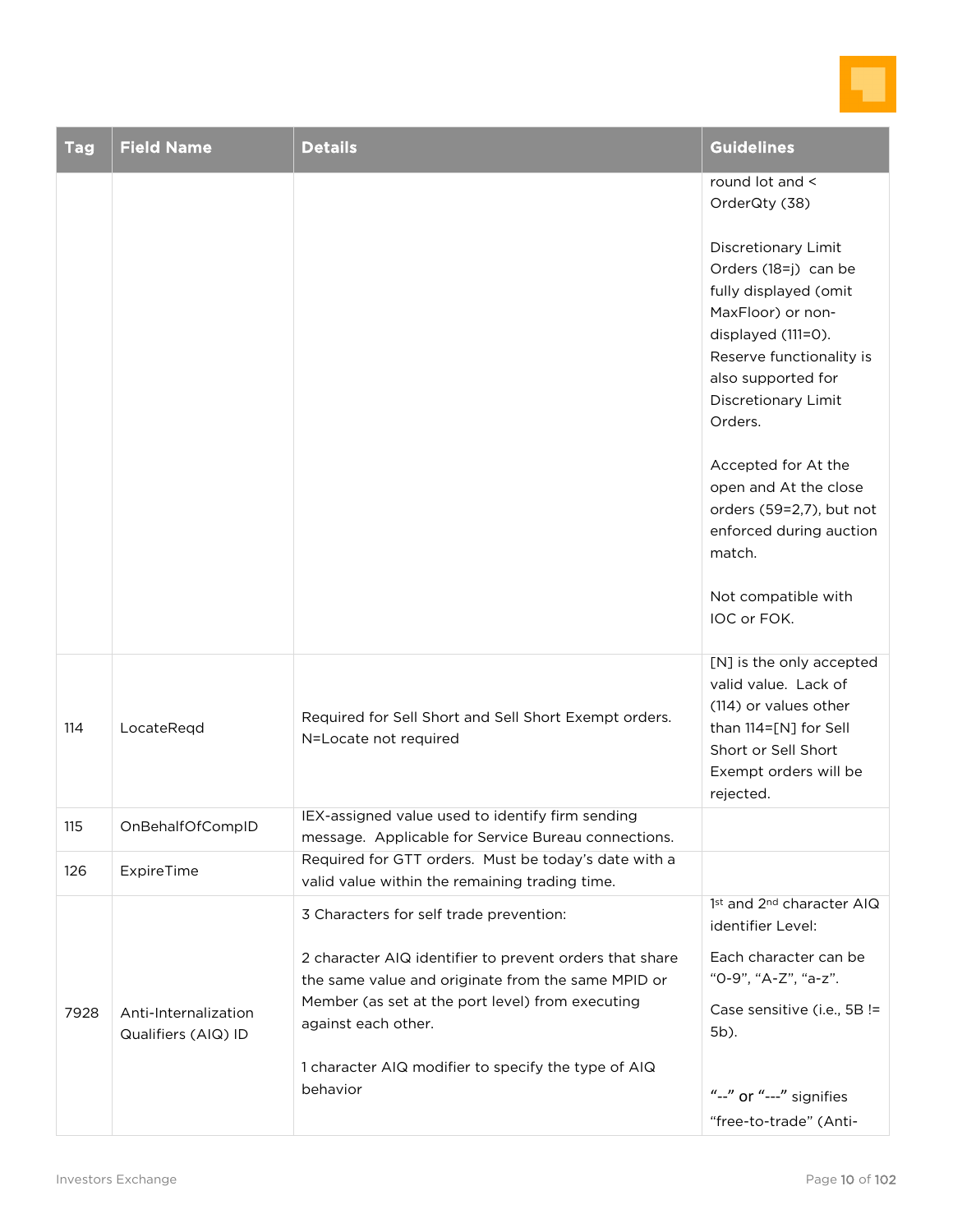

| <b>Tag</b> | <b>Field Name</b>                           | <b>Details</b>                                                                                                                                                                           | <b>Guidelines</b>                                                                                                                                                                                   |
|------------|---------------------------------------------|------------------------------------------------------------------------------------------------------------------------------------------------------------------------------------------|-----------------------------------------------------------------------------------------------------------------------------------------------------------------------------------------------------|
|            |                                             |                                                                                                                                                                                          | round lot and <<br>OrderQty (38)                                                                                                                                                                    |
|            |                                             |                                                                                                                                                                                          | Discretionary Limit<br>Orders (18=j) can be<br>fully displayed (omit<br>MaxFloor) or non-<br>displayed (111=0).<br>Reserve functionality is<br>also supported for<br>Discretionary Limit<br>Orders. |
|            |                                             |                                                                                                                                                                                          | Accepted for At the<br>open and At the close<br>orders (59=2,7), but not<br>enforced during auction<br>match.                                                                                       |
|            |                                             |                                                                                                                                                                                          | Not compatible with<br>IOC or FOK.                                                                                                                                                                  |
| 114        | LocateRegd                                  | Required for Sell Short and Sell Short Exempt orders.<br>N=Locate not required                                                                                                           | [N] is the only accepted<br>valid value. Lack of<br>(114) or values other<br>than 114=[N] for Sell<br>Short or Sell Short<br>Exempt orders will be<br>rejected.                                     |
| 115        | OnBehalfOfCompID                            | IEX-assigned value used to identify firm sending<br>message. Applicable for Service Bureau connections.                                                                                  |                                                                                                                                                                                                     |
| 126        | ExpireTime                                  | Required for GTT orders. Must be today's date with a<br>valid value within the remaining trading time.                                                                                   |                                                                                                                                                                                                     |
|            |                                             | 3 Characters for self trade prevention:                                                                                                                                                  | 1st and 2 <sup>nd</sup> character AIQ<br>identifier Level:                                                                                                                                          |
| 7928       | Anti-Internalization<br>Qualifiers (AIQ) ID | 2 character AIQ identifier to prevent orders that share<br>the same value and originate from the same MPID or<br>Member (as set at the port level) from executing<br>against each other. | Each character can be<br>"0-9", "A-Z", "a-z".<br>Case sensitive (i.e., 5B !=<br>5b).                                                                                                                |
|            |                                             | 1 character AIQ modifier to specify the type of AIQ<br>behavior                                                                                                                          | "--" or "---" signifies                                                                                                                                                                             |
|            |                                             |                                                                                                                                                                                          | "free-to-trade" (Anti-                                                                                                                                                                              |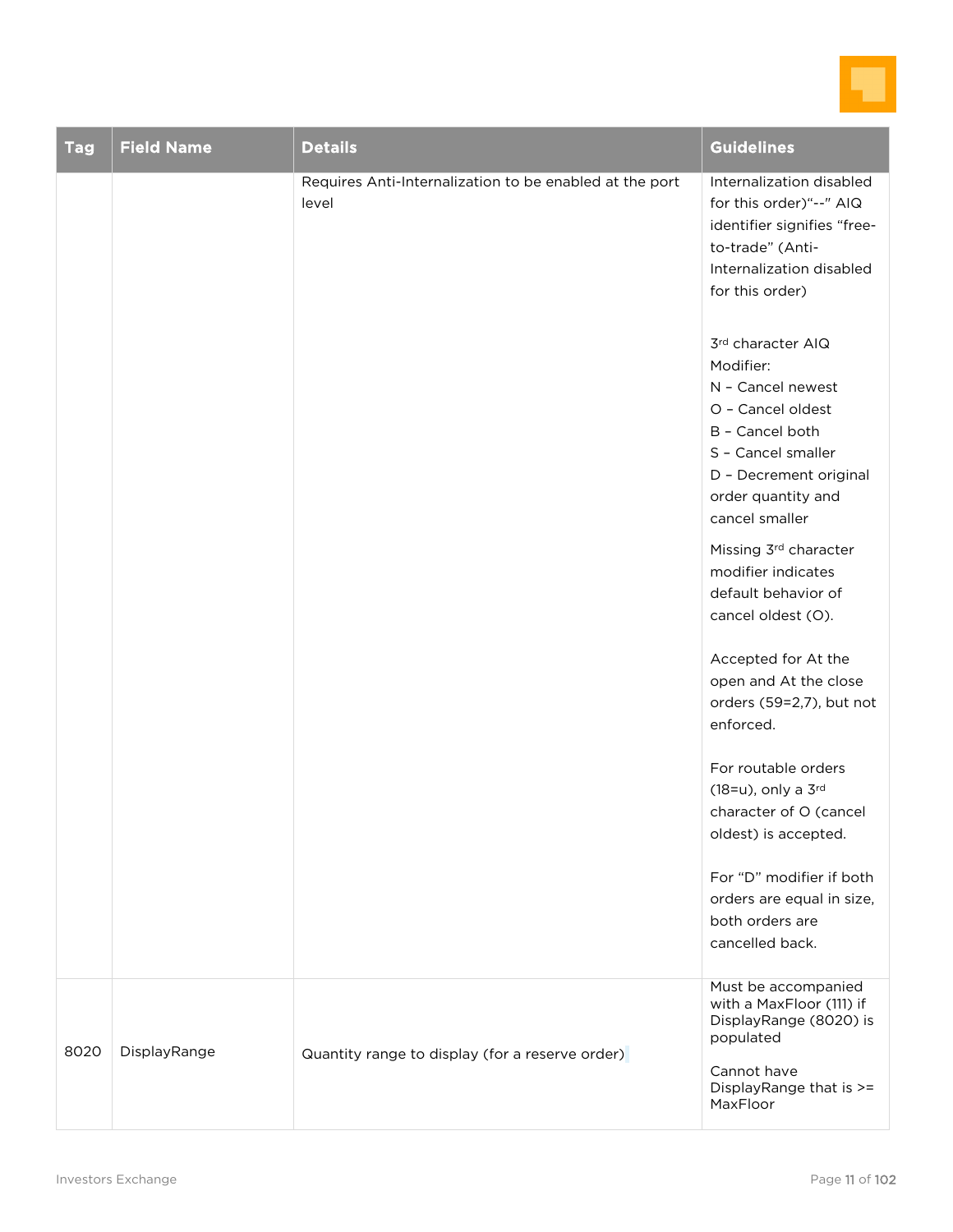

| <b>Tag</b> | <b>Field Name</b> | <b>Details</b>                                                   | <b>Guidelines</b>                                                                                                                                                                   |
|------------|-------------------|------------------------------------------------------------------|-------------------------------------------------------------------------------------------------------------------------------------------------------------------------------------|
|            |                   | Requires Anti-Internalization to be enabled at the port<br>level | Internalization disabled<br>for this order)"--" AIQ<br>identifier signifies "free-<br>to-trade" (Anti-<br>Internalization disabled<br>for this order)                               |
|            |                   |                                                                  | 3rd character AIQ<br>Modifier:<br>N - Cancel newest<br>O - Cancel oldest<br>B - Cancel both<br>S - Cancel smaller<br>D - Decrement original<br>order quantity and<br>cancel smaller |
|            |                   |                                                                  | Missing 3rd character<br>modifier indicates<br>default behavior of<br>cancel oldest (O).                                                                                            |
|            |                   |                                                                  | Accepted for At the<br>open and At the close<br>orders (59=2,7), but not<br>enforced.                                                                                               |
|            |                   |                                                                  | For routable orders<br>(18=u), only a 3rd<br>character of O (cancel<br>oldest) is accepted.                                                                                         |
|            |                   |                                                                  | For "D" modifier if both<br>orders are equal in size,<br>both orders are<br>cancelled back.                                                                                         |
| 8020       | DisplayRange      | Quantity range to display (for a reserve order)                  | Must be accompanied<br>with a MaxFloor (111) if<br>DisplayRange (8020) is<br>populated<br>Cannot have                                                                               |
|            |                   |                                                                  | DisplayRange that is >=<br>MaxFloor                                                                                                                                                 |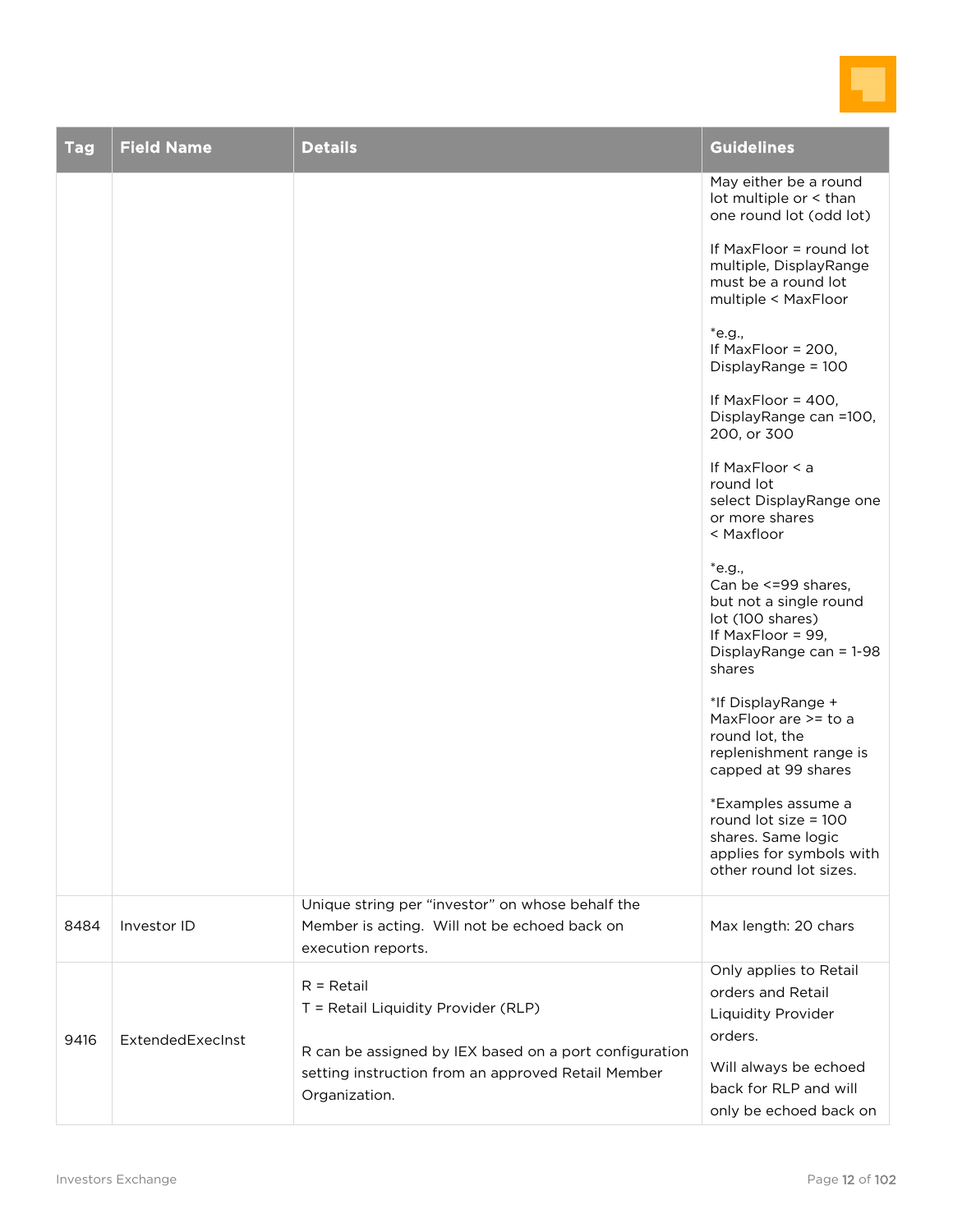

| <b>Tag</b> | <b>Field Name</b> | <b>Details</b>                                                      | <b>Guidelines</b>                                                                                                                         |
|------------|-------------------|---------------------------------------------------------------------|-------------------------------------------------------------------------------------------------------------------------------------------|
|            |                   |                                                                     | May either be a round<br>lot multiple or < than<br>one round lot (odd lot)                                                                |
|            |                   |                                                                     | If MaxFloor = round lot<br>multiple, DisplayRange<br>must be a round lot<br>multiple < MaxFloor                                           |
|            |                   |                                                                     | *e.g.,<br>If MaxFloor = 200,<br>DisplayRange = 100                                                                                        |
|            |                   |                                                                     | If MaxFloor = $400$ ,<br>DisplayRange can =100,<br>200, or 300                                                                            |
|            |                   |                                                                     | If MaxFloor < a<br>round lot<br>select DisplayRange one<br>or more shares<br>< Maxfloor                                                   |
|            |                   |                                                                     | *e.g.,<br>Can be <= 99 shares,<br>but not a single round<br>lot (100 shares)<br>If MaxFloor = $99$ ,<br>DisplayRange can = 1-98<br>shares |
|            |                   |                                                                     | *If DisplayRange +<br>MaxFloor are >= to a<br>round lot, the<br>replenishment range is<br>capped at 99 shares                             |
|            |                   |                                                                     | *Examples assume a<br>round lot size = 100<br>shares. Same logic<br>applies for symbols with<br>other round lot sizes.                    |
|            |                   | Unique string per "investor" on whose behalf the                    |                                                                                                                                           |
| 8484       | Investor ID       | Member is acting. Will not be echoed back on                        | Max length: 20 chars                                                                                                                      |
|            |                   | execution reports.                                                  |                                                                                                                                           |
|            |                   | $R = Retail$                                                        | Only applies to Retail<br>orders and Retail                                                                                               |
|            |                   | T = Retail Liquidity Provider (RLP)                                 | Liquidity Provider                                                                                                                        |
| 9416       | ExtendedExecInst  | R can be assigned by IEX based on a port configuration              | orders.                                                                                                                                   |
|            |                   |                                                                     | Will always be echoed                                                                                                                     |
|            |                   | setting instruction from an approved Retail Member<br>Organization. | back for RLP and will<br>only be echoed back on                                                                                           |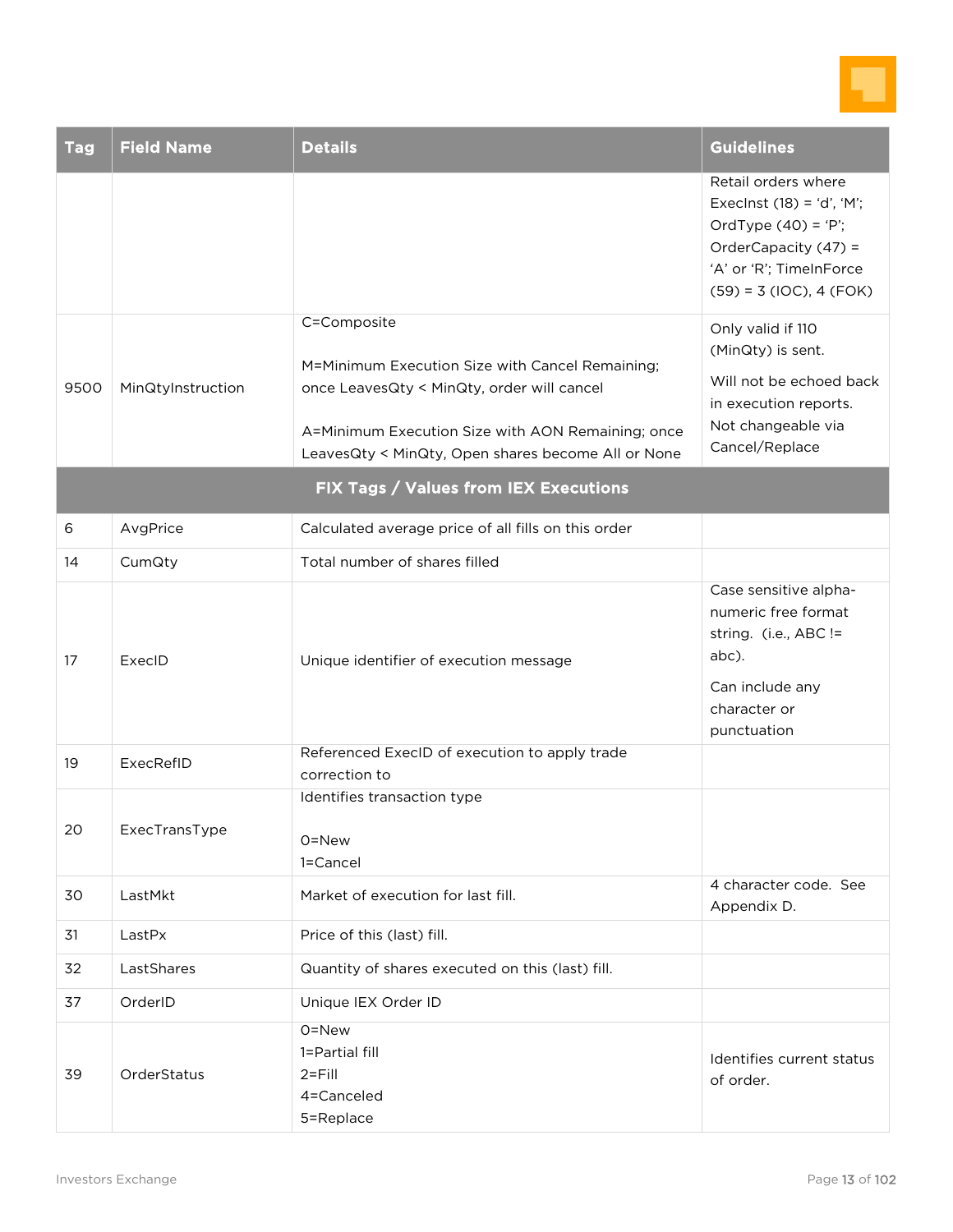

| <b>Tag</b> | <b>Field Name</b> | <b>Details</b>                                                                                                                                                                                                          | <b>Guidelines</b>                                                                                                                                           |
|------------|-------------------|-------------------------------------------------------------------------------------------------------------------------------------------------------------------------------------------------------------------------|-------------------------------------------------------------------------------------------------------------------------------------------------------------|
|            |                   |                                                                                                                                                                                                                         | Retail orders where<br>Execlnst $(18) = 'd', 'M';$<br>OrdType $(40) = 'P';$<br>OrderCapacity (47) =<br>'A' or 'R'; TimeInForce<br>$(59) = 3 (10C), 4 (FOK)$ |
| 9500       | MinQtyInstruction | C=Composite<br>M=Minimum Execution Size with Cancel Remaining;<br>once LeavesQty < MinQty, order will cancel<br>A=Minimum Execution Size with AON Remaining; once<br>LeavesQty < MinQty, Open shares become All or None | Only valid if 110<br>(MinQty) is sent.<br>Will not be echoed back<br>in execution reports.<br>Not changeable via<br>Cancel/Replace                          |
|            |                   | FIX Tags / Values from IEX Executions                                                                                                                                                                                   |                                                                                                                                                             |
| 6          | AvgPrice          | Calculated average price of all fills on this order                                                                                                                                                                     |                                                                                                                                                             |
| 14         | CumQty            | Total number of shares filled                                                                                                                                                                                           |                                                                                                                                                             |
|            |                   |                                                                                                                                                                                                                         | Caso sonsitivo alpha-                                                                                                                                       |

| 14 | CumQty        | Total number of shares filled                                    |                                                                                                                                  |
|----|---------------|------------------------------------------------------------------|----------------------------------------------------------------------------------------------------------------------------------|
| 17 | ExecID        | Unique identifier of execution message                           | Case sensitive alpha-<br>numeric free format<br>string. (i.e., ABC !=<br>abc).<br>Can include any<br>character or<br>punctuation |
| 19 | ExecRefID     | Referenced ExecID of execution to apply trade<br>correction to   |                                                                                                                                  |
| 20 | ExecTransType | Identifies transaction type<br>0=New<br>1=Cancel                 |                                                                                                                                  |
| 30 | LastMkt       | Market of execution for last fill.                               | 4 character code. See<br>Appendix D.                                                                                             |
| 31 | LastPx        | Price of this (last) fill.                                       |                                                                                                                                  |
| 32 | LastShares    | Quantity of shares executed on this (last) fill.                 |                                                                                                                                  |
| 37 | OrderID       | Unique IEX Order ID                                              |                                                                                                                                  |
| 39 | OrderStatus   | 0=New<br>1=Partial fill<br>$2 =$ Fill<br>4=Canceled<br>5=Replace | Identifies current status<br>of order.                                                                                           |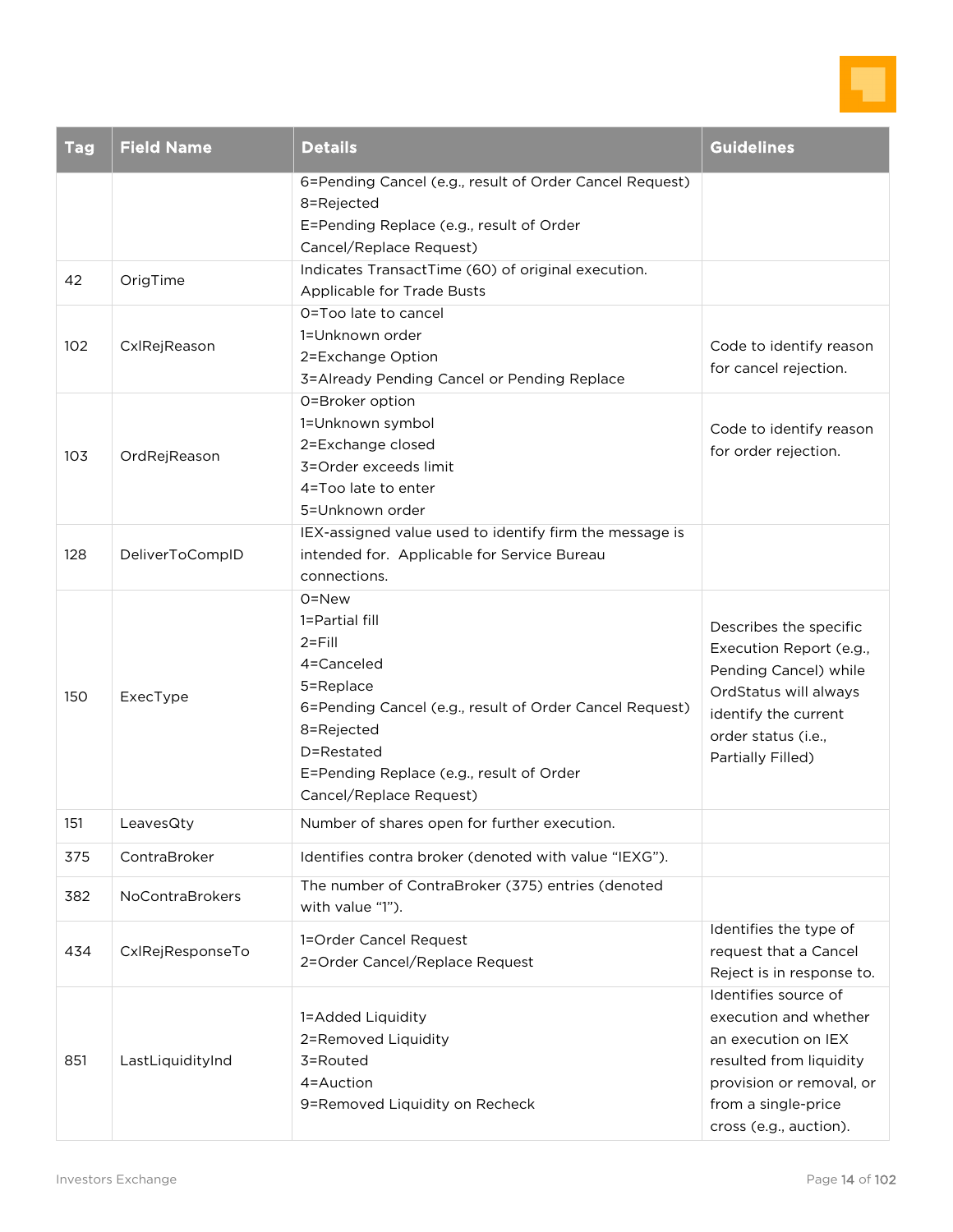

| <b>Tag</b> | <b>Field Name</b>           | <b>Details</b>                                                                                                                                                                                                                                                                                                                                           | <b>Guidelines</b>                                                                                                                                                       |
|------------|-----------------------------|----------------------------------------------------------------------------------------------------------------------------------------------------------------------------------------------------------------------------------------------------------------------------------------------------------------------------------------------------------|-------------------------------------------------------------------------------------------------------------------------------------------------------------------------|
|            |                             | 6=Pending Cancel (e.g., result of Order Cancel Request)<br>8=Rejected<br>E=Pending Replace (e.g., result of Order<br>Cancel/Replace Request)                                                                                                                                                                                                             |                                                                                                                                                                         |
| 42         | OrigTime                    | Indicates TransactTime (60) of original execution.<br>Applicable for Trade Busts                                                                                                                                                                                                                                                                         |                                                                                                                                                                         |
| 102        | CxlRejReason                | O=Too late to cancel<br>1=Unknown order<br>2=Exchange Option<br>3=Already Pending Cancel or Pending Replace                                                                                                                                                                                                                                              | Code to identify reason<br>for cancel rejection.                                                                                                                        |
| 103        | OrdRejReason                | 0=Broker option<br>1=Unknown symbol<br>2=Exchange closed<br>3=Order exceeds limit<br>4=Too late to enter<br>5=Unknown order                                                                                                                                                                                                                              | Code to identify reason<br>for order rejection.                                                                                                                         |
| 128<br>150 | DeliverToCompID<br>ExecType | IEX-assigned value used to identify firm the message is<br>intended for. Applicable for Service Bureau<br>connections.<br>0=New<br>1=Partial fill<br>$2 =$ Fill<br>4=Canceled<br>5=Replace<br>6=Pending Cancel (e.g., result of Order Cancel Request)<br>8=Rejected<br>D=Restated<br>E=Pending Replace (e.g., result of Order<br>Cancel/Replace Request) | Describes the specific<br>Execution Report (e.g.,<br>Pending Cancel) while<br>OrdStatus will always<br>identify the current<br>order status (i.e.,<br>Partially Filled) |
| 151        | LeavesQty                   | Number of shares open for further execution.                                                                                                                                                                                                                                                                                                             |                                                                                                                                                                         |
| 375        | ContraBroker                | Identifies contra broker (denoted with value "IEXG").                                                                                                                                                                                                                                                                                                    |                                                                                                                                                                         |
| 382        | <b>NoContraBrokers</b>      | The number of ContraBroker (375) entries (denoted<br>with value "1").                                                                                                                                                                                                                                                                                    |                                                                                                                                                                         |
| 434        | CxlRejResponseTo            | 1=Order Cancel Request<br>2=Order Cancel/Replace Request                                                                                                                                                                                                                                                                                                 | Identifies the type of<br>request that a Cancel<br>Reject is in response to.<br>Identifies source of                                                                    |
| 851        | LastLiquidityInd            | 1=Added Liquidity<br>2=Removed Liquidity<br>3=Routed<br>4=Auction<br>9=Removed Liquidity on Recheck                                                                                                                                                                                                                                                      | execution and whether<br>an execution on IEX<br>resulted from liquidity<br>provision or removal, or<br>from a single-price<br>cross (e.g., auction).                    |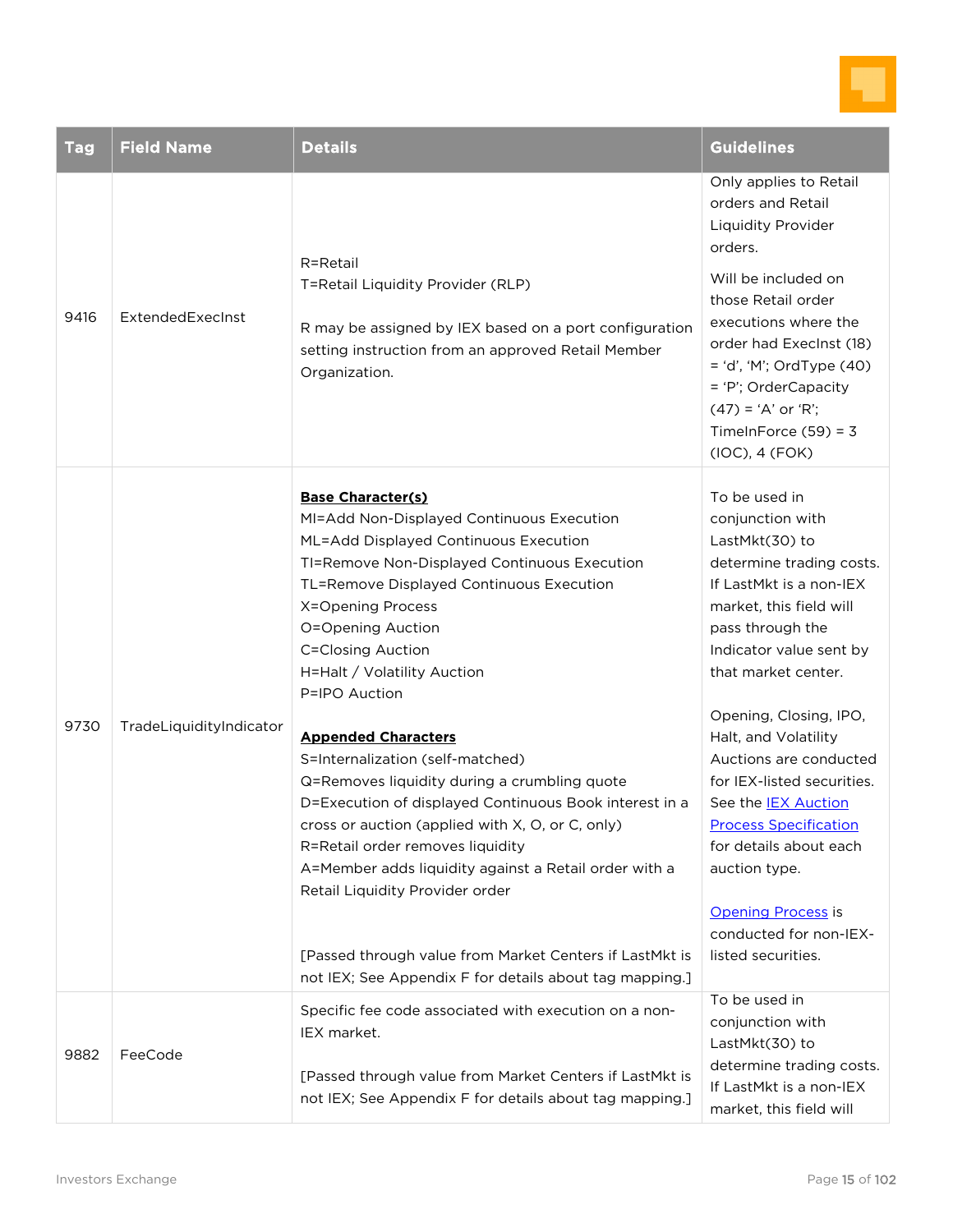

| Tag  | <b>Field Name</b>       | <b>Details</b>                                                                                                                                                                                                                                                                                                                                               | <b>Guidelines</b>                                                                                                                                                                                                    |
|------|-------------------------|--------------------------------------------------------------------------------------------------------------------------------------------------------------------------------------------------------------------------------------------------------------------------------------------------------------------------------------------------------------|----------------------------------------------------------------------------------------------------------------------------------------------------------------------------------------------------------------------|
| 9416 | ExtendedExecInst        | R=Retail<br>T=Retail Liquidity Provider (RLP)<br>R may be assigned by IEX based on a port configuration<br>setting instruction from an approved Retail Member<br>Organization.                                                                                                                                                                               | Only applies to Retail<br>orders and Retail<br>Liquidity Provider<br>orders.                                                                                                                                         |
|      |                         |                                                                                                                                                                                                                                                                                                                                                              | Will be included on<br>those Retail order<br>executions where the<br>order had Execlnst (18)<br>= 'd', 'M'; OrdType (40)<br>= 'P'; OrderCapacity<br>$(47) = 'A'$ or 'R';<br>TimeInForce $(59) = 3$<br>(IOC), 4 (FOK) |
|      |                         | <b>Base Character(s)</b><br>MI=Add Non-Displayed Continuous Execution<br>ML=Add Displayed Continuous Execution<br>TI=Remove Non-Displayed Continuous Execution<br>TL=Remove Displayed Continuous Execution<br>X=Opening Process<br>O=Opening Auction<br><b>C=Closing Auction</b><br>H=Halt / Volatility Auction<br>P=IPO Auction                             | To be used in<br>conjunction with<br>LastMkt(30) to<br>determine trading costs.<br>If LastMkt is a non-IEX<br>market, this field will<br>pass through the<br>Indicator value sent by<br>that market center.          |
| 9730 | TradeLiquidityIndicator | <b>Appended Characters</b><br>S=Internalization (self-matched)<br>Q=Removes liquidity during a crumbling quote<br>D=Execution of displayed Continuous Book interest in a<br>cross or auction (applied with X, O, or C, only)<br>R=Retail order removes liquidity<br>A=Member adds liquidity against a Retail order with a<br>Retail Liquidity Provider order | Opening, Closing, IPO,<br>Halt, and Volatility<br>Auctions are conducted<br>for IEX-listed securities.<br>See the <b>IEX Auction</b><br><b>Process Specification</b><br>for details about each<br>auction type.      |
|      |                         | [Passed through value from Market Centers if LastMkt is<br>not IEX; See Appendix F for details about tag mapping.]                                                                                                                                                                                                                                           | <b>Opening Process is</b><br>conducted for non-IEX-<br>listed securities.                                                                                                                                            |
| 9882 | FeeCode                 | Specific fee code associated with execution on a non-<br>IEX market.<br>[Passed through value from Market Centers if LastMkt is                                                                                                                                                                                                                              | To be used in<br>conjunction with<br>LastMkt(30) to<br>determine trading costs.                                                                                                                                      |
|      |                         | not IEX; See Appendix F for details about tag mapping.]                                                                                                                                                                                                                                                                                                      | If LastMkt is a non-IEX<br>market, this field will                                                                                                                                                                   |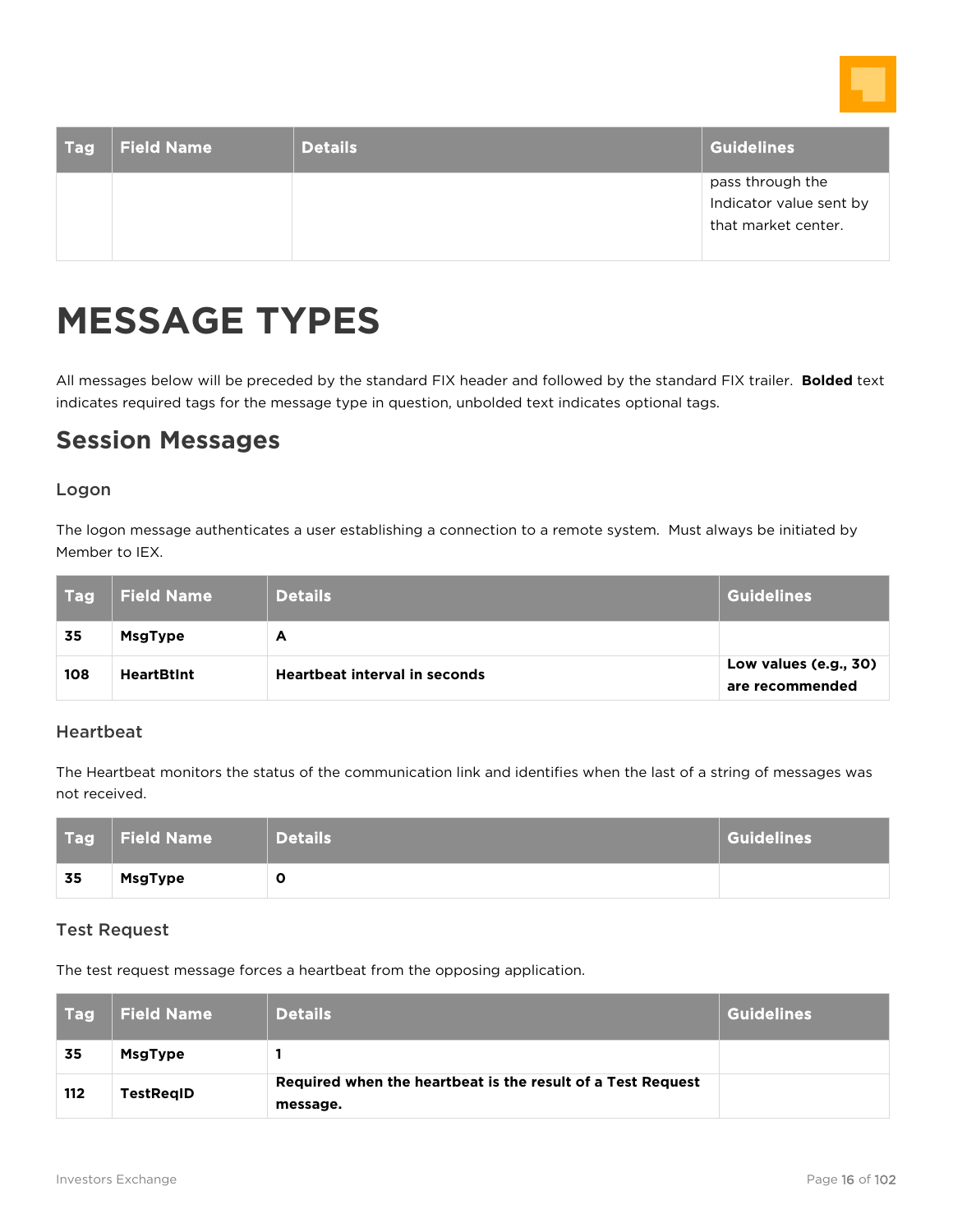

| Tag | <b>Field Name</b> | <b>Details</b> | <b>Guidelines</b>                           |
|-----|-------------------|----------------|---------------------------------------------|
|     |                   |                | pass through the<br>Indicator value sent by |
|     |                   |                | that market center.                         |

## <span id="page-15-0"></span>**MESSAGE TYPES**

All messages below will be preceded by the standard FIX header and followed by the standard FIX trailer. **Bolded** text indicates required tags for the message type in question, unbolded text indicates optional tags.

### <span id="page-15-1"></span>**Session Messages**

#### Logon

The logon message authenticates a user establishing a connection to a remote system. Must always be initiated by Member to IEX.

| l Tagl | <b>Field Name</b> | <b>Details</b>                       | <b>Guidelines</b>                        |
|--------|-------------------|--------------------------------------|------------------------------------------|
| 35     | <b>MsgType</b>    | А                                    |                                          |
| 108    | <b>HeartBtInt</b> | <b>Heartbeat interval in seconds</b> | Low values (e.g., 30)<br>are recommended |

#### Heartbeat

The Heartbeat monitors the status of the communication link and identifies when the last of a string of messages was not received.

| Tag l | Field Name     | <b>Details</b> | <b>Guidelines</b> |
|-------|----------------|----------------|-------------------|
| 35    | <b>MsgType</b> | u              |                   |

#### Test Request

The test request message forces a heartbeat from the opposing application.

| l Tagli | <b>Field Name</b> | <b>Details</b>                                                          | Guidelines |
|---------|-------------------|-------------------------------------------------------------------------|------------|
| 35      | <b>MsgType</b>    |                                                                         |            |
| 112     | <b>TestRegID</b>  | Required when the heartbeat is the result of a Test Request<br>message. |            |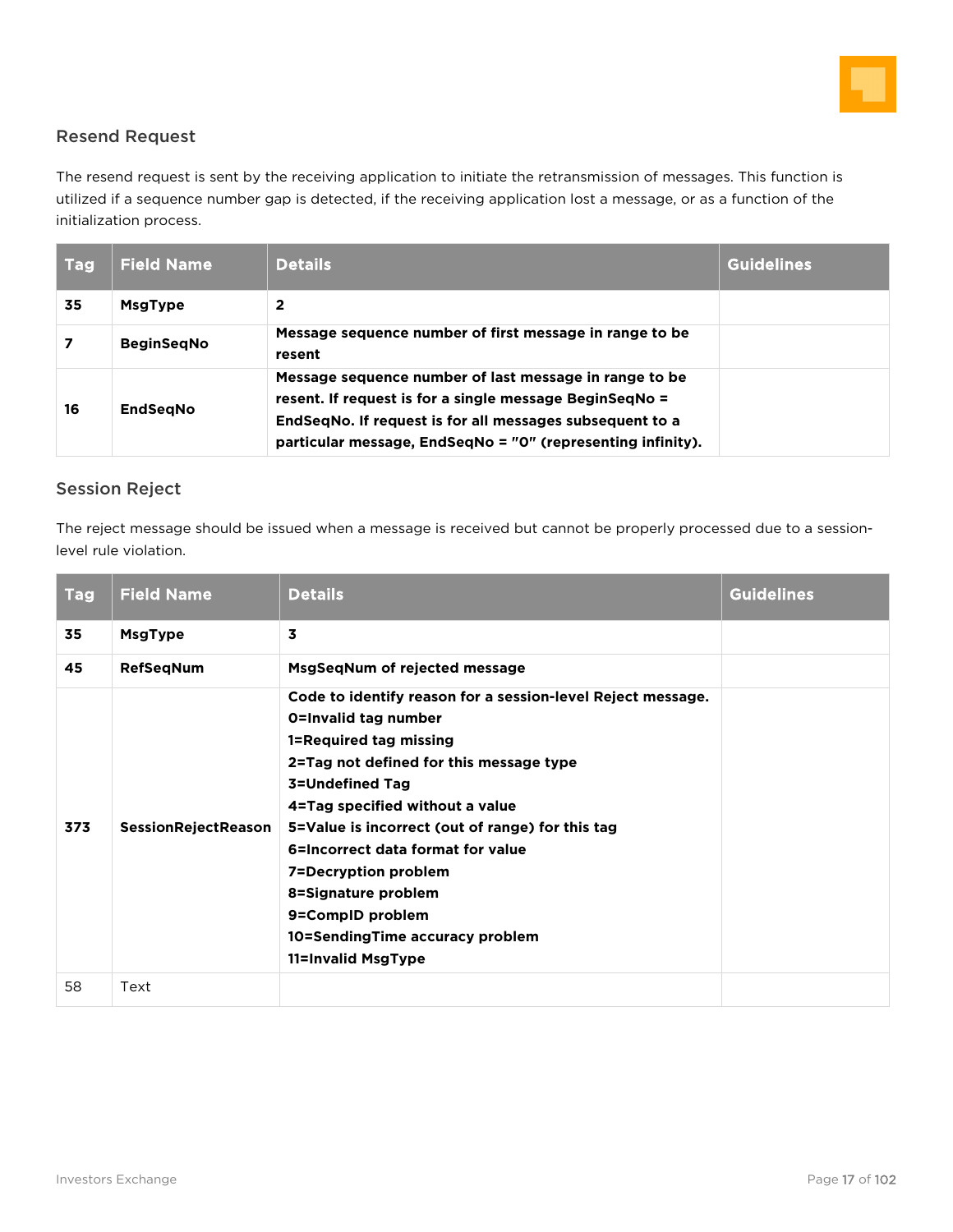

#### Resend Request

The resend request is sent by the receiving application to initiate the retransmission of messages. This function is utilized if a sequence number gap is detected, if the receiving application lost a message, or as a function of the initialization process.

| <b>Tag</b> | <b>Field Name</b> | <b>Details</b>                                                                                                                                                                                                                               | <b>Guidelines</b> |
|------------|-------------------|----------------------------------------------------------------------------------------------------------------------------------------------------------------------------------------------------------------------------------------------|-------------------|
| 35         | <b>MsgType</b>    | 2                                                                                                                                                                                                                                            |                   |
|            | <b>BeginSegNo</b> | Message sequence number of first message in range to be<br>resent                                                                                                                                                                            |                   |
| 16         | <b>EndSegNo</b>   | Message sequence number of last message in range to be<br>resent. If request is for a single message BeginSeqNo =<br>EndSegNo. If request is for all messages subsequent to a<br>particular message, EndSegNo = "0" (representing infinity). |                   |

#### Session Reject

The reject message should be issued when a message is received but cannot be properly processed due to a sessionlevel rule violation.

| <b>Tag</b> | <b>Field Name</b>          | <b>Details</b>                                                                                                                                                                                                                                                                                                                                                                                                                             | <b>Guidelines</b> |
|------------|----------------------------|--------------------------------------------------------------------------------------------------------------------------------------------------------------------------------------------------------------------------------------------------------------------------------------------------------------------------------------------------------------------------------------------------------------------------------------------|-------------------|
| 35         | <b>MsgType</b>             | 3                                                                                                                                                                                                                                                                                                                                                                                                                                          |                   |
| 45         | <b>RefSegNum</b>           | MsgSeqNum of rejected message                                                                                                                                                                                                                                                                                                                                                                                                              |                   |
| 373        | <b>SessionRejectReason</b> | Code to identify reason for a session-level Reject message.<br><b>O=Invalid tag number</b><br>1=Required tag missing<br>2=Tag not defined for this message type<br>3=Undefined Tag<br>4=Tag specified without a value<br>5=Value is incorrect (out of range) for this tag<br>6=Incorrect data format for value<br>7=Decryption problem<br>8=Signature problem<br>9=CompID problem<br>10=SendingTime accuracy problem<br>11=Invalid MsgType |                   |
| 58         | Text                       |                                                                                                                                                                                                                                                                                                                                                                                                                                            |                   |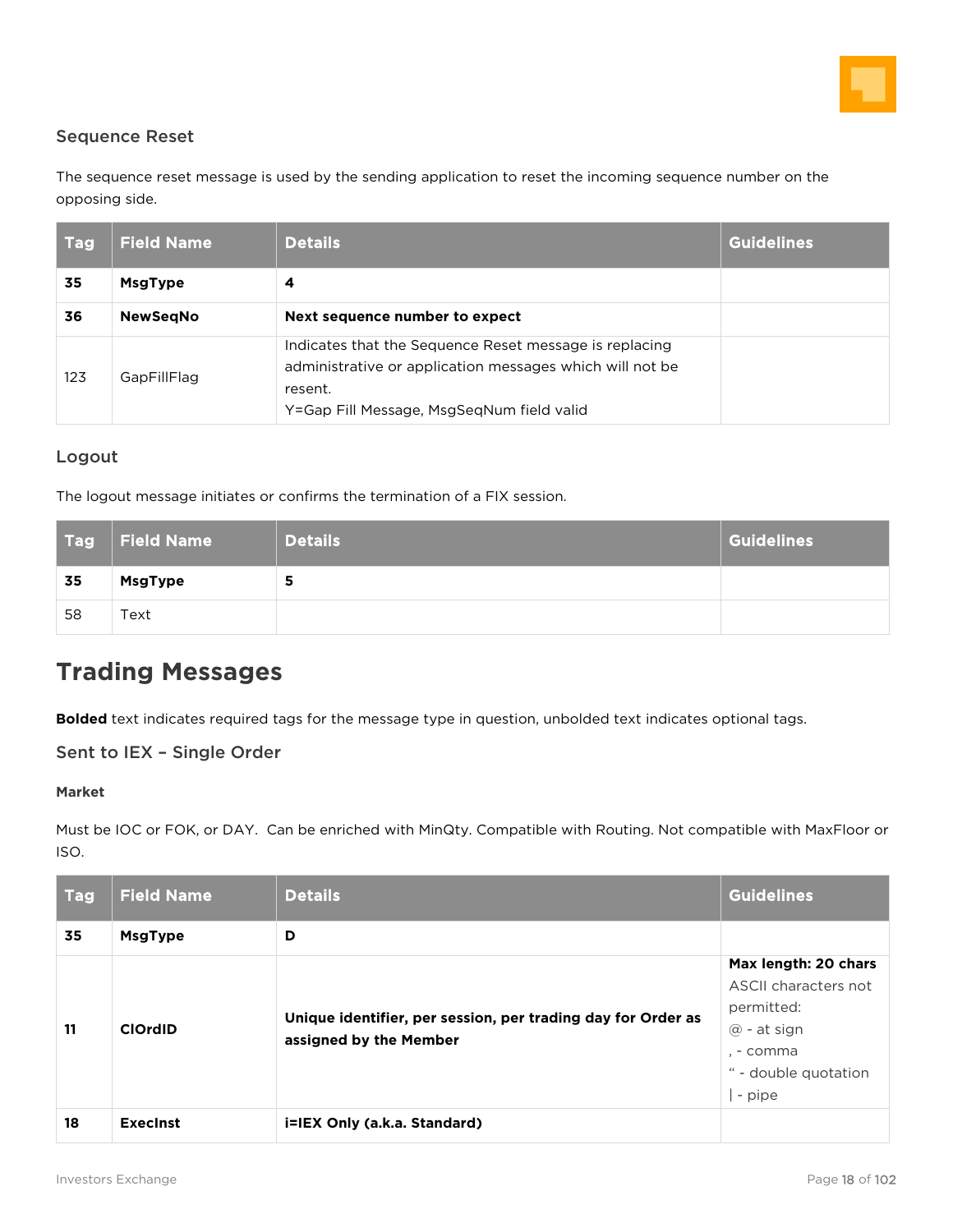

#### Sequence Reset

The sequence reset message is used by the sending application to reset the incoming sequence number on the opposing side.

| <b>Tag</b> | <b>Field Name</b> | <b>Details</b>                                                                                                                                                             | <b>Guidelines</b> |
|------------|-------------------|----------------------------------------------------------------------------------------------------------------------------------------------------------------------------|-------------------|
| 35         | <b>MsgType</b>    | 4                                                                                                                                                                          |                   |
| 36         | <b>NewSegNo</b>   | Next sequence number to expect                                                                                                                                             |                   |
| 123        | GapFillFlag       | Indicates that the Sequence Reset message is replacing<br>administrative or application messages which will not be<br>resent.<br>Y=Gap Fill Message, MsgSeqNum field valid |                   |

#### Logout

The logout message initiates or confirms the termination of a FIX session.

| <b>Tag</b> | Field Name     | <b>Details</b> | <b>Guidelines</b> |
|------------|----------------|----------------|-------------------|
| 35         | <b>MsgType</b> |                |                   |
| 58         | Text           |                |                   |

### <span id="page-17-0"></span>**Trading Messages**

**Bolded** text indicates required tags for the message type in question, unbolded text indicates optional tags.

#### Sent to IEX – Single Order

#### **Market**

Must be IOC or FOK, or DAY. Can be enriched with MinQty. Compatible with Routing. Not compatible with MaxFloor or ISO.

| <b>Tag</b> | <b>Field Name</b> | <b>Details</b>                                                                         | <b>Guidelines</b>                                                                                                          |
|------------|-------------------|----------------------------------------------------------------------------------------|----------------------------------------------------------------------------------------------------------------------------|
| 35         | <b>MsgType</b>    | D                                                                                      |                                                                                                                            |
| 11         | <b>ClOrdID</b>    | Unique identifier, per session, per trading day for Order as<br>assigned by the Member | Max length: 20 chars<br>ASCII characters not<br>permitted:<br>$@$ - at sign<br>. - comma<br>" - double quotation<br>- pipe |
| 18         | <b>Execinst</b>   | i=IEX Only (a.k.a. Standard)                                                           |                                                                                                                            |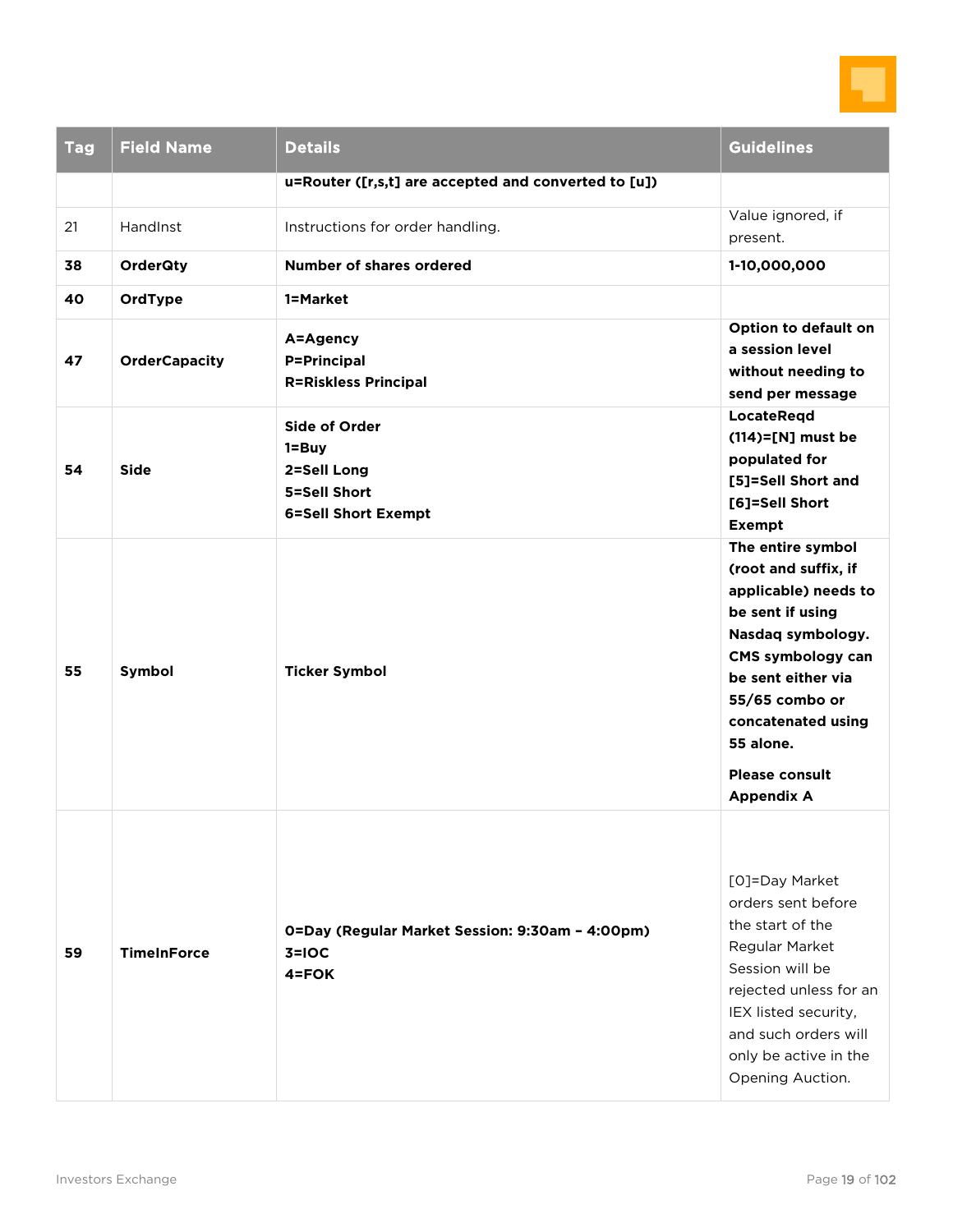

| <b>Tag</b> | <b>Field Name</b>    | <b>Details</b>                                                                                 | <b>Guidelines</b>                                                                                                                                                                                                                                        |
|------------|----------------------|------------------------------------------------------------------------------------------------|----------------------------------------------------------------------------------------------------------------------------------------------------------------------------------------------------------------------------------------------------------|
|            |                      | u=Router ([r,s,t] are accepted and converted to [u])                                           |                                                                                                                                                                                                                                                          |
| 21         | HandInst             | Instructions for order handling.                                                               | Value ignored, if<br>present.                                                                                                                                                                                                                            |
| 38         | <b>OrderQty</b>      | Number of shares ordered                                                                       | 1-10,000,000                                                                                                                                                                                                                                             |
| 40         | OrdType              | 1=Market                                                                                       |                                                                                                                                                                                                                                                          |
| 47         | <b>OrderCapacity</b> | A=Agency<br><b>P=Principal</b><br><b>R=Riskless Principal</b>                                  | Option to default on<br>a session level<br>without needing to<br>send per message                                                                                                                                                                        |
| 54         | <b>Side</b>          | <b>Side of Order</b><br>$1 = Buy$<br>2=Sell Long<br>5=Sell Short<br><b>6=Sell Short Exempt</b> | <b>LocateRegd</b><br>$(114)=$ [N] must be<br>populated for<br>[5]=Sell Short and<br>[6]=Sell Short<br><b>Exempt</b>                                                                                                                                      |
| 55         | Symbol               | <b>Ticker Symbol</b>                                                                           | The entire symbol<br>(root and suffix, if<br>applicable) needs to<br>be sent if using<br>Nasdaq symbology.<br>CMS symbology can<br>be sent either via<br>55/65 combo or<br>concatenated using<br>55 alone.<br><b>Please consult</b><br><b>Appendix A</b> |
| 59         | <b>TimeInForce</b>   | 0=Day (Regular Market Session: 9:30am - 4:00pm)<br>$3=10C$<br>$4 = FOK$                        | [O]=Day Market<br>orders sent before<br>the start of the<br>Regular Market<br>Session will be<br>rejected unless for an<br>IEX listed security,<br>and such orders will<br>only be active in the<br>Opening Auction.                                     |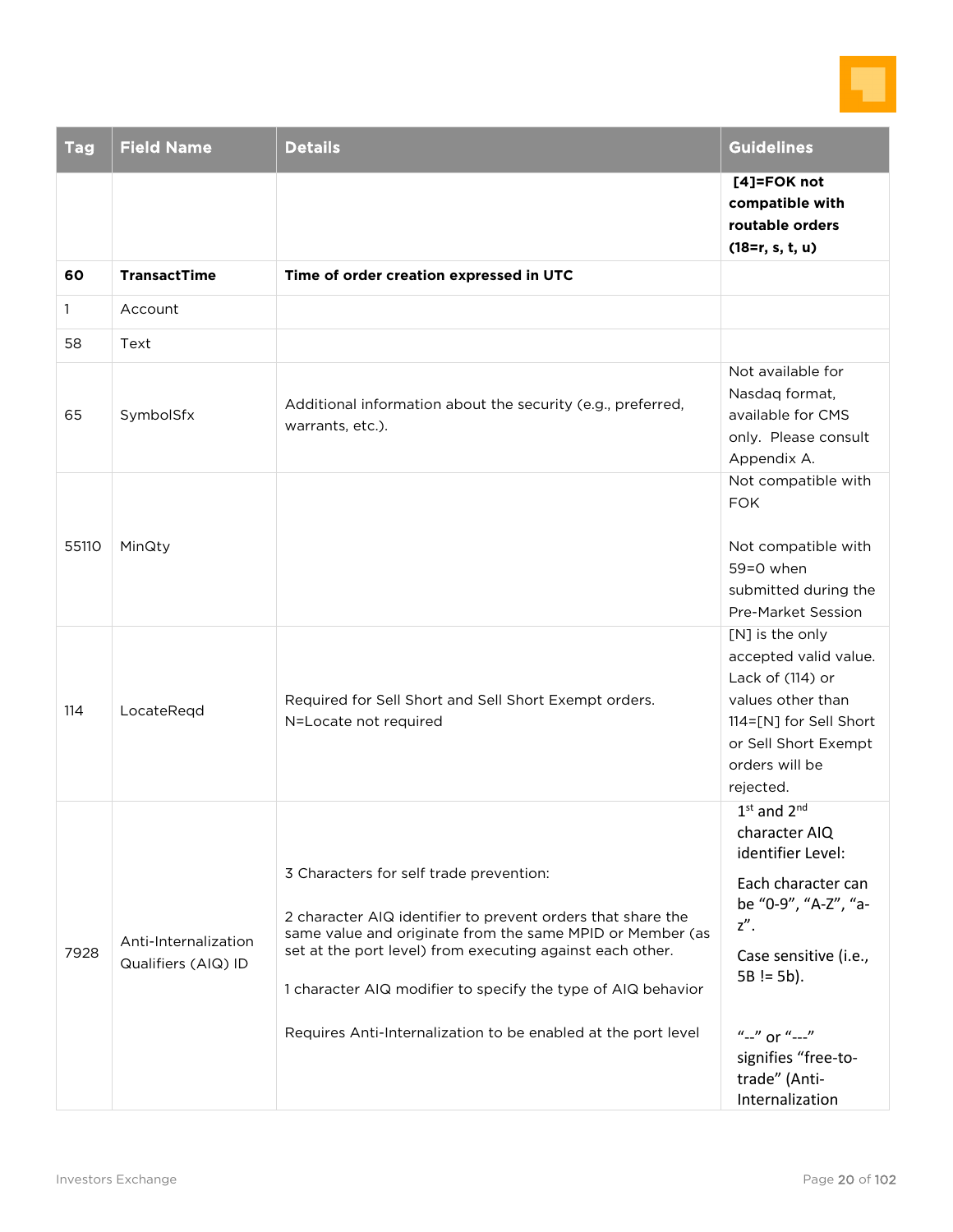

| <b>Tag</b> | <b>Field Name</b>                           | <b>Details</b>                                                                                                                                                                                                                                                                                                                                                    | <b>Guidelines</b>                                                                                                                                                                                                                         |
|------------|---------------------------------------------|-------------------------------------------------------------------------------------------------------------------------------------------------------------------------------------------------------------------------------------------------------------------------------------------------------------------------------------------------------------------|-------------------------------------------------------------------------------------------------------------------------------------------------------------------------------------------------------------------------------------------|
|            |                                             |                                                                                                                                                                                                                                                                                                                                                                   | [4]=FOK not<br>compatible with<br>routable orders<br>$(18=r, s, t, u)$                                                                                                                                                                    |
| 60<br>1.   | <b>TransactTime</b><br>Account              | Time of order creation expressed in UTC                                                                                                                                                                                                                                                                                                                           |                                                                                                                                                                                                                                           |
| 58         | Text                                        |                                                                                                                                                                                                                                                                                                                                                                   |                                                                                                                                                                                                                                           |
| 65         | SymbolSfx                                   | Additional information about the security (e.g., preferred,<br>warrants, etc.).                                                                                                                                                                                                                                                                                   | Not available for<br>Nasdaq format,<br>available for CMS<br>only. Please consult<br>Appendix A.                                                                                                                                           |
| 55110      | MinQty                                      |                                                                                                                                                                                                                                                                                                                                                                   | Not compatible with<br><b>FOK</b><br>Not compatible with<br>59=0 when<br>submitted during the<br>Pre-Market Session                                                                                                                       |
| 114        | LocateRegd                                  | Required for Sell Short and Sell Short Exempt orders.<br>N=Locate not required                                                                                                                                                                                                                                                                                    | [N] is the only<br>accepted valid value.<br>Lack of (114) or<br>values other than<br>114=[N] for Sell Short<br>or Sell Short Exempt<br>orders will be<br>rejected.                                                                        |
| 7928       | Anti-Internalization<br>Qualifiers (AIQ) ID | 3 Characters for self trade prevention:<br>2 character AIQ identifier to prevent orders that share the<br>same value and originate from the same MPID or Member (as<br>set at the port level) from executing against each other.<br>1 character AIQ modifier to specify the type of AIQ behavior<br>Requires Anti-Internalization to be enabled at the port level | $1st$ and $2nd$<br>character AIQ<br>identifier Level:<br>Each character can<br>be "0-9", "A-Z", "a-<br>$z''$ .<br>Case sensitive (i.e.,<br>$5B == 5b$ ).<br>$''-''$ or $''-''$<br>signifies "free-to-<br>trade" (Anti-<br>Internalization |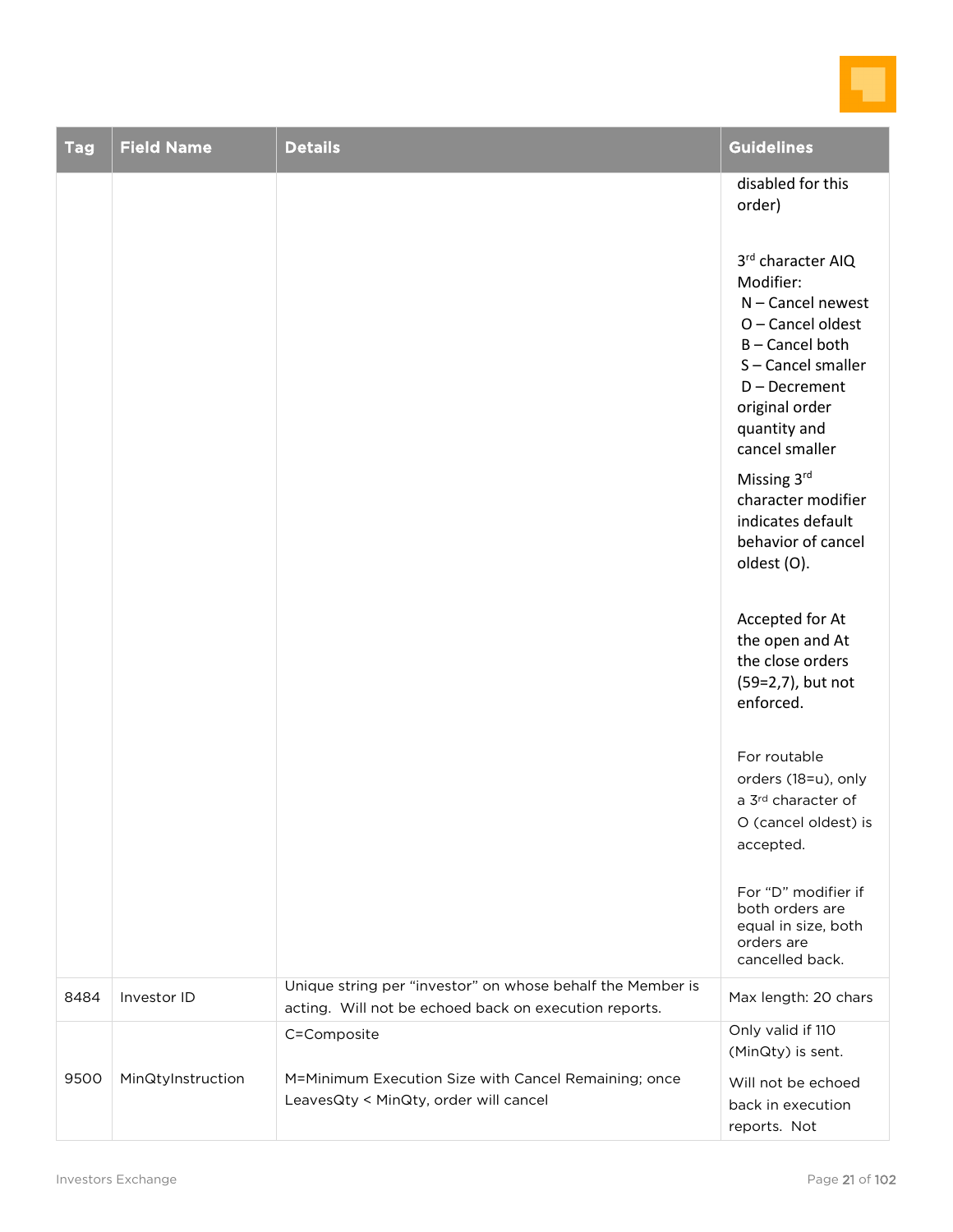

| <b>Tag</b> | <b>Field Name</b> | <b>Details</b>                                                                                                      | <b>Guidelines</b>                                                                                                                                                                |
|------------|-------------------|---------------------------------------------------------------------------------------------------------------------|----------------------------------------------------------------------------------------------------------------------------------------------------------------------------------|
|            |                   |                                                                                                                     | disabled for this<br>order)                                                                                                                                                      |
|            |                   |                                                                                                                     | 3rd character AIQ<br>Modifier:<br>N - Cancel newest<br>O - Cancel oldest<br>B-Cancel both<br>S-Cancel smaller<br>D-Decrement<br>original order<br>quantity and<br>cancel smaller |
|            |                   |                                                                                                                     | Missing 3rd<br>character modifier<br>indicates default<br>behavior of cancel<br>oldest (O).                                                                                      |
|            |                   |                                                                                                                     | Accepted for At<br>the open and At<br>the close orders<br>(59=2,7), but not<br>enforced.                                                                                         |
|            |                   |                                                                                                                     | For routable<br>orders (18=u), only<br>a 3rd character of<br>O (cancel oldest) is<br>accepted.                                                                                   |
|            |                   |                                                                                                                     | For "D" modifier if<br>both orders are<br>equal in size, both<br>orders are<br>cancelled back.                                                                                   |
| 8484       | Investor ID       | Unique string per "investor" on whose behalf the Member is<br>acting. Will not be echoed back on execution reports. | Max length: 20 chars                                                                                                                                                             |
|            |                   | C=Composite                                                                                                         | Only valid if 110<br>(MinQty) is sent.                                                                                                                                           |
| 9500       | MinQtyInstruction | M=Minimum Execution Size with Cancel Remaining; once<br>LeavesQty < MinQty, order will cancel                       | Will not be echoed<br>back in execution<br>reports. Not                                                                                                                          |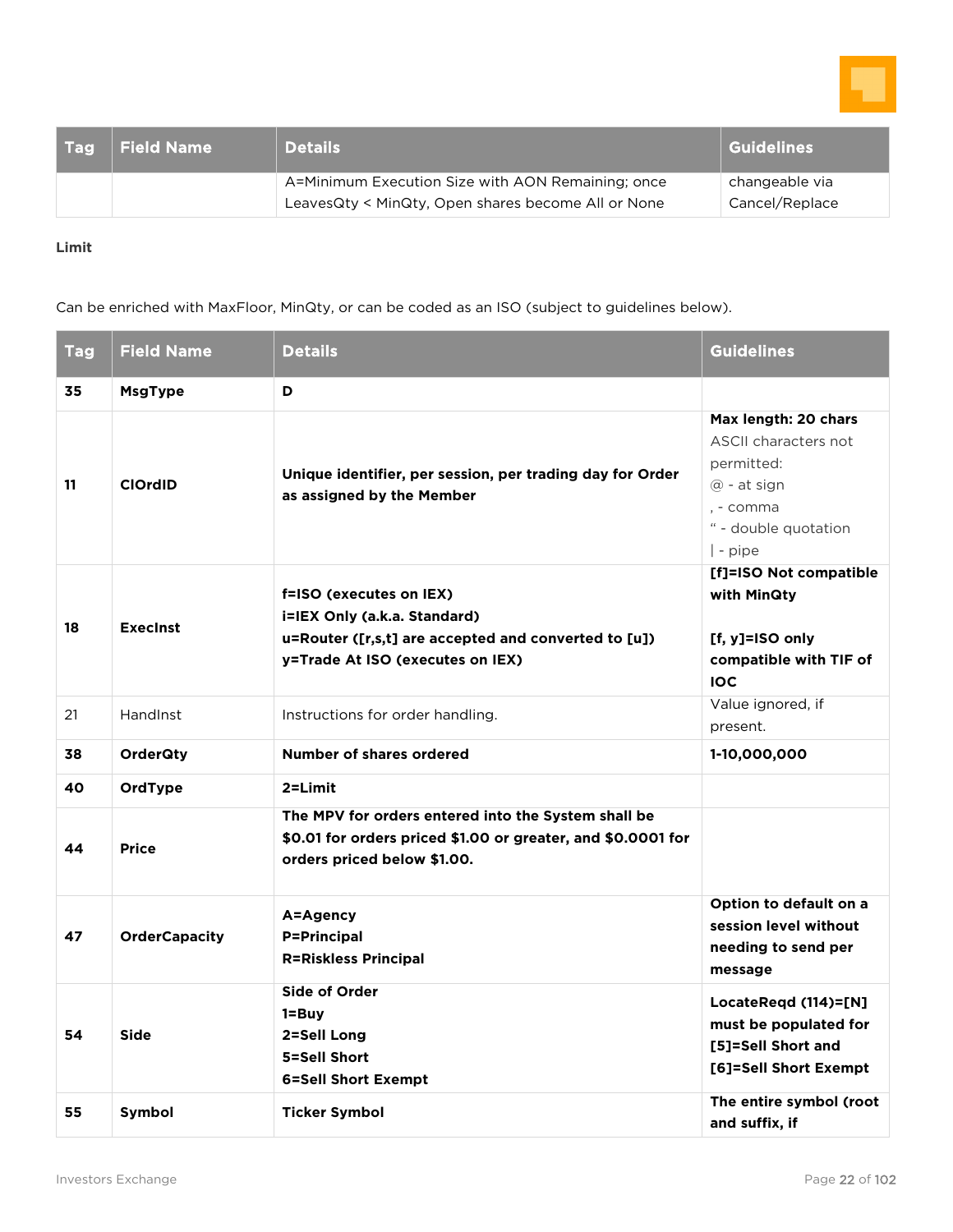

| <b>Field Name</b> | <b>Details</b>                                     | <b>Guidelines</b>                |
|-------------------|----------------------------------------------------|----------------------------------|
|                   | A=Minimum Execution Size with AON Remaining; once  | changeable via<br>Cancel/Replace |
|                   | LeavesQty < MinQty, Open shares become All or None |                                  |

#### **Limit**

Can be enriched with MaxFloor, MinQty, or can be coded as an ISO (subject to guidelines below).

| <b>Tag</b> | <b>Field Name</b>    | <b>Details</b>                                                                                                                                      | <b>Guidelines</b>                                                                                                                              |
|------------|----------------------|-----------------------------------------------------------------------------------------------------------------------------------------------------|------------------------------------------------------------------------------------------------------------------------------------------------|
| 35         | <b>MsgType</b>       | D                                                                                                                                                   |                                                                                                                                                |
| 11         | <b>ClOrdID</b>       | Unique identifier, per session, per trading day for Order<br>as assigned by the Member                                                              | Max length: 20 chars<br><b>ASCII characters not</b><br>permitted:<br>$\omega$ - at sign<br>, - comma<br>" - double quotation<br>$\vert$ - pipe |
| 18         | <b>Execinst</b>      | f=ISO (executes on IEX)<br>i=IEX Only (a.k.a. Standard)<br>u=Router ([r,s,t] are accepted and converted to [u])<br>y=Trade At ISO (executes on IEX) | [f]=ISO Not compatible<br>with MinQty<br>[f, y]=ISO only<br>compatible with TIF of<br><b>IOC</b>                                               |
| 21         | HandInst             | Instructions for order handling.                                                                                                                    | Value ignored, if<br>present.                                                                                                                  |
| 38         | <b>OrderQty</b>      | Number of shares ordered                                                                                                                            | 1-10,000,000                                                                                                                                   |
| 40         | OrdType              | 2=Limit                                                                                                                                             |                                                                                                                                                |
| 44         | <b>Price</b>         | The MPV for orders entered into the System shall be<br>\$0.01 for orders priced \$1.00 or greater, and \$0.0001 for<br>orders priced below \$1.00.  |                                                                                                                                                |
| 47         | <b>OrderCapacity</b> | A=Agency<br><b>P=Principal</b><br><b>R=Riskless Principal</b>                                                                                       | Option to default on a<br>session level without<br>needing to send per<br>message                                                              |
| 54         | <b>Side</b>          | <b>Side of Order</b><br>1=Buy<br>2=Sell Long<br>5=Sell Short<br><b>6=Sell Short Exempt</b>                                                          | LocateRegd $(114)=[N]$<br>must be populated for<br>[5]=Sell Short and<br>[6]=Sell Short Exempt                                                 |
| 55         | Symbol               | <b>Ticker Symbol</b>                                                                                                                                | The entire symbol (root<br>and suffix, if                                                                                                      |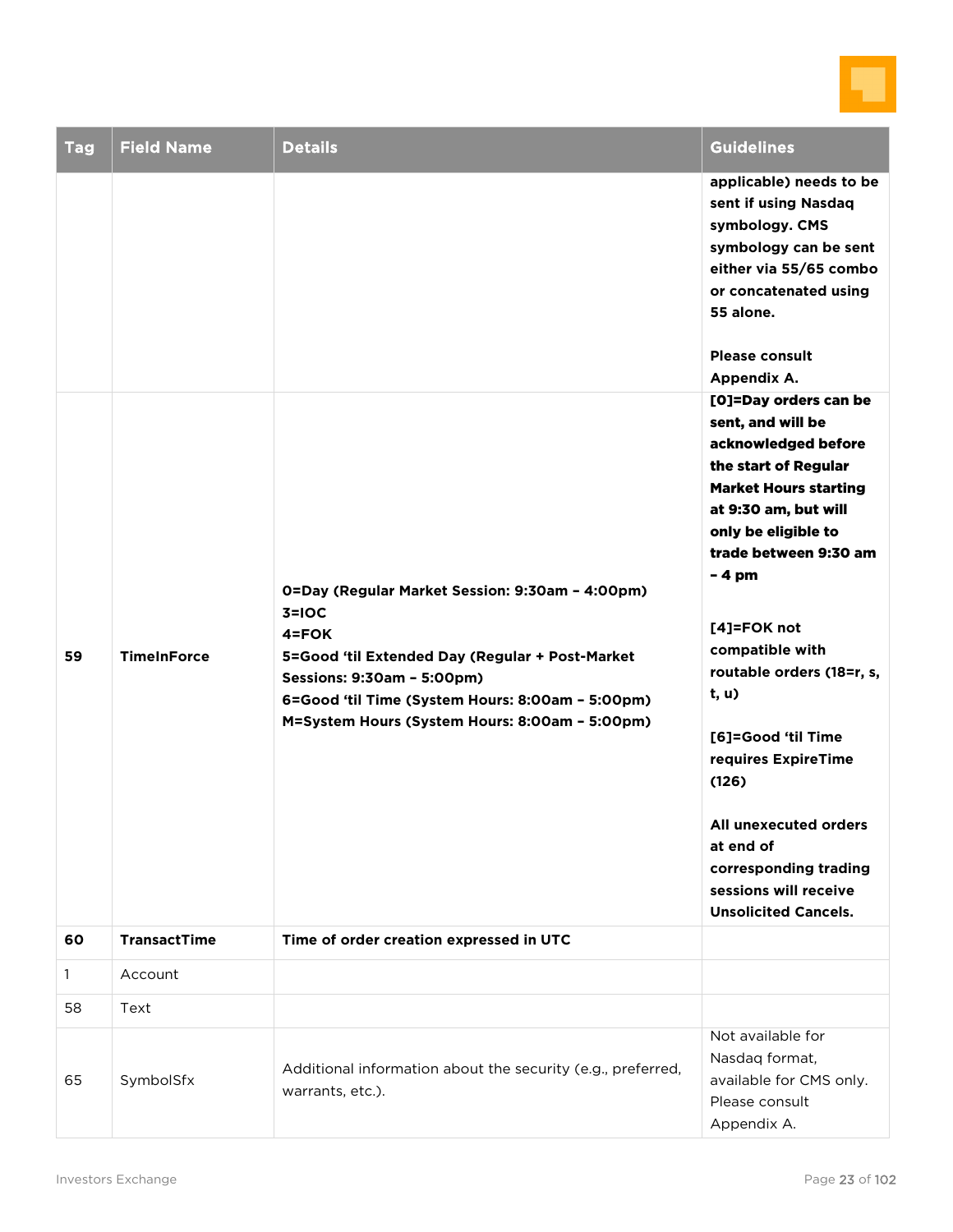

| <b>Tag</b> | <b>Field Name</b>   | <b>Details</b>                                                                                                                                                                                                                                             | <b>Guidelines</b>                                                                                                                                                                                                                                                                                                                                                                                                                           |
|------------|---------------------|------------------------------------------------------------------------------------------------------------------------------------------------------------------------------------------------------------------------------------------------------------|---------------------------------------------------------------------------------------------------------------------------------------------------------------------------------------------------------------------------------------------------------------------------------------------------------------------------------------------------------------------------------------------------------------------------------------------|
|            |                     |                                                                                                                                                                                                                                                            | applicable) needs to be<br>sent if using Nasdaq<br>symbology. CMS<br>symbology can be sent<br>either via 55/65 combo<br>or concatenated using<br>55 alone.<br><b>Please consult</b><br>Appendix A.<br>[O]=Day orders can be                                                                                                                                                                                                                 |
| 59         | <b>TimeInForce</b>  | 0=Day (Regular Market Session: 9:30am - 4:00pm)<br>$3=10C$<br>4=FOK<br>5=Good 'til Extended Day (Regular + Post-Market<br>Sessions: 9:30am - 5:00pm)<br>6=Good 'til Time (System Hours: 8:00am - 5:00pm)<br>M=System Hours (System Hours: 8:00am - 5:00pm) | sent, and will be<br>acknowledged before<br>the start of Regular<br><b>Market Hours starting</b><br>at 9:30 am, but will<br>only be eligible to<br>trade between 9:30 am<br>$-4$ pm<br>$[4]$ =FOK not<br>compatible with<br>routable orders (18=r, s,<br>t, u)<br>[6]=Good 'til Time<br>requires ExpireTime<br>(126)<br>All unexecuted orders<br>at end of<br>corresponding trading<br>sessions will receive<br><b>Unsolicited Cancels.</b> |
| 60         | <b>TransactTime</b> | Time of order creation expressed in UTC                                                                                                                                                                                                                    |                                                                                                                                                                                                                                                                                                                                                                                                                                             |
| 1          | Account             |                                                                                                                                                                                                                                                            |                                                                                                                                                                                                                                                                                                                                                                                                                                             |
| 58         | Text                |                                                                                                                                                                                                                                                            |                                                                                                                                                                                                                                                                                                                                                                                                                                             |
| 65         | SymbolSfx           | Additional information about the security (e.g., preferred,<br>warrants, etc.).                                                                                                                                                                            | Not available for<br>Nasdaq format,<br>available for CMS only.<br>Please consult<br>Appendix A.                                                                                                                                                                                                                                                                                                                                             |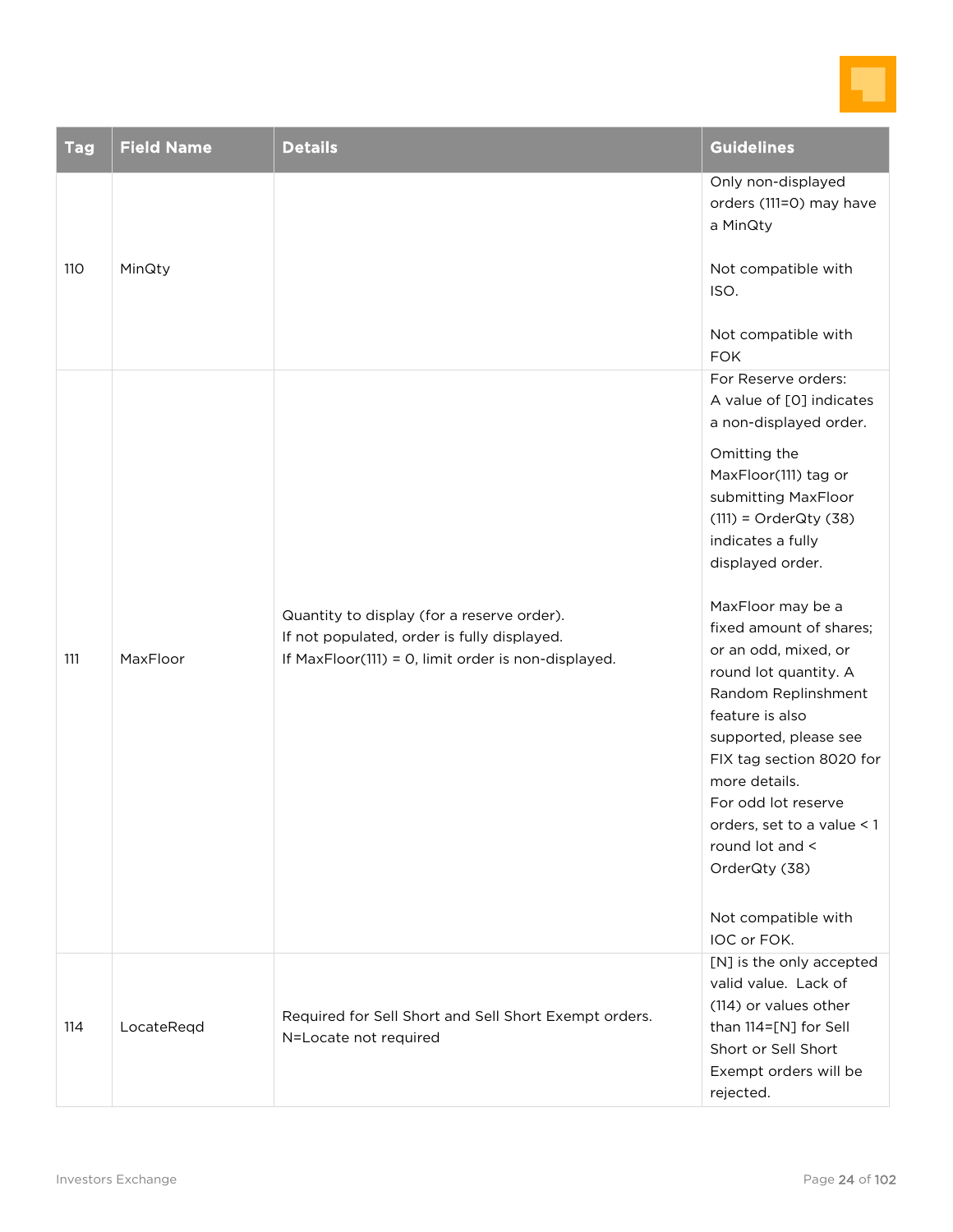

| <b>Tag</b> | <b>Field Name</b> | <b>Details</b>                                                                                                                                   | <b>Guidelines</b>                                                                                                                                                                                                                                                                                                                                                                                                                                                                                                                               |
|------------|-------------------|--------------------------------------------------------------------------------------------------------------------------------------------------|-------------------------------------------------------------------------------------------------------------------------------------------------------------------------------------------------------------------------------------------------------------------------------------------------------------------------------------------------------------------------------------------------------------------------------------------------------------------------------------------------------------------------------------------------|
|            | MinQty            |                                                                                                                                                  | Only non-displayed<br>orders (111=0) may have<br>a MinQty                                                                                                                                                                                                                                                                                                                                                                                                                                                                                       |
| 110        |                   |                                                                                                                                                  | Not compatible with<br>ISO.                                                                                                                                                                                                                                                                                                                                                                                                                                                                                                                     |
|            |                   |                                                                                                                                                  | Not compatible with<br><b>FOK</b>                                                                                                                                                                                                                                                                                                                                                                                                                                                                                                               |
| 111        | MaxFloor          | Quantity to display (for a reserve order).<br>If not populated, order is fully displayed.<br>If MaxFloor(111) = 0, limit order is non-displayed. | For Reserve orders:<br>A value of [0] indicates<br>a non-displayed order.<br>Omitting the<br>MaxFloor(111) tag or<br>submitting MaxFloor<br>$(111)$ = OrderQty $(38)$<br>indicates a fully<br>displayed order.<br>MaxFloor may be a<br>fixed amount of shares;<br>or an odd, mixed, or<br>round lot quantity. A<br>Random Replinshment<br>feature is also<br>supported, please see<br>FIX tag section 8020 for<br>more details.<br>For odd lot reserve<br>orders, set to a value < 1<br>round lot and <<br>OrderQty (38)<br>Not compatible with |
| 114        | LocateReqd        | Required for Sell Short and Sell Short Exempt orders.<br>N=Locate not required                                                                   | IOC or FOK.<br>[N] is the only accepted<br>valid value. Lack of<br>(114) or values other<br>than 114=[N] for Sell<br>Short or Sell Short<br>Exempt orders will be<br>rejected.                                                                                                                                                                                                                                                                                                                                                                  |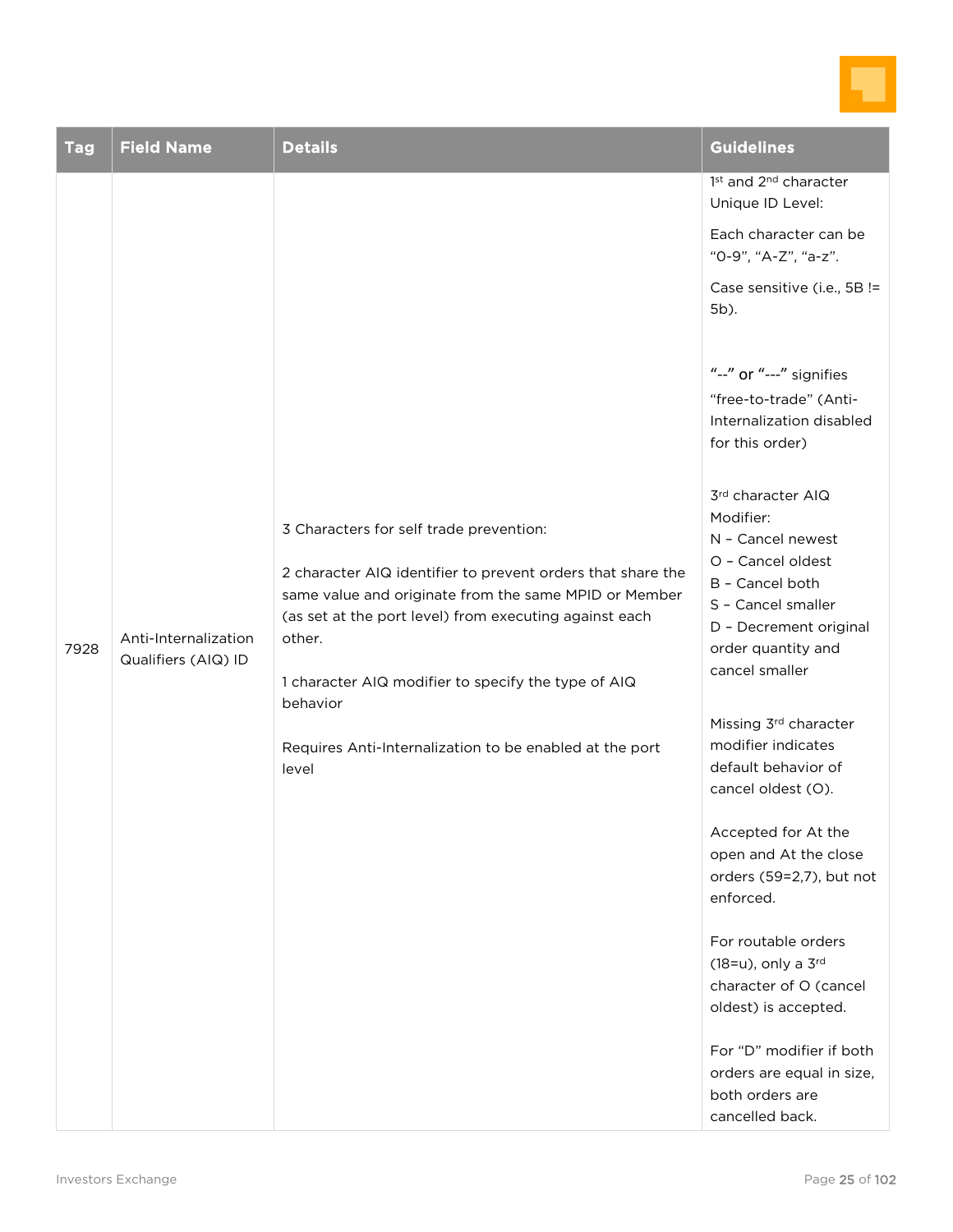

| <b>Tag</b> | <b>Field Name</b>                           | <b>Details</b>                                                                                                                                                                                                                                                                                                                                                             | <b>Guidelines</b>                                                                                                                                                                                                                                                                                                                                                                                                                                                                                                                                                                                                                                                                                                                                                                                                           |
|------------|---------------------------------------------|----------------------------------------------------------------------------------------------------------------------------------------------------------------------------------------------------------------------------------------------------------------------------------------------------------------------------------------------------------------------------|-----------------------------------------------------------------------------------------------------------------------------------------------------------------------------------------------------------------------------------------------------------------------------------------------------------------------------------------------------------------------------------------------------------------------------------------------------------------------------------------------------------------------------------------------------------------------------------------------------------------------------------------------------------------------------------------------------------------------------------------------------------------------------------------------------------------------------|
| 7928       | Anti-Internalization<br>Qualifiers (AIQ) ID | 3 Characters for self trade prevention:<br>2 character AIQ identifier to prevent orders that share the<br>same value and originate from the same MPID or Member<br>(as set at the port level) from executing against each<br>other.<br>1 character AIQ modifier to specify the type of AIQ<br>behavior<br>Requires Anti-Internalization to be enabled at the port<br>level | 1st and 2 <sup>nd</sup> character<br>Unique ID Level:<br>Each character can be<br>"0-9", "A-Z", "a-z".<br>Case sensitive (i.e., 5B !=<br>5b).<br>"--" or "---" signifies<br>"free-to-trade" (Anti-<br>Internalization disabled<br>for this order)<br>3rd character AIQ<br>Modifier:<br>N - Cancel newest<br>O - Cancel oldest<br>B - Cancel both<br>S - Cancel smaller<br>D - Decrement original<br>order quantity and<br>cancel smaller<br>Missing 3rd character<br>modifier indicates<br>default behavior of<br>cancel oldest (O).<br>Accepted for At the<br>open and At the close<br>orders (59=2,7), but not<br>enforced.<br>For routable orders<br>(18=u), only a 3rd<br>character of O (cancel<br>oldest) is accepted.<br>For "D" modifier if both<br>orders are equal in size,<br>both orders are<br>cancelled back. |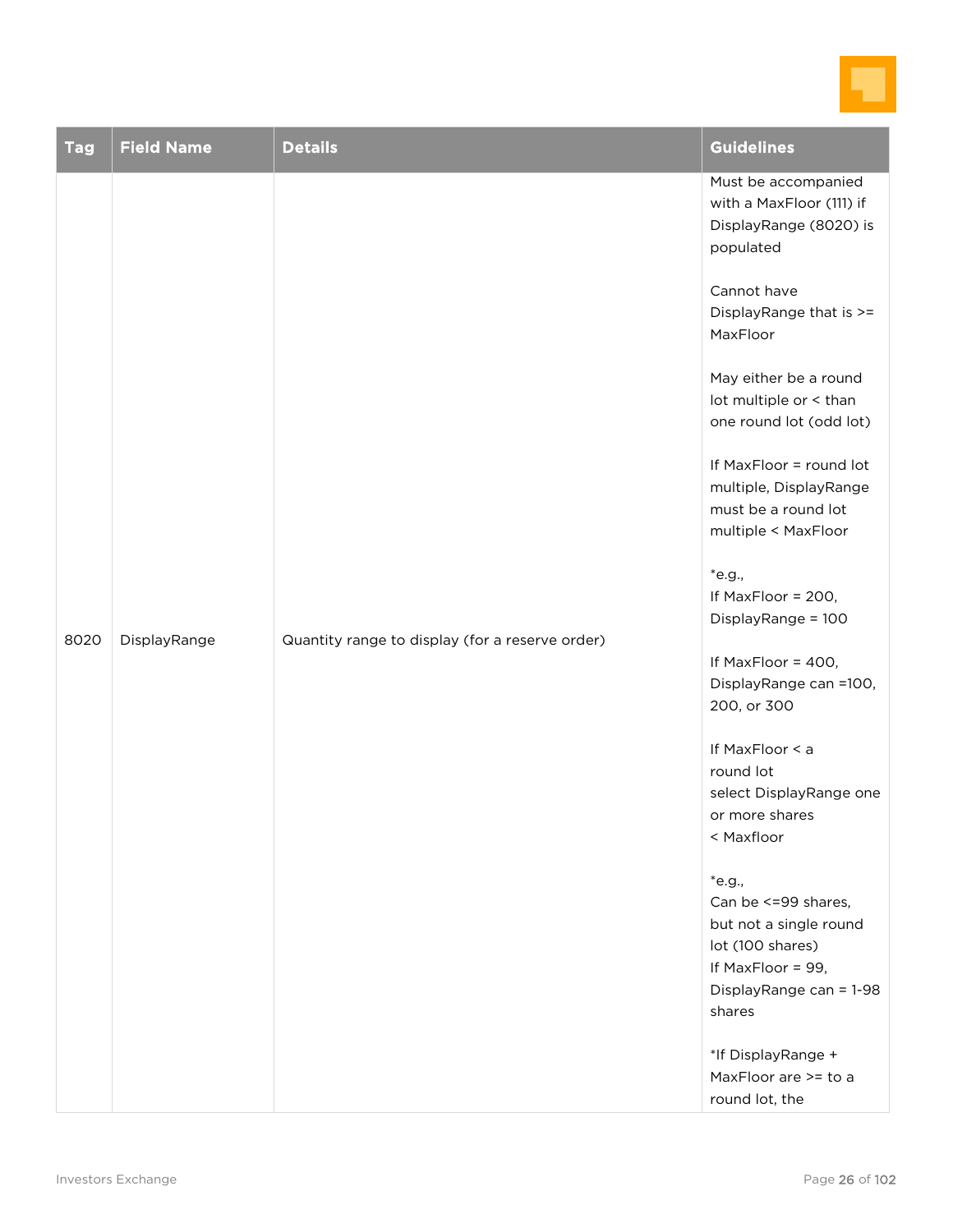

| <b>Tag</b> | <b>Field Name</b>                                               | <b>Details</b>                                                                          | <b>Guidelines</b>                                                                                                                         |
|------------|-----------------------------------------------------------------|-----------------------------------------------------------------------------------------|-------------------------------------------------------------------------------------------------------------------------------------------|
| 8020       |                                                                 |                                                                                         | Must be accompanied<br>with a MaxFloor (111) if<br>DisplayRange (8020) is<br>populated                                                    |
|            |                                                                 |                                                                                         | Cannot have<br>DisplayRange that is >=<br>MaxFloor                                                                                        |
|            |                                                                 |                                                                                         | May either be a round<br>lot multiple or < than<br>one round lot (odd lot)                                                                |
|            | DisplayRange<br>Quantity range to display (for a reserve order) |                                                                                         | If MaxFloor = round lot<br>multiple, DisplayRange<br>must be a round lot<br>multiple < MaxFloor                                           |
|            |                                                                 |                                                                                         | *e.g.,<br>If MaxFloor = 200,<br>DisplayRange = 100                                                                                        |
|            |                                                                 |                                                                                         | If MaxFloor = 400,<br>DisplayRange can =100,<br>200, or 300                                                                               |
|            |                                                                 | If MaxFloor < a<br>round lot<br>select DisplayRange one<br>or more shares<br>< Maxfloor |                                                                                                                                           |
|            |                                                                 |                                                                                         | $*$ e.g.,<br>Can be <= 99 shares,<br>but not a single round<br>lot (100 shares)<br>If MaxFloor = 99,<br>DisplayRange can = 1-98<br>shares |
|            |                                                                 |                                                                                         | *If DisplayRange +<br>MaxFloor are >= to a<br>round lot, the                                                                              |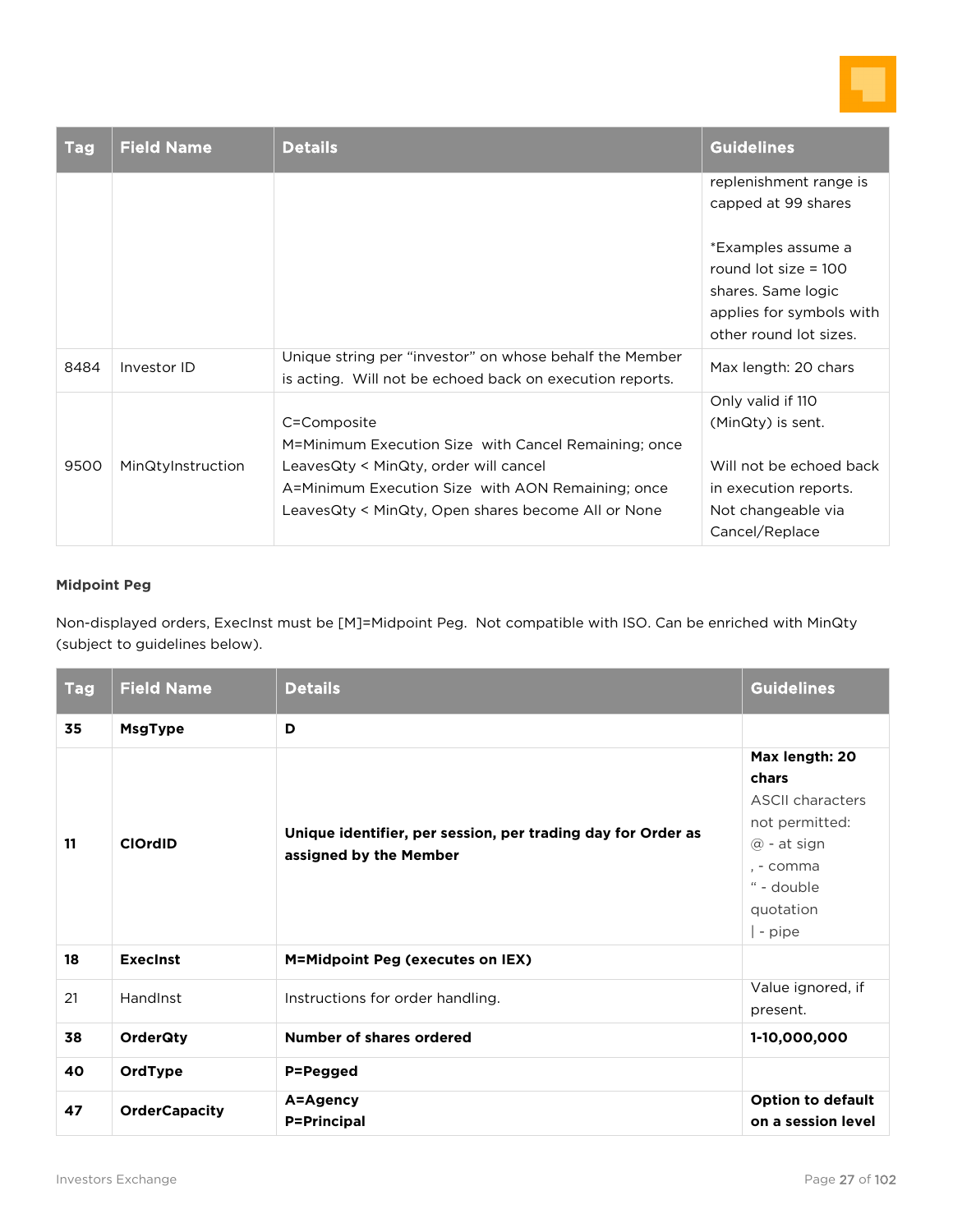

| <b>Tag</b> | <b>Field Name</b> | <b>Details</b>                                                                                                      | Guidelines               |
|------------|-------------------|---------------------------------------------------------------------------------------------------------------------|--------------------------|
|            |                   |                                                                                                                     | replenishment range is   |
|            |                   |                                                                                                                     | capped at 99 shares      |
|            |                   |                                                                                                                     | *Examples assume a       |
|            |                   |                                                                                                                     | round lot size $= 100$   |
|            |                   |                                                                                                                     | shares. Same logic       |
|            |                   |                                                                                                                     | applies for symbols with |
|            |                   |                                                                                                                     | other round lot sizes.   |
| 8484       | Investor ID       | Unique string per "investor" on whose behalf the Member<br>is acting. Will not be echoed back on execution reports. | Max length: 20 chars     |
|            |                   |                                                                                                                     | Only valid if 110        |
|            |                   | C=Composite                                                                                                         | (MinQty) is sent.        |
|            |                   | M=Minimum Execution Size with Cancel Remaining; once                                                                |                          |
| 9500       | MinQtyInstruction | LeavesQty < MinQty, order will cancel                                                                               | Will not be echoed back  |
|            |                   | A=Minimum Execution Size with AON Remaining; once                                                                   | in execution reports.    |
|            |                   | LeavesQty < MinQty, Open shares become All or None                                                                  | Not changeable via       |
|            |                   |                                                                                                                     | Cancel/Replace           |

#### **Midpoint Peg**

Non-displayed orders, ExecInst must be [M]=Midpoint Peg. Not compatible with ISO. Can be enriched with MinQty (subject to guidelines below).

| <b>Tag</b> | <b>Field Name</b>    | <b>Details</b>                                                                         | <b>Guidelines</b>                                                                                                                       |
|------------|----------------------|----------------------------------------------------------------------------------------|-----------------------------------------------------------------------------------------------------------------------------------------|
| 35         | <b>MsgType</b>       | D                                                                                      |                                                                                                                                         |
| 11         | <b>ClOrdID</b>       | Unique identifier, per session, per trading day for Order as<br>assigned by the Member | Max length: 20<br>chars<br><b>ASCII characters</b><br>not permitted:<br>$@$ - at sign<br>. - comma<br>" - double<br>quotation<br>- pipe |
| 18         | <b>Execinst</b>      | M=Midpoint Peg (executes on IEX)                                                       |                                                                                                                                         |
| 21         | HandInst             | Instructions for order handling.                                                       | Value ignored, if<br>present.                                                                                                           |
| 38         | <b>OrderQty</b>      | Number of shares ordered                                                               | 1-10,000,000                                                                                                                            |
| 40         | OrdType              | P=Pegged                                                                               |                                                                                                                                         |
| 47         | <b>OrderCapacity</b> | A=Agency<br><b>P=Principal</b>                                                         | <b>Option to default</b><br>on a session level                                                                                          |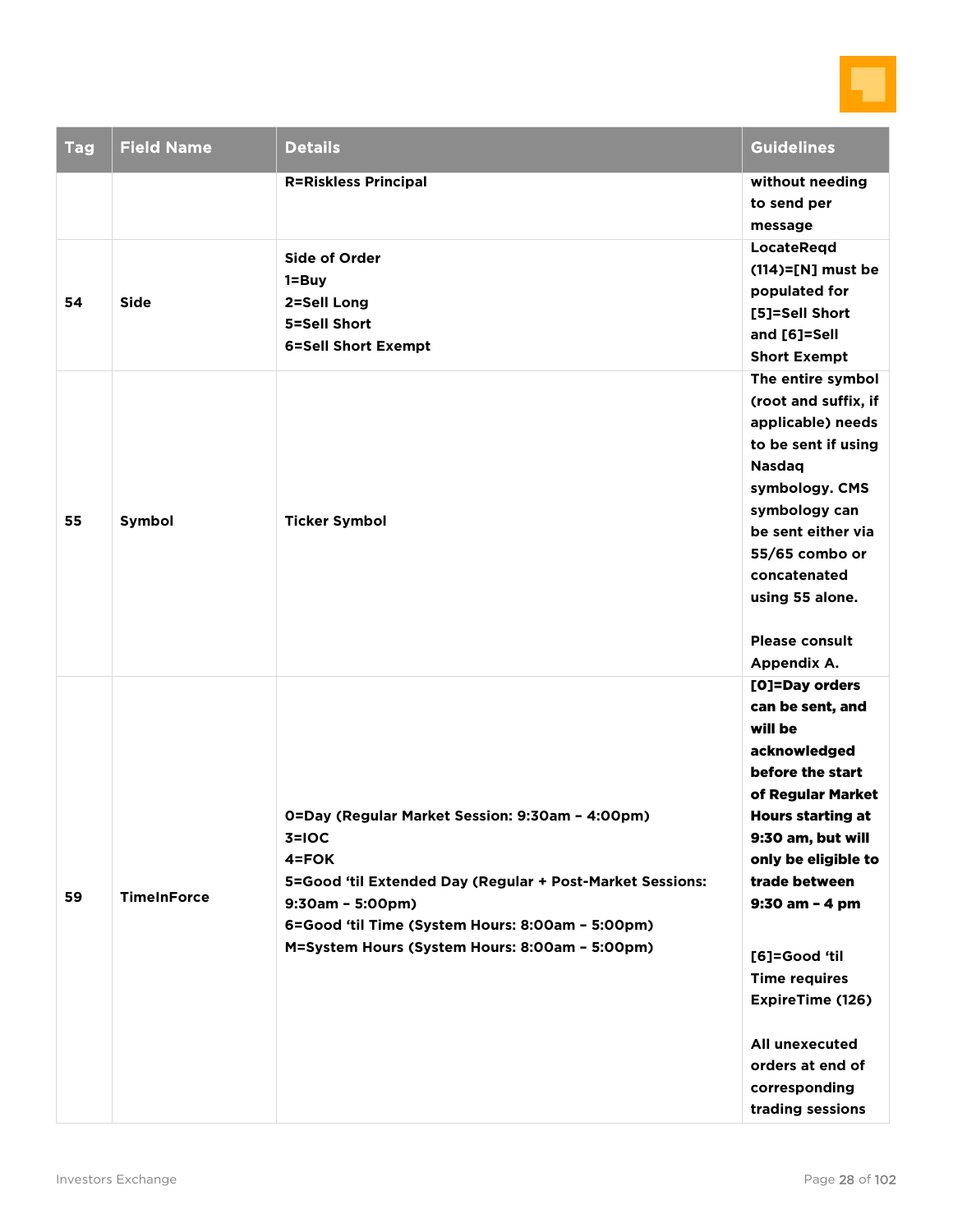

| <b>Tag</b> | <b>Field Name</b>  | <b>Details</b>                                                                                                                                                                                                                                               | <b>Guidelines</b>                                                                                                                                                                                                                                                                                                                                         |
|------------|--------------------|--------------------------------------------------------------------------------------------------------------------------------------------------------------------------------------------------------------------------------------------------------------|-----------------------------------------------------------------------------------------------------------------------------------------------------------------------------------------------------------------------------------------------------------------------------------------------------------------------------------------------------------|
|            |                    | <b>R=Riskless Principal</b>                                                                                                                                                                                                                                  | without needing<br>to send per<br>message                                                                                                                                                                                                                                                                                                                 |
| 54         | <b>Side</b>        | <b>Side of Order</b><br>$1 = Buy$<br>2=Sell Long<br>5=Sell Short<br><b>6=Sell Short Exempt</b>                                                                                                                                                               | <b>LocateRegd</b><br>$(114)=$ [N] must be<br>populated for<br>[5]=Sell Short<br>and [6]=Sell<br><b>Short Exempt</b>                                                                                                                                                                                                                                       |
| 55         | Symbol             | <b>Ticker Symbol</b>                                                                                                                                                                                                                                         | The entire symbol<br>(root and suffix, if<br>applicable) needs<br>to be sent if using<br><b>Nasdag</b><br>symbology. CMS<br>symbology can<br>be sent either via<br>55/65 combo or<br>concatenated<br>using 55 alone.<br><b>Please consult</b><br>Appendix A.                                                                                              |
| 59         | <b>TimeInForce</b> | 0=Day (Regular Market Session: 9:30am - 4:00pm)<br>$3=10C$<br>4=FOK<br>5=Good 'til Extended Day (Regular + Post-Market Sessions:<br>$9:30am - 5:00pm)$<br>6=Good 'til Time (System Hours: 8:00am - 5:00pm)<br>M=System Hours (System Hours: 8:00am - 5:00pm) | [O]=Day orders<br>can be sent, and<br>will be<br>acknowledged<br>before the start<br>of Regular Market<br><b>Hours starting at</b><br>9:30 am, but will<br>only be eligible to<br>trade between<br>9:30 am - 4 pm<br>[6]=Good 'til<br><b>Time requires</b><br>ExpireTime (126)<br>All unexecuted<br>orders at end of<br>corresponding<br>trading sessions |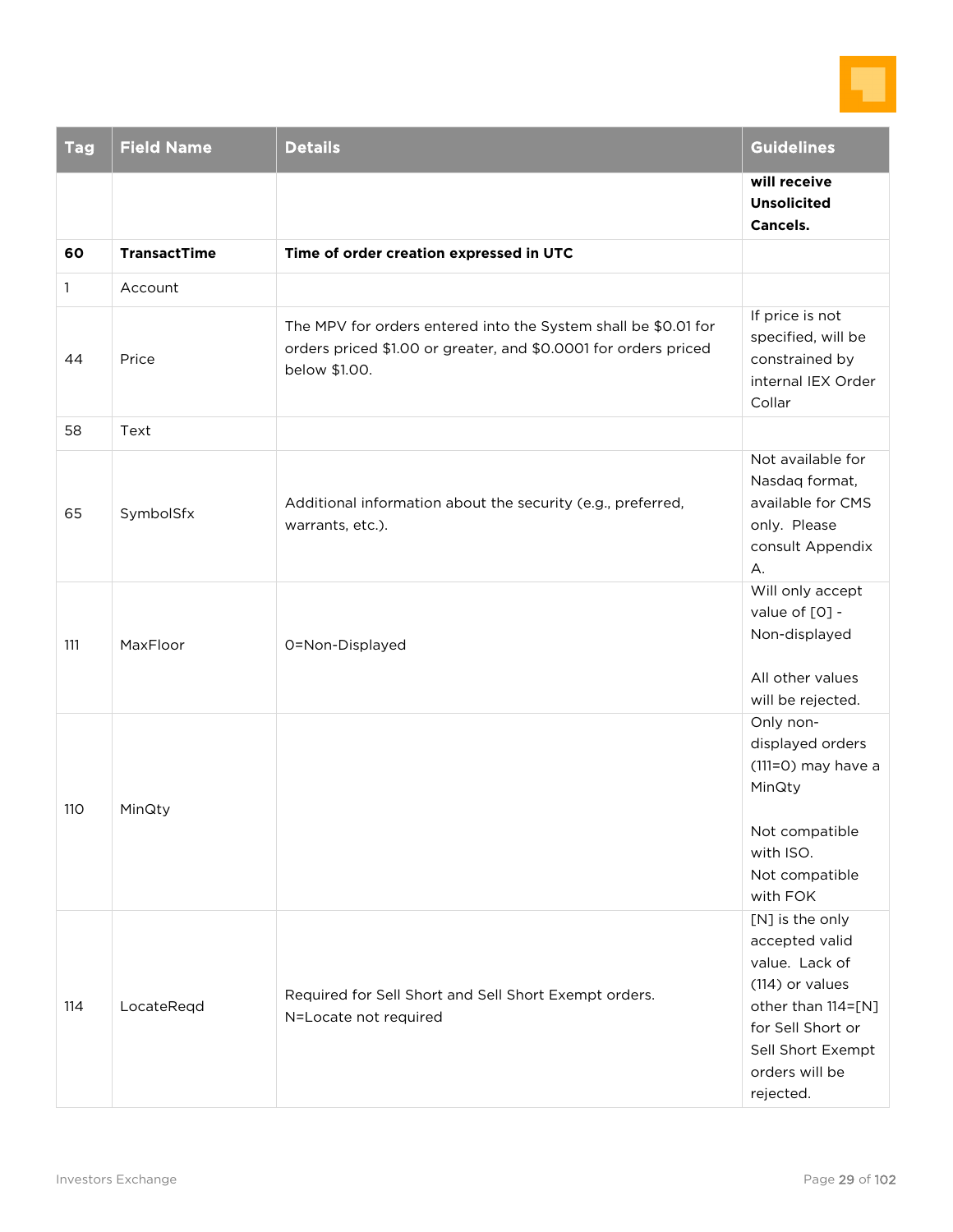

| <b>Tag</b> | <b>Field Name</b>   | <b>Details</b>                                                                                                                                     | <b>Guidelines</b>                                                                                                                                                     |
|------------|---------------------|----------------------------------------------------------------------------------------------------------------------------------------------------|-----------------------------------------------------------------------------------------------------------------------------------------------------------------------|
|            |                     |                                                                                                                                                    | will receive<br><b>Unsolicited</b><br><b>Cancels.</b>                                                                                                                 |
| 60         | <b>TransactTime</b> | Time of order creation expressed in UTC                                                                                                            |                                                                                                                                                                       |
| 1          | Account             |                                                                                                                                                    |                                                                                                                                                                       |
| 44         | Price               | The MPV for orders entered into the System shall be \$0.01 for<br>orders priced \$1.00 or greater, and \$0.0001 for orders priced<br>below \$1.00. | If price is not<br>specified, will be<br>constrained by<br>internal IEX Order<br>Collar                                                                               |
| 58         | Text                |                                                                                                                                                    |                                                                                                                                                                       |
| 65         | SymbolSfx           | Additional information about the security (e.g., preferred,<br>warrants, etc.).                                                                    | Not available for<br>Nasdaq format,<br>available for CMS<br>only. Please<br>consult Appendix<br>A.                                                                    |
| 111        | MaxFloor            | 0=Non-Displayed                                                                                                                                    | Will only accept<br>value of [0] -<br>Non-displayed<br>All other values<br>will be rejected.                                                                          |
| 110        | MinQty              |                                                                                                                                                    | Only non-<br>displayed orders<br>$(111=0)$ may have a<br>MinQty<br>Not compatible<br>with ISO.<br>Not compatible<br>with FOK                                          |
| 114        | LocateReqd          | Required for Sell Short and Sell Short Exempt orders.<br>N=Locate not required                                                                     | [N] is the only<br>accepted valid<br>value. Lack of<br>(114) or values<br>other than 114=[N]<br>for Sell Short or<br>Sell Short Exempt<br>orders will be<br>rejected. |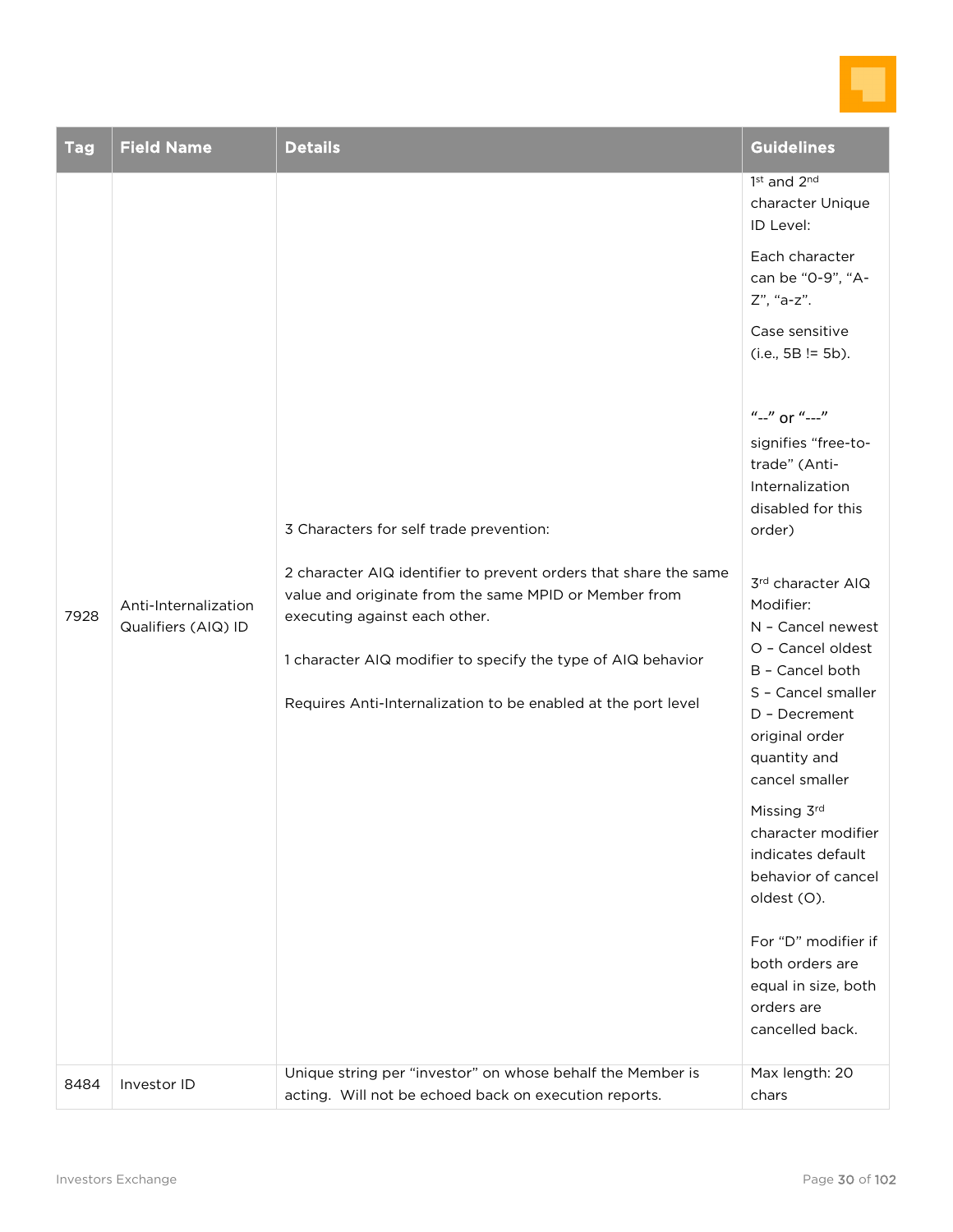

| <b>Tag</b> | <b>Field Name</b>                           | <b>Details</b>                                                                                                                                                                                                                                                                                                                         | <b>Guidelines</b>                                                                                                                                                                                                                                                                                                                                                                                                                                                                                       |
|------------|---------------------------------------------|----------------------------------------------------------------------------------------------------------------------------------------------------------------------------------------------------------------------------------------------------------------------------------------------------------------------------------------|---------------------------------------------------------------------------------------------------------------------------------------------------------------------------------------------------------------------------------------------------------------------------------------------------------------------------------------------------------------------------------------------------------------------------------------------------------------------------------------------------------|
|            |                                             |                                                                                                                                                                                                                                                                                                                                        | 1st and 2nd<br>character Unique<br>ID Level:                                                                                                                                                                                                                                                                                                                                                                                                                                                            |
|            |                                             |                                                                                                                                                                                                                                                                                                                                        | Each character<br>can be "0-9", "A-<br>Z", "a-z".                                                                                                                                                                                                                                                                                                                                                                                                                                                       |
|            |                                             |                                                                                                                                                                                                                                                                                                                                        | Case sensitive<br>$(i.e., 5B != 5b).$                                                                                                                                                                                                                                                                                                                                                                                                                                                                   |
| 7928       | Anti-Internalization<br>Qualifiers (AIQ) ID | 3 Characters for self trade prevention:<br>2 character AIQ identifier to prevent orders that share the same<br>value and originate from the same MPID or Member from<br>executing against each other.<br>1 character AIQ modifier to specify the type of AIQ behavior<br>Requires Anti-Internalization to be enabled at the port level | $''-''$ or $''-''$<br>signifies "free-to-<br>trade" (Anti-<br>Internalization<br>disabled for this<br>order)<br>3rd character AIQ<br>Modifier:<br>N - Cancel newest<br>O - Cancel oldest<br>B - Cancel both<br>S - Cancel smaller<br>D - Decrement<br>original order<br>quantity and<br>cancel smaller<br>Missing 3rd<br>character modifier<br>indicates default<br>behavior of cancel<br>oldest (O).<br>For "D" modifier if<br>both orders are<br>equal in size, both<br>orders are<br>cancelled back. |
| 8484       | Investor ID                                 | Unique string per "investor" on whose behalf the Member is<br>acting. Will not be echoed back on execution reports.                                                                                                                                                                                                                    | Max length: 20<br>chars                                                                                                                                                                                                                                                                                                                                                                                                                                                                                 |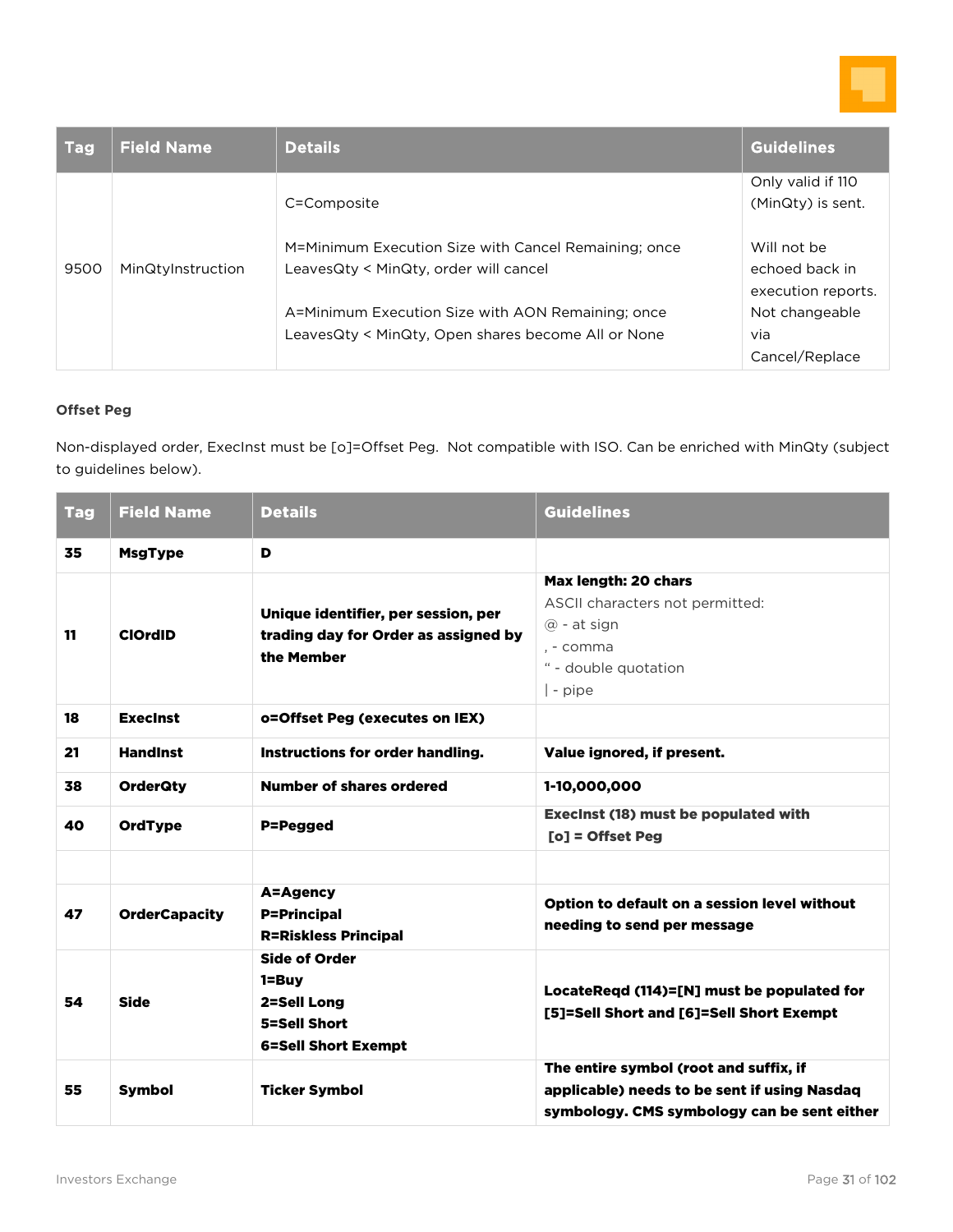

| <b>Tag</b> | <b>Field Name</b> | <b>Details</b>                                       | <b>Guidelines</b>  |
|------------|-------------------|------------------------------------------------------|--------------------|
|            |                   |                                                      | Only valid if 110  |
|            |                   | C=Composite                                          | (MinQty) is sent.  |
|            |                   | M=Minimum Execution Size with Cancel Remaining; once | Will not be        |
| 9500       | MinQtyInstruction | LeavesQty < MinQty, order will cancel                | echoed back in     |
|            |                   |                                                      | execution reports. |
|            |                   | A=Minimum Execution Size with AON Remaining; once    | Not changeable     |
|            |                   | LeavesQty < MinQty, Open shares become All or None   | via                |
|            |                   |                                                      | Cancel/Replace     |

#### **Offset Peg**

Non-displayed order, ExecInst must be [o]=Offset Peg. Not compatible with ISO. Can be enriched with MinQty (subject to guidelines below).

| <b>Tag</b> | <b>Field Name</b>    | <b>Details</b>                                                                                 | <b>Guidelines</b>                                                                                                                     |
|------------|----------------------|------------------------------------------------------------------------------------------------|---------------------------------------------------------------------------------------------------------------------------------------|
| 35         | <b>MsgType</b>       | D                                                                                              |                                                                                                                                       |
| 11         | <b>ClOrdID</b>       | Unique identifier, per session, per<br>trading day for Order as assigned by<br>the Member      | Max length: 20 chars<br>ASCII characters not permitted:<br>$\omega$ - at sign<br>. - comma<br>" - double quotation<br>$\vert$ - pipe  |
| 18         | <b>Execinst</b>      | o=Offset Peg (executes on IEX)                                                                 |                                                                                                                                       |
| 21         | <b>HandInst</b>      | Instructions for order handling.                                                               | Value ignored, if present.                                                                                                            |
| 38         | <b>OrderQty</b>      | Number of shares ordered                                                                       | 1-10,000,000                                                                                                                          |
| 40         | <b>OrdType</b>       | P=Pegged                                                                                       | <b>Execinst (18) must be populated with</b><br>$[o]$ = Offset Peg                                                                     |
|            |                      |                                                                                                |                                                                                                                                       |
| 47         | <b>OrderCapacity</b> | A=Agency<br><b>P=Principal</b><br><b>R=Riskless Principal</b>                                  | Option to default on a session level without<br>needing to send per message                                                           |
| 54         | <b>Side</b>          | <b>Side of Order</b><br>$1 = Buv$<br>2=Sell Long<br>5=Sell Short<br><b>6=Sell Short Exempt</b> | LocateReqd (114)=[N] must be populated for<br>[5]=Sell Short and [6]=Sell Short Exempt                                                |
| 55         | Symbol               | <b>Ticker Symbol</b>                                                                           | The entire symbol (root and suffix, if<br>applicable) needs to be sent if using Nasdaq<br>symbology. CMS symbology can be sent either |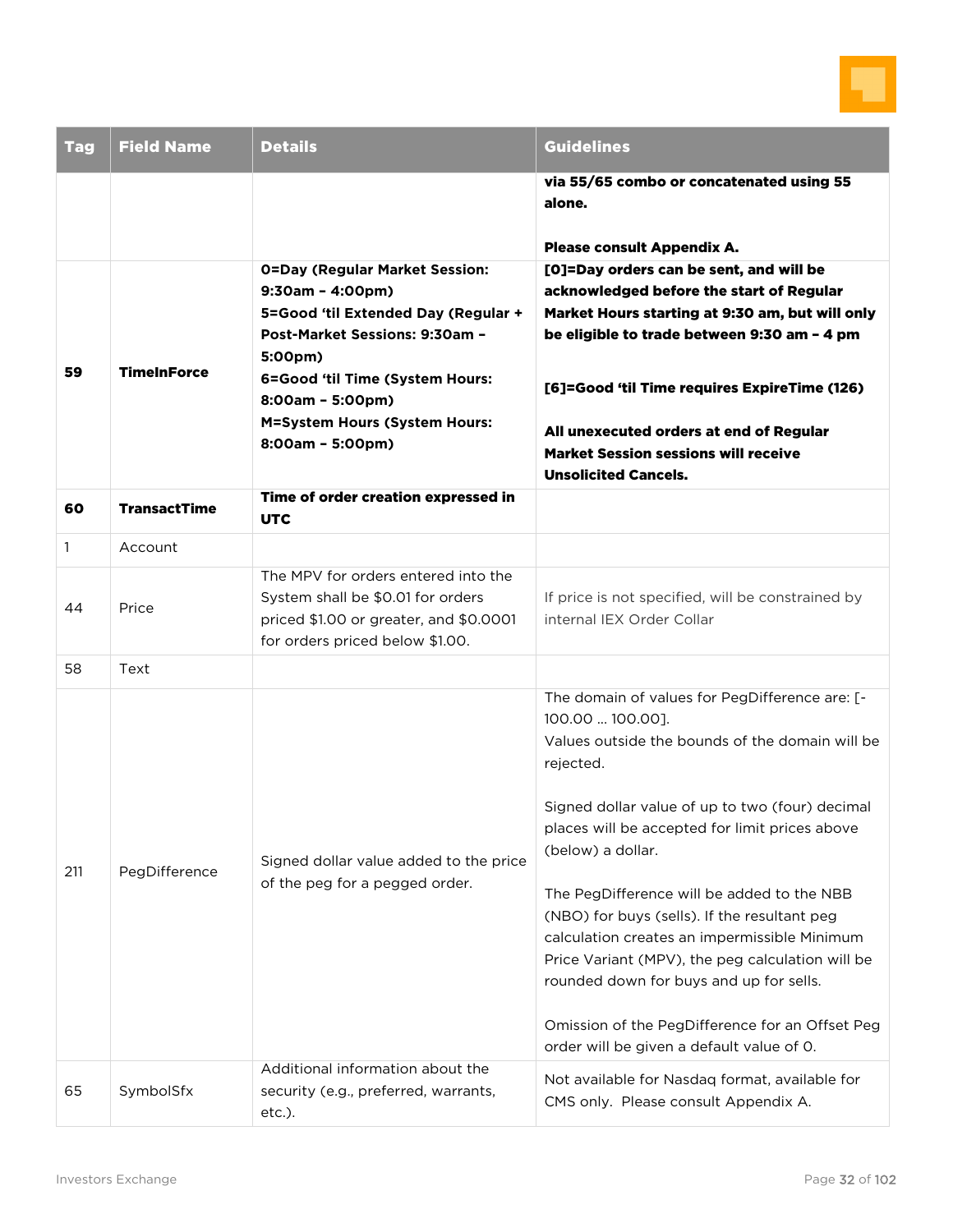

| <b>Tag</b>   | <b>Field Name</b>   | <b>Details</b>                                                                                                                                                                                                                                                     | <b>Guidelines</b>                                                                                                                                                                                                                                                                                                                                                                                                                                                                                                                                            |
|--------------|---------------------|--------------------------------------------------------------------------------------------------------------------------------------------------------------------------------------------------------------------------------------------------------------------|--------------------------------------------------------------------------------------------------------------------------------------------------------------------------------------------------------------------------------------------------------------------------------------------------------------------------------------------------------------------------------------------------------------------------------------------------------------------------------------------------------------------------------------------------------------|
|              |                     |                                                                                                                                                                                                                                                                    | via 55/65 combo or concatenated using 55<br>alone.                                                                                                                                                                                                                                                                                                                                                                                                                                                                                                           |
|              |                     |                                                                                                                                                                                                                                                                    | Please consult Appendix A.                                                                                                                                                                                                                                                                                                                                                                                                                                                                                                                                   |
| 59           | <b>TimeInForce</b>  | <b>O=Day (Regular Market Session:</b><br>$9:30am - 4:00pm)$<br>5=Good 'til Extended Day (Regular +<br>Post-Market Sessions: 9:30am -<br>5:00pm)<br>6=Good 'til Time (System Hours:<br>8:00am - 5:00pm)<br><b>M=System Hours (System Hours:</b><br>8:00am - 5:00pm) | [O]=Day orders can be sent, and will be<br>acknowledged before the start of Regular<br>Market Hours starting at 9:30 am, but will only<br>be eligible to trade between 9:30 am - 4 pm<br>[6]=Good 'til Time requires ExpireTime (126)<br>All unexecuted orders at end of Regular<br><b>Market Session sessions will receive</b>                                                                                                                                                                                                                              |
| 60           | <b>TransactTime</b> | Time of order creation expressed in<br><b>UTC</b>                                                                                                                                                                                                                  | <b>Unsolicited Cancels.</b>                                                                                                                                                                                                                                                                                                                                                                                                                                                                                                                                  |
| $\mathbf{1}$ | Account             |                                                                                                                                                                                                                                                                    |                                                                                                                                                                                                                                                                                                                                                                                                                                                                                                                                                              |
| 44           | Price               | The MPV for orders entered into the<br>System shall be \$0.01 for orders<br>priced \$1.00 or greater, and \$0.0001<br>for orders priced below \$1.00.                                                                                                              | If price is not specified, will be constrained by<br>internal IEX Order Collar                                                                                                                                                                                                                                                                                                                                                                                                                                                                               |
| 58           | Text                |                                                                                                                                                                                                                                                                    |                                                                                                                                                                                                                                                                                                                                                                                                                                                                                                                                                              |
| 211          | PegDifference       | Signed dollar value added to the price<br>of the peg for a pegged order.                                                                                                                                                                                           | The domain of values for PegDifference are: [-<br>100.00  100.00].<br>Values outside the bounds of the domain will be<br>rejected.<br>Signed dollar value of up to two (four) decimal<br>places will be accepted for limit prices above<br>(below) a dollar.<br>The PegDifference will be added to the NBB<br>(NBO) for buys (sells). If the resultant peg<br>calculation creates an impermissible Minimum<br>Price Variant (MPV), the peg calculation will be<br>rounded down for buys and up for sells.<br>Omission of the PegDifference for an Offset Peg |
| 65           | SymbolSfx           | Additional information about the<br>security (e.g., preferred, warrants,<br>etc.).                                                                                                                                                                                 | order will be given a default value of 0.<br>Not available for Nasdaq format, available for<br>CMS only. Please consult Appendix A.                                                                                                                                                                                                                                                                                                                                                                                                                          |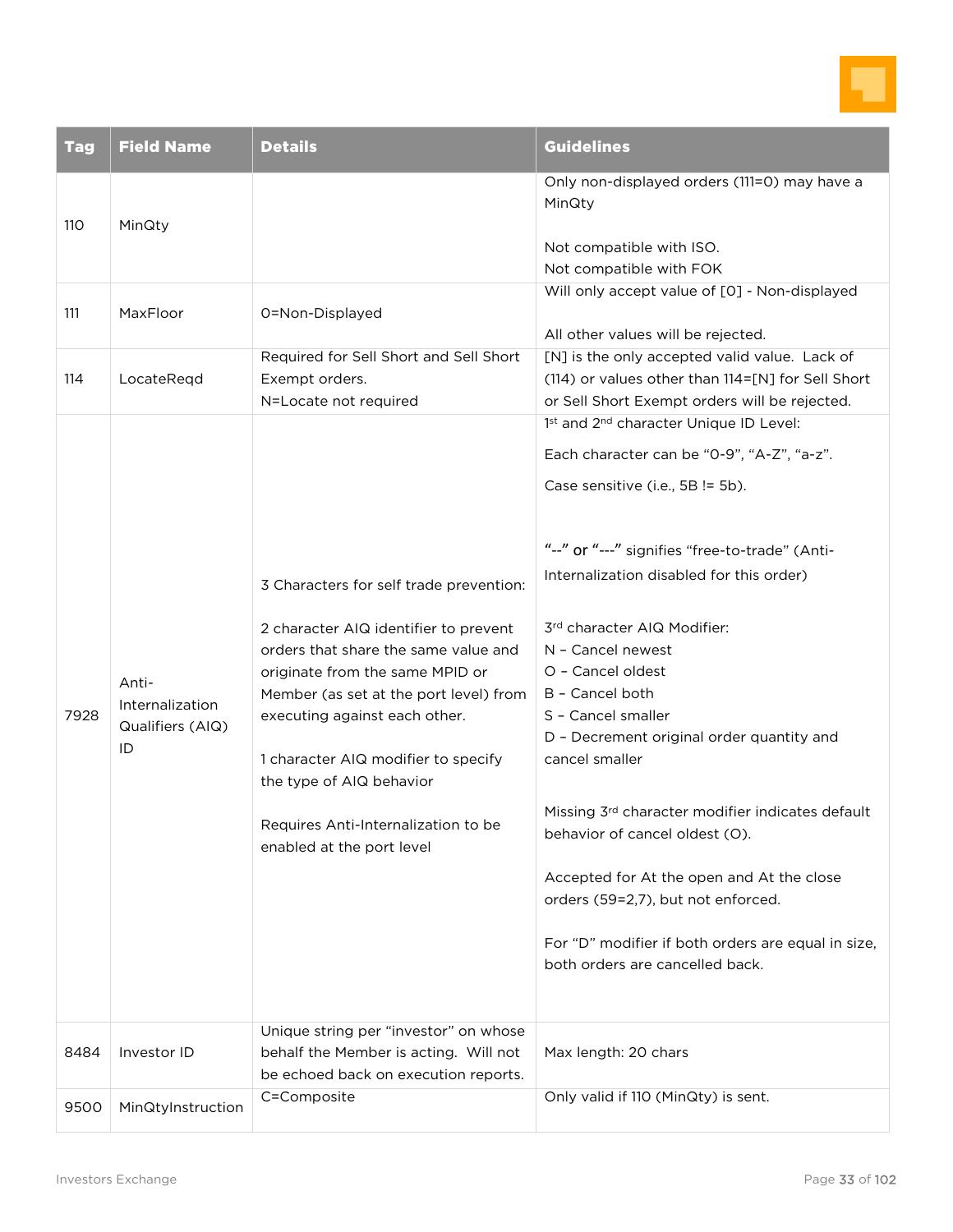

| <b>Tag</b> | <b>Field Name</b>                                  | <b>Details</b>                                                                                                                                                                                                                                                                                                                                                                                                         | <b>Guidelines</b>                                                                                                                                                                                                                                                                                                                                                                                                                                                                                                                             |
|------------|----------------------------------------------------|------------------------------------------------------------------------------------------------------------------------------------------------------------------------------------------------------------------------------------------------------------------------------------------------------------------------------------------------------------------------------------------------------------------------|-----------------------------------------------------------------------------------------------------------------------------------------------------------------------------------------------------------------------------------------------------------------------------------------------------------------------------------------------------------------------------------------------------------------------------------------------------------------------------------------------------------------------------------------------|
| 110        | MinQty                                             |                                                                                                                                                                                                                                                                                                                                                                                                                        | Only non-displayed orders (111=0) may have a<br>MinQty                                                                                                                                                                                                                                                                                                                                                                                                                                                                                        |
|            |                                                    |                                                                                                                                                                                                                                                                                                                                                                                                                        | Not compatible with ISO.<br>Not compatible with FOK                                                                                                                                                                                                                                                                                                                                                                                                                                                                                           |
|            |                                                    |                                                                                                                                                                                                                                                                                                                                                                                                                        | Will only accept value of [0] - Non-displayed                                                                                                                                                                                                                                                                                                                                                                                                                                                                                                 |
| 111        | MaxFloor                                           | 0=Non-Displayed                                                                                                                                                                                                                                                                                                                                                                                                        | All other values will be rejected.                                                                                                                                                                                                                                                                                                                                                                                                                                                                                                            |
| 114        | LocateReqd                                         | Required for Sell Short and Sell Short<br>Exempt orders.<br>N=Locate not required                                                                                                                                                                                                                                                                                                                                      | [N] is the only accepted valid value. Lack of<br>(114) or values other than 114=[N] for Sell Short<br>or Sell Short Exempt orders will be rejected.                                                                                                                                                                                                                                                                                                                                                                                           |
|            |                                                    |                                                                                                                                                                                                                                                                                                                                                                                                                        | 1st and 2 <sup>nd</sup> character Unique ID Level:                                                                                                                                                                                                                                                                                                                                                                                                                                                                                            |
|            |                                                    |                                                                                                                                                                                                                                                                                                                                                                                                                        | Each character can be "0-9", "A-Z", "a-z".                                                                                                                                                                                                                                                                                                                                                                                                                                                                                                    |
|            |                                                    |                                                                                                                                                                                                                                                                                                                                                                                                                        | Case sensitive (i.e., 5B != 5b).                                                                                                                                                                                                                                                                                                                                                                                                                                                                                                              |
| 7928       | Anti-<br>Internalization<br>Qualifiers (AIQ)<br>ID | 3 Characters for self trade prevention:<br>2 character AIQ identifier to prevent<br>orders that share the same value and<br>originate from the same MPID or<br>Member (as set at the port level) from<br>executing against each other.<br>1 character AIQ modifier to specify<br>the type of AIQ behavior<br>Requires Anti-Internalization to be<br>enabled at the port level<br>Unique string per "investor" on whose | "--" or "---" signifies "free-to-trade" (Anti-<br>Internalization disabled for this order)<br>3rd character AIQ Modifier:<br>N - Cancel newest<br>O - Cancel oldest<br>B - Cancel both<br>S - Cancel smaller<br>D - Decrement original order quantity and<br>cancel smaller<br>Missing 3rd character modifier indicates default<br>behavior of cancel oldest (O).<br>Accepted for At the open and At the close<br>orders (59=2,7), but not enforced.<br>For "D" modifier if both orders are equal in size,<br>both orders are cancelled back. |
| 8484       | Investor ID                                        | behalf the Member is acting. Will not<br>be echoed back on execution reports.                                                                                                                                                                                                                                                                                                                                          | Max length: 20 chars                                                                                                                                                                                                                                                                                                                                                                                                                                                                                                                          |
| 9500       | MinQtyInstruction                                  | C=Composite                                                                                                                                                                                                                                                                                                                                                                                                            | Only valid if 110 (MinQty) is sent.                                                                                                                                                                                                                                                                                                                                                                                                                                                                                                           |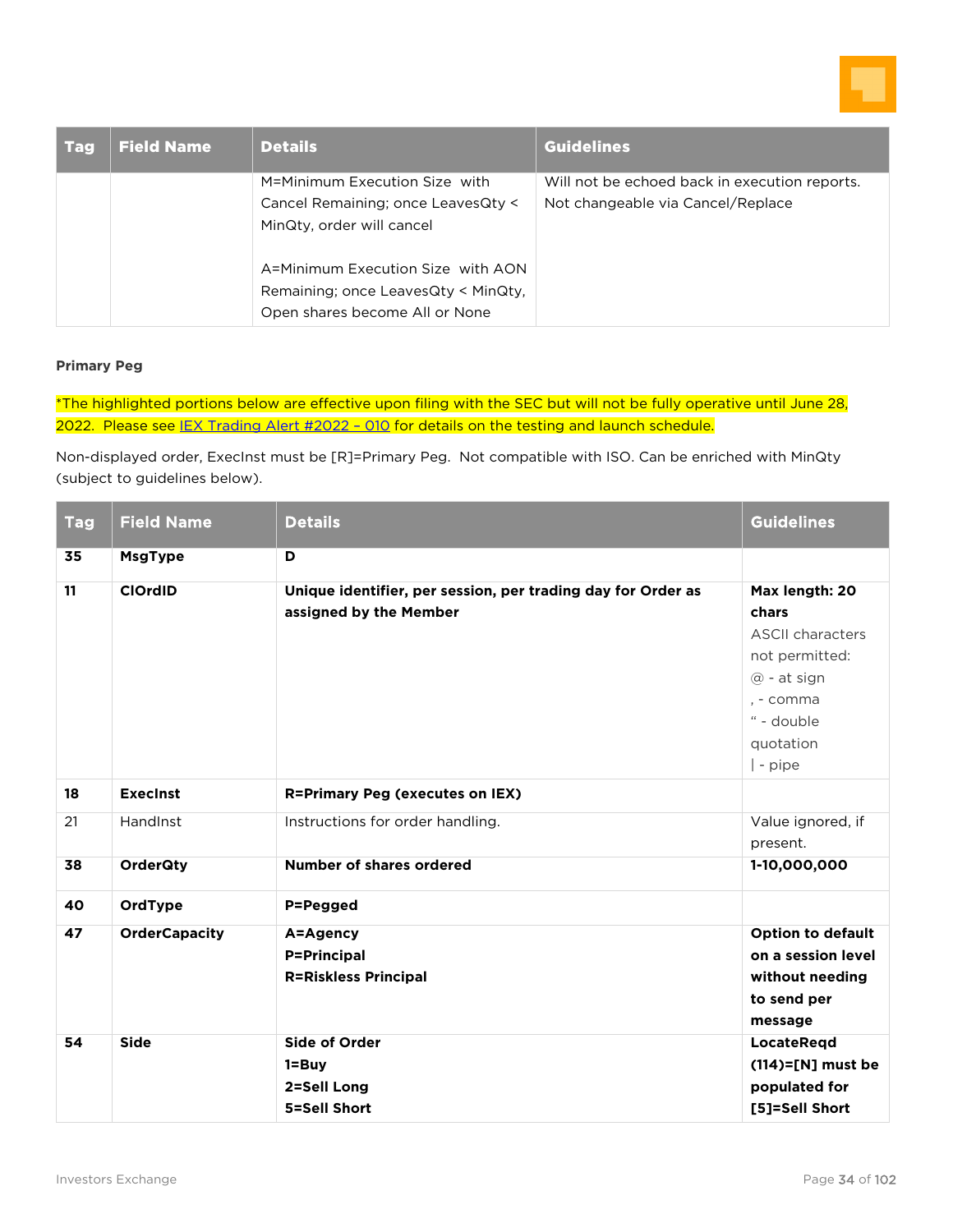

| <b>Tag</b> | <b>Field Name</b> | <b>Details</b>                      | <b>Guidelines</b>                             |
|------------|-------------------|-------------------------------------|-----------------------------------------------|
|            |                   | M=Minimum Execution Size with       | Will not be echoed back in execution reports. |
|            |                   | Cancel Remaining; once LeavesQty <  | Not changeable via Cancel/Replace             |
|            |                   | MinQty, order will cancel           |                                               |
|            |                   | A=Minimum Execution Size with AON   |                                               |
|            |                   | Remaining; once LeavesQty < MinQty, |                                               |
|            |                   | Open shares become All or None      |                                               |

#### **Primary Peg**

\*The highlighted portions below are effective upon filing with the SEC but will not be fully operative until June 28, 2022. Please see IEX Trading Alert #2022 - 010 for details on the testing and launch schedule.

Non-displayed order, ExecInst must be [R]=Primary Peg. Not compatible with ISO. Can be enriched with MinQty (subject to guidelines below).

| <b>Tag</b> | <b>Field Name</b>    | <b>Details</b>                                                                         | <b>Guidelines</b>                                                                                                                         |
|------------|----------------------|----------------------------------------------------------------------------------------|-------------------------------------------------------------------------------------------------------------------------------------------|
| 35         | <b>MsgType</b>       | D                                                                                      |                                                                                                                                           |
| 11         | <b>ClOrdID</b>       | Unique identifier, per session, per trading day for Order as<br>assigned by the Member | Max length: 20<br>chars<br><b>ASCII characters</b><br>not permitted:<br>$@$ - at sign<br>. - comma<br>" - double<br>quotation<br>  - pipe |
| 18         | <b>Execinst</b>      | <b>R=Primary Peg (executes on IEX)</b>                                                 |                                                                                                                                           |
| 21         | <b>Handlnst</b>      | Instructions for order handling.                                                       | Value ignored, if<br>present.                                                                                                             |
| 38         | <b>OrderQty</b>      | <b>Number of shares ordered</b>                                                        | 1-10,000,000                                                                                                                              |
| 40         | OrdType              | P=Pegged                                                                               |                                                                                                                                           |
| 47         | <b>OrderCapacity</b> | A=Agency<br><b>P=Principal</b><br><b>R=Riskless Principal</b>                          | <b>Option to default</b><br>on a session level<br>without needing<br>to send per<br>message                                               |
| 54         | <b>Side</b>          | <b>Side of Order</b><br>$1 = Buy$<br>2=Sell Long<br>5=Sell Short                       | LocateRegd<br>$(114)=$ [N] must be<br>populated for<br>[5]=Sell Short                                                                     |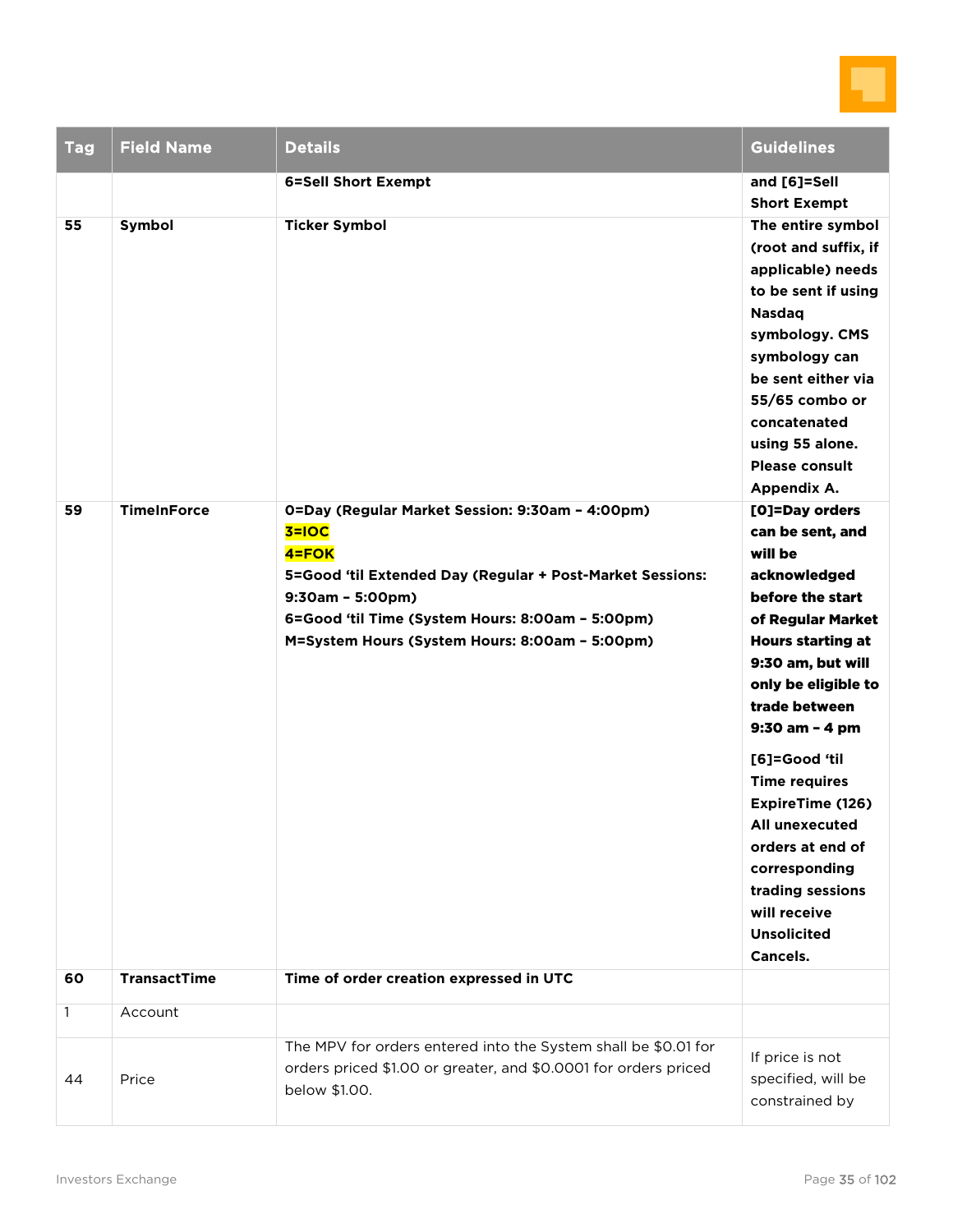

| <b>Tag</b>   | <b>Field Name</b>   | <b>Details</b>                                                                                                                                                                                                                                                 | Guidelines                                                                                                                                                                                                                                                                                                                                                                                                         |
|--------------|---------------------|----------------------------------------------------------------------------------------------------------------------------------------------------------------------------------------------------------------------------------------------------------------|--------------------------------------------------------------------------------------------------------------------------------------------------------------------------------------------------------------------------------------------------------------------------------------------------------------------------------------------------------------------------------------------------------------------|
|              |                     | <b>6=Sell Short Exempt</b>                                                                                                                                                                                                                                     | and [6]=Sell<br><b>Short Exempt</b>                                                                                                                                                                                                                                                                                                                                                                                |
| 55           | Symbol              | <b>Ticker Symbol</b>                                                                                                                                                                                                                                           | The entire symbol<br>(root and suffix, if<br>applicable) needs<br>to be sent if using<br><b>Nasdaq</b><br>symbology. CMS<br>symbology can<br>be sent either via<br>55/65 combo or<br>concatenated<br>using 55 alone.<br><b>Please consult</b><br>Appendix A.                                                                                                                                                       |
| 59           | <b>TimeInForce</b>  | 0=Day (Regular Market Session: 9:30am - 4:00pm)<br>$3 = 10C$<br>4=FOK<br>5=Good 'til Extended Day (Regular + Post-Market Sessions:<br>$9:30am - 5:00pm)$<br>6=Good 'til Time (System Hours: 8:00am - 5:00pm)<br>M=System Hours (System Hours: 8:00am - 5:00pm) | [O]=Day orders<br>can be sent, and<br>will be<br>acknowledged<br>before the start<br>of Regular Market<br><b>Hours starting at</b><br>9:30 am, but will<br>only be eligible to<br>trade between<br>9:30 am - 4 pm<br>[6]=Good 'til<br><b>Time requires</b><br><b>ExpireTime (126)</b><br>All unexecuted<br>orders at end of<br>corresponding<br>trading sessions<br>will receive<br><b>Unsolicited</b><br>Cancels. |
| 60           | <b>TransactTime</b> | Time of order creation expressed in UTC                                                                                                                                                                                                                        |                                                                                                                                                                                                                                                                                                                                                                                                                    |
| $\mathbf{1}$ | Account             |                                                                                                                                                                                                                                                                |                                                                                                                                                                                                                                                                                                                                                                                                                    |
| 44           | Price               | The MPV for orders entered into the System shall be \$0.01 for<br>orders priced \$1.00 or greater, and \$0.0001 for orders priced<br>below \$1.00.                                                                                                             | If price is not<br>specified, will be<br>constrained by                                                                                                                                                                                                                                                                                                                                                            |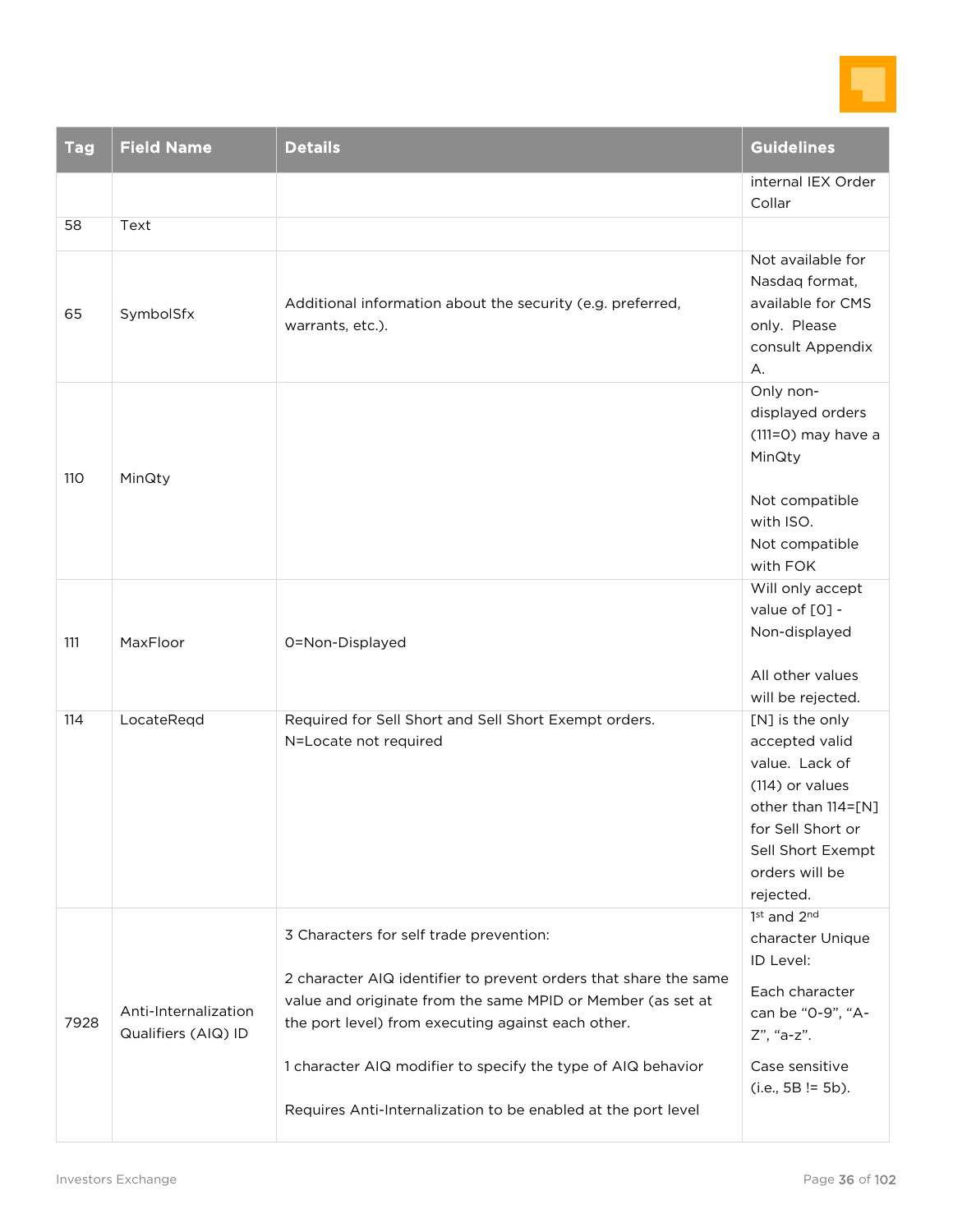

| <b>Tag</b> | <b>Field Name</b>                           | <b>Details</b>                                                                                                                                                                                                                                                                                                                                                    | <b>Guidelines</b>                                                                                                                                                     |
|------------|---------------------------------------------|-------------------------------------------------------------------------------------------------------------------------------------------------------------------------------------------------------------------------------------------------------------------------------------------------------------------------------------------------------------------|-----------------------------------------------------------------------------------------------------------------------------------------------------------------------|
|            |                                             |                                                                                                                                                                                                                                                                                                                                                                   | internal IEX Order<br>Collar                                                                                                                                          |
| 58         | Text                                        |                                                                                                                                                                                                                                                                                                                                                                   |                                                                                                                                                                       |
| 65         | SymbolSfx                                   | Additional information about the security (e.g. preferred,<br>warrants, etc.).                                                                                                                                                                                                                                                                                    | Not available for<br>Nasdaq format,<br>available for CMS<br>only. Please<br>consult Appendix<br>А.                                                                    |
| 110        | MinQty                                      |                                                                                                                                                                                                                                                                                                                                                                   | Only non-<br>displayed orders<br>(111=0) may have a<br>MinQty<br>Not compatible<br>with ISO.<br>Not compatible<br>with FOK                                            |
|            |                                             |                                                                                                                                                                                                                                                                                                                                                                   | Will only accept                                                                                                                                                      |
| 111        | MaxFloor                                    | 0=Non-Displayed                                                                                                                                                                                                                                                                                                                                                   | value of [0] -<br>Non-displayed                                                                                                                                       |
|            |                                             |                                                                                                                                                                                                                                                                                                                                                                   | All other values<br>will be rejected.                                                                                                                                 |
| 114        | LocateReqd                                  | Required for Sell Short and Sell Short Exempt orders.<br>N=Locate not required                                                                                                                                                                                                                                                                                    | [N] is the only<br>accepted valid<br>value. Lack of<br>(114) or values<br>other than 114=[N]<br>for Sell Short or<br>Sell Short Exempt<br>orders will be<br>rejected. |
| 7928       | Anti-Internalization<br>Qualifiers (AIQ) ID | 3 Characters for self trade prevention:<br>2 character AIQ identifier to prevent orders that share the same<br>value and originate from the same MPID or Member (as set at<br>the port level) from executing against each other.<br>1 character AIQ modifier to specify the type of AIQ behavior<br>Requires Anti-Internalization to be enabled at the port level | 1st and 2nd<br>character Unique<br>ID Level:<br>Each character<br>can be "0-9", "A-<br>Z", "a-z".<br>Case sensitive<br>$(i.e., 5B != 5b).$                            |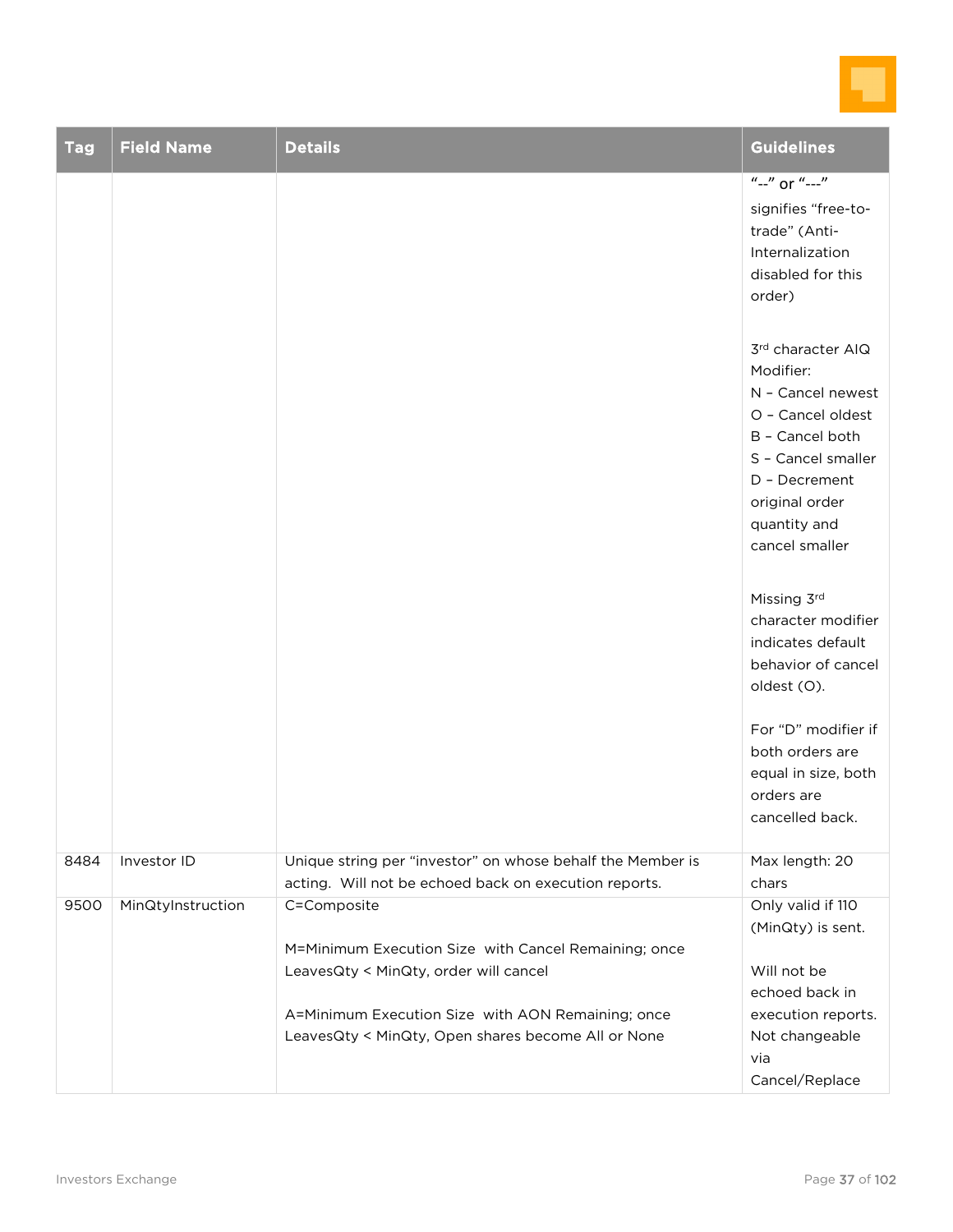

| <b>Tag</b> | <b>Field Name</b> | <b>Details</b>                                                                                                      | <b>Guidelines</b>                                                                                                                                                                      |
|------------|-------------------|---------------------------------------------------------------------------------------------------------------------|----------------------------------------------------------------------------------------------------------------------------------------------------------------------------------------|
|            |                   |                                                                                                                     | $"$ --" or "---"<br>signifies "free-to-<br>trade" (Anti-<br>Internalization<br>disabled for this<br>order)                                                                             |
|            |                   |                                                                                                                     | 3rd character AIQ<br>Modifier:<br>N - Cancel newest<br>O - Cancel oldest<br>B - Cancel both<br>S - Cancel smaller<br>D - Decrement<br>original order<br>quantity and<br>cancel smaller |
|            |                   |                                                                                                                     | Missing 3rd<br>character modifier<br>indicates default<br>behavior of cancel<br>oldest (O).                                                                                            |
|            |                   |                                                                                                                     | For "D" modifier if<br>both orders are<br>equal in size, both<br>orders are<br>cancelled back.                                                                                         |
| 8484       | Investor ID       | Unique string per "investor" on whose behalf the Member is<br>acting. Will not be echoed back on execution reports. | Max length: 20<br>chars                                                                                                                                                                |
| 9500       | MinQtyInstruction | C=Composite<br>M=Minimum Execution Size with Cancel Remaining; once                                                 | Only valid if 110<br>(MinQty) is sent.                                                                                                                                                 |
|            |                   | LeavesQty < MinQty, order will cancel                                                                               | Will not be<br>echoed back in                                                                                                                                                          |
|            |                   | A=Minimum Execution Size with AON Remaining; once<br>LeavesQty < MinQty, Open shares become All or None             | execution reports.<br>Not changeable<br>via<br>Cancel/Replace                                                                                                                          |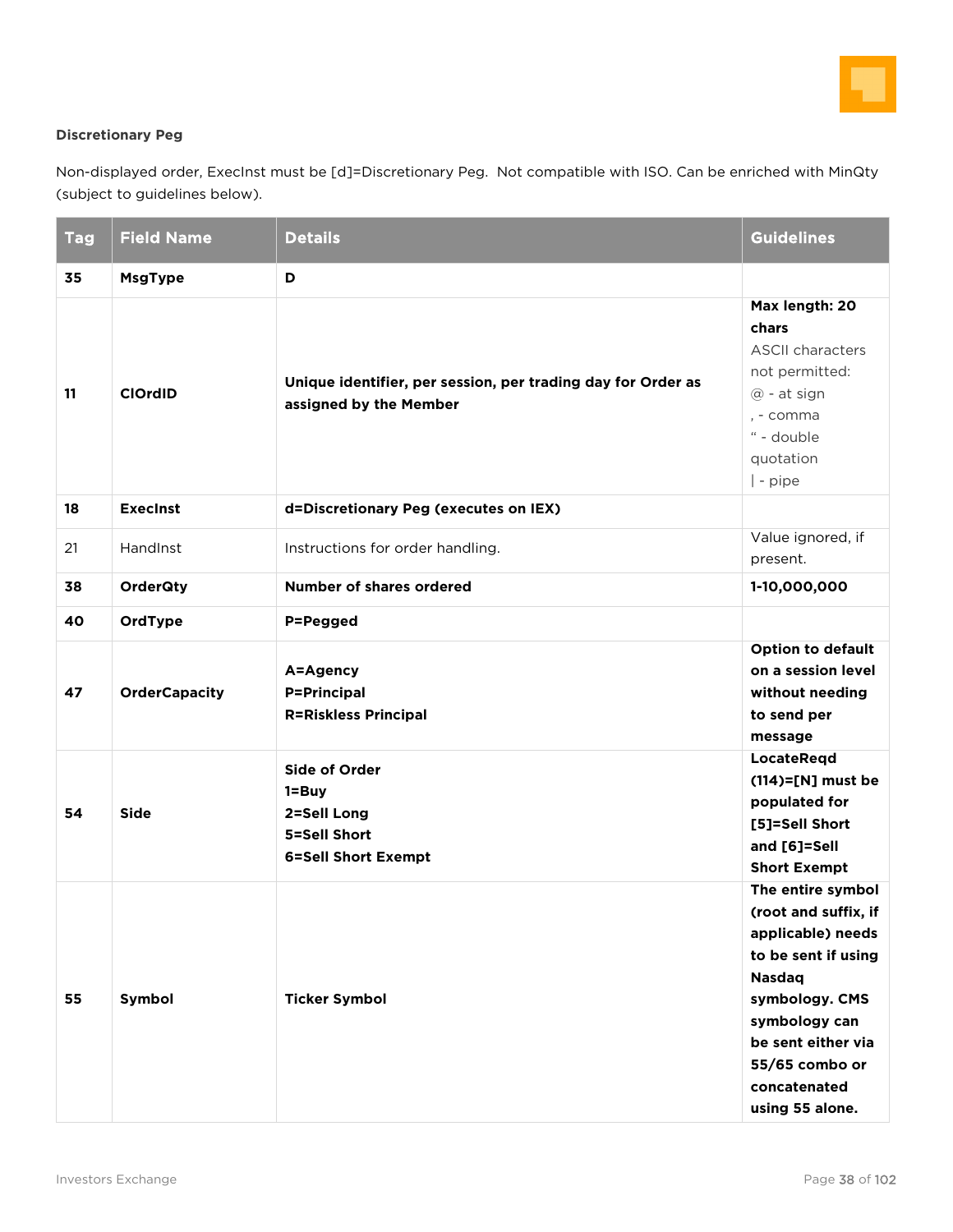

#### **Discretionary Peg**

Non-displayed order, ExecInst must be [d]=Discretionary Peg. Not compatible with ISO. Can be enriched with MinQty (subject to guidelines below).

| <b>Tag</b>     | <b>Field Name</b>                              | <b>Details</b>                                                                                                                                                          | <b>Guidelines</b>                                                                                                                                                                                                    |
|----------------|------------------------------------------------|-------------------------------------------------------------------------------------------------------------------------------------------------------------------------|----------------------------------------------------------------------------------------------------------------------------------------------------------------------------------------------------------------------|
| 35             | <b>MsgType</b>                                 | D                                                                                                                                                                       |                                                                                                                                                                                                                      |
| 11             | <b>ClOrdID</b>                                 | Unique identifier, per session, per trading day for Order as<br>assigned by the Member                                                                                  | Max length: 20<br>chars<br><b>ASCII characters</b><br>not permitted:<br>@ - at sign<br>, - comma<br>" - double<br>quotation<br>  - pipe                                                                              |
| 18             | <b>Execinst</b>                                | d=Discretionary Peg (executes on IEX)                                                                                                                                   |                                                                                                                                                                                                                      |
| 21             | HandInst                                       | Instructions for order handling.                                                                                                                                        | Value ignored, if<br>present.                                                                                                                                                                                        |
| 38             | <b>OrderQty</b>                                | <b>Number of shares ordered</b>                                                                                                                                         | 1-10,000,000                                                                                                                                                                                                         |
| 40<br>47<br>54 | OrdType<br><b>OrderCapacity</b><br><b>Side</b> | P=Pegged<br>A=Agency<br><b>P=Principal</b><br><b>R=Riskless Principal</b><br><b>Side of Order</b><br>1=Buy<br>2=Sell Long<br>5=Sell Short<br><b>6=Sell Short Exempt</b> | <b>Option to default</b><br>on a session level<br>without needing<br>to send per<br>message<br><b>LocateRegd</b><br>$(114)=$ [N] must be<br>populated for<br>[5]=Sell Short<br>and [6]=Sell<br><b>Short Exempt</b>   |
| 55             | Symbol                                         | <b>Ticker Symbol</b>                                                                                                                                                    | The entire symbol<br>(root and suffix, if<br>applicable) needs<br>to be sent if using<br><b>Nasdaq</b><br>symbology. CMS<br>symbology can<br>be sent either via<br>55/65 combo or<br>concatenated<br>using 55 alone. |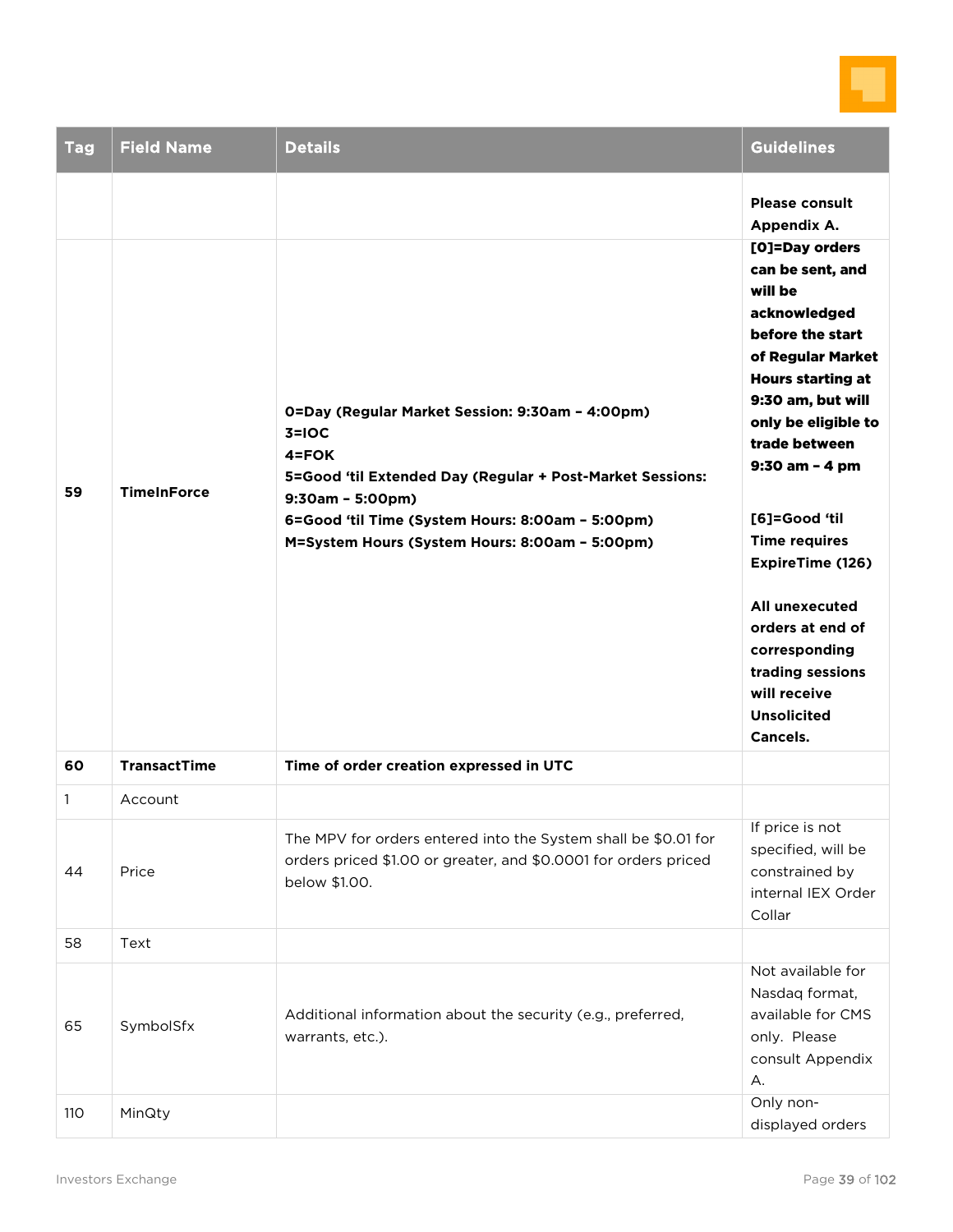

| <b>Tag</b>   | <b>Field Name</b>                         | <b>Details</b>                                                                                                                                                                                                                                                                                              | <b>Guidelines</b>                                                                                                                                                                                                                                                                                                                                                                                                                                                 |
|--------------|-------------------------------------------|-------------------------------------------------------------------------------------------------------------------------------------------------------------------------------------------------------------------------------------------------------------------------------------------------------------|-------------------------------------------------------------------------------------------------------------------------------------------------------------------------------------------------------------------------------------------------------------------------------------------------------------------------------------------------------------------------------------------------------------------------------------------------------------------|
| 59<br>60     | <b>TimeInForce</b><br><b>TransactTime</b> | 0=Day (Regular Market Session: 9:30am - 4:00pm)<br>$3=10C$<br>$4 = FOK$<br>5=Good 'til Extended Day (Regular + Post-Market Sessions:<br>$9:30am - 5:00pm)$<br>6=Good 'til Time (System Hours: 8:00am - 5:00pm)<br>M=System Hours (System Hours: 8:00am - 5:00pm)<br>Time of order creation expressed in UTC | <b>Please consult</b><br>Appendix A.<br>[O]=Day orders<br>can be sent, and<br>will be<br>acknowledged<br>before the start<br>of Regular Market<br><b>Hours starting at</b><br>9:30 am, but will<br>only be eligible to<br>trade between<br>9:30 am - 4 pm<br>[6]=Good 'til<br><b>Time requires</b><br><b>ExpireTime (126)</b><br>All unexecuted<br>orders at end of<br>corresponding<br>trading sessions<br>will receive<br><b>Unsolicited</b><br><b>Cancels.</b> |
| $\mathbf{1}$ | Account                                   |                                                                                                                                                                                                                                                                                                             |                                                                                                                                                                                                                                                                                                                                                                                                                                                                   |
| 44           | Price                                     | The MPV for orders entered into the System shall be \$0.01 for<br>orders priced \$1.00 or greater, and \$0.0001 for orders priced<br>below \$1.00.                                                                                                                                                          | If price is not<br>specified, will be<br>constrained by<br>internal IEX Order<br>Collar                                                                                                                                                                                                                                                                                                                                                                           |
| 58           | Text                                      |                                                                                                                                                                                                                                                                                                             |                                                                                                                                                                                                                                                                                                                                                                                                                                                                   |
| 65           | SymbolSfx                                 | Additional information about the security (e.g., preferred,<br>warrants, etc.).                                                                                                                                                                                                                             | Not available for<br>Nasdaq format,<br>available for CMS<br>only. Please<br>consult Appendix<br>А.                                                                                                                                                                                                                                                                                                                                                                |
| 110          | MinQty                                    |                                                                                                                                                                                                                                                                                                             | Only non-<br>displayed orders                                                                                                                                                                                                                                                                                                                                                                                                                                     |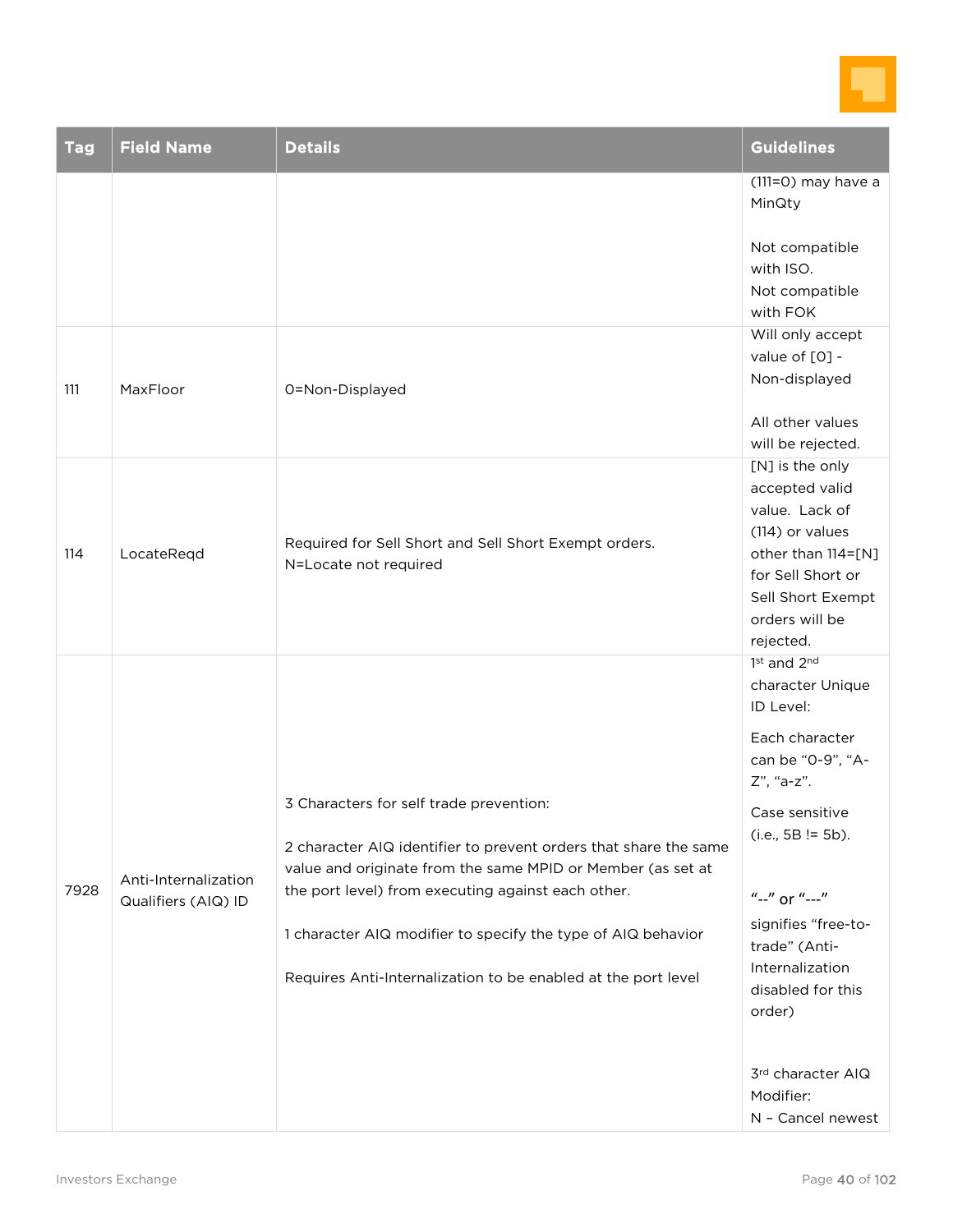

| <b>Tag</b> | <b>Field Name</b>                           | <b>Details</b>                                                                                                                                                                                                                                                                                                                                                    | <b>Guidelines</b>                                                                                                                                                                                                                                                                                            |
|------------|---------------------------------------------|-------------------------------------------------------------------------------------------------------------------------------------------------------------------------------------------------------------------------------------------------------------------------------------------------------------------------------------------------------------------|--------------------------------------------------------------------------------------------------------------------------------------------------------------------------------------------------------------------------------------------------------------------------------------------------------------|
|            |                                             |                                                                                                                                                                                                                                                                                                                                                                   | $(111=O)$ may have a<br>MinQty                                                                                                                                                                                                                                                                               |
|            |                                             |                                                                                                                                                                                                                                                                                                                                                                   | Not compatible<br>with ISO.<br>Not compatible<br>with FOK                                                                                                                                                                                                                                                    |
| 111        | MaxFloor                                    | 0=Non-Displayed                                                                                                                                                                                                                                                                                                                                                   | Will only accept<br>value of [0] -<br>Non-displayed                                                                                                                                                                                                                                                          |
| 114        | LocateReqd                                  | Required for Sell Short and Sell Short Exempt orders.<br>N=Locate not required                                                                                                                                                                                                                                                                                    | All other values<br>will be rejected.<br>[N] is the only<br>accepted valid<br>value. Lack of<br>(114) or values<br>other than 114=[N]<br>for Sell Short or<br>Sell Short Exempt<br>orders will be<br>rejected.                                                                                               |
| 7928       | Anti-Internalization<br>Qualifiers (AIQ) ID | 3 Characters for self trade prevention:<br>2 character AIQ identifier to prevent orders that share the same<br>value and originate from the same MPID or Member (as set at<br>the port level) from executing against each other.<br>1 character AIQ modifier to specify the type of AIQ behavior<br>Requires Anti-Internalization to be enabled at the port level | 1st and 2nd<br>character Unique<br>ID Level:<br>Each character<br>can be "0-9", "A-<br>Z", "a-z".<br>Case sensitive<br>$(i.e., 5B != 5b).$<br>"--" or "---"<br>signifies "free-to-<br>trade" (Anti-<br>Internalization<br>disabled for this<br>order)<br>3rd character AIQ<br>Modifier:<br>N - Cancel newest |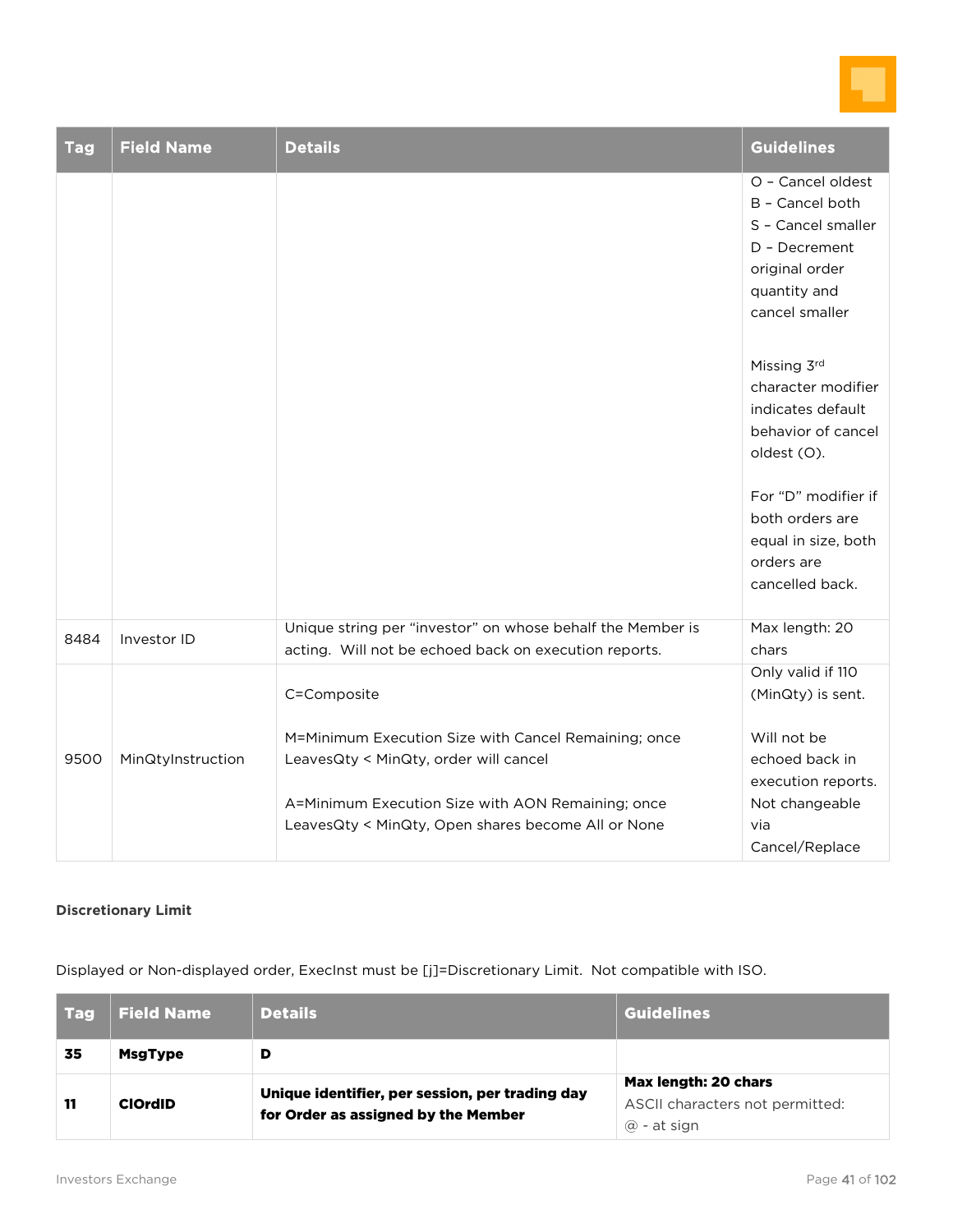

| <b>Tag</b> | <b>Field Name</b> | <b>Details</b>                                                                                                                                     | <b>Guidelines</b>                                                                                                               |
|------------|-------------------|----------------------------------------------------------------------------------------------------------------------------------------------------|---------------------------------------------------------------------------------------------------------------------------------|
|            |                   |                                                                                                                                                    | O - Cancel oldest<br>B - Cancel both<br>S - Cancel smaller<br>D - Decrement<br>original order<br>quantity and<br>cancel smaller |
|            |                   |                                                                                                                                                    | Missing 3rd<br>character modifier<br>indicates default<br>behavior of cancel<br>oldest (O).                                     |
|            |                   |                                                                                                                                                    | For "D" modifier if<br>both orders are<br>equal in size, both<br>orders are<br>cancelled back.                                  |
| 8484       | Investor ID       | Unique string per "investor" on whose behalf the Member is<br>acting. Will not be echoed back on execution reports.                                | Max length: 20<br>chars                                                                                                         |
|            |                   | C=Composite                                                                                                                                        | Only valid if 110<br>(MinQty) is sent.                                                                                          |
| 9500       | MinQtyInstruction | M=Minimum Execution Size with Cancel Remaining; once<br>LeavesQty < MinQty, order will cancel<br>A=Minimum Execution Size with AON Remaining; once | Will not be<br>echoed back in<br>execution reports.<br>Not changeable                                                           |
|            |                   | LeavesQty < MinQty, Open shares become All or None                                                                                                 | via<br>Cancel/Replace                                                                                                           |

#### **Discretionary Limit**

Displayed or Non-displayed order, ExecInst must be [j]=Discretionary Limit. Not compatible with ISO.

| <b>Tag</b> | <b>Field Name</b> | <b>Details</b>                                                                         | <b>Guidelines</b>                                                             |
|------------|-------------------|----------------------------------------------------------------------------------------|-------------------------------------------------------------------------------|
| 35         | <b>MsgType</b>    | D                                                                                      |                                                                               |
| 11         | <b>ClOrdID</b>    | Unique identifier, per session, per trading day<br>for Order as assigned by the Member | Max length: 20 chars<br>ASCII characters not permitted:<br>$\omega$ - at sign |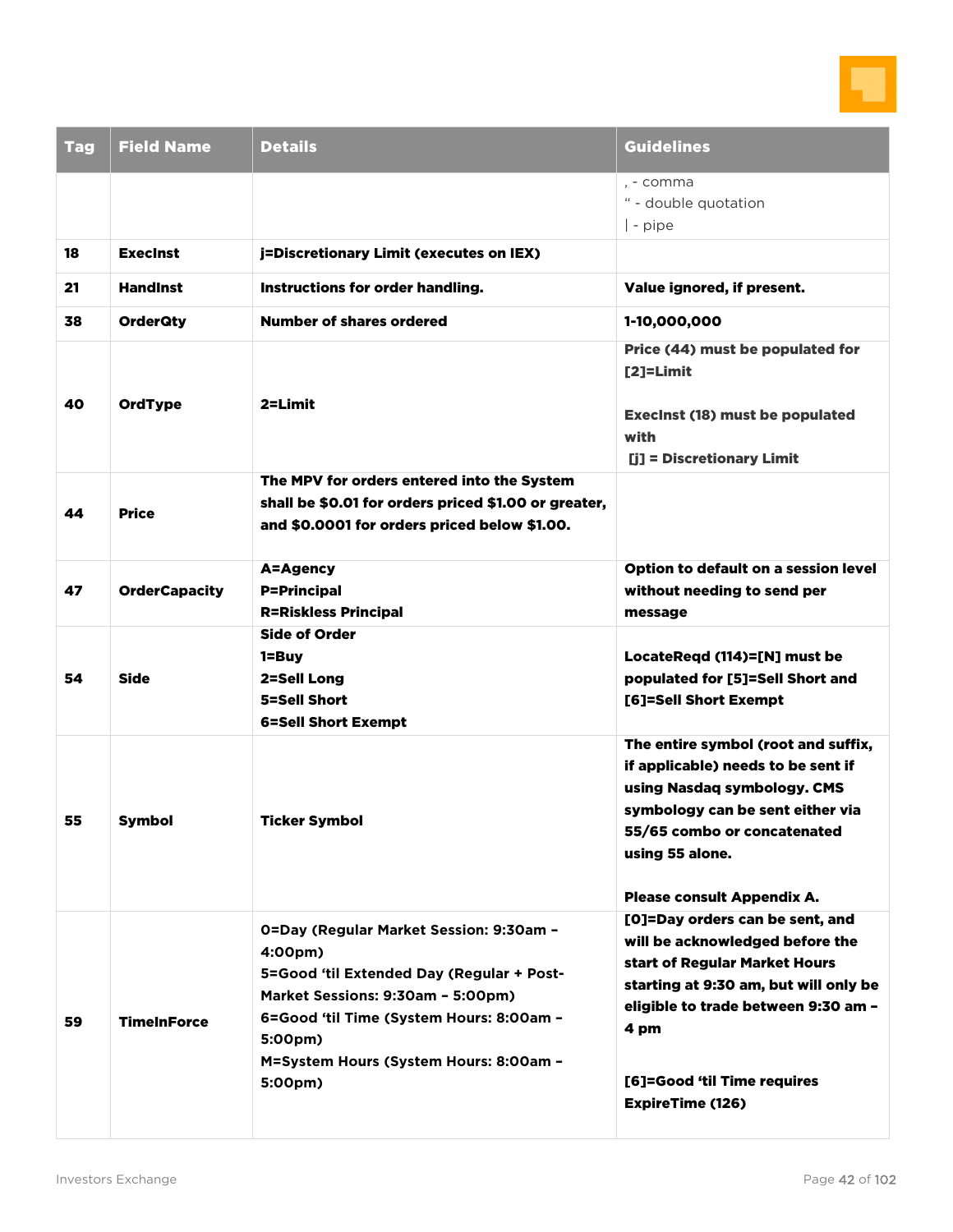

| <b>Tag</b> | <b>Field Name</b>    | <b>Details</b>                                                                                                                                                                                                                                   | <b>Guidelines</b>                                                                                                                                                                                                                                     |
|------------|----------------------|--------------------------------------------------------------------------------------------------------------------------------------------------------------------------------------------------------------------------------------------------|-------------------------------------------------------------------------------------------------------------------------------------------------------------------------------------------------------------------------------------------------------|
|            |                      |                                                                                                                                                                                                                                                  | , - comma<br>" - double quotation<br>$\vert$ - pipe                                                                                                                                                                                                   |
| 18         | <b>Execinst</b>      | j=Discretionary Limit (executes on IEX)                                                                                                                                                                                                          |                                                                                                                                                                                                                                                       |
| 21         | <b>Handinst</b>      | Instructions for order handling.                                                                                                                                                                                                                 | Value ignored, if present.                                                                                                                                                                                                                            |
| 38         | <b>OrderQty</b>      | <b>Number of shares ordered</b>                                                                                                                                                                                                                  | 1-10,000,000                                                                                                                                                                                                                                          |
|            |                      |                                                                                                                                                                                                                                                  | Price (44) must be populated for<br>$[2]$ =Limit                                                                                                                                                                                                      |
| 40         | <b>OrdType</b>       | 2=Limit                                                                                                                                                                                                                                          | <b>Execinst (18) must be populated</b><br>with<br>[j] = Discretionary Limit                                                                                                                                                                           |
| 44         | <b>Price</b>         | The MPV for orders entered into the System<br>shall be \$0.01 for orders priced \$1.00 or greater,<br>and \$0.0001 for orders priced below \$1.00.                                                                                               |                                                                                                                                                                                                                                                       |
| 47         | <b>OrderCapacity</b> | A=Agency<br><b>P=Principal</b><br><b>R=Riskless Principal</b>                                                                                                                                                                                    | Option to default on a session level<br>without needing to send per<br>message                                                                                                                                                                        |
| 54         | Side                 | <b>Side of Order</b><br>$1 = Buy$<br>2=Sell Long<br>5=Sell Short<br><b>6=Sell Short Exempt</b>                                                                                                                                                   | LocateReqd (114)=[N] must be<br>populated for [5]=Sell Short and<br>[6]=Sell Short Exempt                                                                                                                                                             |
| 55         | <b>Symbol</b>        | <b>Ticker Symbol</b>                                                                                                                                                                                                                             | The entire symbol (root and suffix,<br>if applicable) needs to be sent if<br>using Nasdaq symbology. CMS<br>symbology can be sent either via<br>55/65 combo or concatenated<br>using 55 alone.<br>Please consult Appendix A.                          |
| 59         | <b>TimeInForce</b>   | 0=Day (Regular Market Session: 9:30am -<br>4:00pm)<br>5=Good 'til Extended Day (Regular + Post-<br>Market Sessions: 9:30am - 5:00pm)<br>6=Good 'til Time (System Hours: 8:00am -<br>5:00pm)<br>M=System Hours (System Hours: 8:00am -<br>5:00pm) | [O]=Day orders can be sent, and<br>will be acknowledged before the<br>start of Regular Market Hours<br>starting at 9:30 am, but will only be<br>eligible to trade between 9:30 am -<br>4 pm<br>[6]=Good 'til Time requires<br><b>ExpireTime (126)</b> |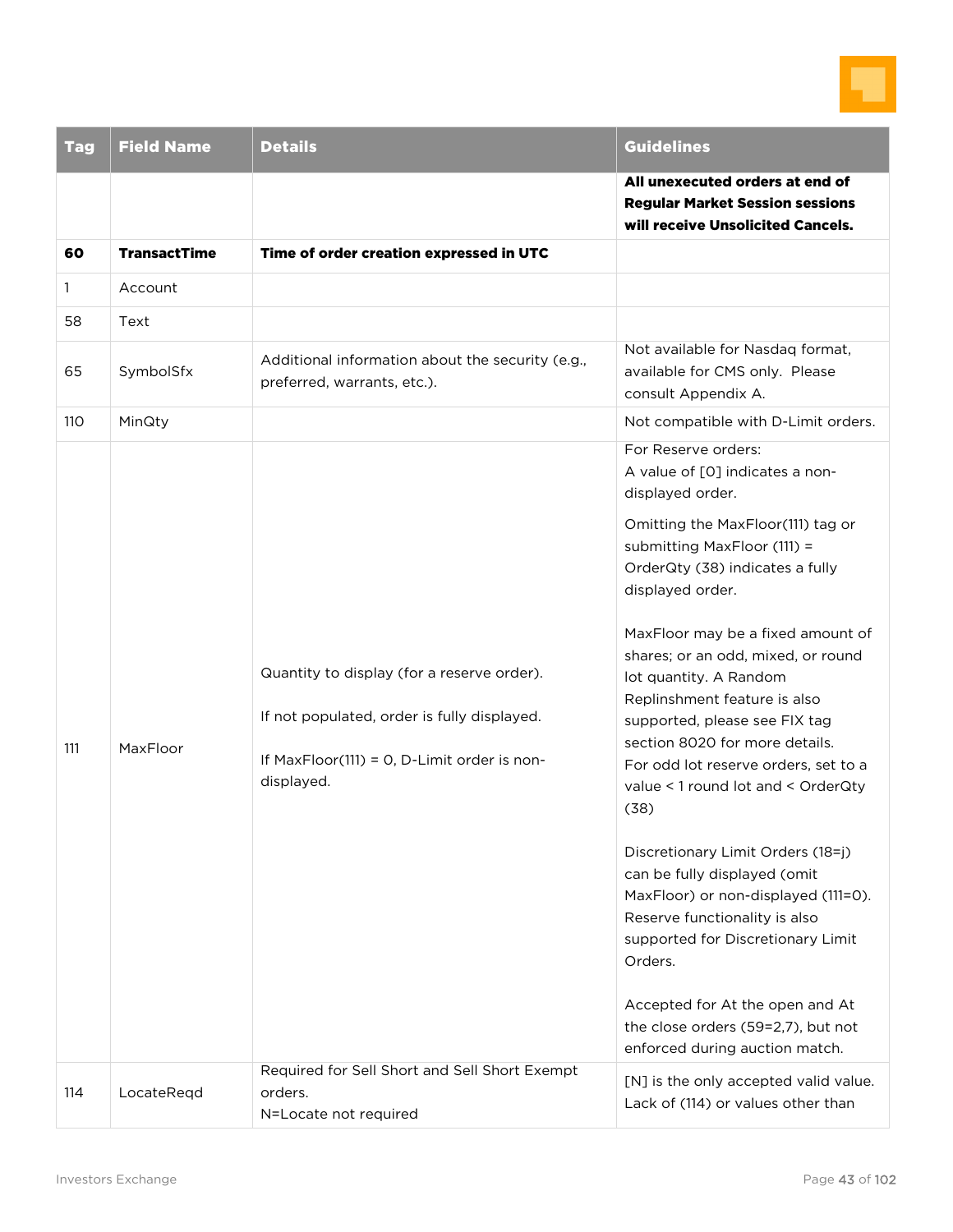

| <b>Tag</b> | <b>Field Name</b>   | <b>Details</b>                                                                                                                                         | <b>Guidelines</b>                                                                                                                                                                                                                                                                                                                                                                                                                                                                                                                                                                                                                                                                                                                                                                                           |
|------------|---------------------|--------------------------------------------------------------------------------------------------------------------------------------------------------|-------------------------------------------------------------------------------------------------------------------------------------------------------------------------------------------------------------------------------------------------------------------------------------------------------------------------------------------------------------------------------------------------------------------------------------------------------------------------------------------------------------------------------------------------------------------------------------------------------------------------------------------------------------------------------------------------------------------------------------------------------------------------------------------------------------|
|            |                     |                                                                                                                                                        | All unexecuted orders at end of<br><b>Regular Market Session sessions</b><br>will receive Unsolicited Cancels.                                                                                                                                                                                                                                                                                                                                                                                                                                                                                                                                                                                                                                                                                              |
| 60         | <b>TransactTime</b> | Time of order creation expressed in UTC                                                                                                                |                                                                                                                                                                                                                                                                                                                                                                                                                                                                                                                                                                                                                                                                                                                                                                                                             |
| 1<br>58    | Account<br>Text     |                                                                                                                                                        |                                                                                                                                                                                                                                                                                                                                                                                                                                                                                                                                                                                                                                                                                                                                                                                                             |
| 65         | SymbolSfx           | Additional information about the security (e.g.,<br>preferred, warrants, etc.).                                                                        | Not available for Nasdag format,<br>available for CMS only. Please<br>consult Appendix A.                                                                                                                                                                                                                                                                                                                                                                                                                                                                                                                                                                                                                                                                                                                   |
| 110        | MinQty              |                                                                                                                                                        | Not compatible with D-Limit orders.                                                                                                                                                                                                                                                                                                                                                                                                                                                                                                                                                                                                                                                                                                                                                                         |
| 111        | MaxFloor            | Quantity to display (for a reserve order).<br>If not populated, order is fully displayed.<br>If MaxFloor(111) = 0, D-Limit order is non-<br>displayed. | For Reserve orders:<br>A value of [0] indicates a non-<br>displayed order.<br>Omitting the MaxFloor(111) tag or<br>submitting MaxFloor (111) =<br>OrderQty (38) indicates a fully<br>displayed order.<br>MaxFloor may be a fixed amount of<br>shares; or an odd, mixed, or round<br>lot quantity. A Random<br>Replinshment feature is also<br>supported, please see FIX tag<br>section 8020 for more details.<br>For odd lot reserve orders, set to a<br>value < 1 round lot and < OrderQty<br>(38)<br>Discretionary Limit Orders (18=j)<br>can be fully displayed (omit<br>MaxFloor) or non-displayed (111=0).<br>Reserve functionality is also<br>supported for Discretionary Limit<br>Orders.<br>Accepted for At the open and At<br>the close orders (59=2,7), but not<br>enforced during auction match. |
| 114        | LocateReqd          | Required for Sell Short and Sell Short Exempt<br>orders.<br>N=Locate not required                                                                      | [N] is the only accepted valid value.<br>Lack of (114) or values other than                                                                                                                                                                                                                                                                                                                                                                                                                                                                                                                                                                                                                                                                                                                                 |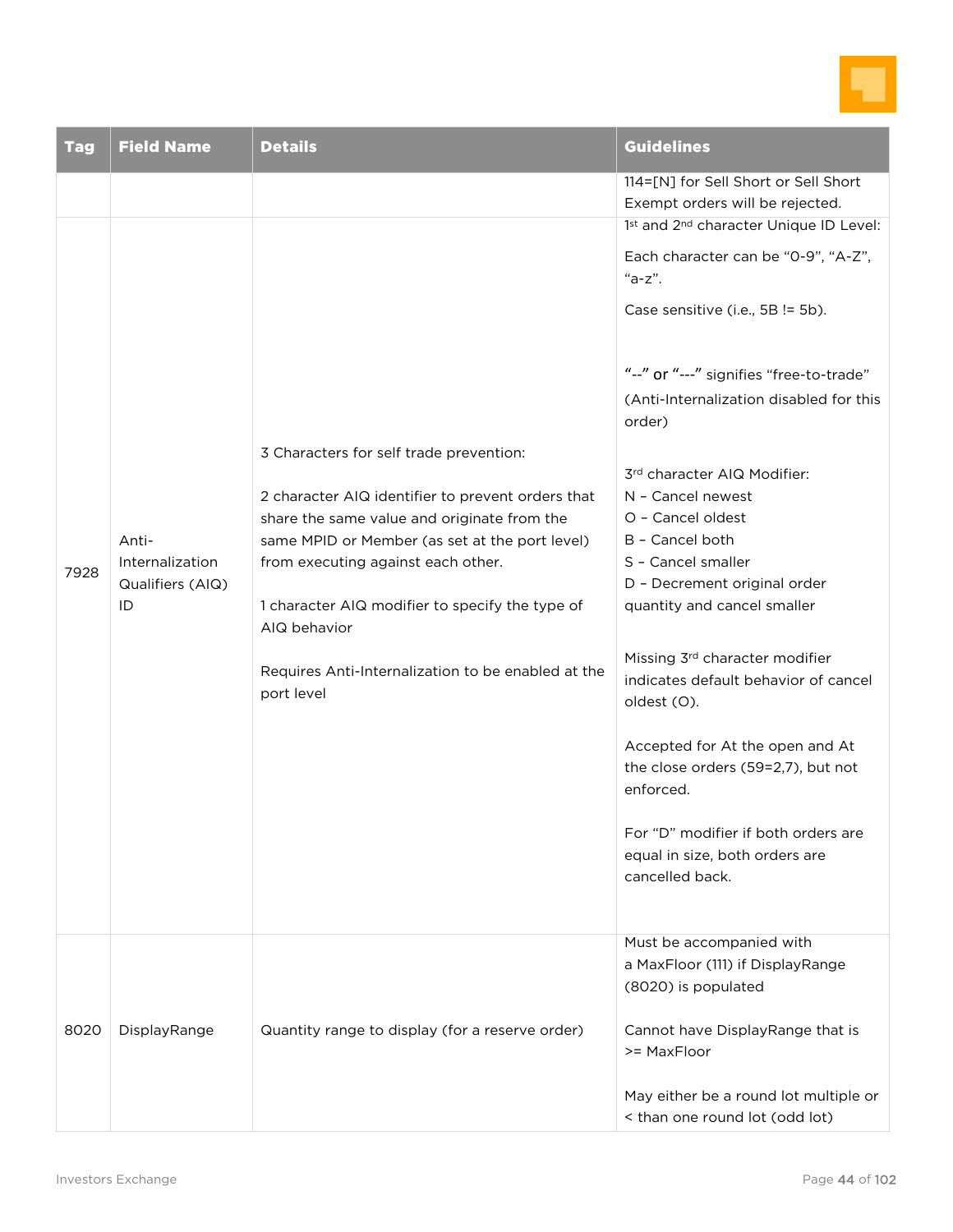

| <b>Tag</b> | <b>Field Name</b>                                  | <b>Details</b>                                                                                                                                                                                                                                                                                                                                                             | <b>Guidelines</b>                                                                                                                                                                                                                                                                                                                                                                                                                                                                                                                                                                                                                                                                                                                                                                                          |
|------------|----------------------------------------------------|----------------------------------------------------------------------------------------------------------------------------------------------------------------------------------------------------------------------------------------------------------------------------------------------------------------------------------------------------------------------------|------------------------------------------------------------------------------------------------------------------------------------------------------------------------------------------------------------------------------------------------------------------------------------------------------------------------------------------------------------------------------------------------------------------------------------------------------------------------------------------------------------------------------------------------------------------------------------------------------------------------------------------------------------------------------------------------------------------------------------------------------------------------------------------------------------|
| 7928       | Anti-<br>Internalization<br>Qualifiers (AIQ)<br>ID | 3 Characters for self trade prevention:<br>2 character AIQ identifier to prevent orders that<br>share the same value and originate from the<br>same MPID or Member (as set at the port level)<br>from executing against each other.<br>1 character AIQ modifier to specify the type of<br>AIQ behavior<br>Requires Anti-Internalization to be enabled at the<br>port level | 114=[N] for Sell Short or Sell Short<br>Exempt orders will be rejected.<br>1st and 2 <sup>nd</sup> character Unique ID Level:<br>Each character can be "0-9", "A-Z",<br>"a-z".<br>Case sensitive (i.e., 5B != 5b).<br>"--" or "---" signifies "free-to-trade"<br>(Anti-Internalization disabled for this<br>order)<br>3rd character AIQ Modifier:<br>N - Cancel newest<br>O - Cancel oldest<br>B - Cancel both<br>S - Cancel smaller<br>D - Decrement original order<br>quantity and cancel smaller<br>Missing 3rd character modifier<br>indicates default behavior of cancel<br>oldest (O).<br>Accepted for At the open and At<br>the close orders (59=2,7), but not<br>enforced.<br>For "D" modifier if both orders are<br>equal in size, both orders are<br>cancelled back.<br>Must be accompanied with |
| 8020       | DisplayRange                                       | Quantity range to display (for a reserve order)                                                                                                                                                                                                                                                                                                                            | a MaxFloor (111) if DisplayRange<br>(8020) is populated<br>Cannot have DisplayRange that is<br>>= MaxFloor<br>May either be a round lot multiple or<br>< than one round lot (odd lot)                                                                                                                                                                                                                                                                                                                                                                                                                                                                                                                                                                                                                      |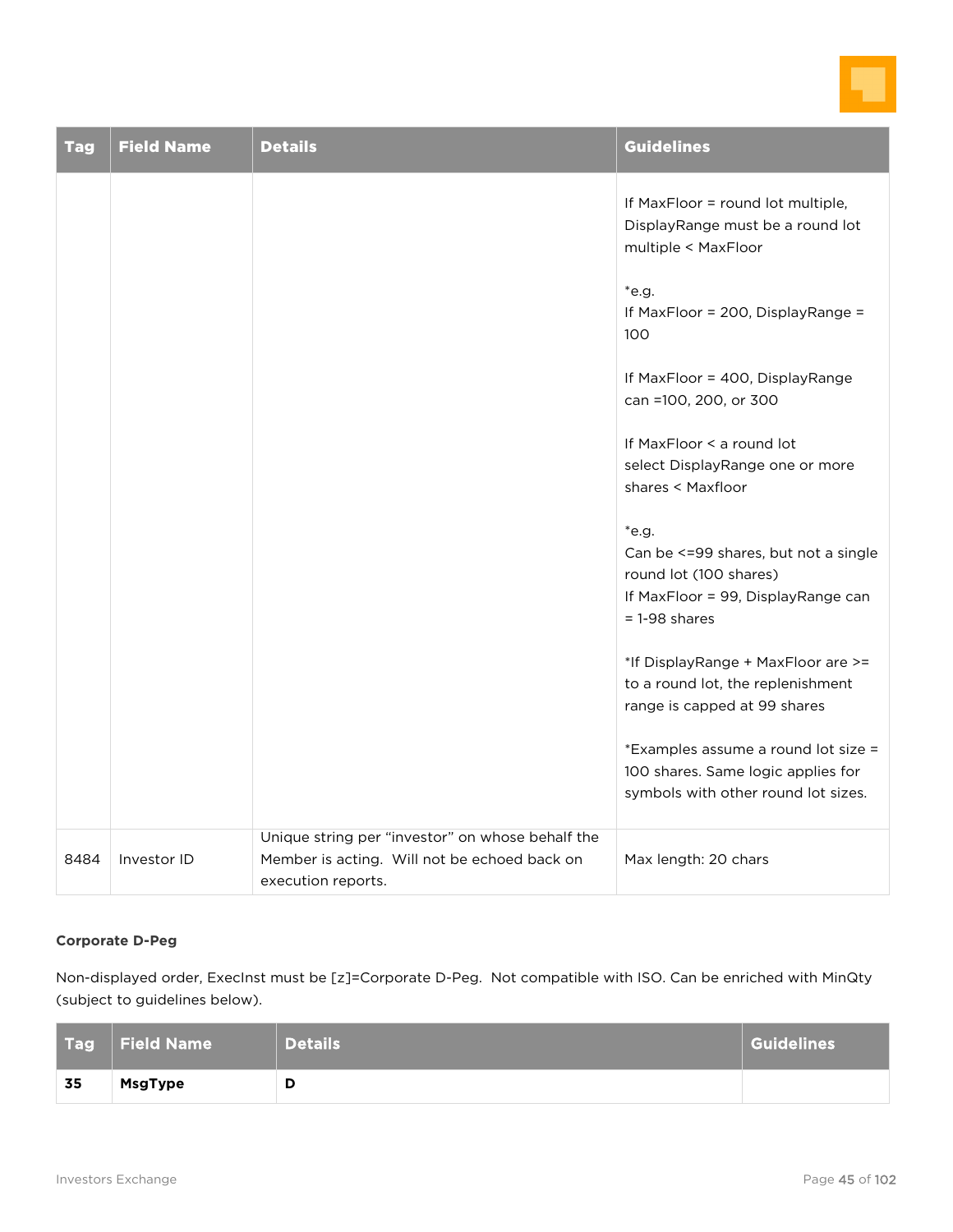

| <b>Tag</b> | <b>Field Name</b> | <b>Details</b>                                                                                                         | <b>Guidelines</b>                                                                                                                    |
|------------|-------------------|------------------------------------------------------------------------------------------------------------------------|--------------------------------------------------------------------------------------------------------------------------------------|
|            |                   |                                                                                                                        | If MaxFloor = round lot multiple,<br>DisplayRange must be a round lot<br>multiple < MaxFloor                                         |
|            |                   |                                                                                                                        | *e.g.<br>If MaxFloor = 200, DisplayRange =<br>100                                                                                    |
|            |                   |                                                                                                                        | If MaxFloor = 400, DisplayRange<br>can =100, 200, or 300                                                                             |
|            |                   |                                                                                                                        | If MaxFloor < a round lot<br>select DisplayRange one or more<br>shares < Maxfloor                                                    |
|            |                   |                                                                                                                        | $*$ e.g.<br>Can be <= 99 shares, but not a single<br>round lot (100 shares)<br>If MaxFloor = 99, DisplayRange can<br>$= 1-98$ shares |
|            |                   |                                                                                                                        | *If DisplayRange + MaxFloor are >=<br>to a round lot, the replenishment<br>range is capped at 99 shares                              |
|            |                   |                                                                                                                        | *Examples assume a round lot size =<br>100 shares. Same logic applies for<br>symbols with other round lot sizes.                     |
| 8484       | Investor ID       | Unique string per "investor" on whose behalf the<br>Member is acting. Will not be echoed back on<br>execution reports. | Max length: 20 chars                                                                                                                 |

#### **Corporate D-Peg**

Non-displayed order, ExecInst must be [z]=Corporate D-Peg. Not compatible with ISO. Can be enriched with MinQty (subject to guidelines below).

|    | $\mid$ Tag $\mid$ Field Name $\mid$ | Details | Guidelines |
|----|-------------------------------------|---------|------------|
| 35 | <b>MsgType</b>                      | D       |            |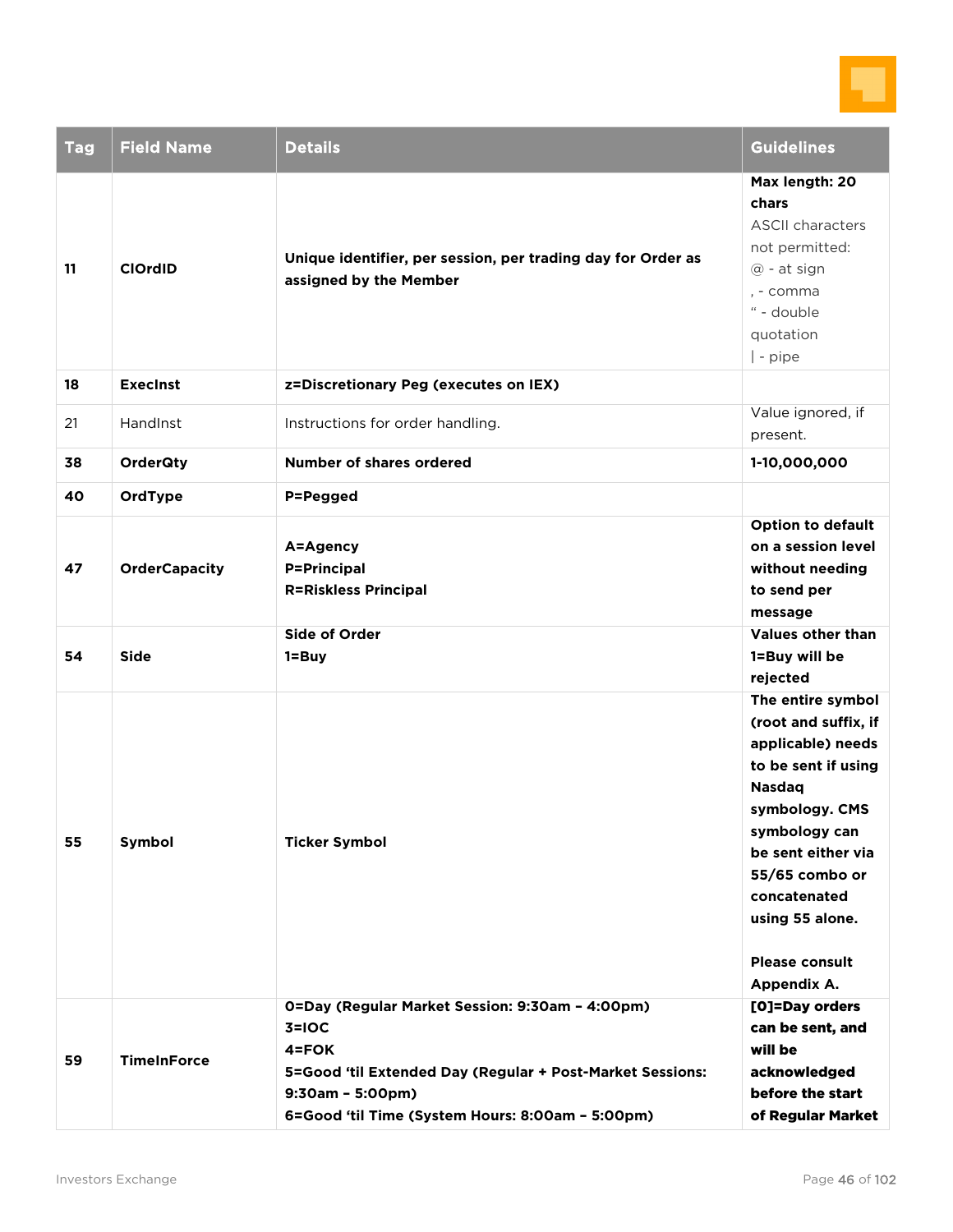

| <b>Tag</b> | <b>Field Name</b>    | <b>Details</b>                                                                                                                                                                                                 | <b>Guidelines</b>                                                                                                                                                                                                                                            |
|------------|----------------------|----------------------------------------------------------------------------------------------------------------------------------------------------------------------------------------------------------------|--------------------------------------------------------------------------------------------------------------------------------------------------------------------------------------------------------------------------------------------------------------|
| 11         | <b>ClOrdID</b>       | Unique identifier, per session, per trading day for Order as<br>assigned by the Member                                                                                                                         | Max length: 20<br>chars<br><b>ASCII characters</b><br>not permitted:<br>@ - at sign<br>, - comma<br>" - double<br>quotation<br>$ $ - pipe                                                                                                                    |
| 18         | <b>Execinst</b>      | z=Discretionary Peg (executes on IEX)                                                                                                                                                                          |                                                                                                                                                                                                                                                              |
| 21         | HandInst             | Instructions for order handling.                                                                                                                                                                               | Value ignored, if<br>present.                                                                                                                                                                                                                                |
| 38         | <b>OrderQty</b>      | <b>Number of shares ordered</b>                                                                                                                                                                                | 1-10,000,000                                                                                                                                                                                                                                                 |
| 40         | OrdType              | P=Pegged                                                                                                                                                                                                       |                                                                                                                                                                                                                                                              |
| 47         | <b>OrderCapacity</b> | A=Agency<br><b>P=Principal</b><br><b>R=Riskless Principal</b>                                                                                                                                                  | <b>Option to default</b><br>on a session level<br>without needing<br>to send per<br>message                                                                                                                                                                  |
| 54         | <b>Side</b>          | <b>Side of Order</b><br>$1 = Buy$                                                                                                                                                                              | <b>Values other than</b><br>1=Buy will be<br>rejected                                                                                                                                                                                                        |
| 55         | Symbol               | <b>Ticker Symbol</b>                                                                                                                                                                                           | The entire symbol<br>(root and suffix, if<br>applicable) needs<br>to be sent if using<br><b>Nasdaq</b><br>symbology. CMS<br>symbology can<br>be sent either via<br>55/65 combo or<br>concatenated<br>using 55 alone.<br><b>Please consult</b><br>Appendix A. |
| 59         | <b>TimeInForce</b>   | 0=Day (Regular Market Session: 9:30am - 4:00pm)<br>$3=10C$<br>$4 = FOK$<br>5=Good 'til Extended Day (Regular + Post-Market Sessions:<br>$9:30am - 5:00pm)$<br>6=Good 'til Time (System Hours: 8:00am - 5:00pm) | [O]=Day orders<br>can be sent, and<br>will be<br>acknowledged<br>before the start<br>of Regular Market                                                                                                                                                       |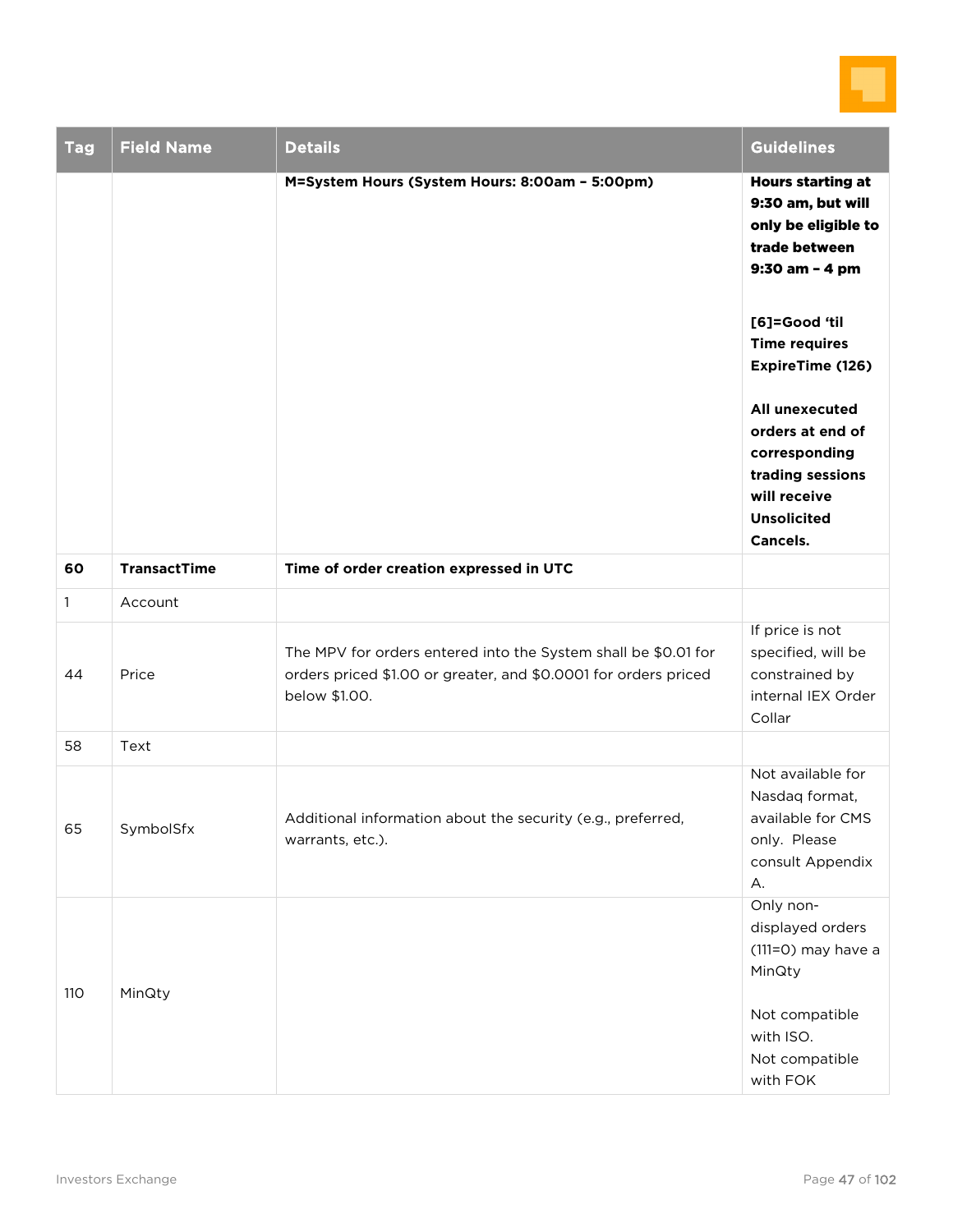

| <b>Tag</b>   | <b>Field Name</b>   | <b>Details</b>                                                                                                                                     | <b>Guidelines</b>                                                                                                                |
|--------------|---------------------|----------------------------------------------------------------------------------------------------------------------------------------------------|----------------------------------------------------------------------------------------------------------------------------------|
|              |                     | M=System Hours (System Hours: 8:00am - 5:00pm)                                                                                                     | <b>Hours starting at</b><br>9:30 am, but will<br>only be eligible to<br>trade between<br>9:30 am - 4 pm                          |
|              |                     |                                                                                                                                                    | [6]=Good 'til<br><b>Time requires</b><br>ExpireTime (126)                                                                        |
|              |                     |                                                                                                                                                    | All unexecuted<br>orders at end of<br>corresponding<br>trading sessions<br>will receive<br><b>Unsolicited</b><br><b>Cancels.</b> |
| 60           | <b>TransactTime</b> | Time of order creation expressed in UTC                                                                                                            |                                                                                                                                  |
| $\mathbf{1}$ | Account             |                                                                                                                                                    |                                                                                                                                  |
| 44           | Price               | The MPV for orders entered into the System shall be \$0.01 for<br>orders priced \$1.00 or greater, and \$0.0001 for orders priced<br>below \$1.00. | If price is not<br>specified, will be<br>constrained by<br>internal IEX Order<br>Collar                                          |
| 58           | Text                |                                                                                                                                                    |                                                                                                                                  |
| 65           | SymbolSfx           | Additional information about the security (e.g., preferred,<br>warrants, etc.).                                                                    | Not available for<br>Nasdaq format,<br>available for CMS<br>only. Please<br>consult Appendix<br>А.                               |
| <b>110</b>   | MinQty              |                                                                                                                                                    | Only non-<br>displayed orders<br>(111=0) may have a<br>MinQty                                                                    |
|              |                     |                                                                                                                                                    | Not compatible<br>with ISO.<br>Not compatible<br>with FOK                                                                        |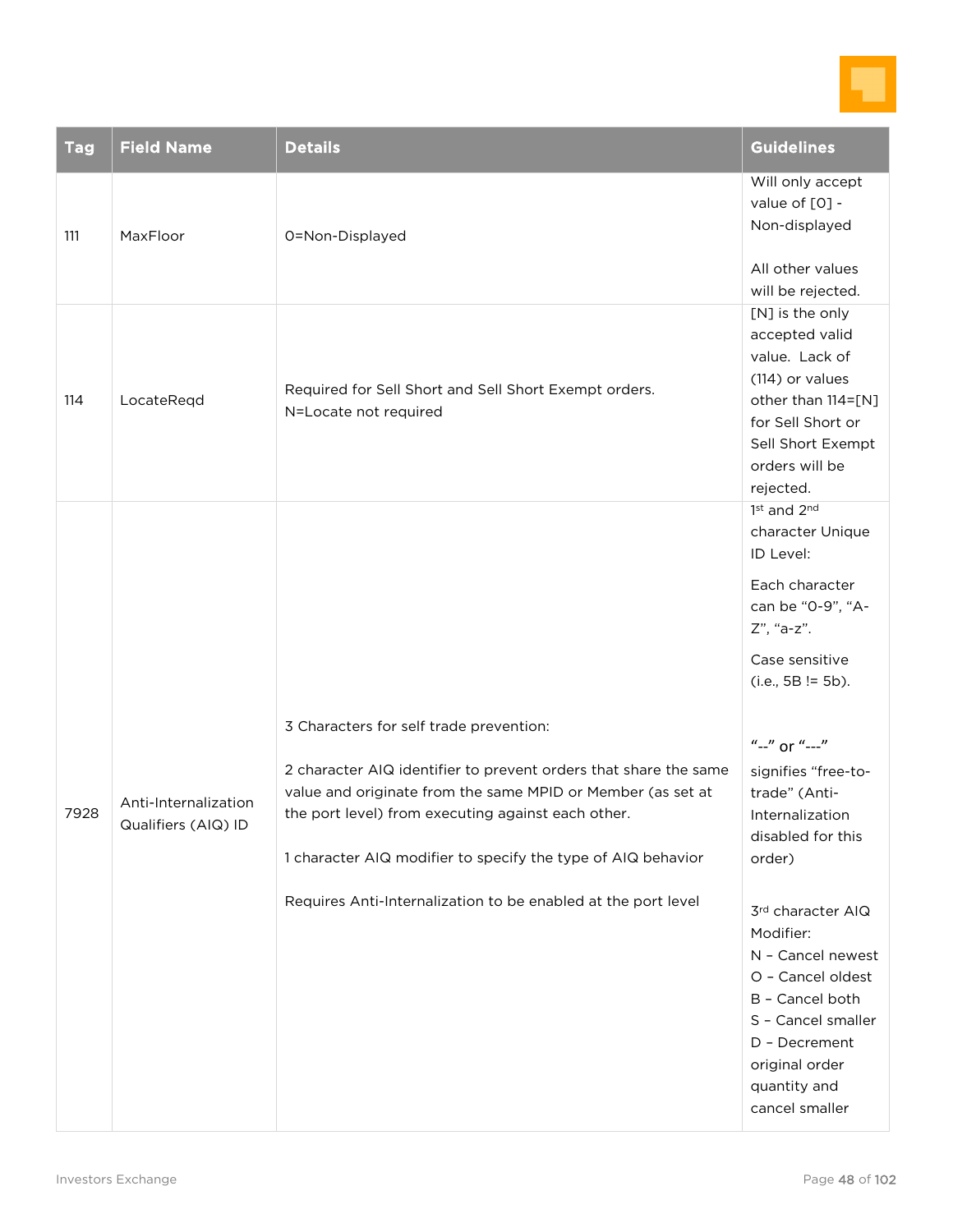

| <b>Tag</b> | <b>Field Name</b>                           | <b>Details</b>                                                                                                                                                                                                                                                                                                                                                    | <b>Guidelines</b>                                                                                                                                                                                                                                                                                                                                                                                                                               |
|------------|---------------------------------------------|-------------------------------------------------------------------------------------------------------------------------------------------------------------------------------------------------------------------------------------------------------------------------------------------------------------------------------------------------------------------|-------------------------------------------------------------------------------------------------------------------------------------------------------------------------------------------------------------------------------------------------------------------------------------------------------------------------------------------------------------------------------------------------------------------------------------------------|
| 111        | MaxFloor                                    | 0=Non-Displayed                                                                                                                                                                                                                                                                                                                                                   | Will only accept<br>value of [0] -<br>Non-displayed<br>All other values<br>will be rejected.                                                                                                                                                                                                                                                                                                                                                    |
| 114        | LocateReqd                                  | Required for Sell Short and Sell Short Exempt orders.<br>N=Locate not required                                                                                                                                                                                                                                                                                    | [N] is the only<br>accepted valid<br>value. Lack of<br>(114) or values<br>other than 114=[N]<br>for Sell Short or<br>Sell Short Exempt<br>orders will be<br>rejected.                                                                                                                                                                                                                                                                           |
| 7928       | Anti-Internalization<br>Qualifiers (AIQ) ID | 3 Characters for self trade prevention:<br>2 character AIQ identifier to prevent orders that share the same<br>value and originate from the same MPID or Member (as set at<br>the port level) from executing against each other.<br>1 character AIQ modifier to specify the type of AIQ behavior<br>Requires Anti-Internalization to be enabled at the port level | 1st and 2nd<br>character Unique<br>ID Level:<br>Each character<br>can be "0-9", "A-<br>Z", "a-z".<br>Case sensitive<br>$(i.e., 5B != 5b).$<br>"--" or "---"<br>signifies "free-to-<br>trade" (Anti-<br>Internalization<br>disabled for this<br>order)<br>3rd character AIQ<br>Modifier:<br>N - Cancel newest<br>O - Cancel oldest<br>B - Cancel both<br>S - Cancel smaller<br>D - Decrement<br>original order<br>quantity and<br>cancel smaller |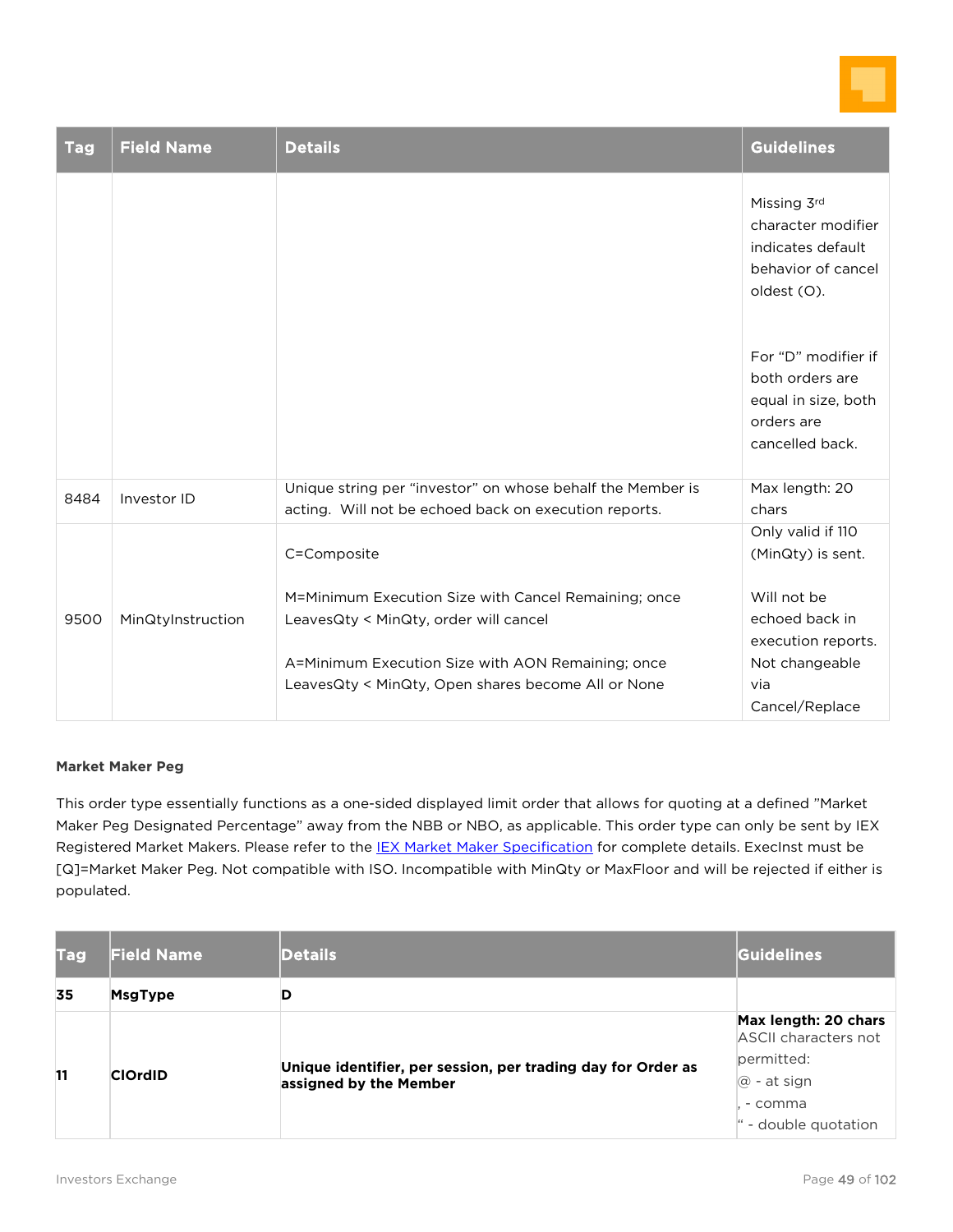

| <b>Tag</b> | <b>Field Name</b> | <b>Details</b>                                                                                                      | <b>Guidelines</b>                                                                              |
|------------|-------------------|---------------------------------------------------------------------------------------------------------------------|------------------------------------------------------------------------------------------------|
|            |                   |                                                                                                                     | Missing 3rd<br>character modifier<br>indicates default<br>behavior of cancel<br>oldest (O).    |
|            |                   |                                                                                                                     | For "D" modifier if<br>both orders are<br>equal in size, both<br>orders are<br>cancelled back. |
| 8484       | Investor ID       | Unique string per "investor" on whose behalf the Member is<br>acting. Will not be echoed back on execution reports. | Max length: 20<br>chars                                                                        |
|            |                   | C=Composite                                                                                                         | Only valid if 110<br>(MinQty) is sent.                                                         |
| 9500       | MinQtyInstruction | M=Minimum Execution Size with Cancel Remaining; once<br>LeavesQty < MinQty, order will cancel                       | Will not be<br>echoed back in<br>execution reports.                                            |
|            |                   | A=Minimum Execution Size with AON Remaining; once<br>LeavesQty < MinQty, Open shares become All or None             | Not changeable<br>via<br>Cancel/Replace                                                        |

#### **Market Maker Peg**

This order type essentially functions as a one-sided displayed limit order that allows for quoting at a defined "Market Maker Peg Designated Percentage" away from the NBB or NBO, as applicable. This order type can only be sent by IEX Registered Market Makers. Please refer to the **IEX Market Maker Specification** for complete details. ExecInst must be [Q]=Market Maker Peg. Not compatible with ISO. Incompatible with MinQty or MaxFloor and will be rejected if either is populated.

| <b>Tag</b> | <b>Field Name</b>                                                                                        | <b>Details</b> | Guidelines                                   |
|------------|----------------------------------------------------------------------------------------------------------|----------------|----------------------------------------------|
| 35         | <b>MsgType</b>                                                                                           |                |                                              |
|            |                                                                                                          |                | Max length: 20 chars<br>ASCII characters not |
|            | Unique identifier, per session, per trading day for Order as<br><b>ClOrdID</b><br>assigned by the Member |                | permitted:                                   |
| 11         |                                                                                                          |                | $\omega$ - at sign                           |
|            |                                                                                                          |                | - comma                                      |
|            |                                                                                                          |                | - double quotation                           |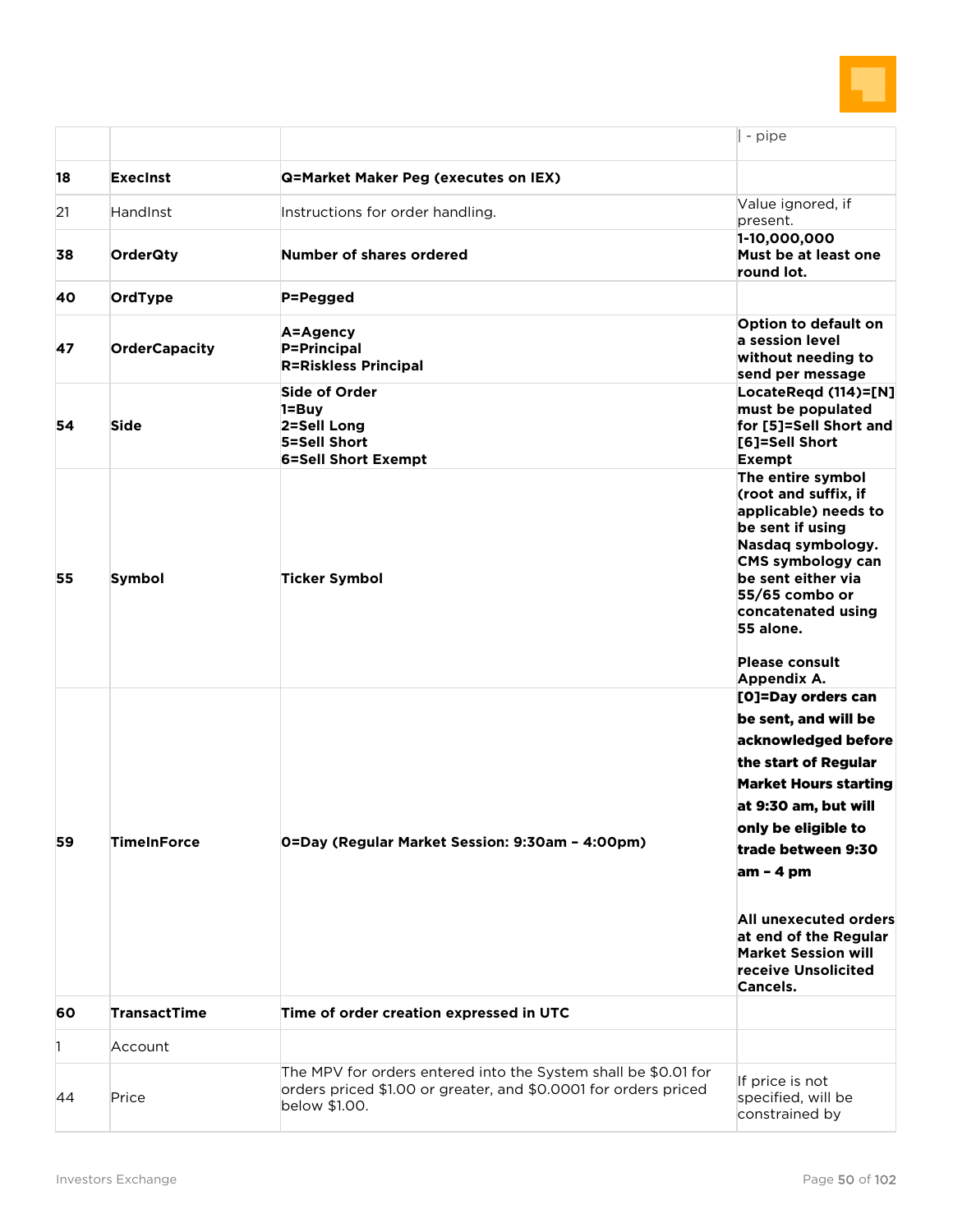

|    |                      |                                                                                                                                                    | - pipe                                                                                                                                                                                                                                                                                                                                  |
|----|----------------------|----------------------------------------------------------------------------------------------------------------------------------------------------|-----------------------------------------------------------------------------------------------------------------------------------------------------------------------------------------------------------------------------------------------------------------------------------------------------------------------------------------|
| 18 | <b>Execinst</b>      | <b>Q=Market Maker Peg (executes on IEX)</b>                                                                                                        |                                                                                                                                                                                                                                                                                                                                         |
| 21 | HandInst             | Instructions for order handling.                                                                                                                   | Value ignored, if<br>present.                                                                                                                                                                                                                                                                                                           |
| 38 | <b>OrderQty</b>      | Number of shares ordered                                                                                                                           | 1-10,000,000<br>Must be at least one<br>round lot.                                                                                                                                                                                                                                                                                      |
| 40 | OrdType              | P=Pegged                                                                                                                                           |                                                                                                                                                                                                                                                                                                                                         |
| 47 | <b>OrderCapacity</b> | A=Agency<br><b>P=Principal</b><br><b>R=Riskless Principal</b>                                                                                      | Option to default on<br>a session level<br>without needing to<br>send per message                                                                                                                                                                                                                                                       |
| 54 | <b>Side</b>          | Side of Order<br>$1 = Buy$<br>2=Sell Long<br>5=Sell Short<br><b>6=Sell Short Exempt</b>                                                            | LocateRegd (114)=[N]<br>must be populated<br>for [5]=Sell Short and<br>[6]=Sell Short<br><b>Exempt</b>                                                                                                                                                                                                                                  |
| 55 | Symbol               | <b>Ticker Symbol</b>                                                                                                                               | The entire symbol<br>(root and suffix, if<br>applicable) needs to<br>be sent if using<br>Nasdaq symbology.<br><b>CMS symbology can</b><br>be sent either via<br>55/65 combo or<br>concatenated using<br>55 alone.<br><b>Please consult</b><br>Appendix A.                                                                               |
| 59 | <b>TimeInForce</b>   | 0=Day (Regular Market Session: 9:30am - 4:00pm)                                                                                                    | [O]=Day orders can<br>be sent, and will be<br>acknowledged before<br>the start of Regular<br><b>Market Hours starting</b><br>at 9:30 am, but will<br>only be eligible to<br>trade between 9:30<br>$am - 4 pm$<br>All unexecuted orders<br>at end of the Regular<br><b>Market Session will</b><br>receive Unsolicited<br><b>Cancels.</b> |
| 60 | <b>TransactTime</b>  | Time of order creation expressed in UTC                                                                                                            |                                                                                                                                                                                                                                                                                                                                         |
| 1  | Account              |                                                                                                                                                    |                                                                                                                                                                                                                                                                                                                                         |
| 44 | Price                | The MPV for orders entered into the System shall be \$0.01 for<br>orders priced \$1.00 or greater, and \$0.0001 for orders priced<br>below \$1.00. | If price is not<br>specified, will be<br>constrained by                                                                                                                                                                                                                                                                                 |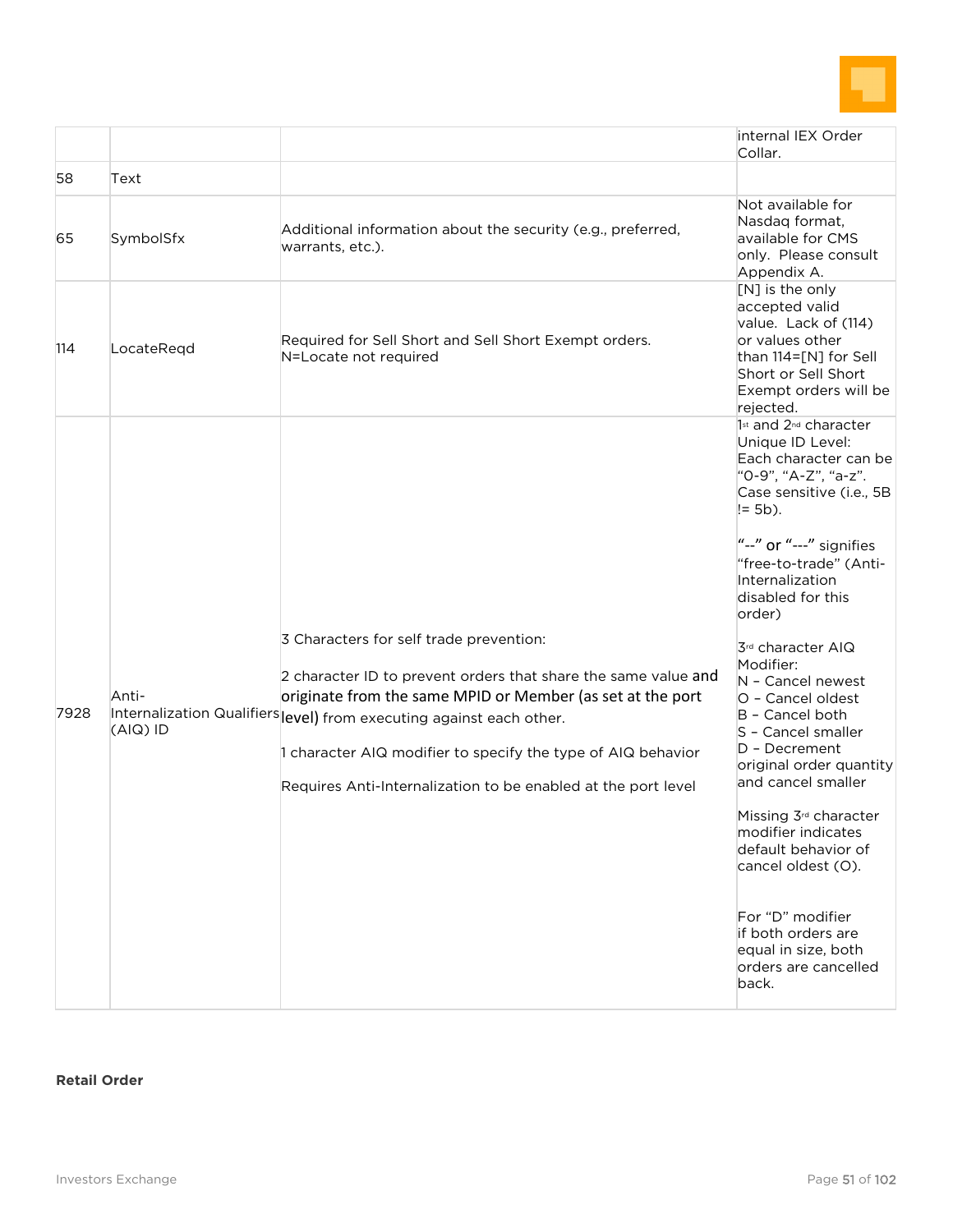

|                   |                                                                                                                                                                                                                                                                                                          | internal IEX Order<br>Collar.                                                                                                                                                                                                                                                                                                                                                                 |
|-------------------|----------------------------------------------------------------------------------------------------------------------------------------------------------------------------------------------------------------------------------------------------------------------------------------------------------|-----------------------------------------------------------------------------------------------------------------------------------------------------------------------------------------------------------------------------------------------------------------------------------------------------------------------------------------------------------------------------------------------|
| Text              |                                                                                                                                                                                                                                                                                                          |                                                                                                                                                                                                                                                                                                                                                                                               |
| SymbolSfx         | Additional information about the security (e.g., preferred,<br>warrants, etc.).                                                                                                                                                                                                                          | Not available for<br>Nasdag format,<br>available for CMS<br>only. Please consult<br>Appendix A.                                                                                                                                                                                                                                                                                               |
| LocateRegd        | Required for Sell Short and Sell Short Exempt orders.<br>N=Locate not required                                                                                                                                                                                                                           | [N] is the only<br>accepted valid<br>value. Lack of (114)<br>or values other<br>than $114=[N]$ for Sell<br>Short or Sell Short<br>Exempt orders will be<br>rejected.                                                                                                                                                                                                                          |
|                   |                                                                                                                                                                                                                                                                                                          | 1st and 2 <sup>nd</sup> character<br>Unique ID Level:<br>Each character can be<br>"0-9", "A-Z", "a-z".<br>Case sensitive (i.e., 5B<br>$= 5b$ ).<br>"--" or "---" signifies<br>"free-to-trade" (Anti-<br>Internalization<br>disabled for this<br>order)                                                                                                                                        |
| Anti-<br>(AIQ) ID | 3 Characters for self trade prevention:<br>2 character ID to prevent orders that share the same value and<br>originate from the same MPID or Member (as set at the port<br>1 character AIQ modifier to specify the type of AIQ behavior<br>Requires Anti-Internalization to be enabled at the port level | 3rd character AIQ<br>Modifier:<br>N - Cancel newest<br>O - Cancel oldest<br>B - Cancel both<br>S - Cancel smaller<br>D - Decrement<br>original order quantity<br>and cancel smaller<br>Missing 3 <sup>rd</sup> character<br>modifier indicates<br>default behavior of<br>cancel oldest (O).<br>For "D" modifier<br>if both orders are<br>equal in size, both<br>orders are cancelled<br>back. |
|                   |                                                                                                                                                                                                                                                                                                          | Internalization Qualifiers evel) from executing against each other.                                                                                                                                                                                                                                                                                                                           |

#### **Retail Order**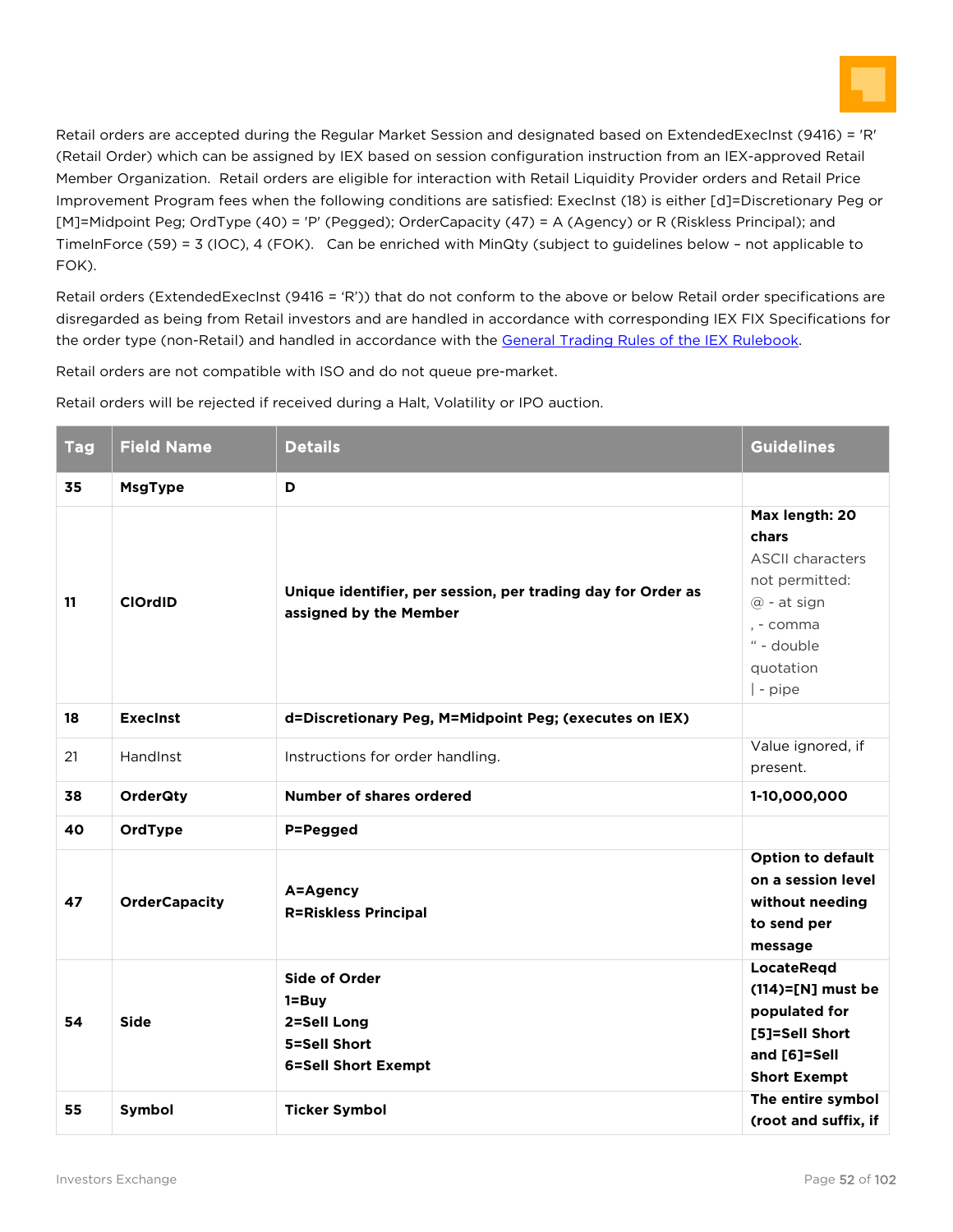

Retail orders are accepted during the Regular Market Session and designated based on ExtendedExecInst (9416) = 'R' (Retail Order) which can be assigned by IEX based on session configuration instruction from an IEX-approved Retail Member Organization. Retail orders are eligible for interaction with Retail Liquidity Provider orders and Retail Price Improvement Program fees when the following conditions are satisfied: ExecInst (18) is either [d]=Discretionary Peg or [M]=Midpoint Peg; OrdType (40) = 'P' (Pegged); OrderCapacity (47) = A (Agency) or R (Riskless Principal); and TimeInForce (59) = 3 (IOC), 4 (FOK). Can be enriched with MinQty (subject to guidelines below – not applicable to FOK).

Retail orders (ExtendedExecInst (9416 = 'R')) that do not conform to the above or below Retail order specifications are disregarded as being from Retail investors and are handled in accordance with corresponding IEX FIX Specifications for the order type (non-Retail) and handled in accordance with the [General Trading Rules of the IEX](https://iextrading.com/docs/Investors%20Exchange%20Rule%20Book.pdf) Rulebook.

Retail orders are not compatible with ISO and do not queue pre-market.

Retail orders will be rejected if received during a Halt, Volatility or IPO auction.

| <b>Tag</b> | <b>Field Name</b>    | <b>Details</b>                                                                                 | <b>Guidelines</b>                                                                                                                       |
|------------|----------------------|------------------------------------------------------------------------------------------------|-----------------------------------------------------------------------------------------------------------------------------------------|
| 35         | <b>MsgType</b>       | D                                                                                              |                                                                                                                                         |
| 11         | <b>ClOrdID</b>       | Unique identifier, per session, per trading day for Order as<br>assigned by the Member         | Max length: 20<br>chars<br><b>ASCII characters</b><br>not permitted:<br>@ - at sign<br>. - comma<br>" - double<br>quotation<br>  - pipe |
| 18         | <b>Execinst</b>      | d=Discretionary Peg, M=Midpoint Peg; (executes on IEX)                                         |                                                                                                                                         |
| 21         | HandInst             | Instructions for order handling.                                                               | Value ignored, if<br>present.                                                                                                           |
| 38         | <b>OrderQty</b>      | <b>Number of shares ordered</b>                                                                | 1-10,000,000                                                                                                                            |
| 40         | OrdType              | P=Pegged                                                                                       |                                                                                                                                         |
| 47         | <b>OrderCapacity</b> | A=Agency<br><b>R=Riskless Principal</b>                                                        | <b>Option to default</b><br>on a session level<br>without needing<br>to send per<br>message                                             |
| 54         | <b>Side</b>          | <b>Side of Order</b><br>$1 = Buy$<br>2=Sell Long<br>5=Sell Short<br><b>6=Sell Short Exempt</b> | LocateRegd<br>$(114)=$ [N] must be<br>populated for<br>[5]=Sell Short<br>and [6]=Sell<br><b>Short Exempt</b>                            |
| 55         | Symbol               | <b>Ticker Symbol</b>                                                                           | The entire symbol<br>(root and suffix, if                                                                                               |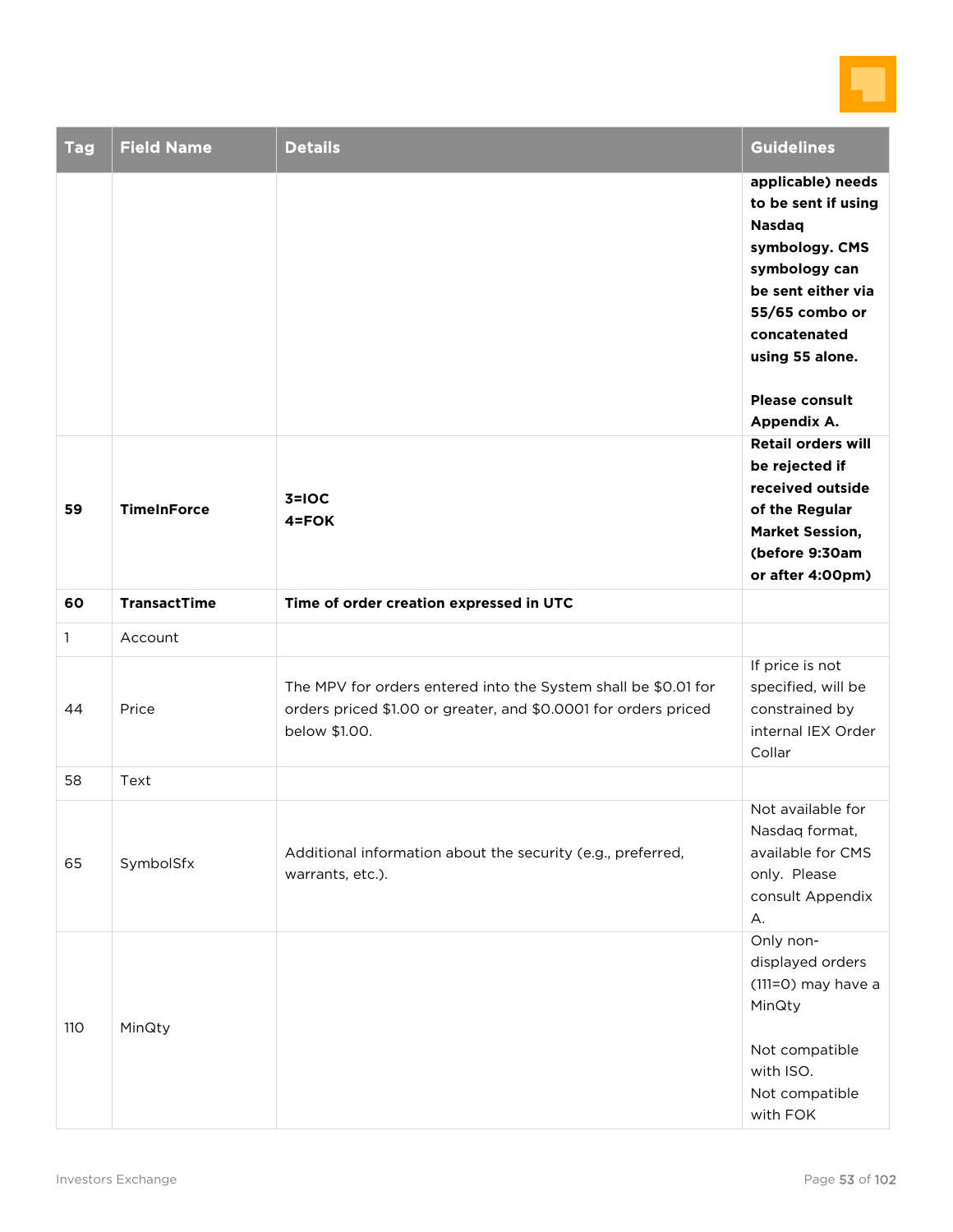

| <b>Tag</b>   | <b>Field Name</b>   | <b>Details</b>                                                                                                                                     | <b>Guidelines</b>                                                                                                                                                                                               |
|--------------|---------------------|----------------------------------------------------------------------------------------------------------------------------------------------------|-----------------------------------------------------------------------------------------------------------------------------------------------------------------------------------------------------------------|
|              |                     |                                                                                                                                                    | applicable) needs<br>to be sent if using<br><b>Nasdaq</b><br>symbology. CMS<br>symbology can<br>be sent either via<br>55/65 combo or<br>concatenated<br>using 55 alone.<br><b>Please consult</b><br>Appendix A. |
| 59           | <b>TimeInForce</b>  | $3 = 10C$<br>$4 = FOK$                                                                                                                             | <b>Retail orders will</b><br>be rejected if<br>received outside<br>of the Regular<br><b>Market Session,</b><br>(before 9:30am<br>or after 4:00pm)                                                               |
| 60           | <b>TransactTime</b> | Time of order creation expressed in UTC                                                                                                            |                                                                                                                                                                                                                 |
| $\mathbf{1}$ | Account             |                                                                                                                                                    |                                                                                                                                                                                                                 |
| 44           | Price               | The MPV for orders entered into the System shall be \$0.01 for<br>orders priced \$1.00 or greater, and \$0.0001 for orders priced<br>below \$1.00. | If price is not<br>specified, will be<br>constrained by<br>internal IEX Order<br>Collar                                                                                                                         |
| 58           | Text                |                                                                                                                                                    |                                                                                                                                                                                                                 |
| 65           | SymbolSfx           | Additional information about the security (e.g., preferred,<br>warrants, etc.).                                                                    | Not available for<br>Nasdaq format,<br>available for CMS<br>only. Please<br>consult Appendix<br>А.                                                                                                              |
| 110          | MinQty              |                                                                                                                                                    | Only non-<br>displayed orders<br>$(111=O)$ may have a<br>MinQty<br>Not compatible<br>with ISO.<br>Not compatible<br>with FOK                                                                                    |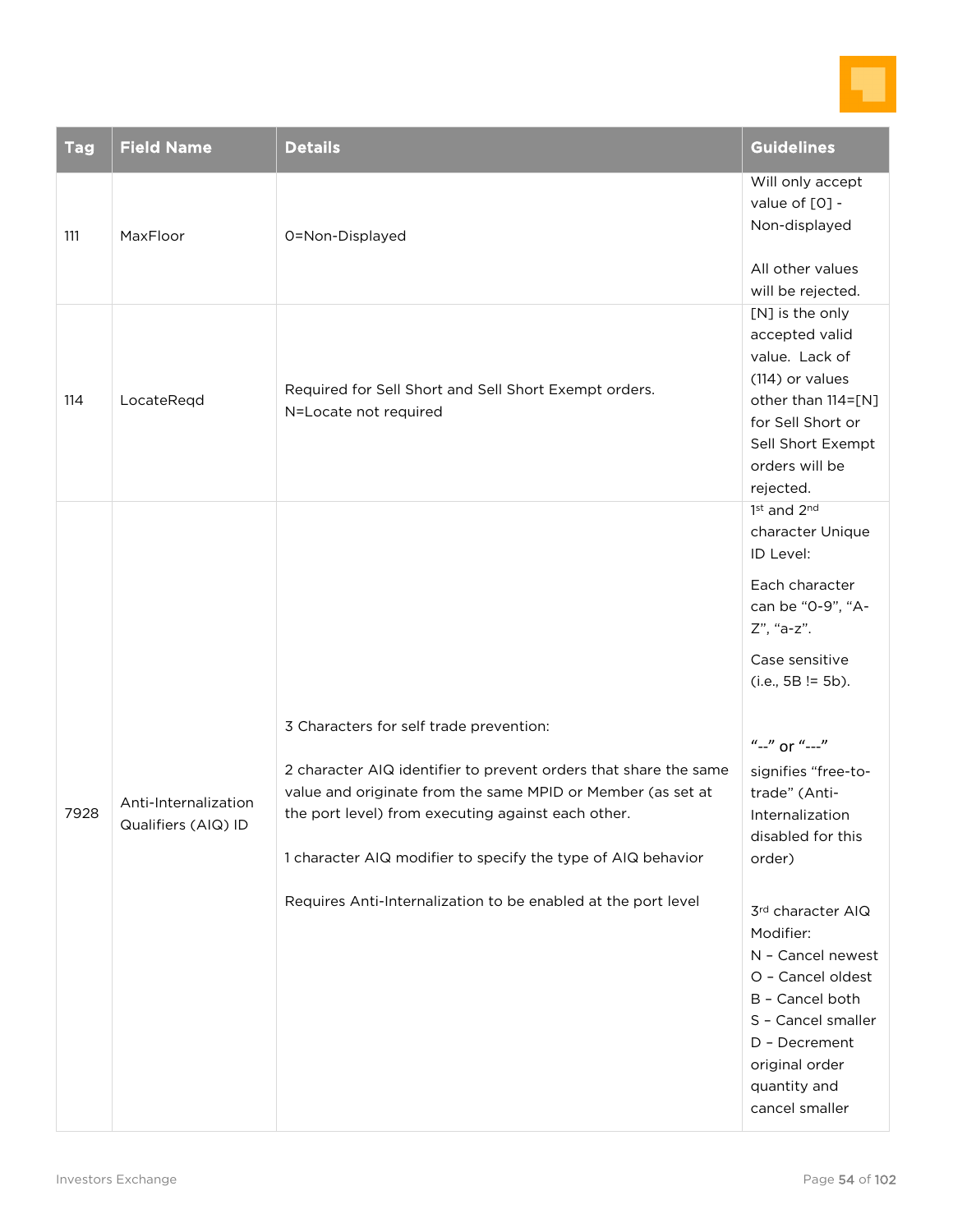

| <b>Tag</b> | <b>Field Name</b>    | <b>Details</b>                                                                                                                                                                                                                   | <b>Guidelines</b>                                                                                                                                                                                                      |
|------------|----------------------|----------------------------------------------------------------------------------------------------------------------------------------------------------------------------------------------------------------------------------|------------------------------------------------------------------------------------------------------------------------------------------------------------------------------------------------------------------------|
| 111        | MaxFloor             | 0=Non-Displayed                                                                                                                                                                                                                  | Will only accept<br>value of [0] -<br>Non-displayed<br>All other values<br>will be rejected.                                                                                                                           |
| 114        | LocateReqd           | Required for Sell Short and Sell Short Exempt orders.<br>N=Locate not required                                                                                                                                                   | [N] is the only<br>accepted valid<br>value. Lack of<br>(114) or values<br>other than 114=[N]<br>for Sell Short or<br>Sell Short Exempt<br>orders will be<br>rejected.                                                  |
| 7928       | Anti-Internalization | 3 Characters for self trade prevention:<br>2 character AIQ identifier to prevent orders that share the same<br>value and originate from the same MPID or Member (as set at<br>the port level) from executing against each other. | 1st and 2nd<br>character Unique<br>ID Level:<br>Each character<br>can be "0-9", "A-<br>Z", "a-z".<br>Case sensitive<br>$(i.e., 5B != 5b).$<br>"--" or "---"<br>signifies "free-to-<br>trade" (Anti-<br>Internalization |
|            | Qualifiers (AIQ) ID  | 1 character AIQ modifier to specify the type of AIQ behavior<br>Requires Anti-Internalization to be enabled at the port level                                                                                                    | disabled for this<br>order)<br>3rd character AIQ<br>Modifier:<br>N - Cancel newest<br>O - Cancel oldest<br>B - Cancel both<br>S - Cancel smaller<br>D - Decrement<br>original order<br>quantity and<br>cancel smaller  |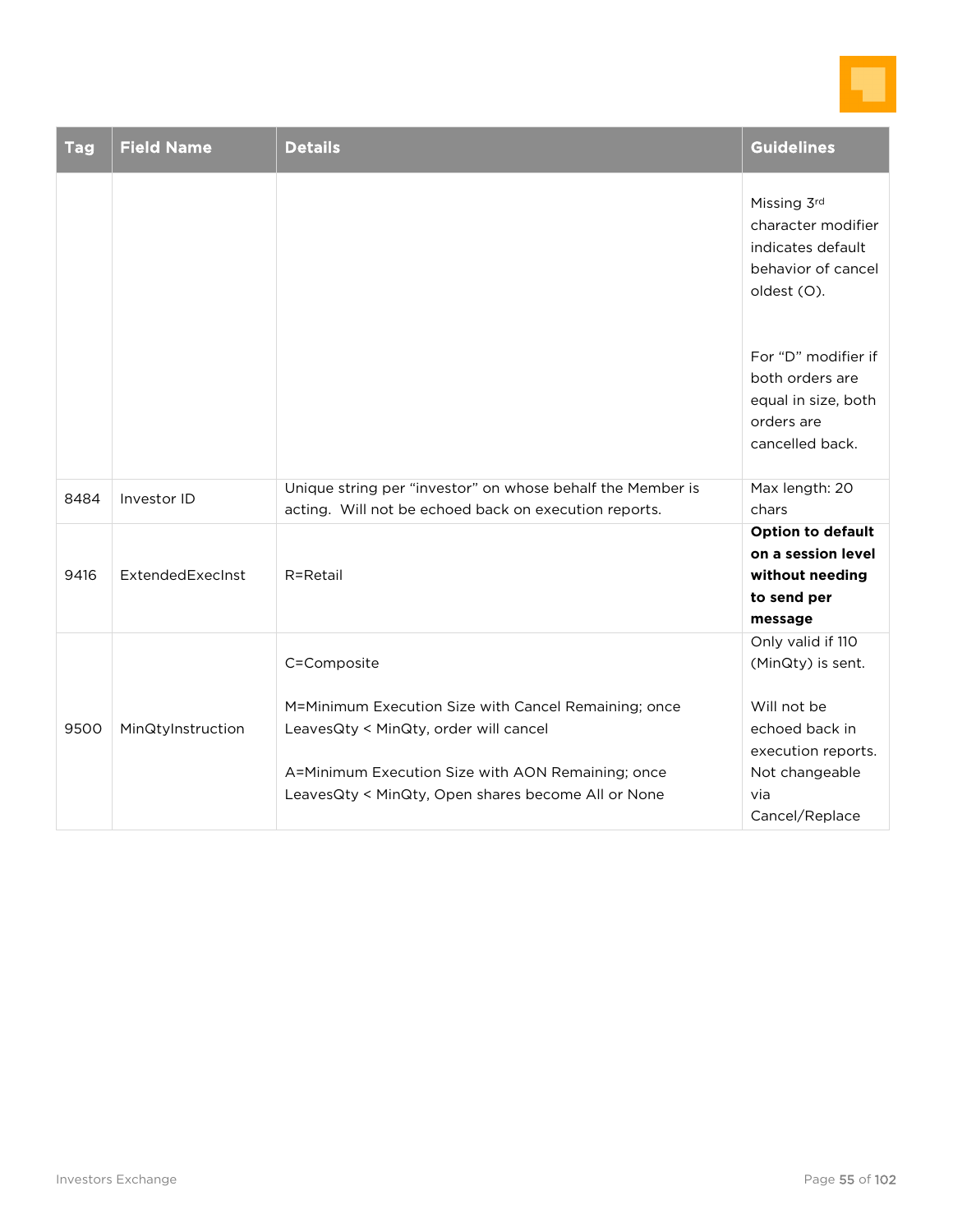

| <b>Tag</b> | <b>Field Name</b> | <b>Details</b>                                                                                                                                                                                                          | <b>Guidelines</b>                                                                                                                        |
|------------|-------------------|-------------------------------------------------------------------------------------------------------------------------------------------------------------------------------------------------------------------------|------------------------------------------------------------------------------------------------------------------------------------------|
|            |                   |                                                                                                                                                                                                                         | Missing 3rd<br>character modifier<br>indicates default<br>behavior of cancel<br>oldest (O).                                              |
|            |                   |                                                                                                                                                                                                                         | For "D" modifier if<br>both orders are<br>equal in size, both<br>orders are<br>cancelled back.                                           |
| 8484       | Investor ID       | Unique string per "investor" on whose behalf the Member is<br>acting. Will not be echoed back on execution reports.                                                                                                     | Max length: 20<br>chars                                                                                                                  |
| 9416       | ExtendedExecInst  | R=Retail                                                                                                                                                                                                                | <b>Option to default</b><br>on a session level<br>without needing<br>to send per<br>message                                              |
| 9500       | MinQtyInstruction | C=Composite<br>M=Minimum Execution Size with Cancel Remaining; once<br>LeavesQty < MinQty, order will cancel<br>A=Minimum Execution Size with AON Remaining; once<br>LeavesQty < MinQty, Open shares become All or None | Only valid if 110<br>(MinQty) is sent.<br>Will not be<br>echoed back in<br>execution reports.<br>Not changeable<br>via<br>Cancel/Replace |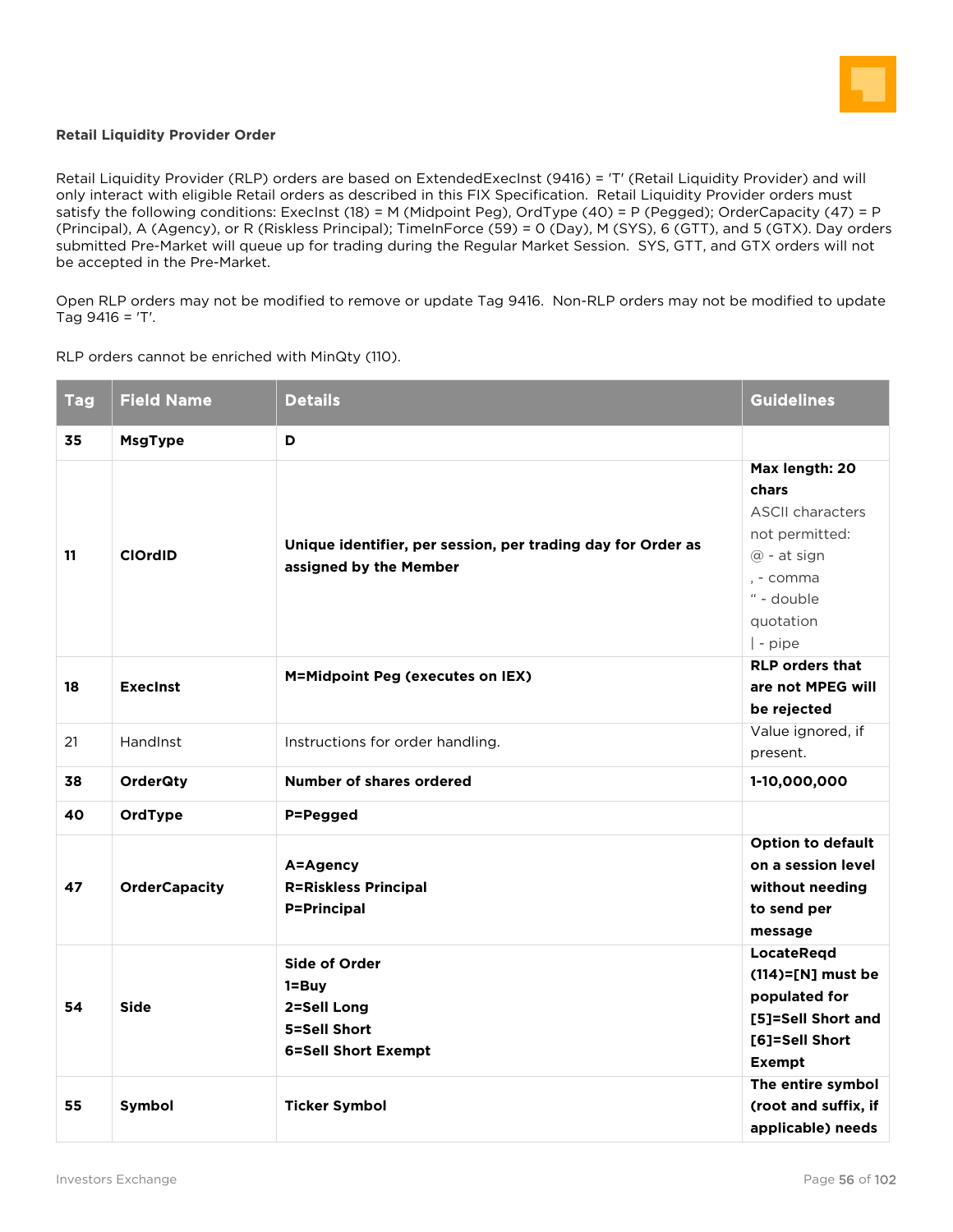

#### **Retail Liquidity Provider Order**

Retail Liquidity Provider (RLP) orders are based on ExtendedExecInst (9416) = 'T' (Retail Liquidity Provider) and will only interact with eligible Retail orders as described in this FIX Specification. Retail Liquidity Provider orders must satisfy the following conditions: ExecInst (18) = M (Midpoint Peg), OrdType (40) = P (Pegged); OrderCapacity (47) = P (Principal), A (Agency), or R (Riskless Principal); TimeInForce (59) = 0 (Day), M (SYS), 6 (GTT), and 5 (GTX). Day orders submitted Pre-Market will queue up for trading during the Regular Market Session. SYS, GTT, and GTX orders will not be accepted in the Pre-Market.

Open RLP orders may not be modified to remove or update Tag 9416. Non-RLP orders may not be modified to update Tag 9416 = 'T'.

RLP orders cannot be enriched with MinQty (110).

| <b>Tag</b> | <b>Field Name</b>    | <b>Details</b>                                                                          | <b>Guidelines</b>                                                                                                                       |
|------------|----------------------|-----------------------------------------------------------------------------------------|-----------------------------------------------------------------------------------------------------------------------------------------|
| 35         | <b>MsgType</b>       | D                                                                                       |                                                                                                                                         |
| 11         | <b>ClOrdID</b>       | Unique identifier, per session, per trading day for Order as<br>assigned by the Member  | Max length: 20<br>chars<br><b>ASCII characters</b><br>not permitted:<br>@ - at sign<br>, - comma<br>" - double<br>quotation<br>  - pipe |
| 18         | <b>Execinst</b>      | M=Midpoint Peg (executes on IEX)                                                        | <b>RLP orders that</b><br>are not MPEG will<br>be rejected                                                                              |
| 21         | HandInst             | Instructions for order handling.                                                        | Value ignored, if<br>present.                                                                                                           |
| 38         | <b>OrderQty</b>      | <b>Number of shares ordered</b>                                                         | 1-10,000,000                                                                                                                            |
| 40         | OrdType              | P=Pegged                                                                                |                                                                                                                                         |
| 47         | <b>OrderCapacity</b> | A=Agency<br><b>R=Riskless Principal</b><br><b>P=Principal</b>                           | <b>Option to default</b><br>on a session level<br>without needing<br>to send per<br>message                                             |
| 54         | <b>Side</b>          | Side of Order<br>$1 = Buy$<br>2=Sell Long<br>5=Sell Short<br><b>6=Sell Short Exempt</b> | LocateReqd<br>$(114)=$ [N] must be<br>populated for<br>[5]=Sell Short and<br>[6]=Sell Short<br><b>Exempt</b>                            |
| 55         | Symbol               | <b>Ticker Symbol</b>                                                                    | The entire symbol<br>(root and suffix, if<br>applicable) needs                                                                          |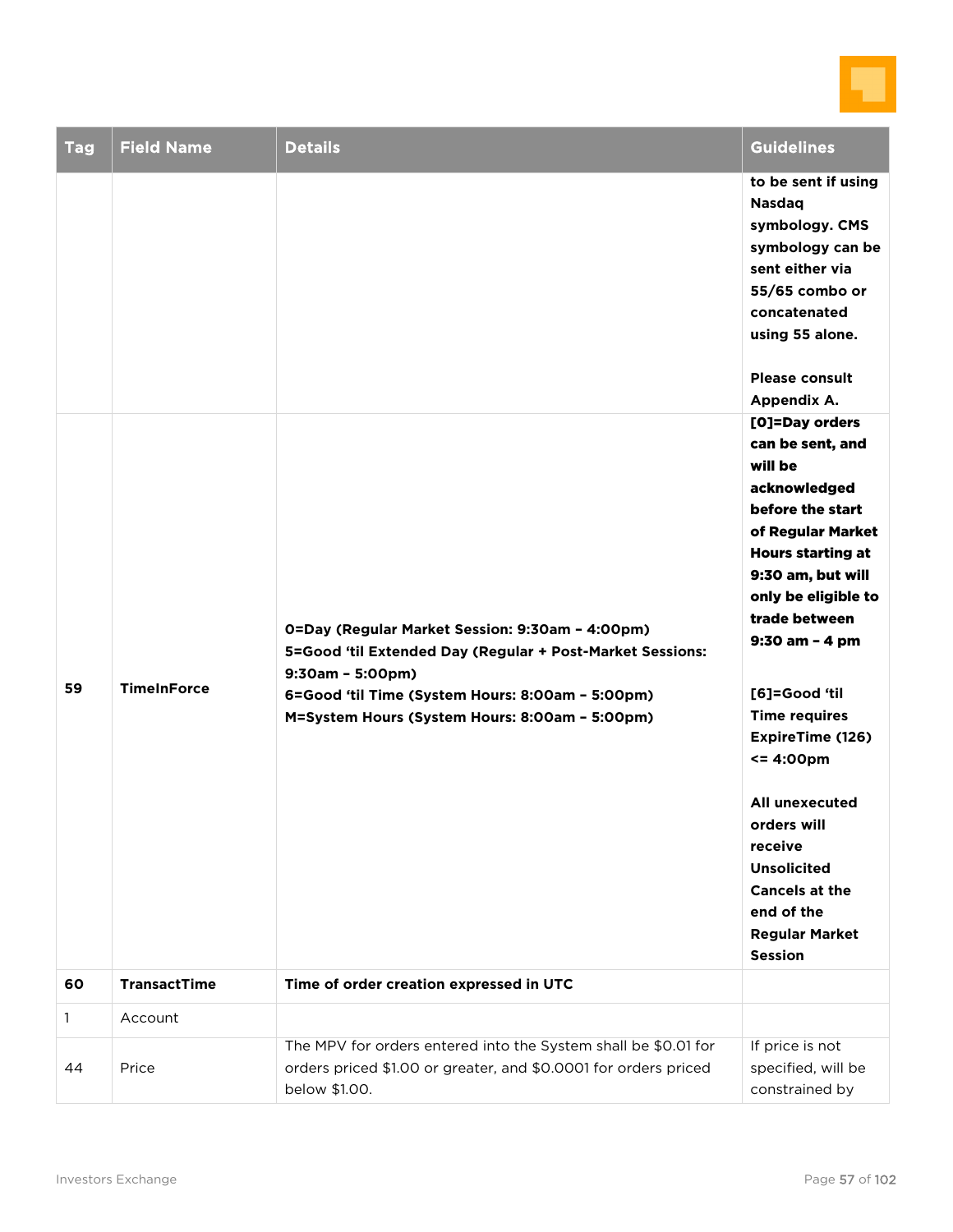

| <b>Tag</b>   | <b>Field Name</b>   | <b>Details</b>                                                                                                                                                                                                                           | <b>Guidelines</b>                                                                                                                                                                                                                                                                                                                                                                                                                                      |
|--------------|---------------------|------------------------------------------------------------------------------------------------------------------------------------------------------------------------------------------------------------------------------------------|--------------------------------------------------------------------------------------------------------------------------------------------------------------------------------------------------------------------------------------------------------------------------------------------------------------------------------------------------------------------------------------------------------------------------------------------------------|
|              |                     |                                                                                                                                                                                                                                          | to be sent if using<br><b>Nasdaq</b><br>symbology. CMS<br>symbology can be<br>sent either via<br>55/65 combo or<br>concatenated<br>using 55 alone.<br><b>Please consult</b><br>Appendix A.                                                                                                                                                                                                                                                             |
| 59           | <b>TimeInForce</b>  | 0=Day (Regular Market Session: 9:30am - 4:00pm)<br>5=Good 'til Extended Day (Regular + Post-Market Sessions:<br>$9:30am - 5:00pm)$<br>6=Good 'til Time (System Hours: 8:00am - 5:00pm)<br>M=System Hours (System Hours: 8:00am - 5:00pm) | [O]=Day orders<br>can be sent, and<br>will be<br>acknowledged<br>before the start<br>of Regular Market<br><b>Hours starting at</b><br>9:30 am, but will<br>only be eligible to<br>trade between<br>9:30 am - 4 pm<br>[6]=Good 'til<br><b>Time requires</b><br>ExpireTime (126)<br><= 4:00pm<br><b>All unexecuted</b><br>orders will<br>receive<br><b>Unsolicited</b><br><b>Cancels at the</b><br>end of the<br><b>Regular Market</b><br><b>Session</b> |
| 60           | <b>TransactTime</b> | Time of order creation expressed in UTC                                                                                                                                                                                                  |                                                                                                                                                                                                                                                                                                                                                                                                                                                        |
| $\mathbf{1}$ | Account             |                                                                                                                                                                                                                                          |                                                                                                                                                                                                                                                                                                                                                                                                                                                        |
| 44           | Price               | The MPV for orders entered into the System shall be \$0.01 for<br>orders priced \$1.00 or greater, and \$0.0001 for orders priced<br>below \$1.00.                                                                                       | If price is not<br>specified, will be<br>constrained by                                                                                                                                                                                                                                                                                                                                                                                                |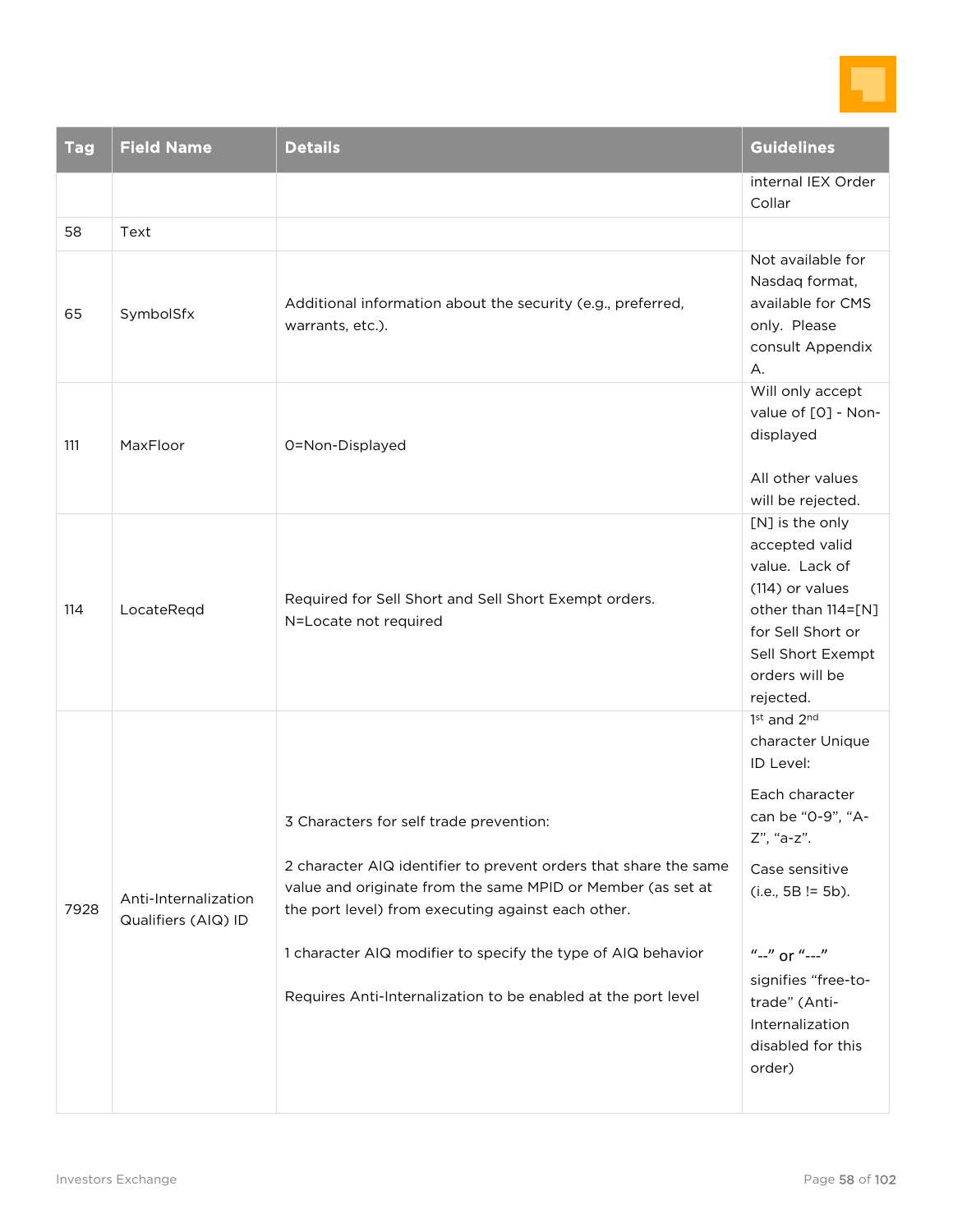

| <b>Tag</b> | <b>Field Name</b>                           | <b>Details</b>                                                                                                                                                                                                                                                                                                                                                    | <b>Guidelines</b>                                                                                                                                                                                                                                     |
|------------|---------------------------------------------|-------------------------------------------------------------------------------------------------------------------------------------------------------------------------------------------------------------------------------------------------------------------------------------------------------------------------------------------------------------------|-------------------------------------------------------------------------------------------------------------------------------------------------------------------------------------------------------------------------------------------------------|
|            |                                             |                                                                                                                                                                                                                                                                                                                                                                   | internal IEX Order<br>Collar                                                                                                                                                                                                                          |
| 58         | Text                                        |                                                                                                                                                                                                                                                                                                                                                                   |                                                                                                                                                                                                                                                       |
| 65         | SymbolSfx                                   | Additional information about the security (e.g., preferred,<br>warrants, etc.).                                                                                                                                                                                                                                                                                   | Not available for<br>Nasdaq format,<br>available for CMS<br>only. Please<br>consult Appendix<br>А.                                                                                                                                                    |
| 111        | MaxFloor                                    | 0=Non-Displayed                                                                                                                                                                                                                                                                                                                                                   | Will only accept<br>value of [O] - Non-<br>displayed<br>All other values<br>will be rejected.                                                                                                                                                         |
| 114        | LocateReqd                                  | Required for Sell Short and Sell Short Exempt orders.<br>N=Locate not required                                                                                                                                                                                                                                                                                    | [N] is the only<br>accepted valid<br>value. Lack of<br>(114) or values<br>other than 114=[N]<br>for Sell Short or<br>Sell Short Exempt<br>orders will be<br>rejected.                                                                                 |
| 7928       | Anti-Internalization<br>Qualifiers (AIQ) ID | 3 Characters for self trade prevention:<br>2 character AIQ identifier to prevent orders that share the same<br>value and originate from the same MPID or Member (as set at<br>the port level) from executing against each other.<br>1 character AIQ modifier to specify the type of AIQ behavior<br>Requires Anti-Internalization to be enabled at the port level | 1st and 2nd<br>character Unique<br>ID Level:<br>Each character<br>can be "0-9", "A-<br>Z", "a-z".<br>Case sensitive<br>$(i.e., 5B != 5b).$<br>"--" or "---"<br>signifies "free-to-<br>trade" (Anti-<br>Internalization<br>disabled for this<br>order) |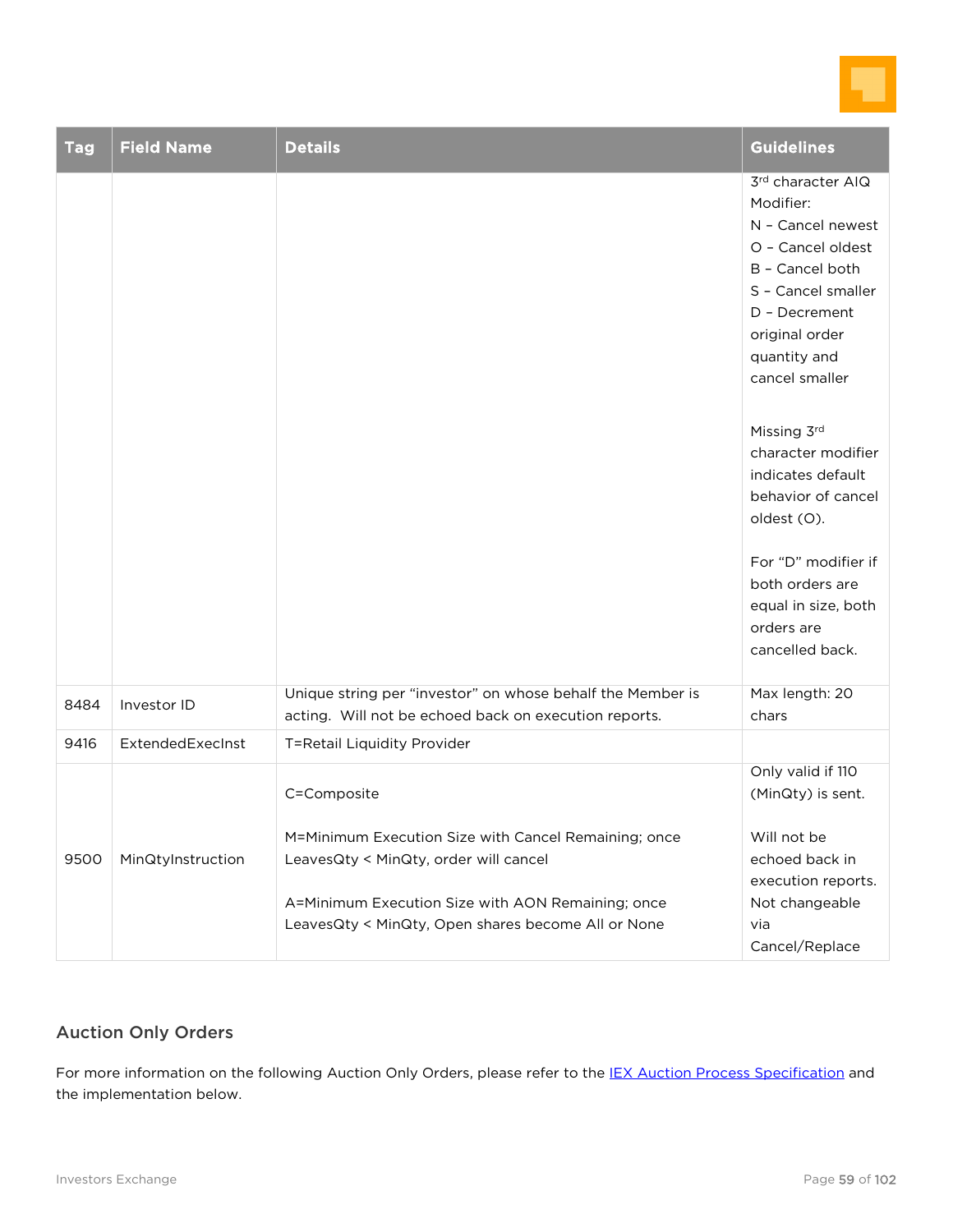

| <b>Tag</b> | <b>Field Name</b> | <b>Details</b>                                                                                                                                                                                                          | <b>Guidelines</b>                                                                                                                                                                                                                                                      |
|------------|-------------------|-------------------------------------------------------------------------------------------------------------------------------------------------------------------------------------------------------------------------|------------------------------------------------------------------------------------------------------------------------------------------------------------------------------------------------------------------------------------------------------------------------|
|            |                   |                                                                                                                                                                                                                         | 3rd character AIQ<br>Modifier:<br>N - Cancel newest<br>O - Cancel oldest<br>B - Cancel both<br>S - Cancel smaller<br>D - Decrement<br>original order<br>quantity and<br>cancel smaller<br>Missing 3rd<br>character modifier<br>indicates default<br>behavior of cancel |
|            |                   | Unique string per "investor" on whose behalf the Member is                                                                                                                                                              | oldest (O).<br>For "D" modifier if<br>both orders are<br>equal in size, both<br>orders are<br>cancelled back.<br>Max length: 20                                                                                                                                        |
| 8484       | Investor ID       | acting. Will not be echoed back on execution reports.                                                                                                                                                                   | chars                                                                                                                                                                                                                                                                  |
| 9416       | ExtendedExecInst  | T=Retail Liquidity Provider                                                                                                                                                                                             |                                                                                                                                                                                                                                                                        |
| 9500       | MinQtyInstruction | C=Composite<br>M=Minimum Execution Size with Cancel Remaining; once<br>LeavesQty < MinQty, order will cancel<br>A=Minimum Execution Size with AON Remaining; once<br>LeavesQty < MinQty, Open shares become All or None | Only valid if 110<br>(MinQty) is sent.<br>Will not be<br>echoed back in<br>execution reports.<br>Not changeable<br>via<br>Cancel/Replace                                                                                                                               |

### Auction Only Orders

For more information on the following Auction Only Orders, please refer to the [IEX Auction Process Specification](https://iextrading.com/docs/IEX%20Auction%20Process%20Specification.pdf) and the implementation below.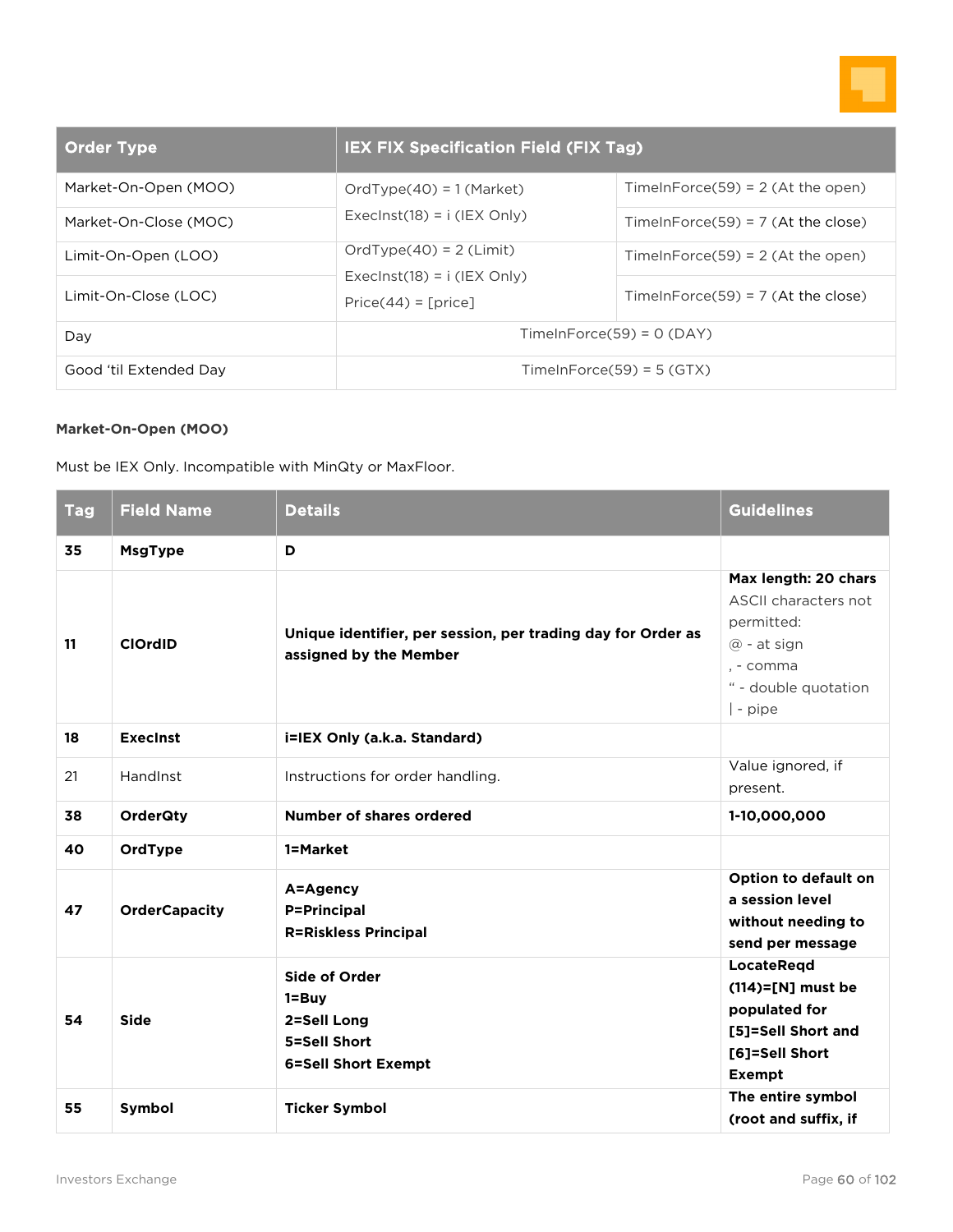

| <b>Order Type</b>      | <b>IEX FIX Specification Field (FIX Tag)</b>           |                                      |
|------------------------|--------------------------------------------------------|--------------------------------------|
| Market-On-Open (MOO)   | $OrdType(40) = 1 (Market)$                             | TimeInForce(59) = $2$ (At the open)  |
| Market-On-Close (MOC)  | Execlnst(18) = $i$ (IEX Only)                          | TimeInForce(59) = $7$ (At the close) |
| Limit-On-Open (LOO)    | $OrdType(40) = 2$ (Limit)                              | TimeInForce(59) = $2$ (At the open)  |
| Limit-On-Close (LOC)   | Execlnst(18) = $i$ (IEX Only)<br>$Price(44) = [price]$ | TimeInForce(59) = $7$ (At the close) |
| Day                    | $TimeInForce(59) = 0 (DAY)$                            |                                      |
| Good 'til Extended Day | $TimeInForce(59) = 5(GTX)$                             |                                      |

#### **Market-On-Open (MOO)**

Must be IEX Only. Incompatible with MinQty or MaxFloor.

| <b>Tag</b> | <b>Field Name</b>    | <b>Details</b>                                                                          | <b>Guidelines</b>                                                                                                                  |
|------------|----------------------|-----------------------------------------------------------------------------------------|------------------------------------------------------------------------------------------------------------------------------------|
| 35         | <b>MsgType</b>       | D                                                                                       |                                                                                                                                    |
| 11         | <b>ClOrdID</b>       | Unique identifier, per session, per trading day for Order as<br>assigned by the Member  | Max length: 20 chars<br>ASCII characters not<br>permitted:<br>$@$ - at sign<br>. - comma<br>" - double quotation<br>$\vert$ - pipe |
| 18         | <b>Execinst</b>      | i=IEX Only (a.k.a. Standard)                                                            |                                                                                                                                    |
| 21         | HandInst             | Instructions for order handling.                                                        | Value ignored, if<br>present.                                                                                                      |
| 38         | <b>OrderQty</b>      | Number of shares ordered                                                                | 1-10,000,000                                                                                                                       |
| 40         | OrdType              | 1=Market                                                                                |                                                                                                                                    |
| 47         | <b>OrderCapacity</b> | A=Agency<br><b>P=Principal</b><br><b>R=Riskless Principal</b>                           | Option to default on<br>a session level<br>without needing to<br>send per message                                                  |
| 54         | <b>Side</b>          | Side of Order<br>$1 = Buy$<br>2=Sell Long<br>5=Sell Short<br><b>6=Sell Short Exempt</b> | LocateReqd<br>$(114)=$ [N] must be<br>populated for<br>[5]=Sell Short and<br>[6]=Sell Short<br><b>Exempt</b>                       |
| 55         | Symbol               | <b>Ticker Symbol</b>                                                                    | The entire symbol<br>(root and suffix, if                                                                                          |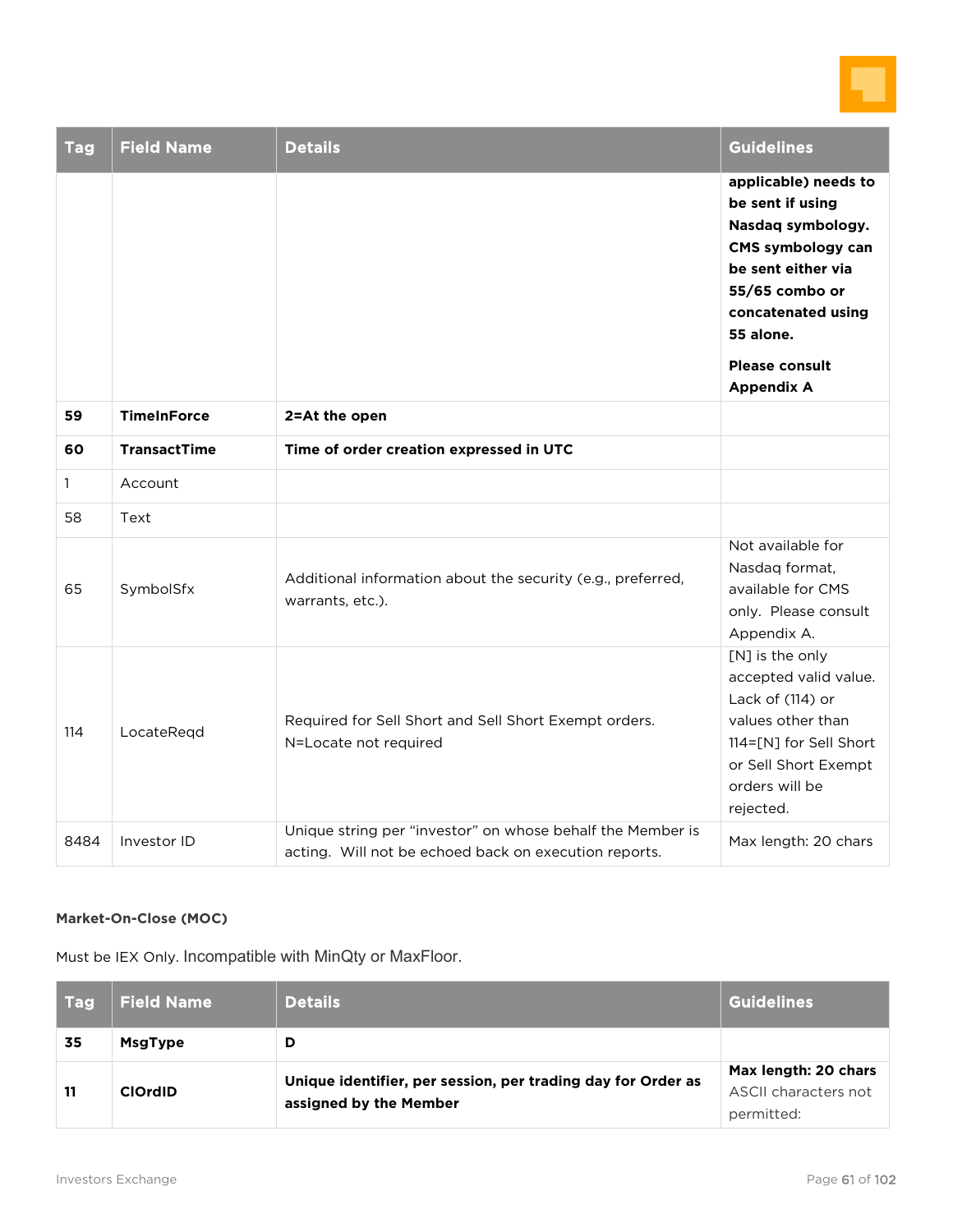

| <b>Tag</b>   | <b>Field Name</b>   | <b>Details</b>                                                                                                      | <b>Guidelines</b>                                                                                                                                                                                           |
|--------------|---------------------|---------------------------------------------------------------------------------------------------------------------|-------------------------------------------------------------------------------------------------------------------------------------------------------------------------------------------------------------|
|              |                     |                                                                                                                     | applicable) needs to<br>be sent if using<br>Nasdaq symbology.<br>CMS symbology can<br>be sent either via<br>55/65 combo or<br>concatenated using<br>55 alone.<br><b>Please consult</b><br><b>Appendix A</b> |
| 59           | <b>TimeInForce</b>  | 2=At the open                                                                                                       |                                                                                                                                                                                                             |
| 60           | <b>TransactTime</b> | Time of order creation expressed in UTC                                                                             |                                                                                                                                                                                                             |
| $\mathbf{1}$ | Account             |                                                                                                                     |                                                                                                                                                                                                             |
| 58           | Text                |                                                                                                                     |                                                                                                                                                                                                             |
| 65           | SymbolSfx           | Additional information about the security (e.g., preferred,<br>warrants, etc.).                                     | Not available for<br>Nasdag format,<br>available for CMS<br>only. Please consult<br>Appendix A.                                                                                                             |
| 114          | LocateRegd          | Required for Sell Short and Sell Short Exempt orders.<br>N=Locate not required                                      | [N] is the only<br>accepted valid value.<br>Lack of (114) or<br>values other than<br>114=[N] for Sell Short<br>or Sell Short Exempt<br>orders will be<br>rejected.                                          |
| 8484         | Investor ID         | Unique string per "investor" on whose behalf the Member is<br>acting. Will not be echoed back on execution reports. | Max length: 20 chars                                                                                                                                                                                        |

#### **Market-On-Close (MOC)**

Must be IEX Only. Incompatible with MinQty or MaxFloor.

| Tag | <b>Field Name</b> | <b>Details</b>                                                                         | <b>Guidelines</b>                                          |
|-----|-------------------|----------------------------------------------------------------------------------------|------------------------------------------------------------|
| 35  | <b>MsgType</b>    | D                                                                                      |                                                            |
| 11  | <b>ClOrdID</b>    | Unique identifier, per session, per trading day for Order as<br>assigned by the Member | Max length: 20 chars<br>ASCII characters not<br>permitted: |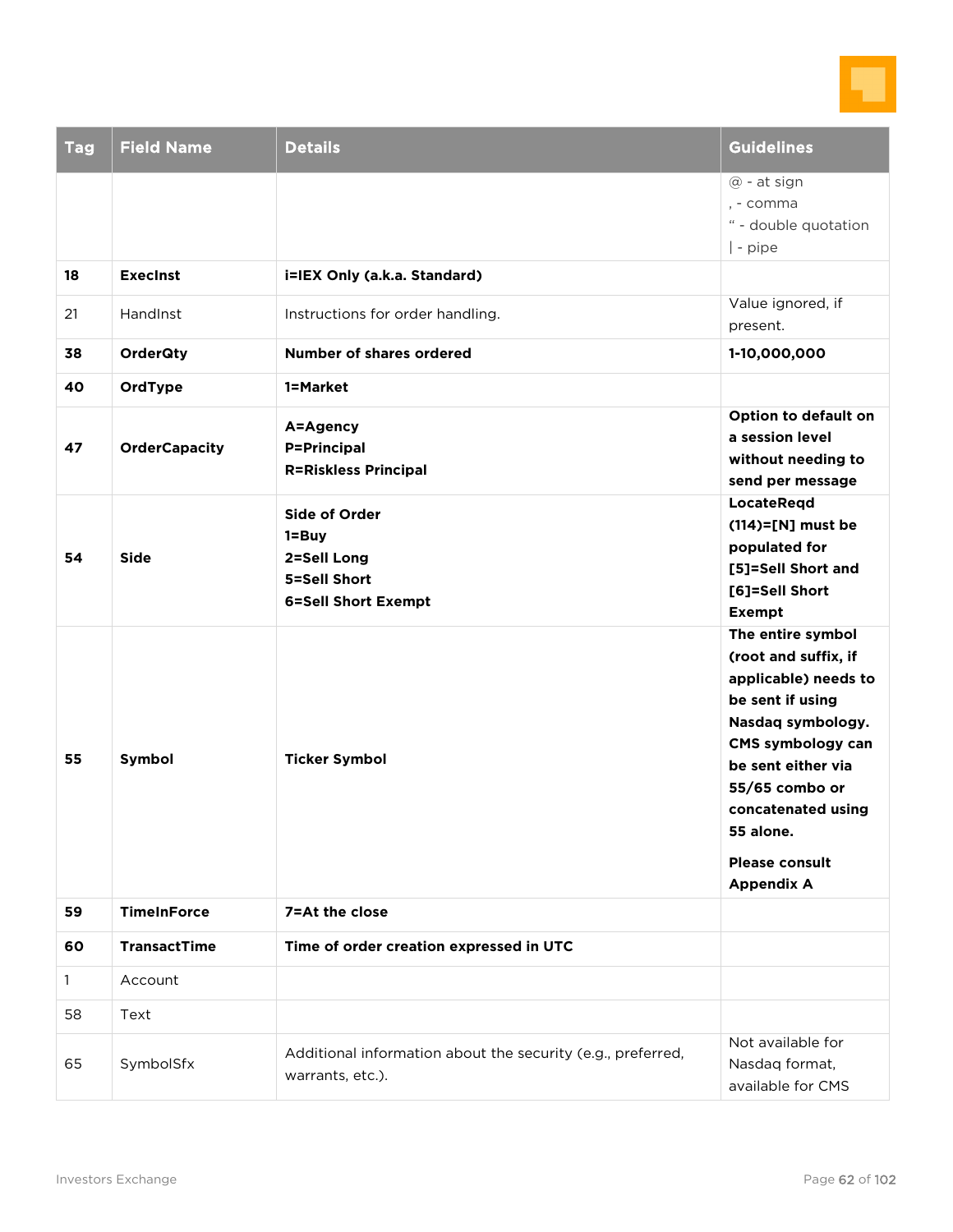

| <b>Tag</b>   | <b>Field Name</b>    | <b>Details</b>                                                                             | <b>Guidelines</b>                                                                                                                                                                                                                                        |
|--------------|----------------------|--------------------------------------------------------------------------------------------|----------------------------------------------------------------------------------------------------------------------------------------------------------------------------------------------------------------------------------------------------------|
|              |                      |                                                                                            | @ - at sign<br>, - comma<br>" - double quotation<br>  - pipe                                                                                                                                                                                             |
| 18           | <b>Execinst</b>      | i=IEX Only (a.k.a. Standard)                                                               |                                                                                                                                                                                                                                                          |
| 21           | <b>Handlnst</b>      | Instructions for order handling.                                                           | Value ignored, if<br>present.                                                                                                                                                                                                                            |
| 38           | <b>OrderQty</b>      | Number of shares ordered                                                                   | 1-10,000,000                                                                                                                                                                                                                                             |
| 40           | OrdType              | 1=Market                                                                                   |                                                                                                                                                                                                                                                          |
| 47           | <b>OrderCapacity</b> | A=Agency<br><b>P=Principal</b><br><b>R=Riskless Principal</b>                              | Option to default on<br>a session level<br>without needing to<br>send per message                                                                                                                                                                        |
| 54           | <b>Side</b>          | <b>Side of Order</b><br>1=Buy<br>2=Sell Long<br>5=Sell Short<br><b>6=Sell Short Exempt</b> | <b>LocateRegd</b><br>$(114)=$ [N] must be<br>populated for<br>[5]=Sell Short and<br>[6]=Sell Short<br><b>Exempt</b>                                                                                                                                      |
| 55           | Symbol               | <b>Ticker Symbol</b>                                                                       | The entire symbol<br>(root and suffix, if<br>applicable) needs to<br>be sent if using<br>Nasdaq symbology.<br>CMS symbology can<br>be sent either via<br>55/65 combo or<br>concatenated using<br>55 alone.<br><b>Please consult</b><br><b>Appendix A</b> |
| 59           | <b>TimeInForce</b>   | 7=At the close                                                                             |                                                                                                                                                                                                                                                          |
| 60           | <b>TransactTime</b>  | Time of order creation expressed in UTC                                                    |                                                                                                                                                                                                                                                          |
| $\mathbf{1}$ | Account              |                                                                                            |                                                                                                                                                                                                                                                          |
| 58           | Text                 |                                                                                            |                                                                                                                                                                                                                                                          |
| 65           | SymbolSfx            | Additional information about the security (e.g., preferred,<br>warrants, etc.).            | Not available for<br>Nasdaq format,<br>available for CMS                                                                                                                                                                                                 |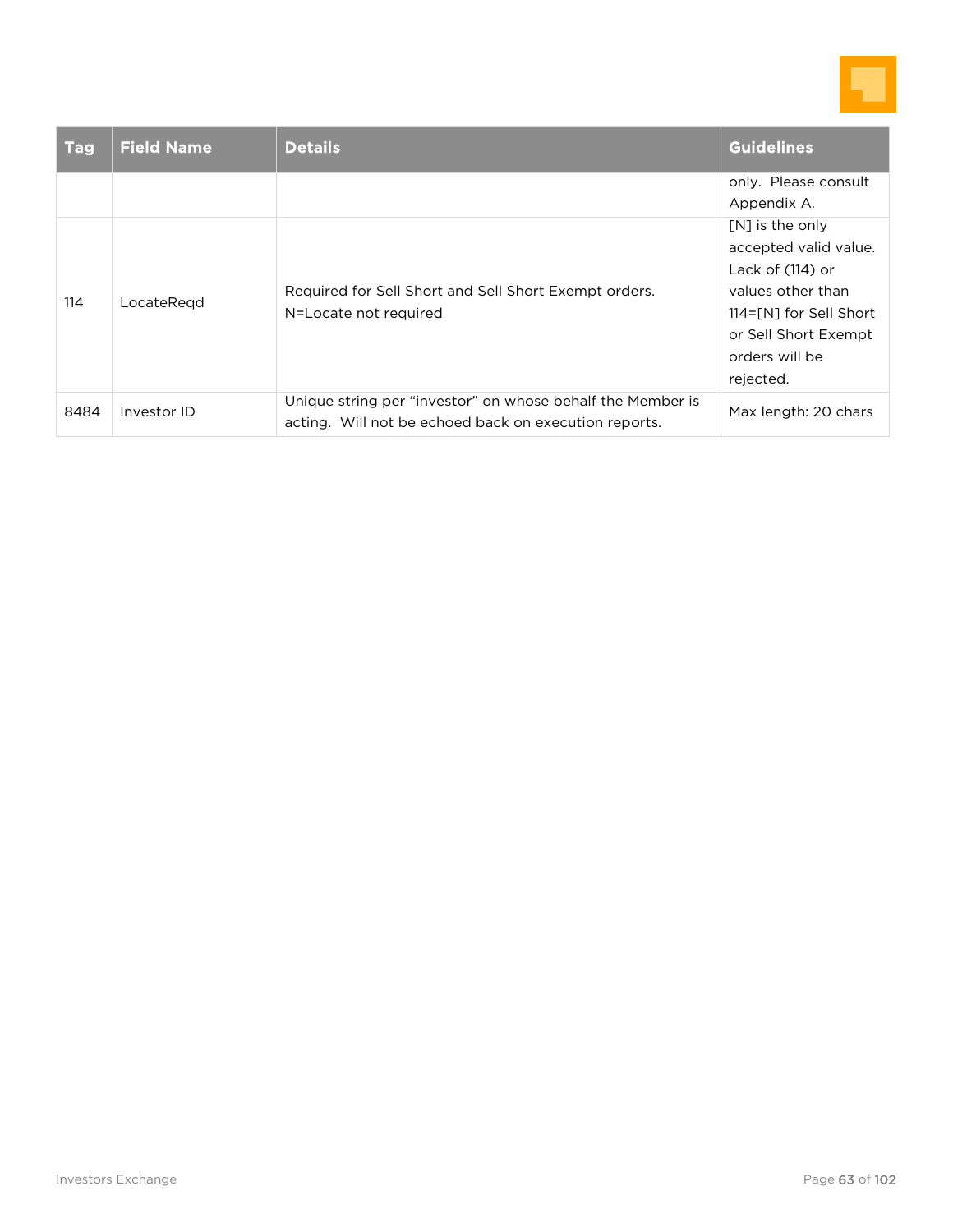

| <b>Tag</b> | <b>Field Name</b> | <b>Details</b>                                                                                                      | Guidelines                                                                                                                                                           |
|------------|-------------------|---------------------------------------------------------------------------------------------------------------------|----------------------------------------------------------------------------------------------------------------------------------------------------------------------|
|            |                   |                                                                                                                     | only. Please consult<br>Appendix A.                                                                                                                                  |
| 114        | LocateRegd        | Required for Sell Short and Sell Short Exempt orders.<br>N=Locate not required                                      | [N] is the only<br>accepted valid value.<br>Lack of $(114)$ or<br>values other than<br>114=[N] for Sell Short<br>or Sell Short Exempt<br>orders will be<br>rejected. |
| 8484       | Investor ID       | Unique string per "investor" on whose behalf the Member is<br>acting. Will not be echoed back on execution reports. | Max length: 20 chars                                                                                                                                                 |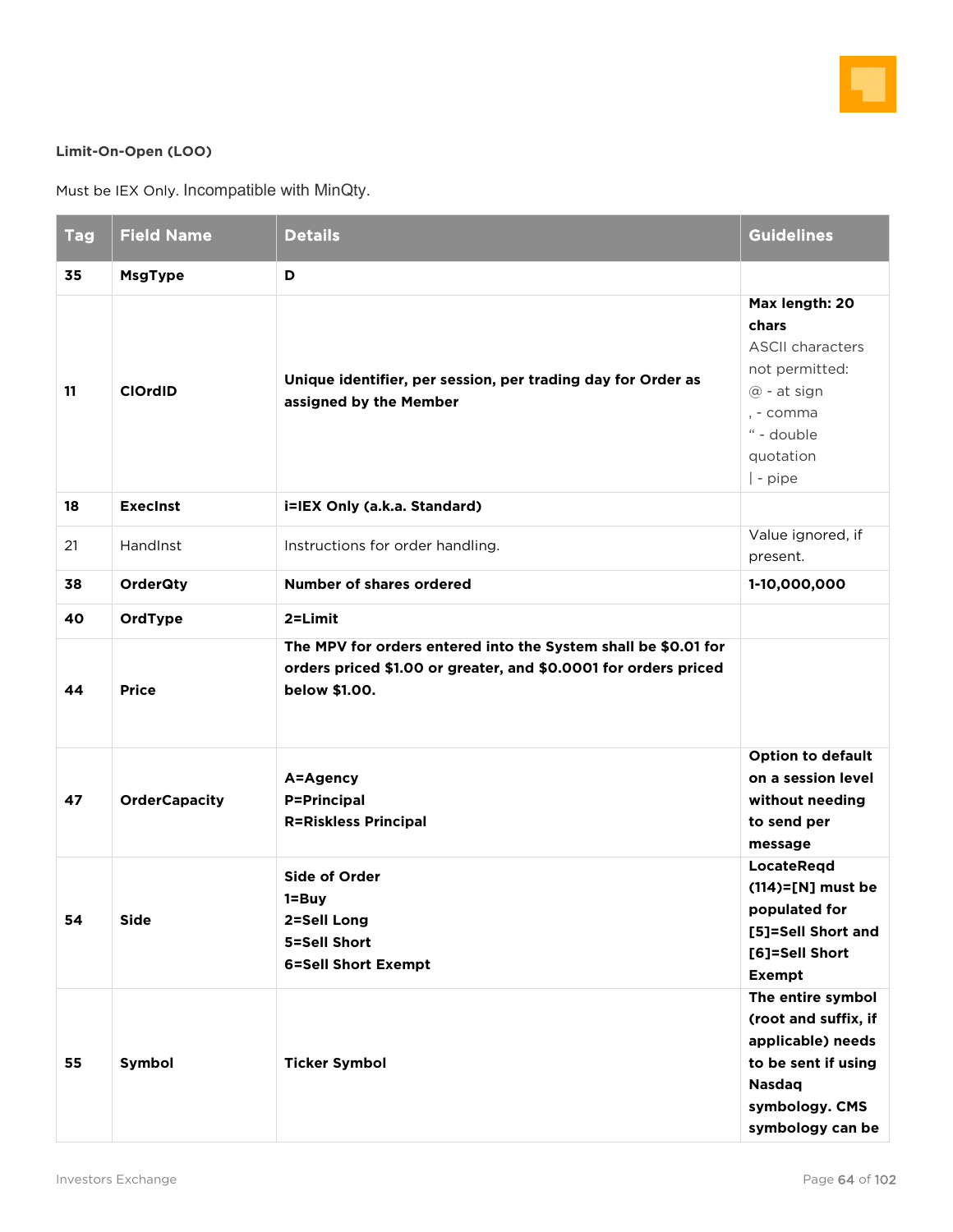

#### **Limit-On-Open (LOO)**

Must be IEX Only. Incompatible with MinQty.

| <b>Tag</b> | <b>Field Name</b>    | <b>Details</b>                                                                                                                                     | <b>Guidelines</b>                                                                                                                            |
|------------|----------------------|----------------------------------------------------------------------------------------------------------------------------------------------------|----------------------------------------------------------------------------------------------------------------------------------------------|
| 35         | <b>MsgType</b>       | D                                                                                                                                                  |                                                                                                                                              |
| 11         | <b>ClOrdID</b>       | Unique identifier, per session, per trading day for Order as<br>assigned by the Member                                                             | Max length: 20<br>chars<br><b>ASCII characters</b><br>not permitted:<br>@ - at sign<br>, - comma<br>" - double<br>quotation<br>  - pipe      |
| 18         | <b>Execinst</b>      | i=IEX Only (a.k.a. Standard)                                                                                                                       |                                                                                                                                              |
| 21         | HandInst             | Instructions for order handling.                                                                                                                   | Value ignored, if<br>present.                                                                                                                |
| 38         | <b>OrderQty</b>      | <b>Number of shares ordered</b>                                                                                                                    | 1-10,000,000                                                                                                                                 |
| 40         | OrdType              | $2 = Limit$                                                                                                                                        |                                                                                                                                              |
| 44         | <b>Price</b>         | The MPV for orders entered into the System shall be \$0.01 for<br>orders priced \$1.00 or greater, and \$0.0001 for orders priced<br>below \$1.00. |                                                                                                                                              |
| 47         | <b>OrderCapacity</b> | A=Agency<br><b>P=Principal</b><br><b>R=Riskless Principal</b>                                                                                      | <b>Option to default</b><br>on a session level<br>without needing<br>to send per<br>message                                                  |
| 54         | <b>Side</b>          | <b>Side of Order</b><br>1=Buy<br>2=Sell Long<br>5=Sell Short<br><b>6=Sell Short Exempt</b>                                                         | <b>LocateRegd</b><br>$(114)=$ [N] must be<br>populated for<br>[5]=Sell Short and<br>[6]=Sell Short<br><b>Exempt</b>                          |
| 55         | Symbol               | <b>Ticker Symbol</b>                                                                                                                               | The entire symbol<br>(root and suffix, if<br>applicable) needs<br>to be sent if using<br><b>Nasdaq</b><br>symbology. CMS<br>symbology can be |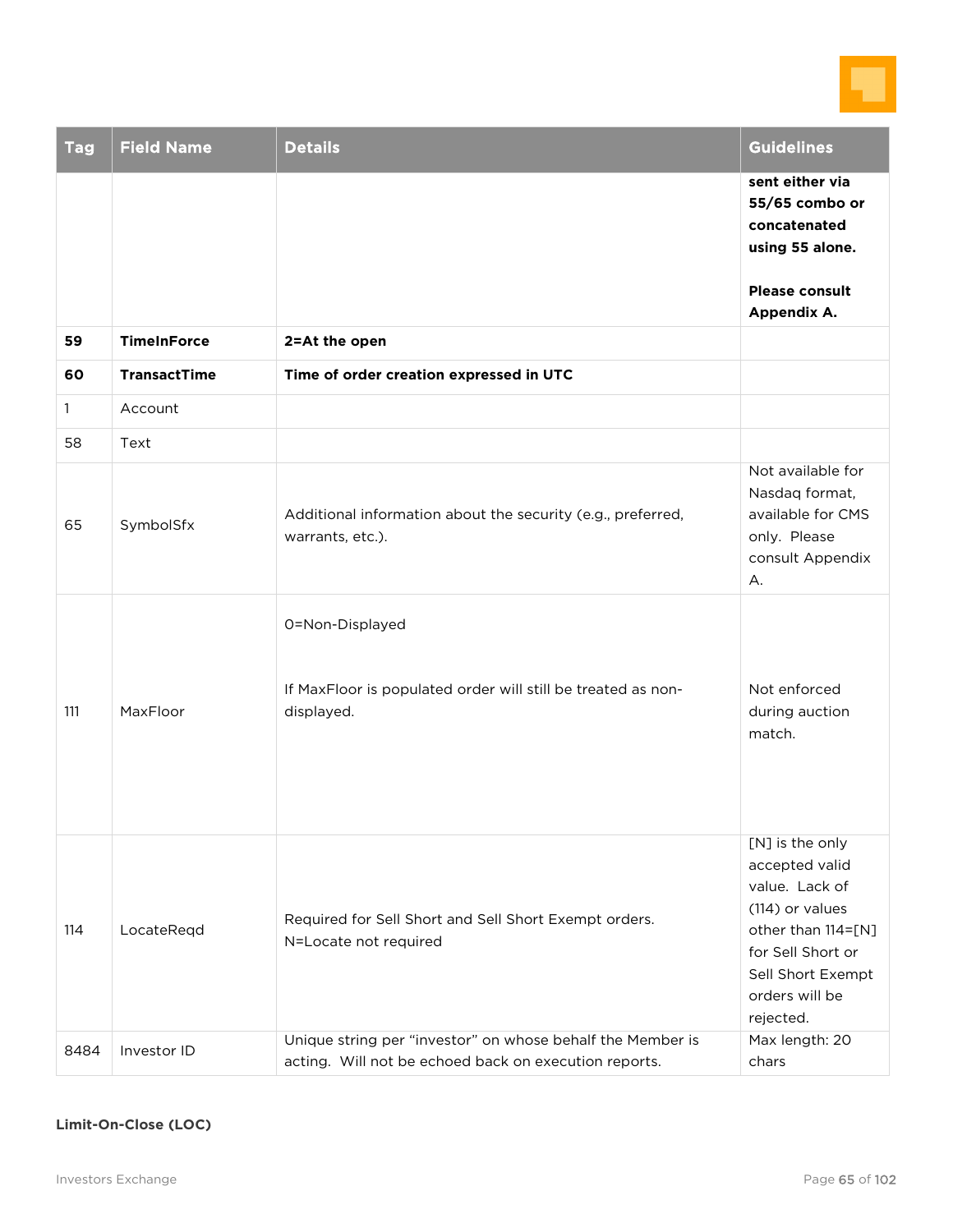

| <b>Tag</b>   | <b>Field Name</b>   | <b>Details</b>                                                                                                      | <b>Guidelines</b>                                                                                                                                                     |
|--------------|---------------------|---------------------------------------------------------------------------------------------------------------------|-----------------------------------------------------------------------------------------------------------------------------------------------------------------------|
|              |                     |                                                                                                                     | sent either via<br>55/65 combo or<br>concatenated<br>using 55 alone.                                                                                                  |
|              |                     |                                                                                                                     | <b>Please consult</b><br>Appendix A.                                                                                                                                  |
| 59           | <b>TimeInForce</b>  | 2=At the open                                                                                                       |                                                                                                                                                                       |
| 60           | <b>TransactTime</b> | Time of order creation expressed in UTC                                                                             |                                                                                                                                                                       |
| $\mathbf{1}$ | Account             |                                                                                                                     |                                                                                                                                                                       |
| 58           | Text                |                                                                                                                     |                                                                                                                                                                       |
| 65           | SymbolSfx           | Additional information about the security (e.g., preferred,<br>warrants, etc.).                                     | Not available for<br>Nasdaq format,<br>available for CMS<br>only. Please<br>consult Appendix<br>А.                                                                    |
| 111          | MaxFloor            | 0=Non-Displayed<br>If MaxFloor is populated order will still be treated as non-<br>displayed.                       | Not enforced<br>during auction<br>match.                                                                                                                              |
| 114          | LocateRegd          | Required for Sell Short and Sell Short Exempt orders.<br>N=Locate not required                                      | [N] is the only<br>accepted valid<br>value. Lack of<br>(114) or values<br>other than 114=[N]<br>for Sell Short or<br>Sell Short Exempt<br>orders will be<br>rejected. |
| 8484         | Investor ID         | Unique string per "investor" on whose behalf the Member is<br>acting. Will not be echoed back on execution reports. | Max length: 20<br>chars                                                                                                                                               |

### **Limit-On-Close (LOC)**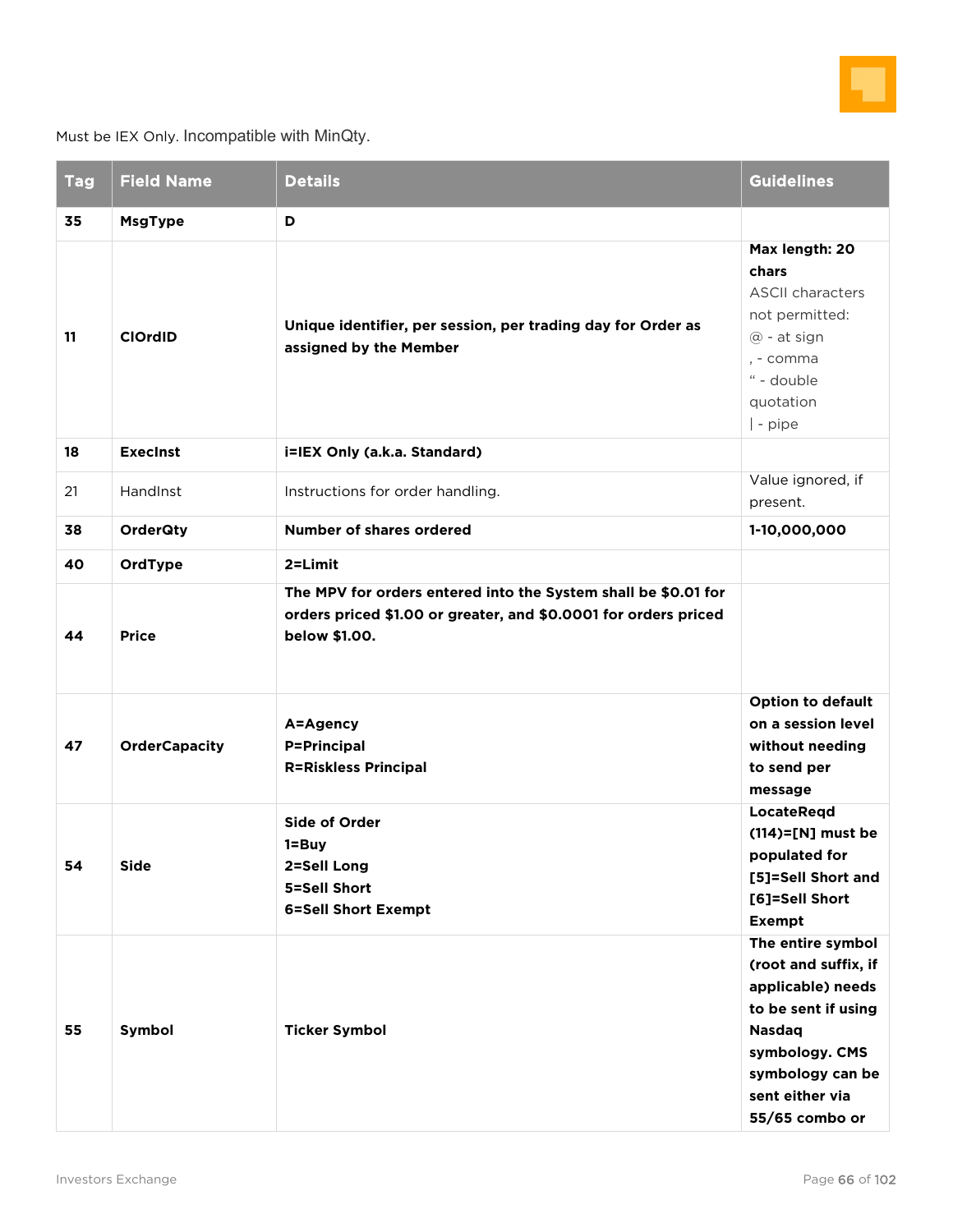

Must be IEX Only. Incompatible with MinQty.

| <b>Tag</b> | <b>Field Name</b>                | <b>Details</b>                                                                                                                                                | <b>Guidelines</b>                                                                                                                                                                 |
|------------|----------------------------------|---------------------------------------------------------------------------------------------------------------------------------------------------------------|-----------------------------------------------------------------------------------------------------------------------------------------------------------------------------------|
| 35<br>11   | <b>MsgType</b><br><b>ClOrdID</b> | D<br>Unique identifier, per session, per trading day for Order as<br>assigned by the Member                                                                   | Max length: 20<br>chars<br><b>ASCII characters</b><br>not permitted:<br>@ - at sign<br>, - comma<br>" - double<br>quotation<br>$ $ - pipe                                         |
| 18         | <b>Execinst</b>                  | i=IEX Only (a.k.a. Standard)                                                                                                                                  |                                                                                                                                                                                   |
| 21         | HandInst                         | Instructions for order handling.                                                                                                                              | Value ignored, if<br>present.                                                                                                                                                     |
| 38         | <b>OrderQty</b>                  | <b>Number of shares ordered</b>                                                                                                                               | 1-10,000,000                                                                                                                                                                      |
| 40<br>44   | OrdType<br><b>Price</b>          | 2=Limit<br>The MPV for orders entered into the System shall be \$0.01 for<br>orders priced \$1.00 or greater, and \$0.0001 for orders priced<br>below \$1.00. |                                                                                                                                                                                   |
| 47         | <b>OrderCapacity</b>             | A=Agency<br><b>P=Principal</b><br><b>R=Riskless Principal</b>                                                                                                 | <b>Option to default</b><br>on a session level<br>without needing<br>to send per<br>message                                                                                       |
| 54         | Side                             | <b>Side of Order</b><br>1=Buy<br>2=Sell Long<br>5=Sell Short<br><b>6=Sell Short Exempt</b>                                                                    | <b>LocateRegd</b><br>$(114)=$ [N] must be<br>populated for<br>[5]=Sell Short and<br>[6]=Sell Short<br><b>Exempt</b>                                                               |
| 55         | Symbol                           | <b>Ticker Symbol</b>                                                                                                                                          | The entire symbol<br>(root and suffix, if<br>applicable) needs<br>to be sent if using<br><b>Nasdaq</b><br>symbology. CMS<br>symbology can be<br>sent either via<br>55/65 combo or |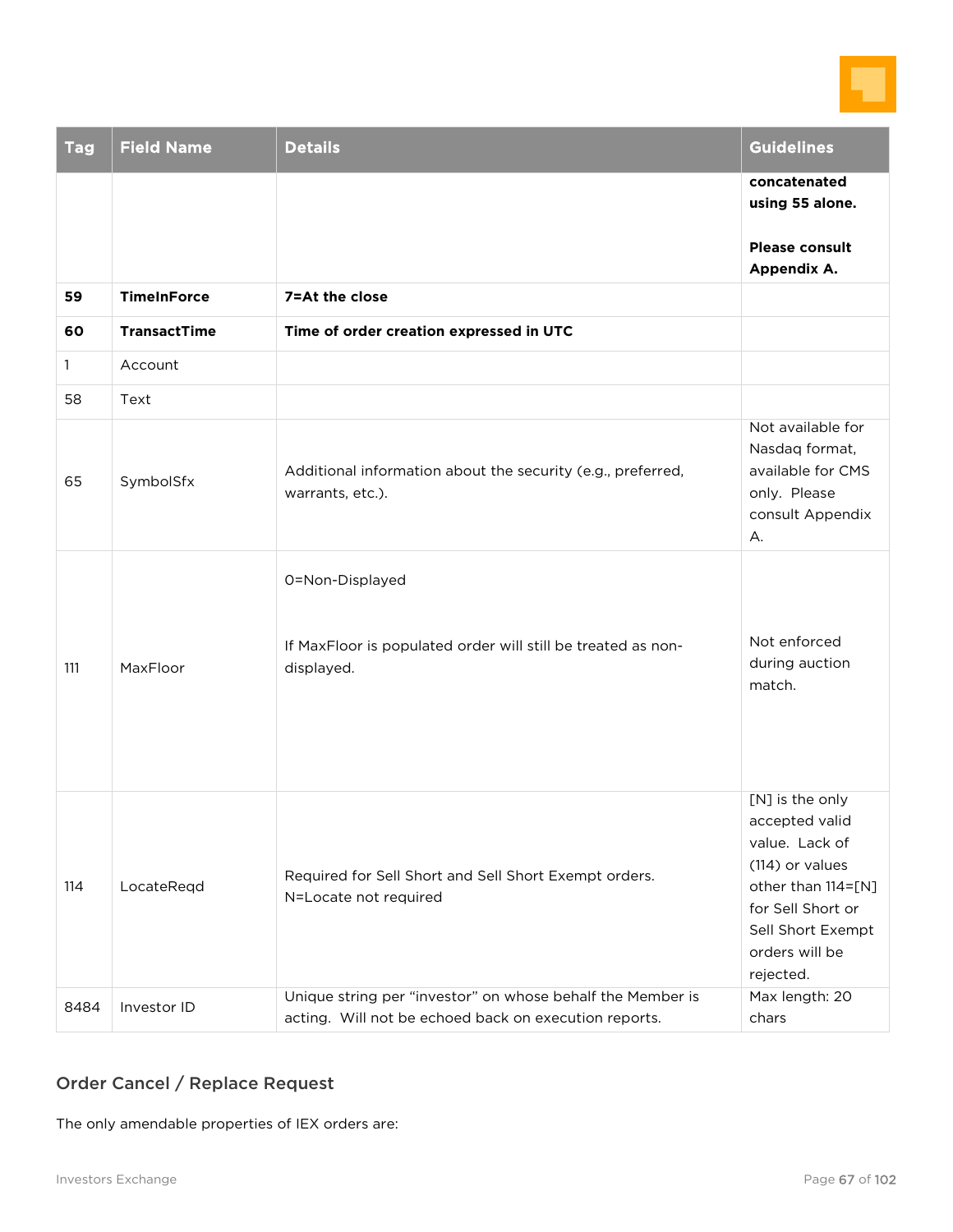

| <b>Tag</b>   | <b>Field Name</b>   | <b>Details</b>                                                                                                      | <b>Guidelines</b>                                                                                                                                                     |
|--------------|---------------------|---------------------------------------------------------------------------------------------------------------------|-----------------------------------------------------------------------------------------------------------------------------------------------------------------------|
|              |                     |                                                                                                                     | concatenated<br>using 55 alone.                                                                                                                                       |
|              |                     |                                                                                                                     | <b>Please consult</b><br>Appendix A.                                                                                                                                  |
| 59           | <b>TimeInForce</b>  | 7=At the close                                                                                                      |                                                                                                                                                                       |
| 60           | <b>TransactTime</b> | Time of order creation expressed in UTC                                                                             |                                                                                                                                                                       |
| $\mathbf{1}$ | Account             |                                                                                                                     |                                                                                                                                                                       |
| 58           | Text                |                                                                                                                     |                                                                                                                                                                       |
| 65           | SymbolSfx           | Additional information about the security (e.g., preferred,<br>warrants, etc.).                                     | Not available for<br>Nasdaq format,<br>available for CMS<br>only. Please<br>consult Appendix<br>А.                                                                    |
| 111          | MaxFloor            | 0=Non-Displayed<br>If MaxFloor is populated order will still be treated as non-<br>displayed.                       | Not enforced<br>during auction<br>match.                                                                                                                              |
| 114          | LocateReqd          | Required for Sell Short and Sell Short Exempt orders.<br>N=Locate not required                                      | [N] is the only<br>accepted valid<br>value. Lack of<br>(114) or values<br>other than 114=[N]<br>for Sell Short or<br>Sell Short Exempt<br>orders will be<br>rejected. |
| 8484         | Investor ID         | Unique string per "investor" on whose behalf the Member is<br>acting. Will not be echoed back on execution reports. | Max length: 20<br>chars                                                                                                                                               |

# Order Cancel / Replace Request

The only amendable properties of IEX orders are: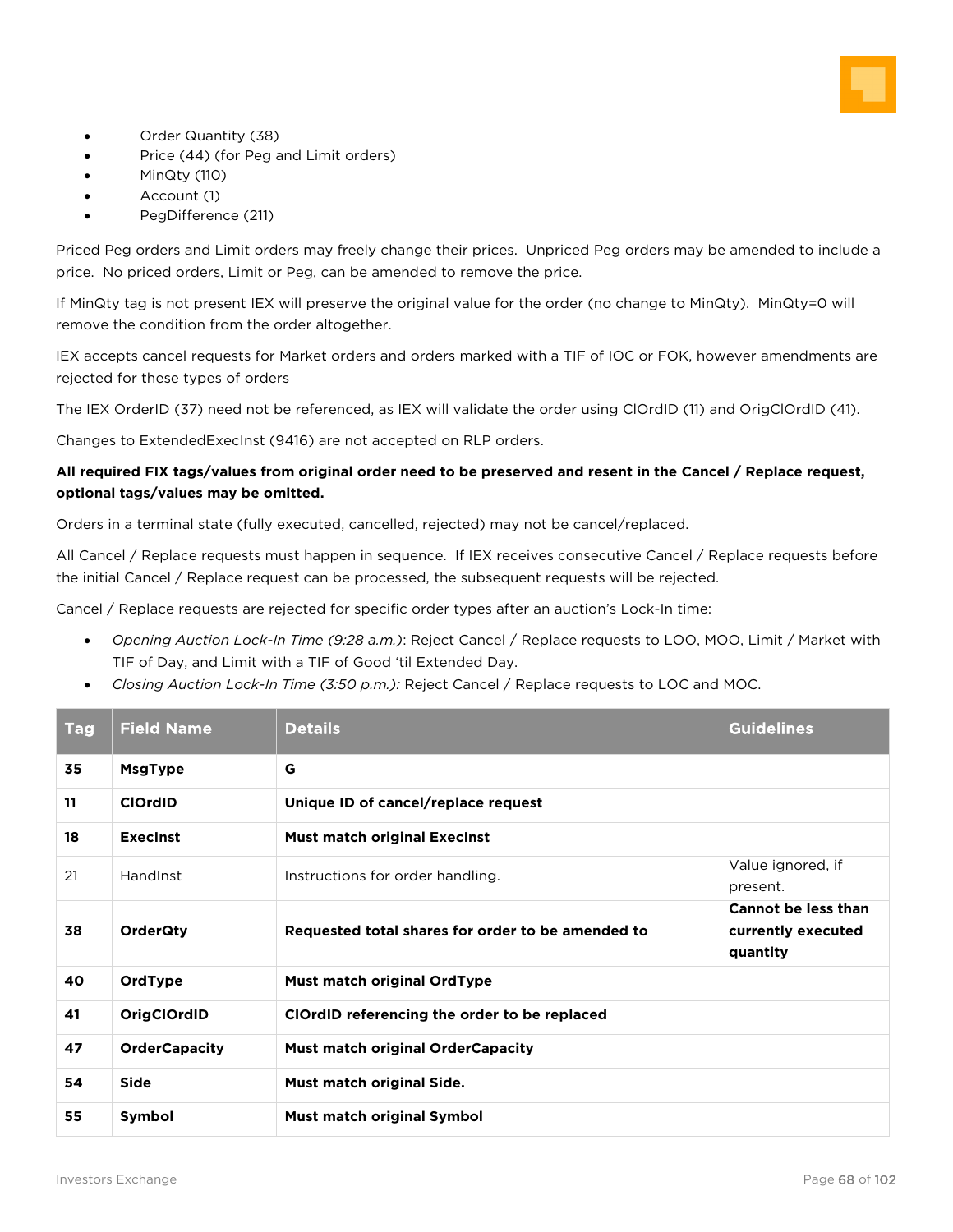

- Order Quantity (38)
- Price (44) (for Peg and Limit orders)
- MinQty (110)
- Account (1)
- PegDifference (211)

Priced Peg orders and Limit orders may freely change their prices. Unpriced Peg orders may be amended to include a price. No priced orders, Limit or Peg, can be amended to remove the price.

If MinQty tag is not present IEX will preserve the original value for the order (no change to MinQty). MinQty=0 will remove the condition from the order altogether.

IEX accepts cancel requests for Market orders and orders marked with a TIF of IOC or FOK, however amendments are rejected for these types of orders

The IEX OrderID (37) need not be referenced, as IEX will validate the order using ClOrdID (11) and OrigClOrdID (41).

Changes to ExtendedExecInst (9416) are not accepted on RLP orders.

#### **All required FIX tags/values from original order need to be preserved and resent in the Cancel / Replace request, optional tags/values may be omitted.**

Orders in a terminal state (fully executed, cancelled, rejected) may not be cancel/replaced.

All Cancel / Replace requests must happen in sequence. If IEX receives consecutive Cancel / Replace requests before the initial Cancel / Replace request can be processed, the subsequent requests will be rejected.

Cancel / Replace requests are rejected for specific order types after an auction's Lock-In time:

- *Opening Auction Lock-In Time (9:28 a.m.)*: Reject Cancel / Replace requests to LOO, MOO, Limit / Market with TIF of Day, and Limit with a TIF of Good 'til Extended Day.
- *Closing Auction Lock-In Time (3:50 p.m.):* Reject Cancel / Replace requests to LOC and MOC.

| <b>Tag</b> | <b>Field Name</b>    | <b>Details</b>                                    | <b>Guidelines</b>                                            |
|------------|----------------------|---------------------------------------------------|--------------------------------------------------------------|
| 35         | <b>MsgType</b>       | G                                                 |                                                              |
| 11         | <b>ClOrdID</b>       | Unique ID of cancel/replace request               |                                                              |
| 18         | <b>Execinst</b>      | <b>Must match original Execinst</b>               |                                                              |
| 21         | HandInst             | Instructions for order handling.                  | Value ignored, if<br>present.                                |
| 38         | <b>OrderQty</b>      | Requested total shares for order to be amended to | <b>Cannot be less than</b><br>currently executed<br>quantity |
| 40         | OrdType              | Must match original OrdType                       |                                                              |
| 41         | OrigClOrdID          | ClOrdID referencing the order to be replaced      |                                                              |
| 47         | <b>OrderCapacity</b> | <b>Must match original OrderCapacity</b>          |                                                              |
| 54         | Side                 | Must match original Side.                         |                                                              |
| 55         | Symbol               | Must match original Symbol                        |                                                              |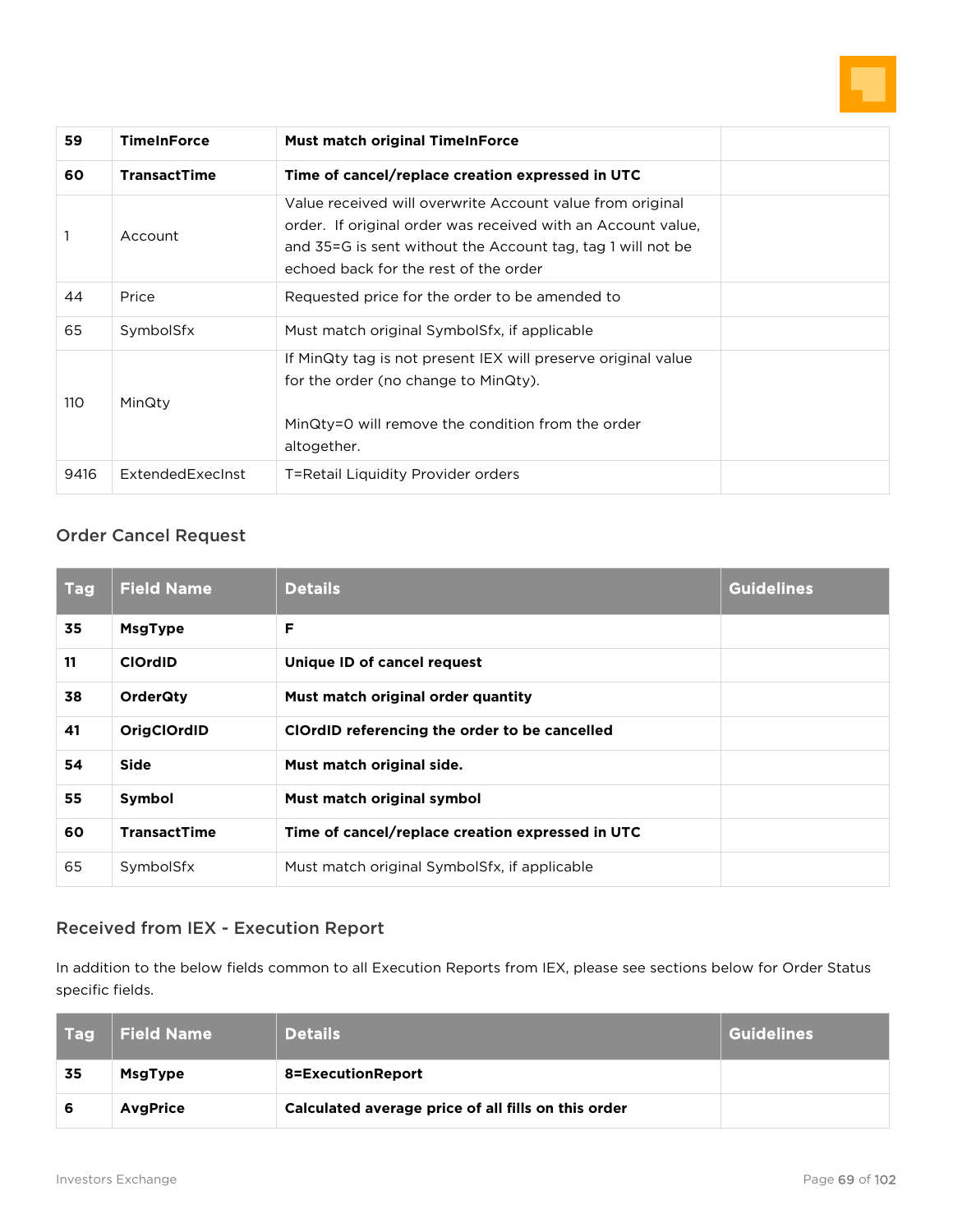

| 59         | <b>TimeInForce</b>  | <b>Must match original TimeInForce</b>                                                                                                                                                                                            |  |
|------------|---------------------|-----------------------------------------------------------------------------------------------------------------------------------------------------------------------------------------------------------------------------------|--|
| 60         | <b>TransactTime</b> | Time of cancel/replace creation expressed in UTC                                                                                                                                                                                  |  |
|            | Account             | Value received will overwrite Account value from original<br>order. If original order was received with an Account value,<br>and 35=G is sent without the Account tag, tag 1 will not be<br>echoed back for the rest of the order |  |
| 44         | Price               | Requested price for the order to be amended to                                                                                                                                                                                    |  |
| 65         | SymbolSfx           | Must match original SymbolSfx, if applicable                                                                                                                                                                                      |  |
| <b>110</b> | MinQty              | If MinQty tag is not present IEX will preserve original value<br>for the order (no change to MinQty).<br>MinQty=0 will remove the condition from the order<br>altogether.                                                         |  |
| 9416       | ExtendedExecInst    | T=Retail Liquidity Provider orders                                                                                                                                                                                                |  |

# Order Cancel Request

| <b>Tag</b> | <b>Field Name</b>   | <b>Details</b>                                   | <b>Guidelines</b> |
|------------|---------------------|--------------------------------------------------|-------------------|
| 35         | <b>MsgType</b>      | F                                                |                   |
| 11         | <b>ClOrdID</b>      | Unique ID of cancel request                      |                   |
| 38         | <b>OrderQty</b>     | Must match original order quantity               |                   |
| 41         | OrigClOrdID         | ClOrdID referencing the order to be cancelled    |                   |
| 54         | Side                | Must match original side.                        |                   |
| 55         | Symbol              | Must match original symbol                       |                   |
| 60         | <b>TransactTime</b> | Time of cancel/replace creation expressed in UTC |                   |
| 65         | SymbolSfx           | Must match original SymbolSfx, if applicable     |                   |

# Received from IEX - Execution Report

In addition to the below fields common to all Execution Reports from IEX, please see sections below for Order Status specific fields.

| <b>Tag</b> | <b>Field Name</b> | <b>Details</b>                                      | <b>Guidelines</b> |
|------------|-------------------|-----------------------------------------------------|-------------------|
| 35         | <b>MsgType</b>    | 8=ExecutionReport                                   |                   |
| 6          | <b>AvgPrice</b>   | Calculated average price of all fills on this order |                   |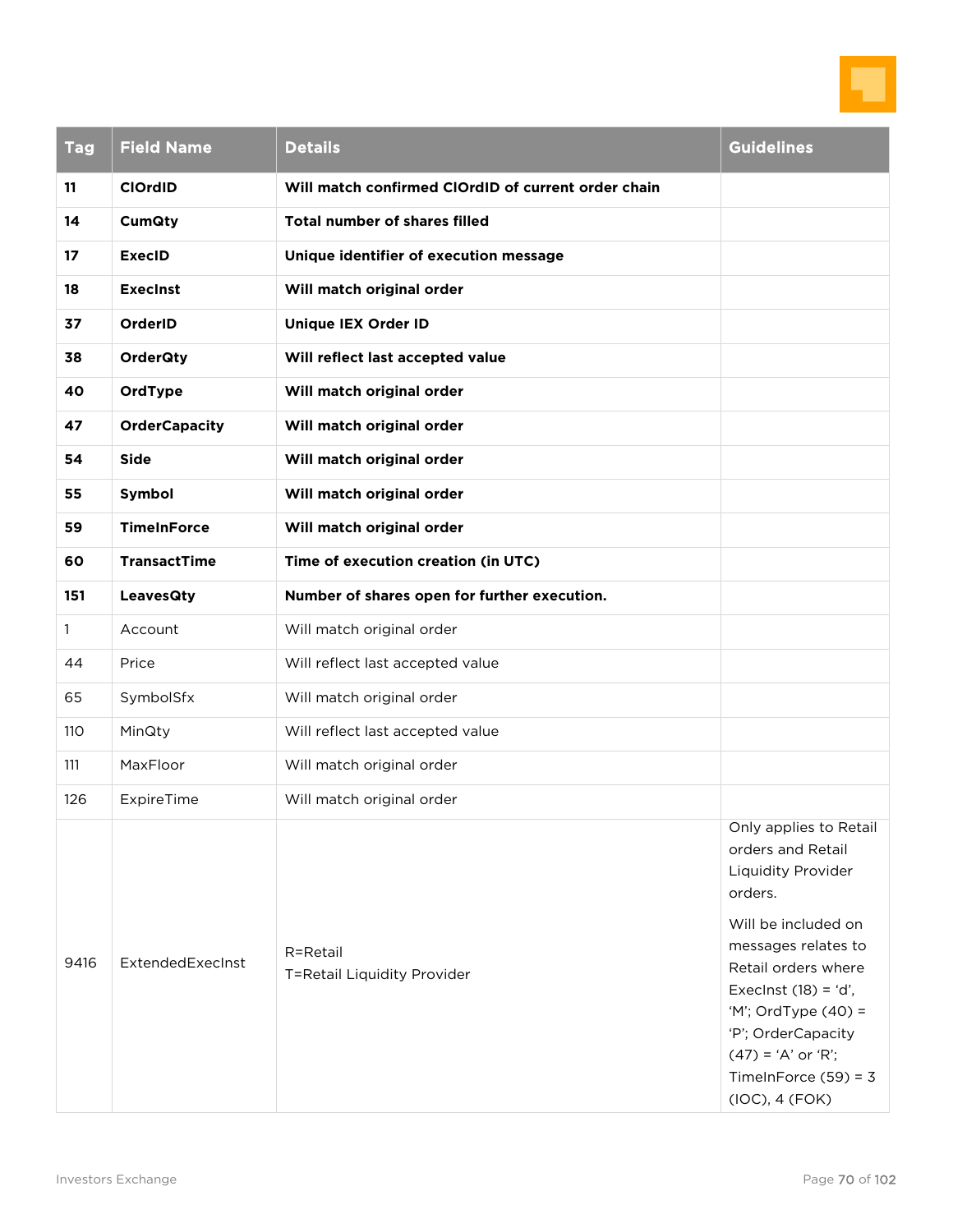

| <b>Tag</b>   | <b>Field Name</b>    | <b>Details</b>                                      | <b>Guidelines</b>                                                                                                                                                                                                                                                                            |
|--------------|----------------------|-----------------------------------------------------|----------------------------------------------------------------------------------------------------------------------------------------------------------------------------------------------------------------------------------------------------------------------------------------------|
| 11           | <b>ClOrdID</b>       | Will match confirmed ClOrdID of current order chain |                                                                                                                                                                                                                                                                                              |
| 14           | <b>CumQty</b>        | <b>Total number of shares filled</b>                |                                                                                                                                                                                                                                                                                              |
| 17           | <b>ExecID</b>        | Unique identifier of execution message              |                                                                                                                                                                                                                                                                                              |
| 18           | <b>Execinst</b>      | Will match original order                           |                                                                                                                                                                                                                                                                                              |
| 37           | OrderID              | Unique IEX Order ID                                 |                                                                                                                                                                                                                                                                                              |
| 38           | <b>OrderQty</b>      | Will reflect last accepted value                    |                                                                                                                                                                                                                                                                                              |
| 40           | OrdType              | Will match original order                           |                                                                                                                                                                                                                                                                                              |
| 47           | <b>OrderCapacity</b> | Will match original order                           |                                                                                                                                                                                                                                                                                              |
| 54           | <b>Side</b>          | Will match original order                           |                                                                                                                                                                                                                                                                                              |
| 55           | Symbol               | Will match original order                           |                                                                                                                                                                                                                                                                                              |
| 59           | <b>TimeInForce</b>   | Will match original order                           |                                                                                                                                                                                                                                                                                              |
| 60           | <b>TransactTime</b>  | Time of execution creation (in UTC)                 |                                                                                                                                                                                                                                                                                              |
| 151          | <b>LeavesQty</b>     | Number of shares open for further execution.        |                                                                                                                                                                                                                                                                                              |
| $\mathbf{1}$ | Account              | Will match original order                           |                                                                                                                                                                                                                                                                                              |
| 44           | Price                | Will reflect last accepted value                    |                                                                                                                                                                                                                                                                                              |
| 65           | SymbolSfx            | Will match original order                           |                                                                                                                                                                                                                                                                                              |
| 110          | MinQty               | Will reflect last accepted value                    |                                                                                                                                                                                                                                                                                              |
| 111          | MaxFloor             | Will match original order                           |                                                                                                                                                                                                                                                                                              |
| 126          | ExpireTime           | Will match original order                           |                                                                                                                                                                                                                                                                                              |
| 9416         | ExtendedExecInst     | R=Retail<br>T=Retail Liquidity Provider             | Only applies to Retail<br>orders and Retail<br>Liquidity Provider<br>orders.<br>Will be included on<br>messages relates to<br>Retail orders where<br>Execlnst $(18) = 'd',$<br>'M'; OrdType (40) =<br>'P'; OrderCapacity<br>$(47) = 'A'$ or 'R';<br>TimeInForce $(59) = 3$<br>(IOC), 4 (FOK) |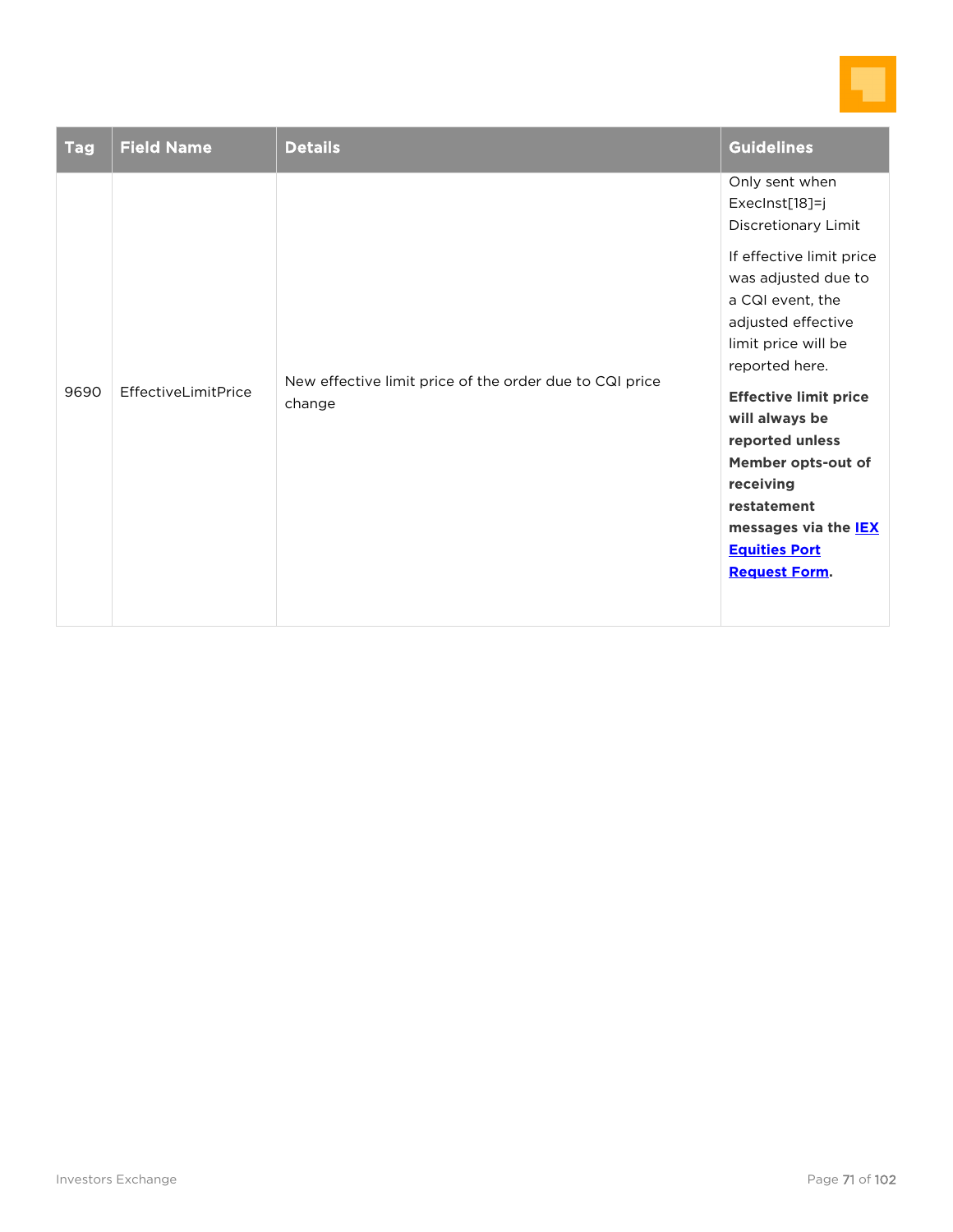

| <b>Tag</b> | <b>Field Name</b>   | <b>Details</b>                                                    | <b>Guidelines</b>                                                                                                                                                                                                                                                                                                                                                                                   |
|------------|---------------------|-------------------------------------------------------------------|-----------------------------------------------------------------------------------------------------------------------------------------------------------------------------------------------------------------------------------------------------------------------------------------------------------------------------------------------------------------------------------------------------|
| 9690       | EffectiveLimitPrice | New effective limit price of the order due to CQI price<br>change | Only sent when<br>ExecInst[18]=j<br>Discretionary Limit<br>If effective limit price<br>was adjusted due to<br>a CQI event, the<br>adjusted effective<br>limit price will be<br>reported here.<br><b>Effective limit price</b><br>will always be<br>reported unless<br>Member opts-out of<br>receiving<br>restatement<br>messages via the <b>IEX</b><br><b>Equities Port</b><br><b>Request Form.</b> |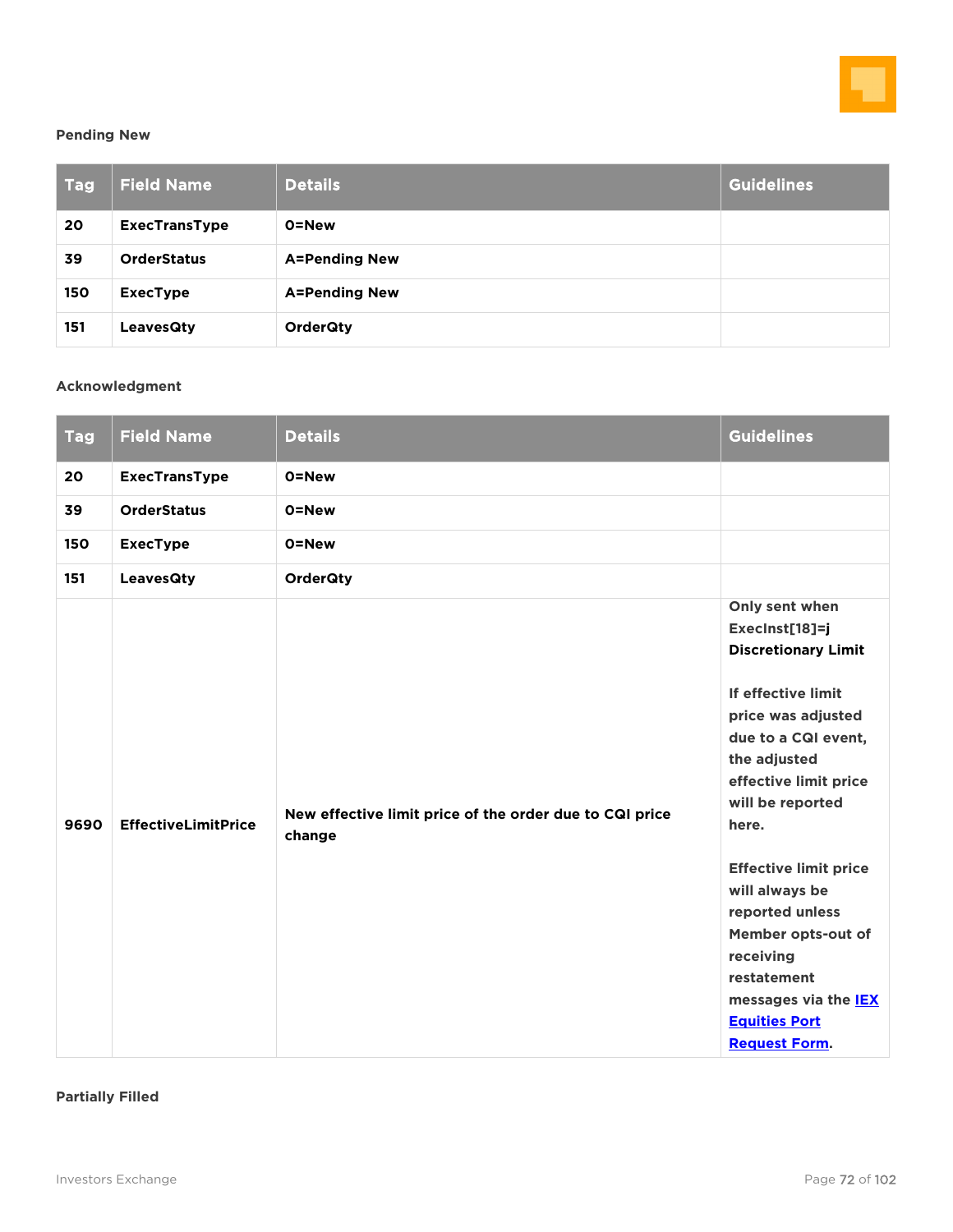

#### **Pending New**

| <b>Tag</b> | <b>Field Name</b>    | <b>Details</b>       | Guidelines |
|------------|----------------------|----------------------|------------|
| 20         | <b>ExecTransType</b> | 0=New                |            |
| 39         | <b>OrderStatus</b>   | <b>A=Pending New</b> |            |
| 150        | <b>ExecType</b>      | <b>A=Pending New</b> |            |
| 151        | <b>LeavesQty</b>     | <b>OrderQty</b>      |            |

### **Acknowledgment**

| <b>Tag</b> | <b>Field Name</b>          | <b>Details</b>                                                    | <b>Guidelines</b>                                                                                                                                                                                                                                                                                                                                                                                             |
|------------|----------------------------|-------------------------------------------------------------------|---------------------------------------------------------------------------------------------------------------------------------------------------------------------------------------------------------------------------------------------------------------------------------------------------------------------------------------------------------------------------------------------------------------|
| 20         | <b>ExecTransType</b>       | 0=New                                                             |                                                                                                                                                                                                                                                                                                                                                                                                               |
| 39         | <b>OrderStatus</b>         | 0=New                                                             |                                                                                                                                                                                                                                                                                                                                                                                                               |
| 150        | <b>ExecType</b>            | 0=New                                                             |                                                                                                                                                                                                                                                                                                                                                                                                               |
| 151        | <b>LeavesQty</b>           | <b>OrderQty</b>                                                   |                                                                                                                                                                                                                                                                                                                                                                                                               |
| 9690       | <b>EffectiveLimitPrice</b> | New effective limit price of the order due to CQI price<br>change | Only sent when<br>ExecInst[18]=j<br><b>Discretionary Limit</b><br>If effective limit<br>price was adjusted<br>due to a CQI event,<br>the adjusted<br>effective limit price<br>will be reported<br>here.<br><b>Effective limit price</b><br>will always be<br>reported unless<br>Member opts-out of<br>receiving<br>restatement<br>messages via the <b>IEX</b><br><b>Equities Port</b><br><b>Request Form.</b> |

**Partially Filled**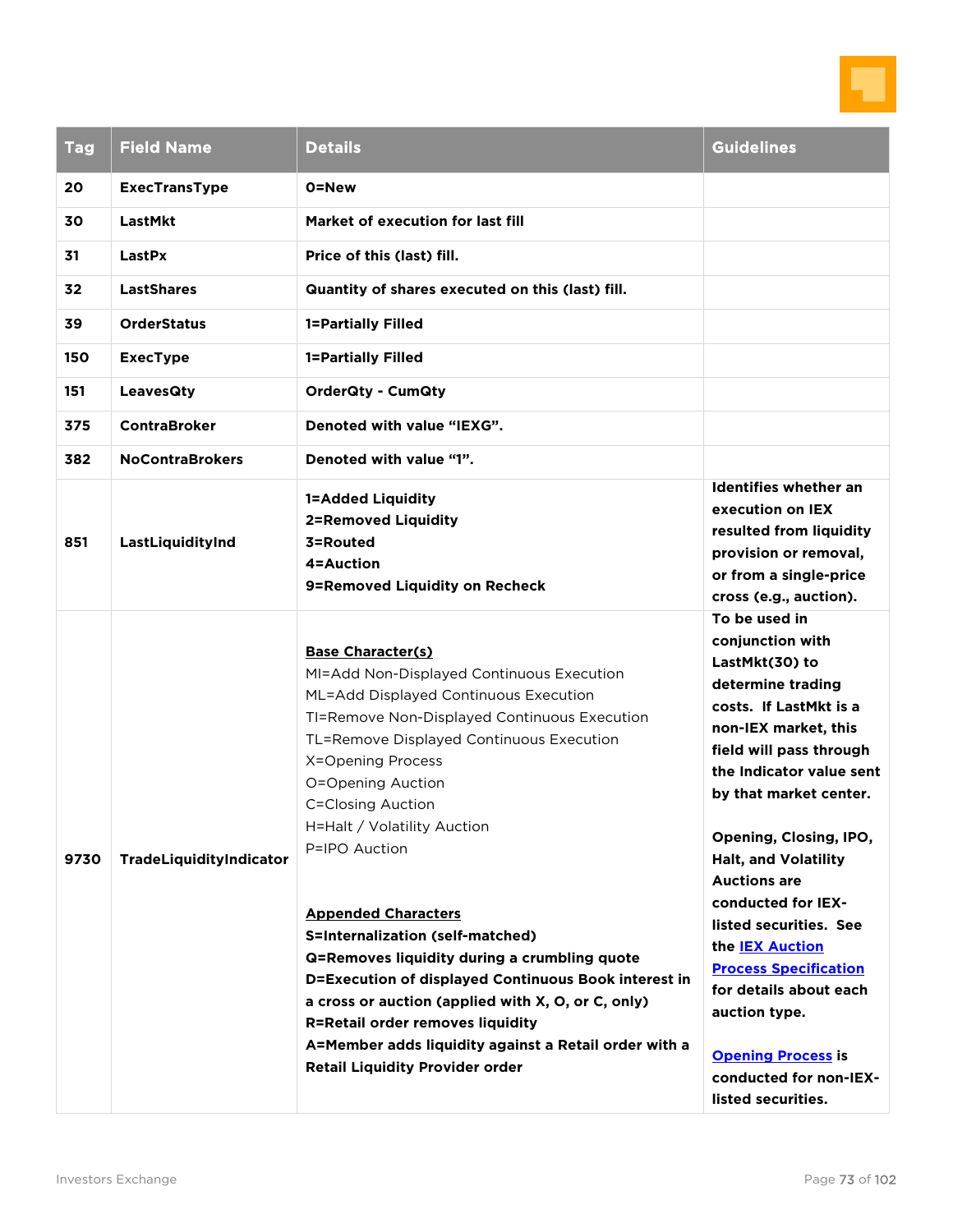

| <b>Tag</b>                        | <b>Field Name</b>                                                                                       | <b>Details</b>                                                                                                                                                                                                                                                                                                                                                                                                                                                                                                                                                                                                                                                                                                 | <b>Guidelines</b>                                                                                                                                                                                                                                                                                                                                                                                                                                                                                                             |
|-----------------------------------|---------------------------------------------------------------------------------------------------------|----------------------------------------------------------------------------------------------------------------------------------------------------------------------------------------------------------------------------------------------------------------------------------------------------------------------------------------------------------------------------------------------------------------------------------------------------------------------------------------------------------------------------------------------------------------------------------------------------------------------------------------------------------------------------------------------------------------|-------------------------------------------------------------------------------------------------------------------------------------------------------------------------------------------------------------------------------------------------------------------------------------------------------------------------------------------------------------------------------------------------------------------------------------------------------------------------------------------------------------------------------|
| 20<br>30<br>31<br>32<br>39<br>150 | <b>ExecTransType</b><br>LastMkt<br>LastPx<br><b>LastShares</b><br><b>OrderStatus</b><br><b>ExecType</b> | 0=New<br>Market of execution for last fill<br>Price of this (last) fill.<br>Quantity of shares executed on this (last) fill.<br>1=Partially Filled<br>1=Partially Filled                                                                                                                                                                                                                                                                                                                                                                                                                                                                                                                                       |                                                                                                                                                                                                                                                                                                                                                                                                                                                                                                                               |
| 151<br>375                        | <b>LeavesQty</b><br><b>ContraBroker</b>                                                                 | <b>OrderQty - CumQty</b><br>Denoted with value "IEXG".                                                                                                                                                                                                                                                                                                                                                                                                                                                                                                                                                                                                                                                         |                                                                                                                                                                                                                                                                                                                                                                                                                                                                                                                               |
| 382                               | <b>NoContraBrokers</b>                                                                                  | Denoted with value "1".                                                                                                                                                                                                                                                                                                                                                                                                                                                                                                                                                                                                                                                                                        |                                                                                                                                                                                                                                                                                                                                                                                                                                                                                                                               |
| 851                               | LastLiquidityInd                                                                                        | <b>1=Added Liquidity</b><br><b>2=Removed Liquidity</b><br>3=Routed<br>4=Auction<br>9=Removed Liquidity on Recheck                                                                                                                                                                                                                                                                                                                                                                                                                                                                                                                                                                                              | <b>Identifies whether an</b><br>execution on IEX<br>resulted from liquidity<br>provision or removal,<br>or from a single-price<br>cross (e.g., auction).                                                                                                                                                                                                                                                                                                                                                                      |
| 9730                              | TradeLiquidityIndicator                                                                                 | <b>Base Character(s)</b><br>MI=Add Non-Displayed Continuous Execution<br>ML=Add Displayed Continuous Execution<br>TI=Remove Non-Displayed Continuous Execution<br>TL=Remove Displayed Continuous Execution<br>X=Opening Process<br>O=Opening Auction<br><b>C=Closing Auction</b><br>H=Halt / Volatility Auction<br>P=IPO Auction<br><b>Appended Characters</b><br>S=Internalization (self-matched)<br>Q=Removes liquidity during a crumbling quote<br>D=Execution of displayed Continuous Book interest in<br>a cross or auction (applied with X, O, or C, only)<br><b>R=Retail order removes liquidity</b><br>A=Member adds liquidity against a Retail order with a<br><b>Retail Liquidity Provider order</b> | To be used in<br>conjunction with<br>LastMkt(30) to<br>determine trading<br>costs. If LastMkt is a<br>non-IEX market, this<br>field will pass through<br>the Indicator value sent<br>by that market center.<br>Opening, Closing, IPO,<br><b>Halt, and Volatility</b><br><b>Auctions are</b><br>conducted for IEX-<br>listed securities. See<br>the <b>IEX Auction</b><br><b>Process Specification</b><br>for details about each<br>auction type.<br><b>Opening Process is</b><br>conducted for non-IEX-<br>listed securities. |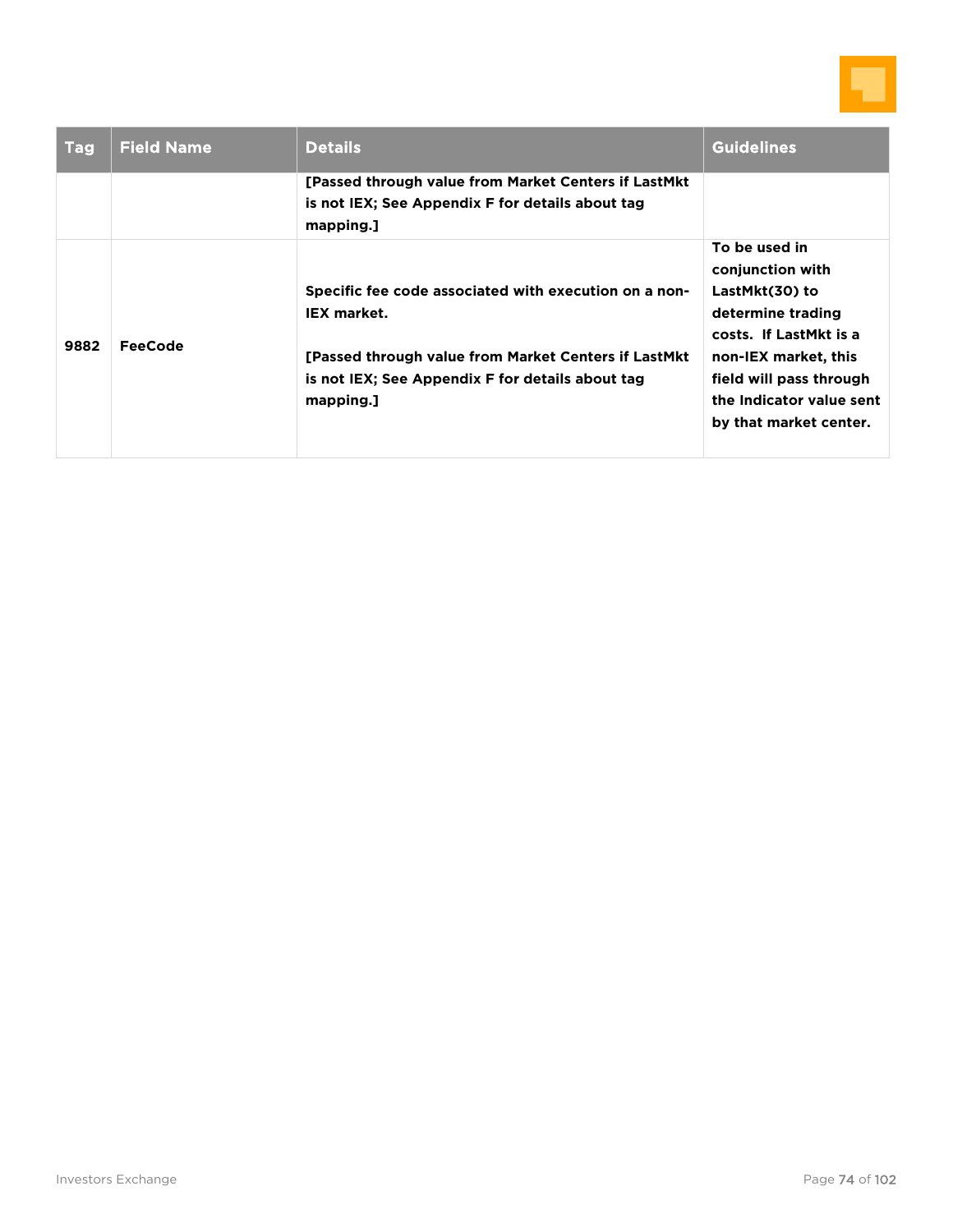

| <b>Tag</b> | <b>Field Name</b> | <b>Details</b>                                                                                                                                                                                        | <b>Guidelines</b>                                                                                                                                                                                           |
|------------|-------------------|-------------------------------------------------------------------------------------------------------------------------------------------------------------------------------------------------------|-------------------------------------------------------------------------------------------------------------------------------------------------------------------------------------------------------------|
|            |                   | [Passed through value from Market Centers if LastMkt]<br>is not IEX; See Appendix F for details about tag<br>mapping.]                                                                                |                                                                                                                                                                                                             |
| 9882       | FeeCode           | Specific fee code associated with execution on a non-<br><b>IEX market.</b><br>[Passed through value from Market Centers if LastMkt]<br>is not IEX; See Appendix F for details about tag<br>mapping.] | To be used in<br>conjunction with<br>LastMkt(30) to<br>determine trading<br>costs. If LastMkt is a<br>non-IEX market, this<br>field will pass through<br>the Indicator value sent<br>by that market center. |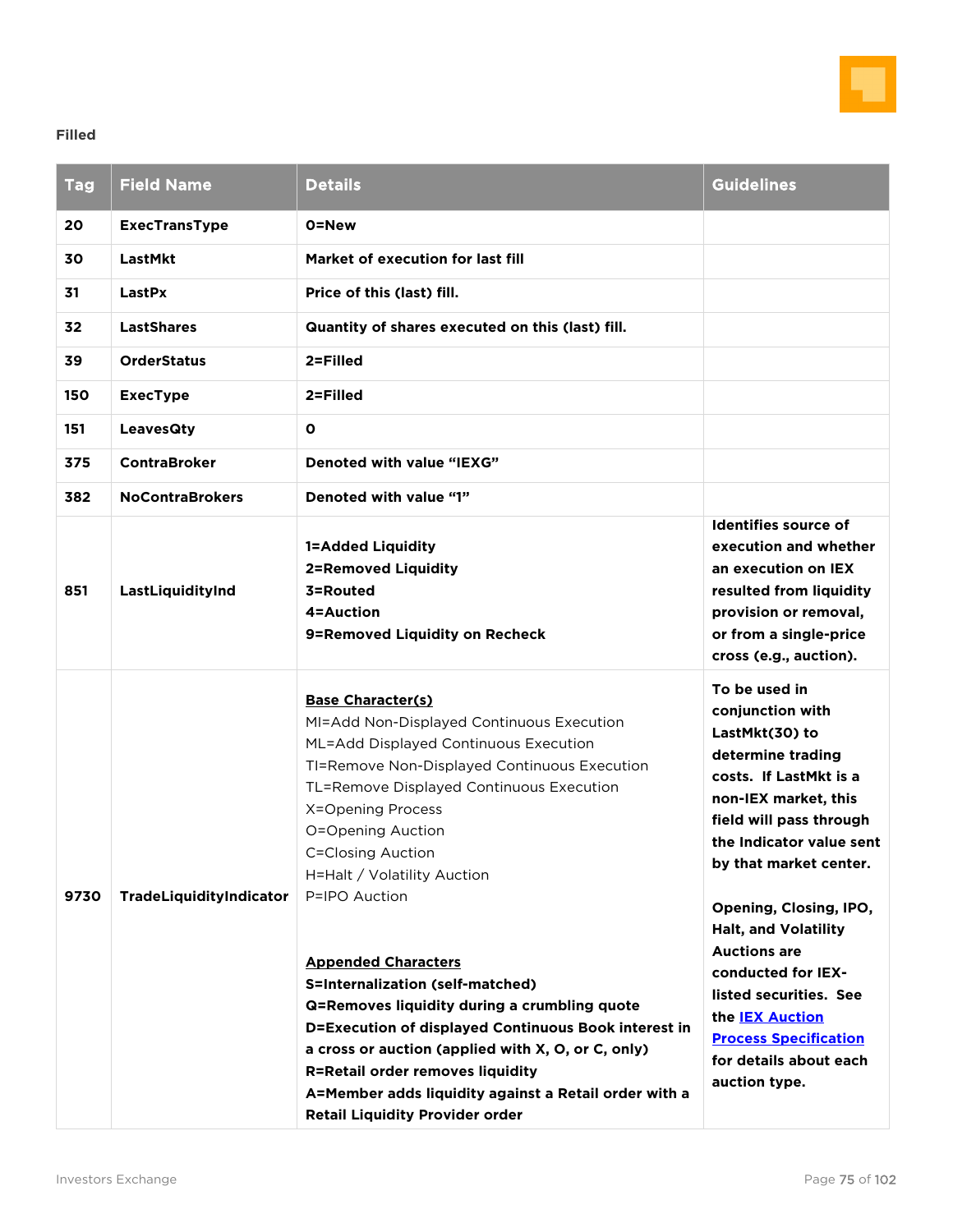

### **Filled**

| <b>Tag</b> | <b>Field Name</b>       | <b>Details</b>                                                                                                                                                                                                                                                                                                                                                                                                                                                                                                                                                                                                                                                                                                 | <b>Guidelines</b>                                                                                                                                                                                                                                                                                                                                                                                                                                |
|------------|-------------------------|----------------------------------------------------------------------------------------------------------------------------------------------------------------------------------------------------------------------------------------------------------------------------------------------------------------------------------------------------------------------------------------------------------------------------------------------------------------------------------------------------------------------------------------------------------------------------------------------------------------------------------------------------------------------------------------------------------------|--------------------------------------------------------------------------------------------------------------------------------------------------------------------------------------------------------------------------------------------------------------------------------------------------------------------------------------------------------------------------------------------------------------------------------------------------|
| 20         | <b>ExecTransType</b>    | 0=New                                                                                                                                                                                                                                                                                                                                                                                                                                                                                                                                                                                                                                                                                                          |                                                                                                                                                                                                                                                                                                                                                                                                                                                  |
| 30         | LastMkt                 | Market of execution for last fill                                                                                                                                                                                                                                                                                                                                                                                                                                                                                                                                                                                                                                                                              |                                                                                                                                                                                                                                                                                                                                                                                                                                                  |
| 31         | LastPx                  | Price of this (last) fill.                                                                                                                                                                                                                                                                                                                                                                                                                                                                                                                                                                                                                                                                                     |                                                                                                                                                                                                                                                                                                                                                                                                                                                  |
| 32         | <b>LastShares</b>       | Quantity of shares executed on this (last) fill.                                                                                                                                                                                                                                                                                                                                                                                                                                                                                                                                                                                                                                                               |                                                                                                                                                                                                                                                                                                                                                                                                                                                  |
| 39         | <b>OrderStatus</b>      | 2=Filled                                                                                                                                                                                                                                                                                                                                                                                                                                                                                                                                                                                                                                                                                                       |                                                                                                                                                                                                                                                                                                                                                                                                                                                  |
| 150        | <b>ExecType</b>         | 2=Filled                                                                                                                                                                                                                                                                                                                                                                                                                                                                                                                                                                                                                                                                                                       |                                                                                                                                                                                                                                                                                                                                                                                                                                                  |
| 151        | <b>LeavesQty</b>        | $\mathbf{o}$                                                                                                                                                                                                                                                                                                                                                                                                                                                                                                                                                                                                                                                                                                   |                                                                                                                                                                                                                                                                                                                                                                                                                                                  |
| 375        | <b>ContraBroker</b>     | Denoted with value "IEXG"                                                                                                                                                                                                                                                                                                                                                                                                                                                                                                                                                                                                                                                                                      |                                                                                                                                                                                                                                                                                                                                                                                                                                                  |
| 382        | <b>NoContraBrokers</b>  | Denoted with value "1"                                                                                                                                                                                                                                                                                                                                                                                                                                                                                                                                                                                                                                                                                         |                                                                                                                                                                                                                                                                                                                                                                                                                                                  |
| 851        | LastLiquidityInd        | <b>1=Added Liquidity</b><br><b>2=Removed Liquidity</b><br>3=Routed<br>4=Auction<br>9=Removed Liquidity on Recheck                                                                                                                                                                                                                                                                                                                                                                                                                                                                                                                                                                                              | Identifies source of<br>execution and whether<br>an execution on IEX<br>resulted from liquidity<br>provision or removal,<br>or from a single-price<br>cross (e.g., auction).                                                                                                                                                                                                                                                                     |
| 9730       | TradeLiquidityIndicator | <b>Base Character(s)</b><br>MI=Add Non-Displayed Continuous Execution<br>ML=Add Displayed Continuous Execution<br>TI=Remove Non-Displayed Continuous Execution<br>TL=Remove Displayed Continuous Execution<br>X=Opening Process<br>O=Opening Auction<br><b>C=Closing Auction</b><br>H=Halt / Volatility Auction<br>P=IPO Auction<br><b>Appended Characters</b><br>S=Internalization (self-matched)<br>Q=Removes liquidity during a crumbling quote<br>D=Execution of displayed Continuous Book interest in<br>a cross or auction (applied with X, O, or C, only)<br><b>R=Retail order removes liquidity</b><br>A=Member adds liquidity against a Retail order with a<br><b>Retail Liquidity Provider order</b> | To be used in<br>conjunction with<br>LastMkt(30) to<br>determine trading<br>costs. If LastMkt is a<br>non-IEX market, this<br>field will pass through<br>the Indicator value sent<br>by that market center.<br>Opening, Closing, IPO,<br><b>Halt, and Volatility</b><br><b>Auctions are</b><br>conducted for IEX-<br>listed securities. See<br>the <b>IEX Auction</b><br><b>Process Specification</b><br>for details about each<br>auction type. |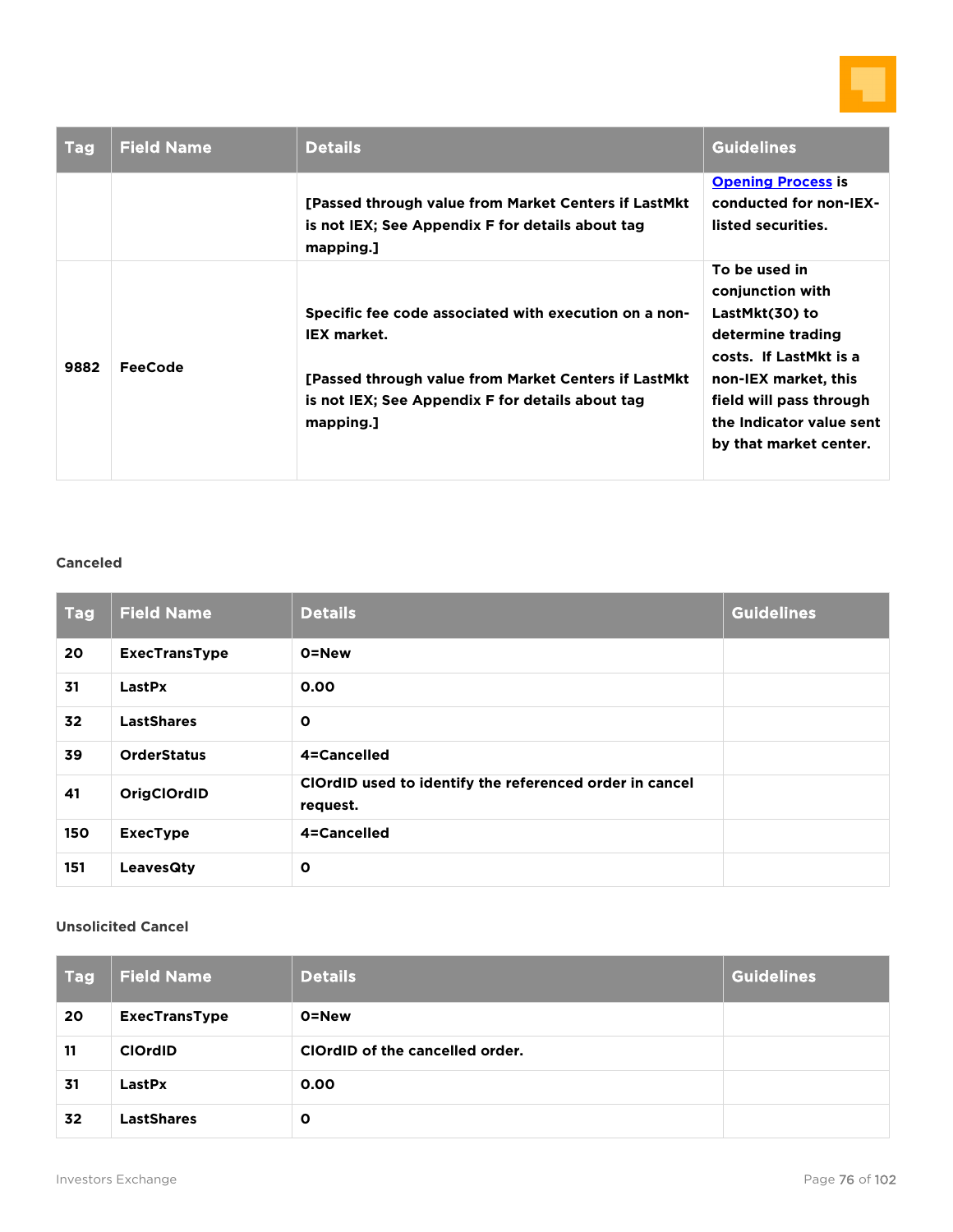

| <b>Tag</b> | <b>Field Name</b> | <b>Details</b>                                                                                                                                                                                        | <b>Guidelines</b>                                                                                                                                                                                           |
|------------|-------------------|-------------------------------------------------------------------------------------------------------------------------------------------------------------------------------------------------------|-------------------------------------------------------------------------------------------------------------------------------------------------------------------------------------------------------------|
|            |                   | [Passed through value from Market Centers if LastMkt<br>is not IEX; See Appendix F for details about tag<br>mapping.]                                                                                 | <b>Opening Process is</b><br>conducted for non-IEX-<br>listed securities.                                                                                                                                   |
| 9882       | FeeCode           | Specific fee code associated with execution on a non-<br><b>IEX market.</b><br>[Passed through value from Market Centers if LastMkt]<br>is not IEX; See Appendix F for details about tag<br>mapping.] | To be used in<br>conjunction with<br>LastMkt(30) to<br>determine trading<br>costs. If LastMkt is a<br>non-IEX market, this<br>field will pass through<br>the Indicator value sent<br>by that market center. |

#### **Canceled**

| <b>Tag</b> | <b>Field Name</b>    | <b>Details</b>                                                      | <b>Guidelines</b> |
|------------|----------------------|---------------------------------------------------------------------|-------------------|
| 20         | <b>ExecTransType</b> | 0=New                                                               |                   |
| 31         | LastPx               | 0.00                                                                |                   |
| 32         | <b>LastShares</b>    | $\mathbf o$                                                         |                   |
| 39         | <b>OrderStatus</b>   | 4=Cancelled                                                         |                   |
| 41         | OrigClOrdID          | ClOrdID used to identify the referenced order in cancel<br>request. |                   |
| 150        | <b>ExecType</b>      | 4=Cancelled                                                         |                   |
| 151        | LeavesQty            | $\mathbf{o}$                                                        |                   |

### **Unsolicited Cancel**

| <b>Tag</b> | <b>Field Name</b>    | <b>Details</b>                  | <b>Guidelines</b> |
|------------|----------------------|---------------------------------|-------------------|
| 20         | <b>ExecTransType</b> | 0=New                           |                   |
| 11         | <b>ClOrdID</b>       | ClOrdID of the cancelled order. |                   |
| 31         | LastPx               | 0.00                            |                   |
| 32         | <b>LastShares</b>    | $\mathbf{o}$                    |                   |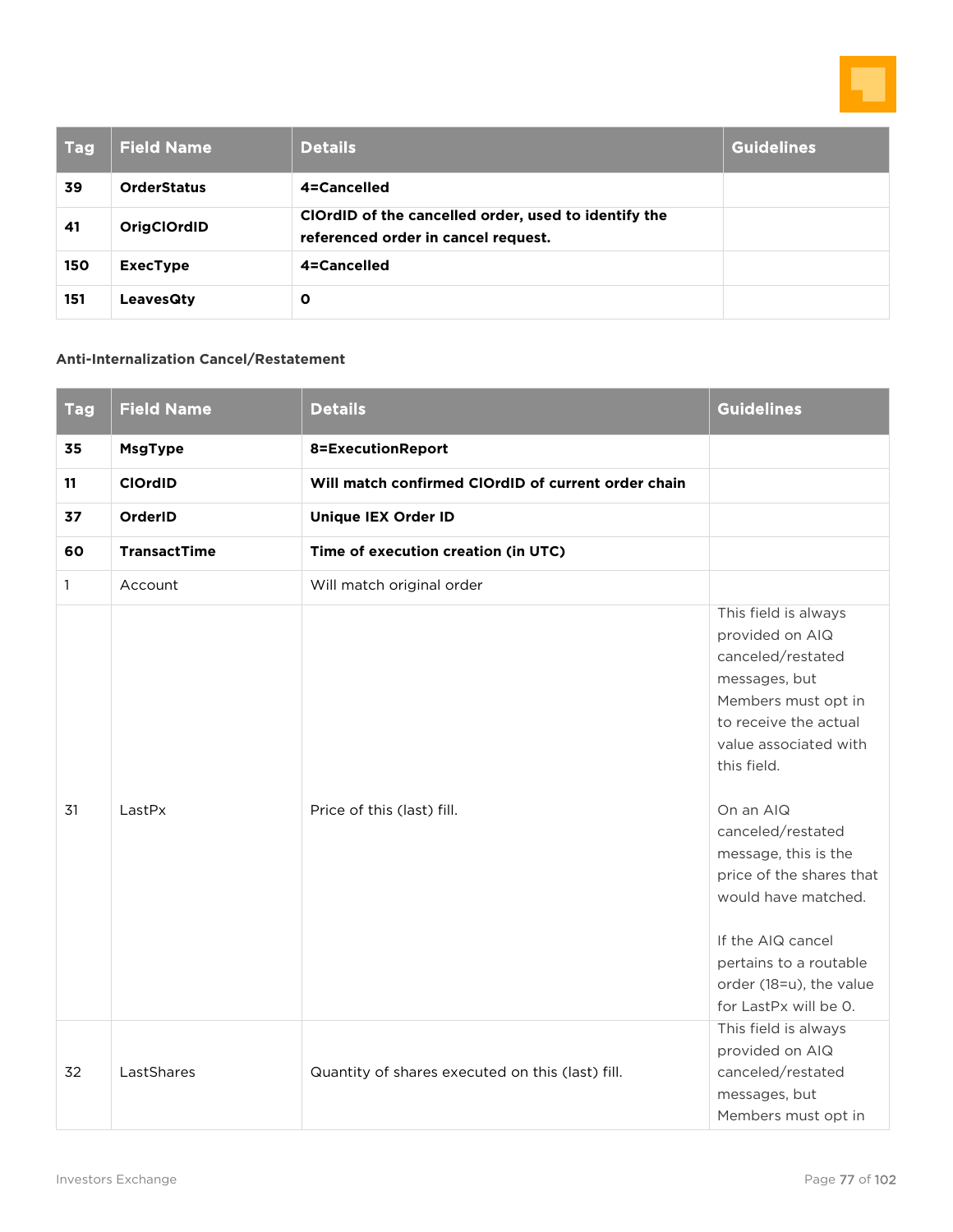

| <b>Tag</b> | <b>Field Name</b>  | <b>Details</b>                                                                              | <b>Guidelines</b> |
|------------|--------------------|---------------------------------------------------------------------------------------------|-------------------|
| 39         | <b>OrderStatus</b> | 4=Cancelled                                                                                 |                   |
| 41         | <b>OrigClOrdID</b> | ClOrdID of the cancelled order, used to identify the<br>referenced order in cancel request. |                   |
| 150        | <b>ExecType</b>    | 4=Cancelled                                                                                 |                   |
| 151        | <b>LeavesQty</b>   | Ο                                                                                           |                   |

### **Anti-Internalization Cancel/Restatement**

| <b>Tag</b>   | <b>Field Name</b>   | <b>Details</b>                                      | <b>Guidelines</b>                                                                                                                                                                                                                                                                                                                                                                     |
|--------------|---------------------|-----------------------------------------------------|---------------------------------------------------------------------------------------------------------------------------------------------------------------------------------------------------------------------------------------------------------------------------------------------------------------------------------------------------------------------------------------|
| 35           | <b>MsgType</b>      | 8=ExecutionReport                                   |                                                                                                                                                                                                                                                                                                                                                                                       |
| 11           | <b>ClOrdID</b>      | Will match confirmed ClOrdID of current order chain |                                                                                                                                                                                                                                                                                                                                                                                       |
| 37           | OrderID             | <b>Unique IEX Order ID</b>                          |                                                                                                                                                                                                                                                                                                                                                                                       |
| 60           | <b>TransactTime</b> | Time of execution creation (in UTC)                 |                                                                                                                                                                                                                                                                                                                                                                                       |
| $\mathbf{1}$ | Account             | Will match original order                           |                                                                                                                                                                                                                                                                                                                                                                                       |
| 31           | LastPx              | Price of this (last) fill.                          | This field is always<br>provided on AIQ<br>canceled/restated<br>messages, but<br>Members must opt in<br>to receive the actual<br>value associated with<br>this field.<br>On an AIQ<br>canceled/restated<br>message, this is the<br>price of the shares that<br>would have matched.<br>If the AIQ cancel<br>pertains to a routable<br>order (18=u), the value<br>for LastPx will be O. |
| 32           | LastShares          | Quantity of shares executed on this (last) fill.    | This field is always<br>provided on AIQ<br>canceled/restated<br>messages, but<br>Members must opt in                                                                                                                                                                                                                                                                                  |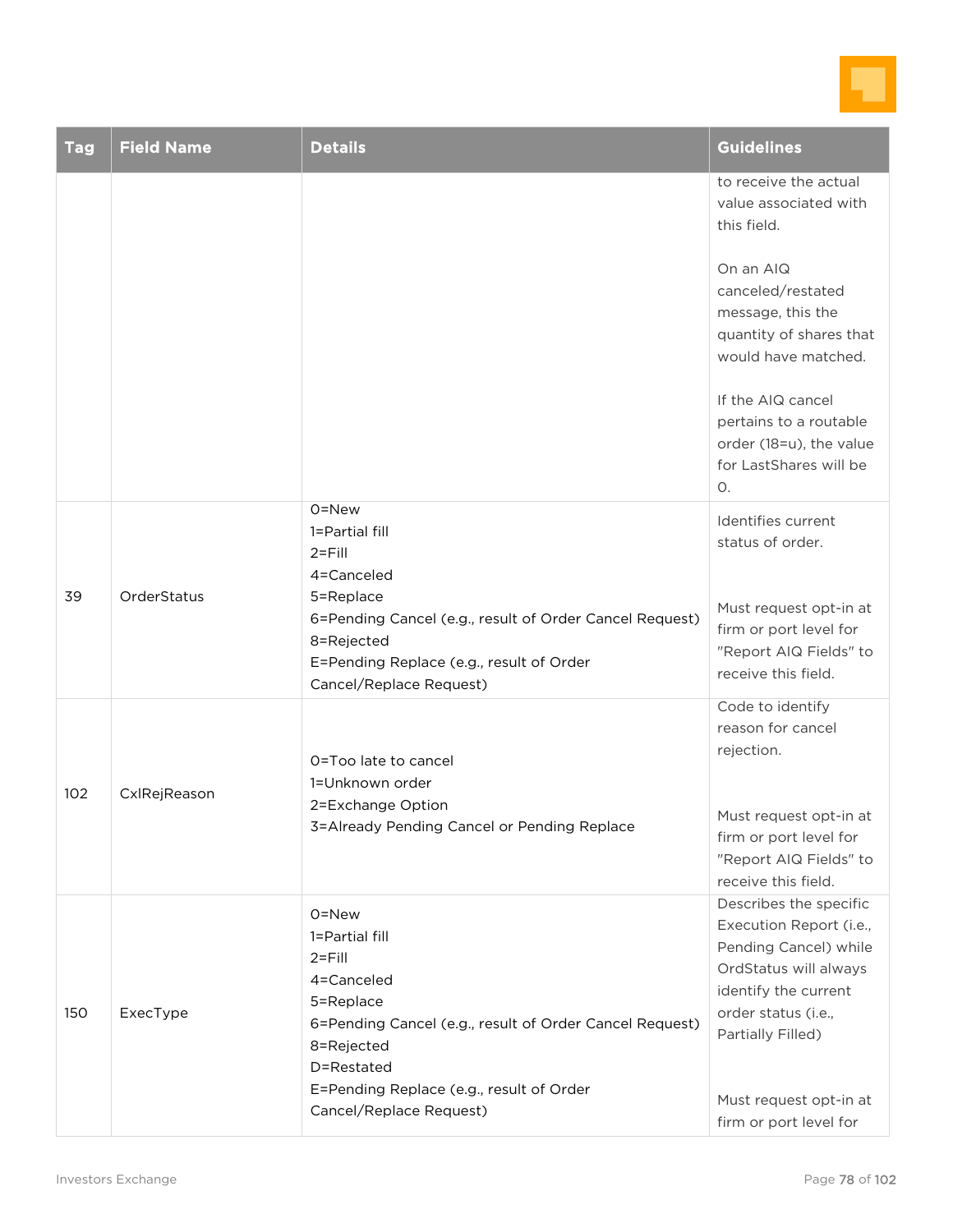

| <b>Tag</b> | <b>Field Name</b> | <b>Details</b>                                                                                                                                                                                                                 | <b>Guidelines</b>                                                                                                                                                                                                                                                                |
|------------|-------------------|--------------------------------------------------------------------------------------------------------------------------------------------------------------------------------------------------------------------------------|----------------------------------------------------------------------------------------------------------------------------------------------------------------------------------------------------------------------------------------------------------------------------------|
|            |                   |                                                                                                                                                                                                                                | to receive the actual<br>value associated with<br>this field.<br>On an AIQ<br>canceled/restated<br>message, this the<br>quantity of shares that<br>would have matched.<br>If the AIQ cancel<br>pertains to a routable<br>order (18=u), the value<br>for LastShares will be<br>О. |
| 39         | OrderStatus       | 0=New<br>1=Partial fill<br>$2 = Fill$<br>4=Canceled<br>5=Replace<br>6=Pending Cancel (e.g., result of Order Cancel Request)<br>8=Rejected<br>E=Pending Replace (e.g., result of Order<br>Cancel/Replace Request)               | Identifies current<br>status of order.<br>Must request opt-in at<br>firm or port level for<br>"Report AIQ Fields" to<br>receive this field.                                                                                                                                      |
| 102        | CxlRejReason      | O=Too late to cancel<br>1=Unknown order<br>2=Exchange Option<br>3=Already Pending Cancel or Pending Replace                                                                                                                    | Code to identify<br>reason for cancel<br>rejection.<br>Must request opt-in at<br>firm or port level for<br>"Report AIQ Fields" to<br>receive this field.                                                                                                                         |
| 150        | ExecType          | 0=New<br>1=Partial fill<br>$2 = Fill$<br>4=Canceled<br>5=Replace<br>6=Pending Cancel (e.g., result of Order Cancel Request)<br>8=Rejected<br>D=Restated<br>E=Pending Replace (e.g., result of Order<br>Cancel/Replace Request) | Describes the specific<br>Execution Report (i.e.,<br>Pending Cancel) while<br>OrdStatus will always<br>identify the current<br>order status (i.e.,<br>Partially Filled)<br>Must request opt-in at<br>firm or port level for                                                      |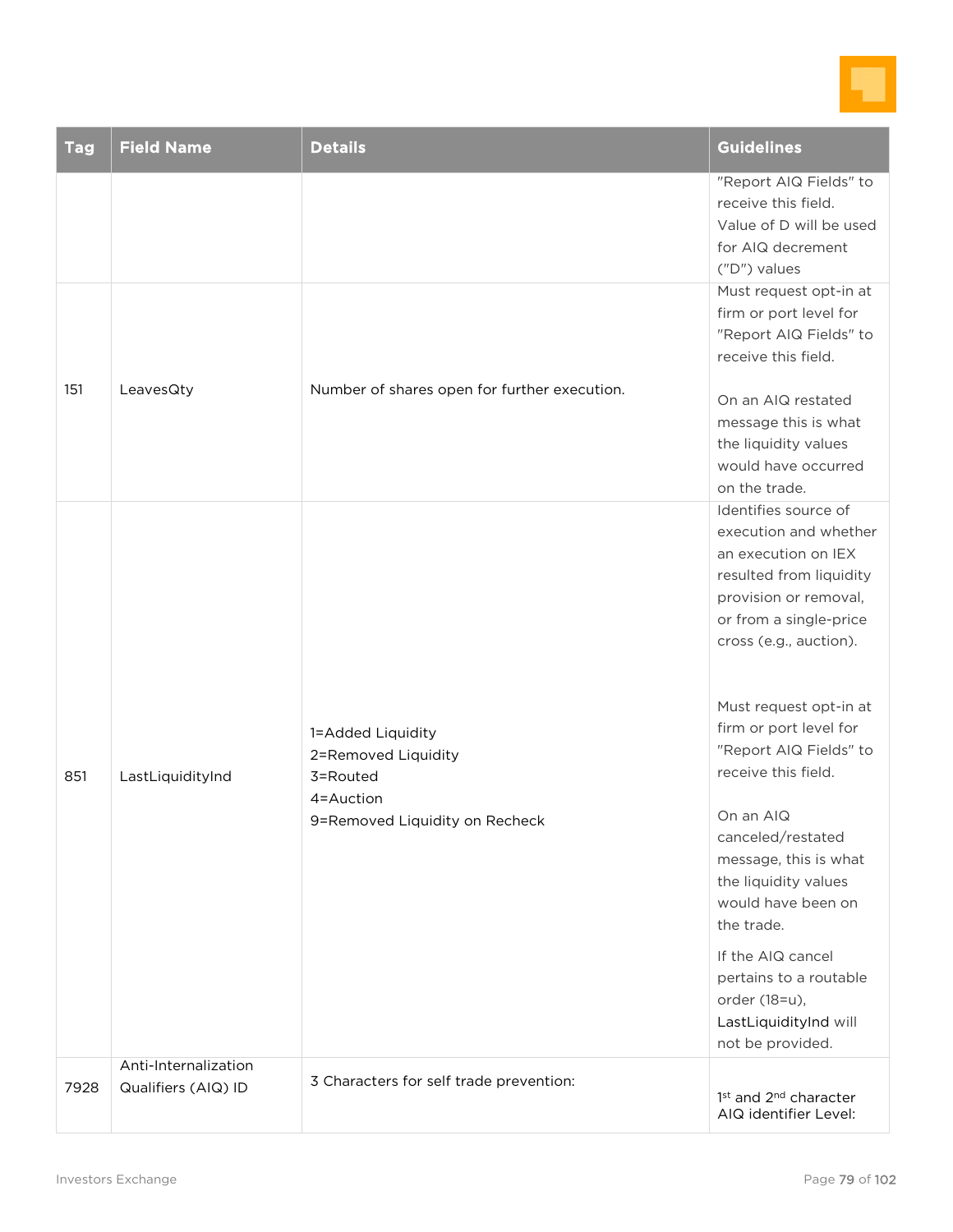

| <b>Tag</b> | <b>Field Name</b>                           | <b>Details</b>                                                                                      | <b>Guidelines</b>                                                                                                                                                                                                                                                                                                                                                                                                                                       |
|------------|---------------------------------------------|-----------------------------------------------------------------------------------------------------|---------------------------------------------------------------------------------------------------------------------------------------------------------------------------------------------------------------------------------------------------------------------------------------------------------------------------------------------------------------------------------------------------------------------------------------------------------|
| 151        | LeavesQty                                   | Number of shares open for further execution.                                                        | "Report AIQ Fields" to<br>receive this field.<br>Value of D will be used<br>for AIQ decrement<br>("D") values<br>Must request opt-in at<br>firm or port level for<br>"Report AIQ Fields" to<br>receive this field.<br>On an AIQ restated<br>message this is what<br>the liquidity values<br>would have occurred<br>on the trade.                                                                                                                        |
| 851        | LastLiquidityInd                            | 1=Added Liquidity<br>2=Removed Liquidity<br>3=Routed<br>4=Auction<br>9=Removed Liquidity on Recheck | Identifies source of<br>execution and whether<br>an execution on IEX<br>resulted from liquidity<br>provision or removal,<br>or from a single-price<br>cross (e.g., auction).<br>Must request opt-in at<br>firm or port level for<br>"Report AIQ Fields" to<br>receive this field.<br>On an AIQ<br>canceled/restated<br>message, this is what<br>the liquidity values<br>would have been on<br>the trade.<br>If the AIQ cancel<br>pertains to a routable |
| 7928       | Anti-Internalization<br>Qualifiers (AIQ) ID | 3 Characters for self trade prevention:                                                             | LastLiquidityInd will<br>not be provided.                                                                                                                                                                                                                                                                                                                                                                                                               |
|            |                                             |                                                                                                     | 1st and 2 <sup>nd</sup> character<br>AIQ identifier Level:                                                                                                                                                                                                                                                                                                                                                                                              |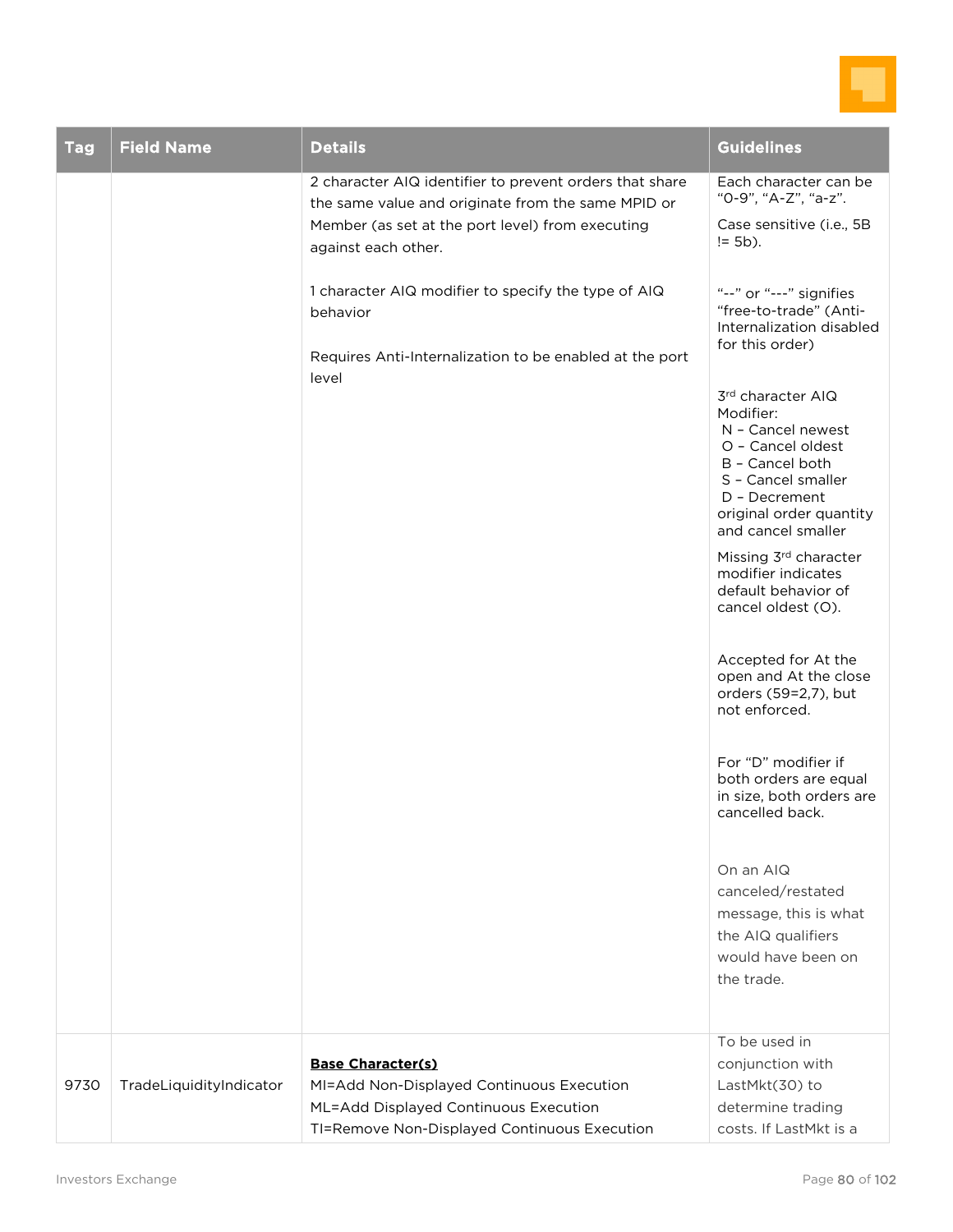

| <b>Tag</b> | <b>Field Name</b>       | <b>Details</b>                                                                                                                                                                                                                                                                                                                  | <b>Guidelines</b>                                                                                                                                                                                                                                                                                                                                                                                                                                                                                                                                                                                                                                                                                                                                                                                           |
|------------|-------------------------|---------------------------------------------------------------------------------------------------------------------------------------------------------------------------------------------------------------------------------------------------------------------------------------------------------------------------------|-------------------------------------------------------------------------------------------------------------------------------------------------------------------------------------------------------------------------------------------------------------------------------------------------------------------------------------------------------------------------------------------------------------------------------------------------------------------------------------------------------------------------------------------------------------------------------------------------------------------------------------------------------------------------------------------------------------------------------------------------------------------------------------------------------------|
|            |                         | 2 character AIQ identifier to prevent orders that share<br>the same value and originate from the same MPID or<br>Member (as set at the port level) from executing<br>against each other.<br>1 character AIQ modifier to specify the type of AIQ<br>behavior<br>Requires Anti-Internalization to be enabled at the port<br>level | Each character can be<br>"0-9", "A-Z", "a-z".<br>Case sensitive (i.e., 5B<br>$= 5b$ ).<br>"--" or "---" signifies<br>"free-to-trade" (Anti-<br>Internalization disabled<br>for this order)<br>3rd character AIQ<br>Modifier:<br>N - Cancel newest<br>O - Cancel oldest<br>B - Cancel both<br>S - Cancel smaller<br>D - Decrement<br>original order quantity<br>and cancel smaller<br>Missing 3rd character<br>modifier indicates<br>default behavior of<br>cancel oldest (O).<br>Accepted for At the<br>open and At the close<br>orders (59=2,7), but<br>not enforced.<br>For "D" modifier if<br>both orders are equal<br>in size, both orders are<br>cancelled back.<br>On an AIQ<br>canceled/restated<br>message, this is what<br>the AIQ qualifiers<br>would have been on<br>the trade.<br>To be used in |
| 9730       | TradeLiquidityIndicator | <b>Base Character(s)</b><br>MI=Add Non-Displayed Continuous Execution<br>ML=Add Displayed Continuous Execution<br>TI=Remove Non-Displayed Continuous Execution                                                                                                                                                                  | conjunction with<br>LastMkt(30) to<br>determine trading<br>costs. If LastMkt is a                                                                                                                                                                                                                                                                                                                                                                                                                                                                                                                                                                                                                                                                                                                           |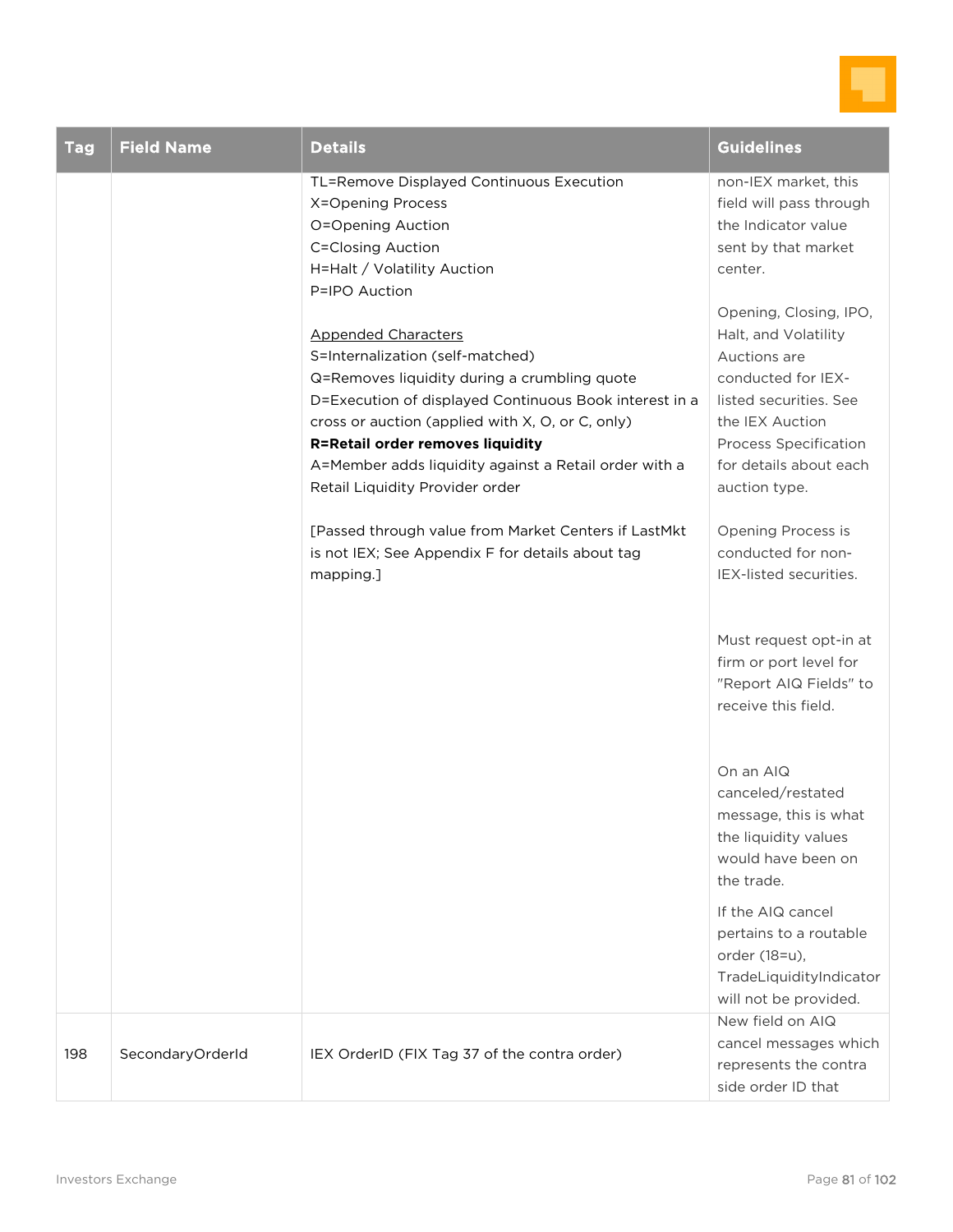

| <b>Tag</b> | <b>Field Name</b> | <b>Details</b>                                                                                                                                                                                                                                                                                                                                                                                                                                                                                                                                                                                                                                                 | <b>Guidelines</b>                                                                                                                                                                                                                                                                                                                                                                                                                                                                                                                                                                                                                                                                                                     |
|------------|-------------------|----------------------------------------------------------------------------------------------------------------------------------------------------------------------------------------------------------------------------------------------------------------------------------------------------------------------------------------------------------------------------------------------------------------------------------------------------------------------------------------------------------------------------------------------------------------------------------------------------------------------------------------------------------------|-----------------------------------------------------------------------------------------------------------------------------------------------------------------------------------------------------------------------------------------------------------------------------------------------------------------------------------------------------------------------------------------------------------------------------------------------------------------------------------------------------------------------------------------------------------------------------------------------------------------------------------------------------------------------------------------------------------------------|
|            |                   | TL=Remove Displayed Continuous Execution<br>X=Opening Process<br>O=Opening Auction<br><b>C=Closing Auction</b><br>H=Halt / Volatility Auction<br>P=IPO Auction<br><b>Appended Characters</b><br>S=Internalization (self-matched)<br>Q=Removes liquidity during a crumbling quote<br>D=Execution of displayed Continuous Book interest in a<br>cross or auction (applied with X, O, or C, only)<br><b>R=Retail order removes liquidity</b><br>A=Member adds liquidity against a Retail order with a<br>Retail Liquidity Provider order<br>[Passed through value from Market Centers if LastMkt<br>is not IEX; See Appendix F for details about tag<br>mapping.] | non-IEX market, this<br>field will pass through<br>the Indicator value<br>sent by that market<br>center.<br>Opening, Closing, IPO,<br>Halt, and Volatility<br>Auctions are<br>conducted for IEX-<br>listed securities. See<br>the IEX Auction<br><b>Process Specification</b><br>for details about each<br>auction type.<br>Opening Process is<br>conducted for non-<br>IEX-listed securities.<br>Must request opt-in at<br>firm or port level for<br>"Report AIQ Fields" to<br>receive this field.<br>On an AIQ<br>canceled/restated<br>message, this is what<br>the liquidity values<br>would have been on<br>the trade.<br>If the AIQ cancel<br>pertains to a routable<br>order (18=u),<br>TradeLiquidityIndicator |
| 198        | SecondaryOrderId  | IEX OrderID (FIX Tag 37 of the contra order)                                                                                                                                                                                                                                                                                                                                                                                                                                                                                                                                                                                                                   | will not be provided.<br>New field on AIQ<br>cancel messages which<br>represents the contra<br>side order ID that                                                                                                                                                                                                                                                                                                                                                                                                                                                                                                                                                                                                     |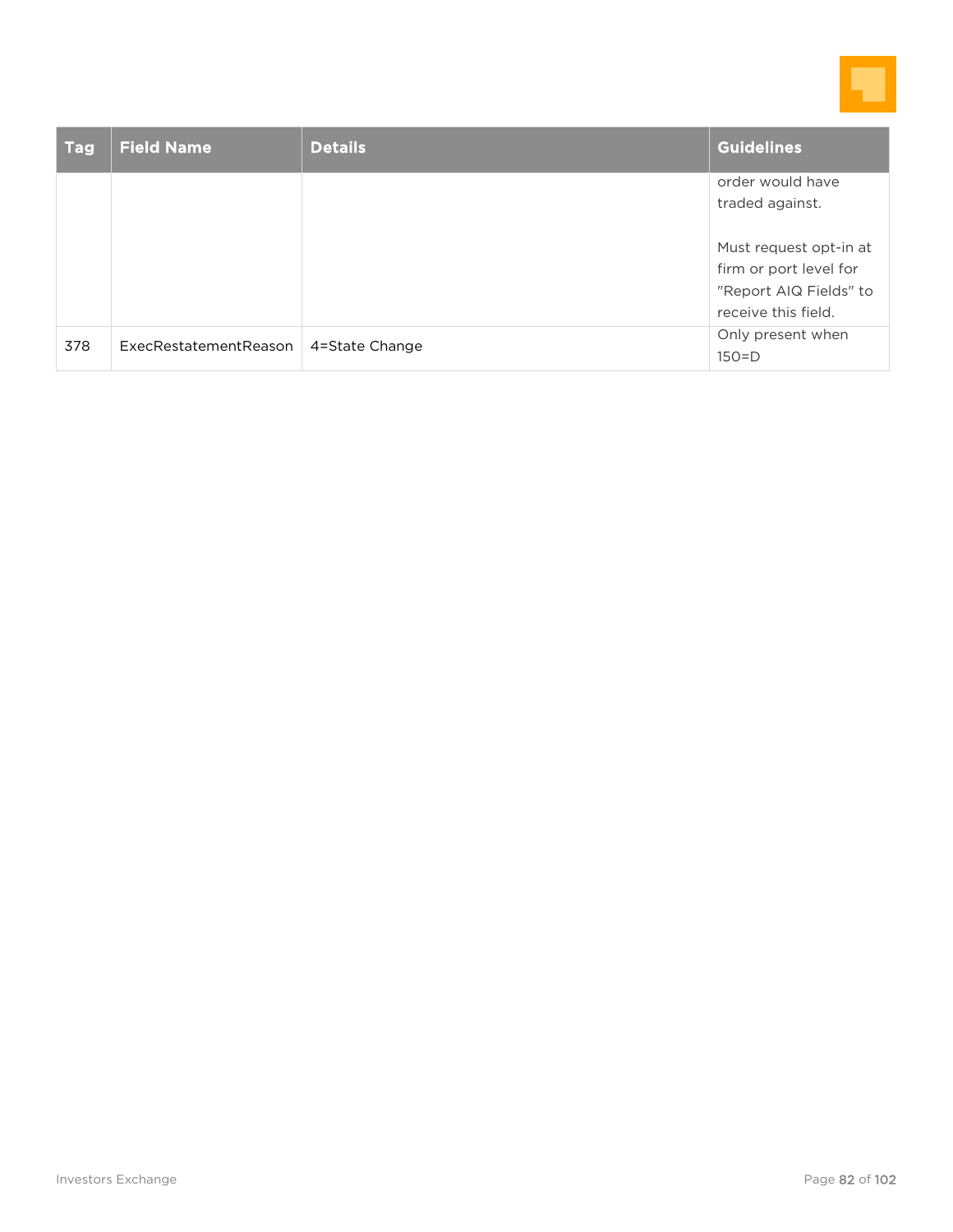

| <b>Tag</b> | <b>Field Name</b>     | <b>Details</b> | <b>Guidelines</b>      |
|------------|-----------------------|----------------|------------------------|
|            |                       |                | order would have       |
|            |                       |                | traded against.        |
|            |                       |                |                        |
|            |                       |                | Must request opt-in at |
|            |                       |                | firm or port level for |
|            |                       |                | "Report AIQ Fields" to |
|            |                       |                | receive this field.    |
| 378        | ExecRestatementReason | 4=State Change | Only present when      |
|            |                       |                | $150=D$                |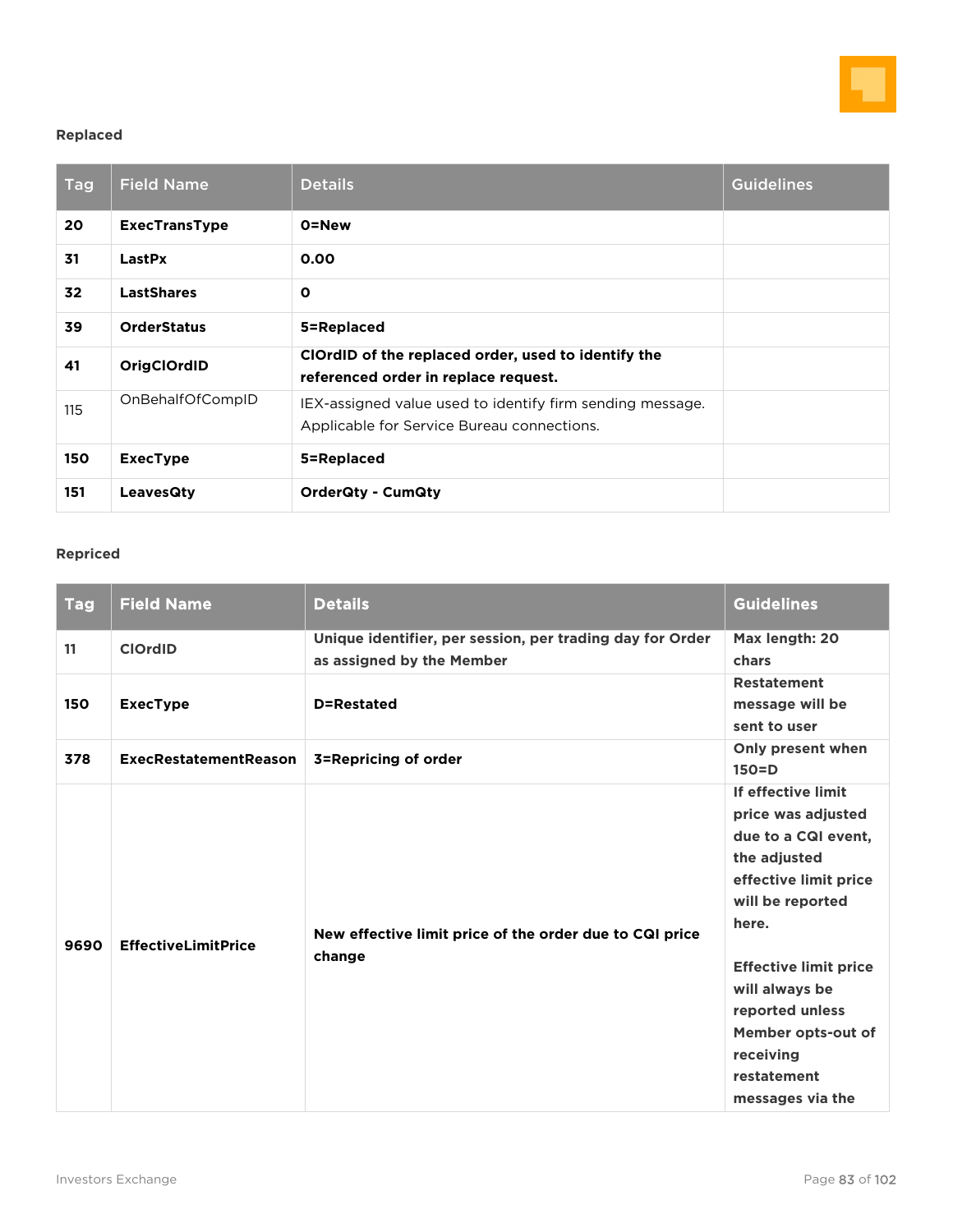

### **Replaced**

| <b>Tag</b> | <b>Field Name</b>    | <b>Details</b>                                                                                          | <b>Guidelines</b> |
|------------|----------------------|---------------------------------------------------------------------------------------------------------|-------------------|
| 20         | <b>ExecTransType</b> | 0=New                                                                                                   |                   |
| 31         | LastPx               | 0.00                                                                                                    |                   |
| 32         | <b>LastShares</b>    | $\mathbf{o}$                                                                                            |                   |
| 39         | <b>OrderStatus</b>   | 5=Replaced                                                                                              |                   |
| 41         | <b>OrigClOrdID</b>   | ClOrdID of the replaced order, used to identify the<br>referenced order in replace request.             |                   |
| 115        | OnBehalfOfCompID     | IEX-assigned value used to identify firm sending message.<br>Applicable for Service Bureau connections. |                   |
| 150        | <b>ExecType</b>      | 5=Replaced                                                                                              |                   |
| 151        | <b>LeavesQty</b>     | <b>OrderQty - CumQty</b>                                                                                |                   |

### **Repriced**

| <b>Tag</b> | <b>Field Name</b>            | <b>Details</b>                                                                         | <b>Guidelines</b>                                                                                                                                                                                                                                                                |
|------------|------------------------------|----------------------------------------------------------------------------------------|----------------------------------------------------------------------------------------------------------------------------------------------------------------------------------------------------------------------------------------------------------------------------------|
| 11         | <b>ClOrdID</b>               | Unique identifier, per session, per trading day for Order<br>as assigned by the Member | Max length: 20<br>chars                                                                                                                                                                                                                                                          |
| 150        | <b>ExecType</b>              | D=Restated                                                                             | <b>Restatement</b><br>message will be<br>sent to user                                                                                                                                                                                                                            |
| 378        | <b>ExecRestatementReason</b> | 3=Repricing of order                                                                   | Only present when<br>$150=D$                                                                                                                                                                                                                                                     |
| 9690       | <b>EffectiveLimitPrice</b>   | New effective limit price of the order due to CQI price<br>change                      | If effective limit<br>price was adjusted<br>due to a CQI event,<br>the adjusted<br>effective limit price<br>will be reported<br>here.<br><b>Effective limit price</b><br>will always be<br>reported unless<br>Member opts-out of<br>receiving<br>restatement<br>messages via the |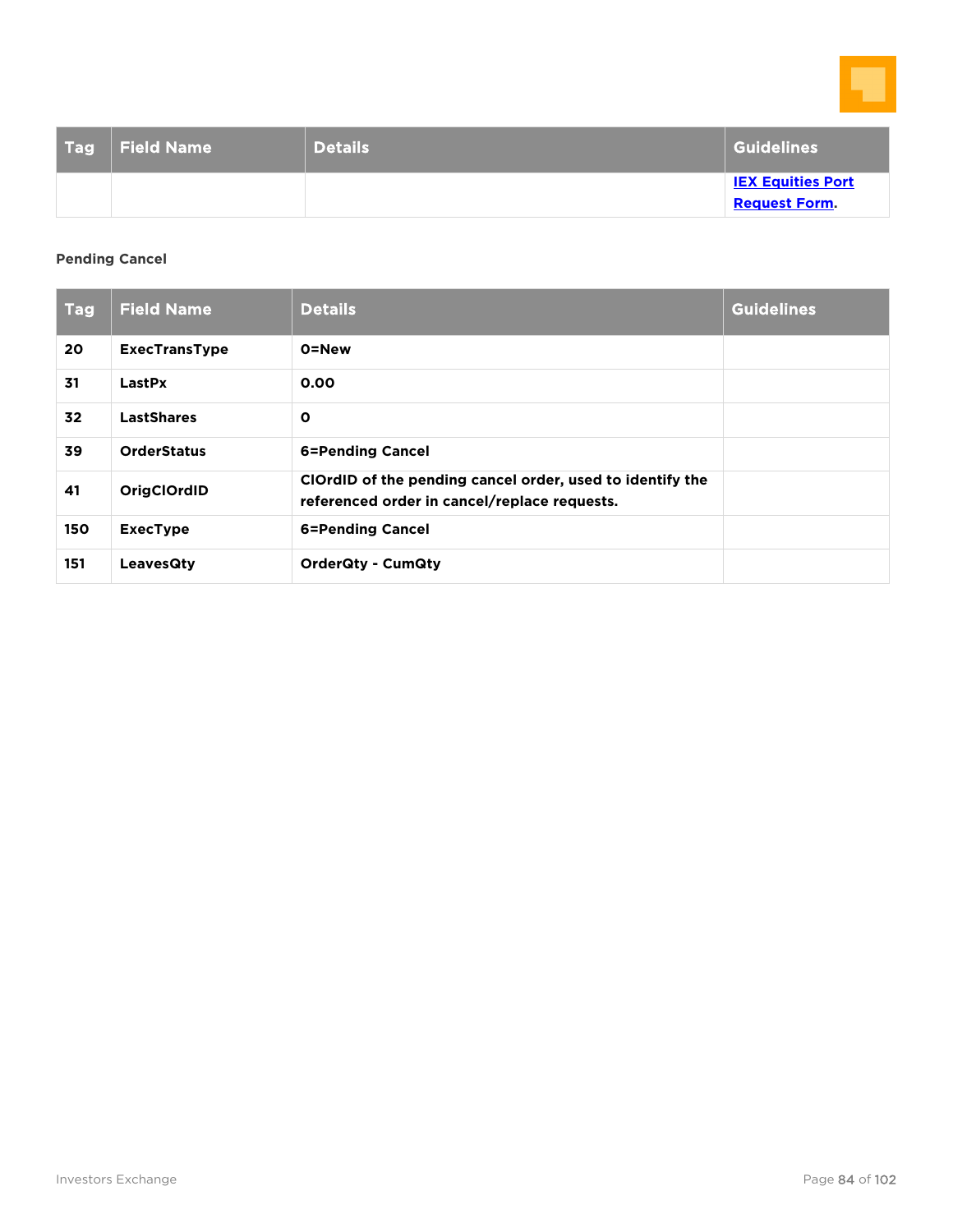

| <b>Tag</b> | <b>Field Name</b> | <b>Details</b> | <b>Guidelines</b>                                |
|------------|-------------------|----------------|--------------------------------------------------|
|            |                   |                | <b>IEX Equities Port</b><br><b>Request Form.</b> |

### **Pending Cancel**

| <b>Tag</b> | <b>Field Name</b>    | <b>Details</b>                                                                                            | <b>Guidelines</b> |
|------------|----------------------|-----------------------------------------------------------------------------------------------------------|-------------------|
| 20         | <b>ExecTransType</b> | 0=New                                                                                                     |                   |
| 31         | LastPx               | 0.00                                                                                                      |                   |
| 32         | <b>LastShares</b>    | $\mathbf{o}$                                                                                              |                   |
| 39         | <b>OrderStatus</b>   | 6=Pending Cancel                                                                                          |                   |
| 41         | <b>OrigClOrdID</b>   | ClOrdID of the pending cancel order, used to identify the<br>referenced order in cancel/replace requests. |                   |
| 150        | <b>ExecType</b>      | <b>6=Pending Cancel</b>                                                                                   |                   |
| 151        | LeavesQty            | <b>OrderQty - CumQty</b>                                                                                  |                   |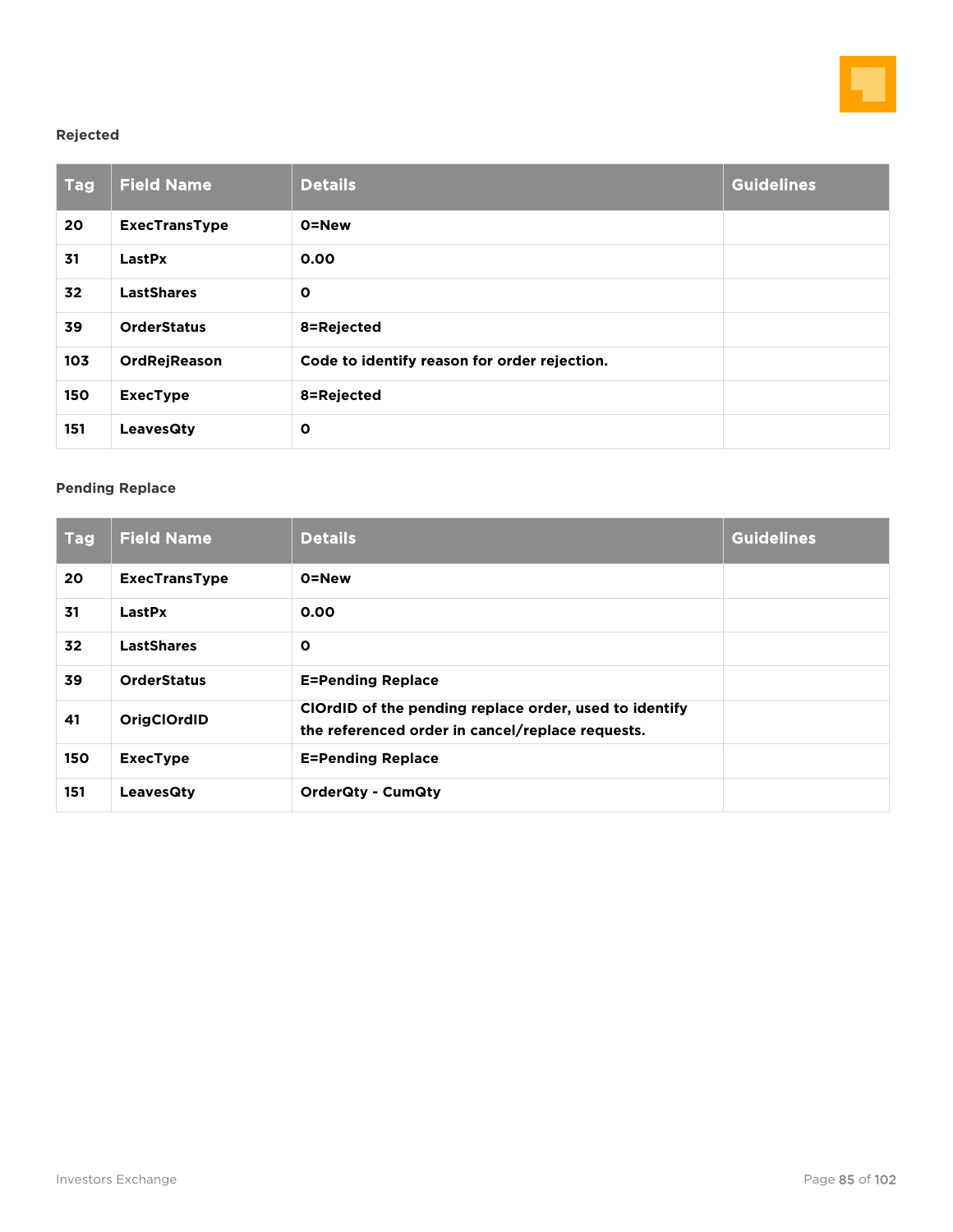

### **Rejected**

| <b>Tag</b> | <b>Field Name</b>    | <b>Details</b>                               | <b>Guidelines</b> |
|------------|----------------------|----------------------------------------------|-------------------|
| 20         | <b>ExecTransType</b> | 0=New                                        |                   |
| 31         | LastPx               | 0.00                                         |                   |
| 32         | <b>LastShares</b>    | $\mathbf{o}$                                 |                   |
| 39         | <b>OrderStatus</b>   | 8=Rejected                                   |                   |
| 103        | OrdRejReason         | Code to identify reason for order rejection. |                   |
| 150        | <b>ExecType</b>      | 8=Rejected                                   |                   |
| 151        | <b>LeavesQty</b>     | $\mathbf{o}$                                 |                   |

### **Pending Replace**

| <b>Tag</b> | <b>Field Name</b>    | <b>Details</b>                                                                                             | <b>Guidelines</b> |
|------------|----------------------|------------------------------------------------------------------------------------------------------------|-------------------|
| 20         | <b>ExecTransType</b> | 0=New                                                                                                      |                   |
| 31         | LastPx               | 0.00                                                                                                       |                   |
| 32         | <b>LastShares</b>    | $\mathbf{o}$                                                                                               |                   |
| 39         | <b>OrderStatus</b>   | <b>E=Pending Replace</b>                                                                                   |                   |
| 41         | <b>OrigClOrdID</b>   | ClOrdID of the pending replace order, used to identify<br>the referenced order in cancel/replace requests. |                   |
| 150        | <b>ExecType</b>      | <b>E=Pending Replace</b>                                                                                   |                   |
| 151        | LeavesQty            | <b>OrderQty - CumQty</b>                                                                                   |                   |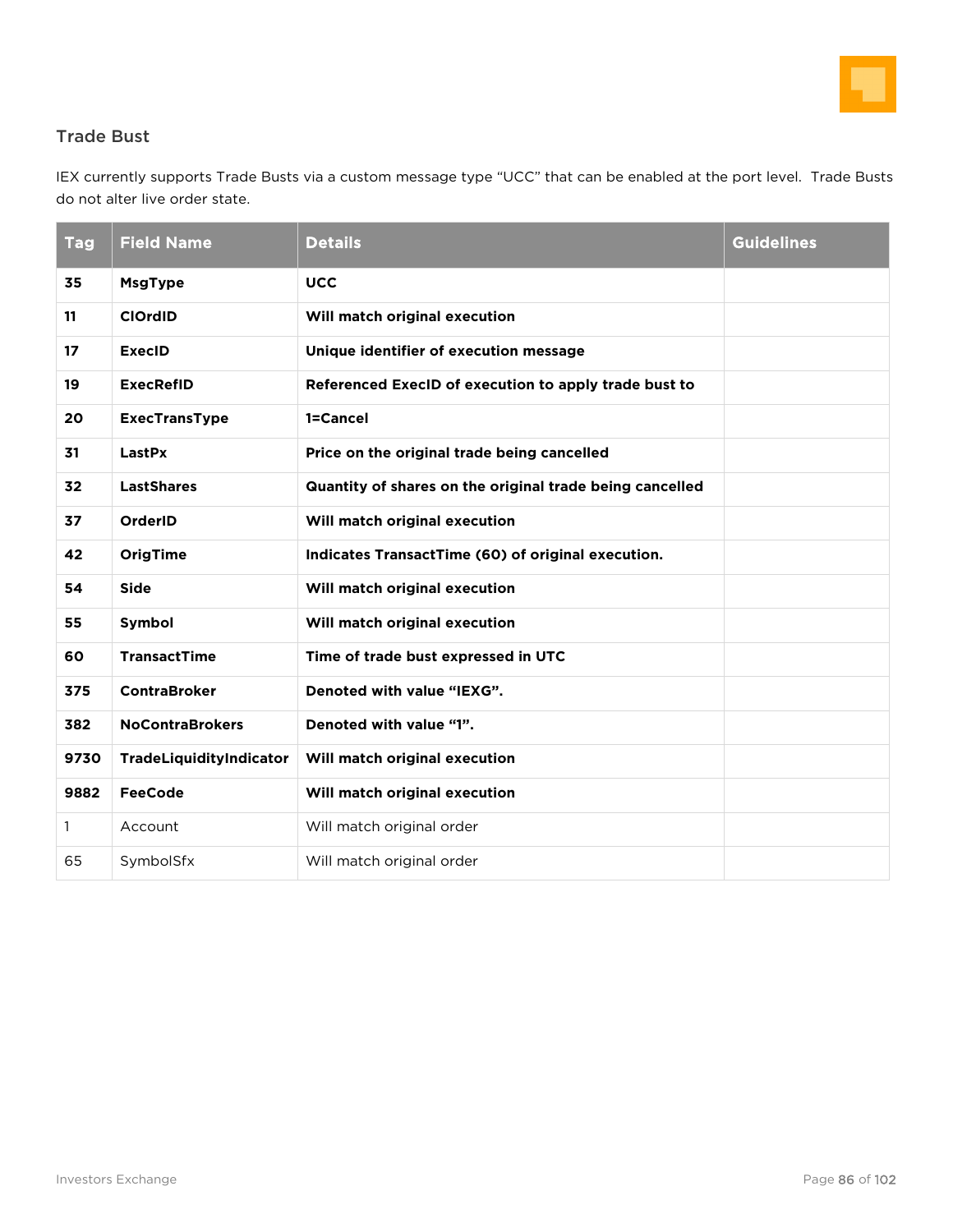

## Trade Bust

IEX currently supports Trade Busts via a custom message type "UCC" that can be enabled at the port level. Trade Busts do not alter live order state.

| <b>Tag</b>   | <b>Field Name</b>       | <b>Details</b>                                           | <b>Guidelines</b> |
|--------------|-------------------------|----------------------------------------------------------|-------------------|
| 35           | <b>MsgType</b>          | <b>UCC</b>                                               |                   |
| 11           | <b>ClOrdID</b>          | Will match original execution                            |                   |
| 17           | <b>ExecID</b>           | Unique identifier of execution message                   |                   |
| 19           | <b>ExecRefID</b>        | Referenced ExecID of execution to apply trade bust to    |                   |
| 20           | <b>ExecTransType</b>    | 1=Cancel                                                 |                   |
| 31           | LastPx                  | Price on the original trade being cancelled              |                   |
| 32           | <b>LastShares</b>       | Quantity of shares on the original trade being cancelled |                   |
| 37           | OrderID                 | Will match original execution                            |                   |
| 42           | <b>OrigTime</b>         | Indicates TransactTime (60) of original execution.       |                   |
| 54           | <b>Side</b>             | Will match original execution                            |                   |
| 55           | Symbol                  | Will match original execution                            |                   |
| 60           | <b>TransactTime</b>     | Time of trade bust expressed in UTC                      |                   |
| 375          | <b>ContraBroker</b>     | Denoted with value "IEXG".                               |                   |
| 382          | <b>NoContraBrokers</b>  | Denoted with value "1".                                  |                   |
| 9730         | TradeLiquidityIndicator | Will match original execution                            |                   |
| 9882         | <b>FeeCode</b>          | Will match original execution                            |                   |
| $\mathbf{1}$ | Account                 | Will match original order                                |                   |
| 65           | SymbolSfx               | Will match original order                                |                   |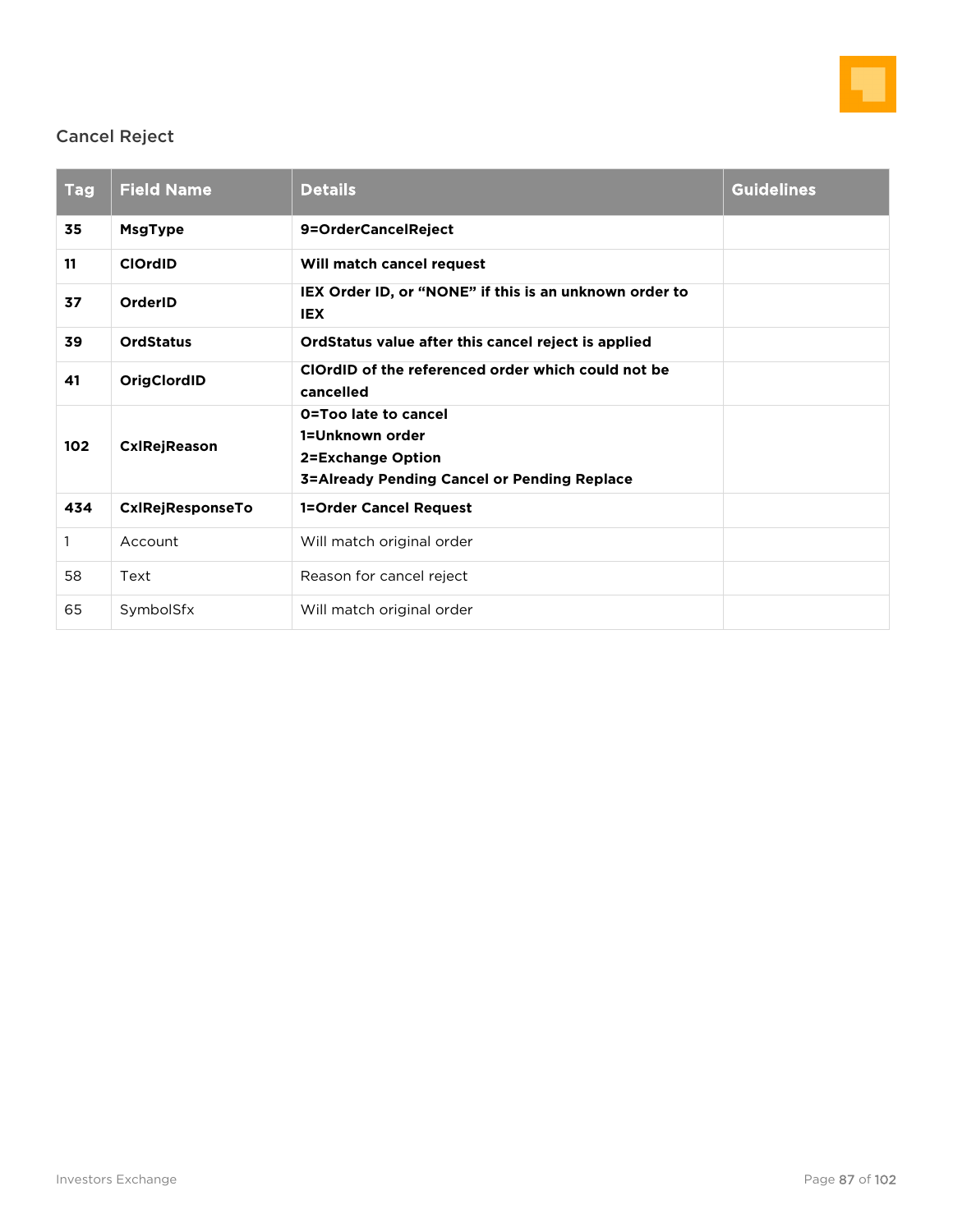

## Cancel Reject

| <b>Tag</b>   | <b>Field Name</b>       | <b>Details</b>                                                                                                            | <b>Guidelines</b> |  |
|--------------|-------------------------|---------------------------------------------------------------------------------------------------------------------------|-------------------|--|
| 35           | <b>MsgType</b>          | 9=OrderCancelReject                                                                                                       |                   |  |
| 11           | <b>ClOrdID</b>          | Will match cancel request                                                                                                 |                   |  |
| 37           | OrderID                 | IEX Order ID, or "NONE" if this is an unknown order to<br><b>IEX</b>                                                      |                   |  |
| 39           | <b>OrdStatus</b>        | OrdStatus value after this cancel reject is applied                                                                       |                   |  |
| 41           | OrigClordID             | ClOrdID of the referenced order which could not be<br>cancelled                                                           |                   |  |
| 102          | <b>CxIRejReason</b>     | O=Too late to cancel<br>1=Unknown order<br><b>2=Exchange Option</b><br><b>3=Already Pending Cancel or Pending Replace</b> |                   |  |
| 434          | <b>CxIRejResponseTo</b> | <b>1=Order Cancel Request</b>                                                                                             |                   |  |
| $\mathbf{1}$ | Account                 | Will match original order                                                                                                 |                   |  |
| 58           | Text                    | Reason for cancel reject                                                                                                  |                   |  |
| 65           | SymbolSfx               | Will match original order                                                                                                 |                   |  |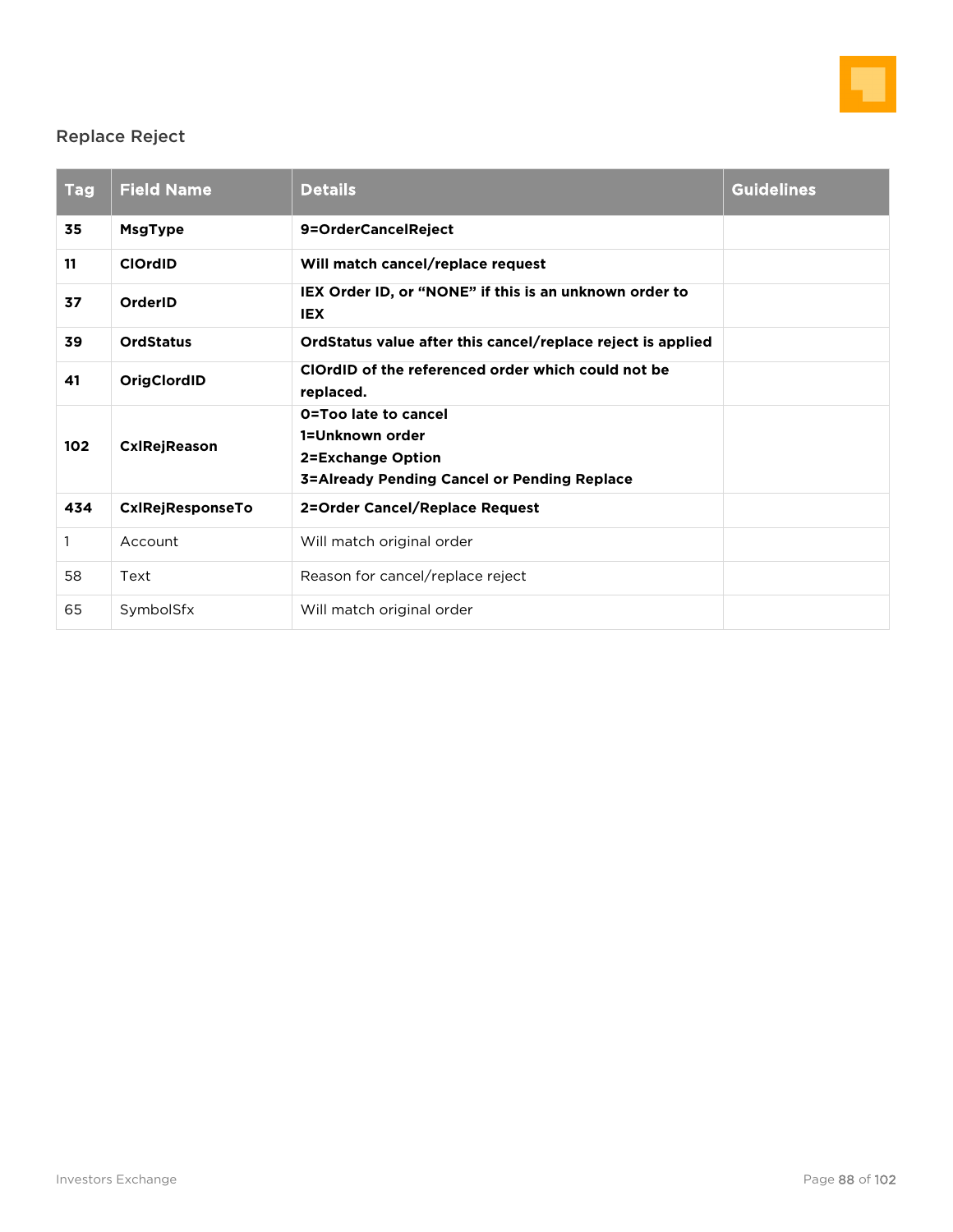

## Replace Reject

| <b>Tag</b>   | <b>Field Name</b>       | <b>Details</b>                                                                                                     | <b>Guidelines</b> |  |
|--------------|-------------------------|--------------------------------------------------------------------------------------------------------------------|-------------------|--|
| 35           | <b>MsgType</b>          | 9=OrderCancelReject                                                                                                |                   |  |
| 11           | <b>ClOrdID</b>          | Will match cancel/replace request                                                                                  |                   |  |
| 37           | OrderID                 | IEX Order ID, or "NONE" if this is an unknown order to<br><b>IEX</b>                                               |                   |  |
| 39           | <b>OrdStatus</b>        | OrdStatus value after this cancel/replace reject is applied                                                        |                   |  |
| 41           | OrigClordID             | ClOrdID of the referenced order which could not be<br>replaced.                                                    |                   |  |
| 102          | <b>CxIRejReason</b>     | O=Too late to cancel<br>1=Unknown order<br>2=Exchange Option<br><b>3=Already Pending Cancel or Pending Replace</b> |                   |  |
| 434          | <b>CxIRejResponseTo</b> | 2=Order Cancel/Replace Request                                                                                     |                   |  |
| $\mathbf{1}$ | Account                 | Will match original order                                                                                          |                   |  |
| 58           | Text                    | Reason for cancel/replace reject                                                                                   |                   |  |
| 65           | SymbolSfx               | Will match original order                                                                                          |                   |  |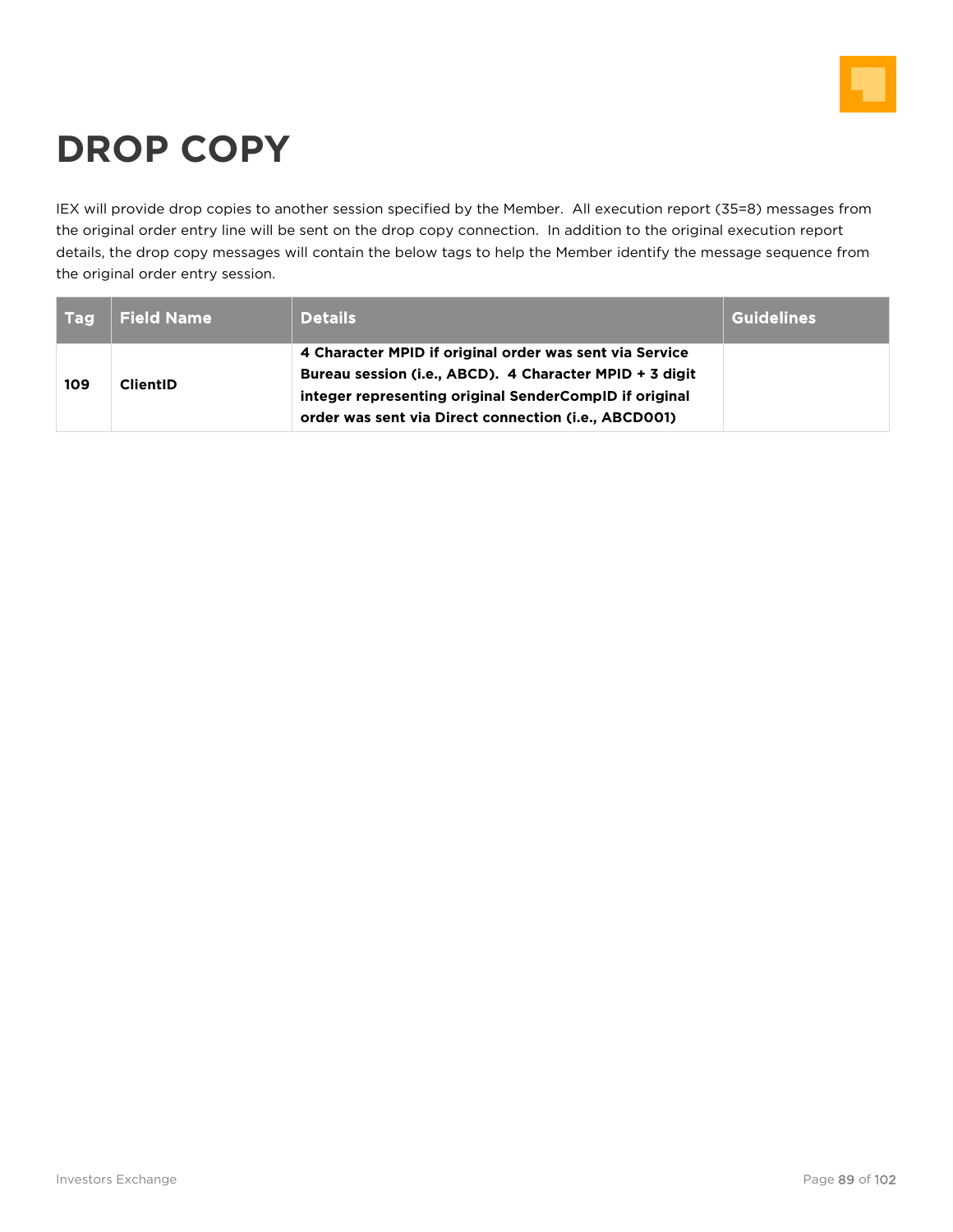

# **DROP COPY**

IEX will provide drop copies to another session specified by the Member. All execution report (35=8) messages from the original order entry line will be sent on the drop copy connection. In addition to the original execution report details, the drop copy messages will contain the below tags to help the Member identify the message sequence from the original order entry session.

| <b>Tag</b> | <b>Field Name</b> | <b>Details</b>                                                                                                                                                                                                                       | <b>Guidelines</b> |
|------------|-------------------|--------------------------------------------------------------------------------------------------------------------------------------------------------------------------------------------------------------------------------------|-------------------|
| 109        | <b>ClientID</b>   | 4 Character MPID if original order was sent via Service<br>Bureau session (i.e., ABCD). 4 Character MPID + 3 digit<br>integer representing original SenderCompID if original<br>order was sent via Direct connection (i.e., ABCD001) |                   |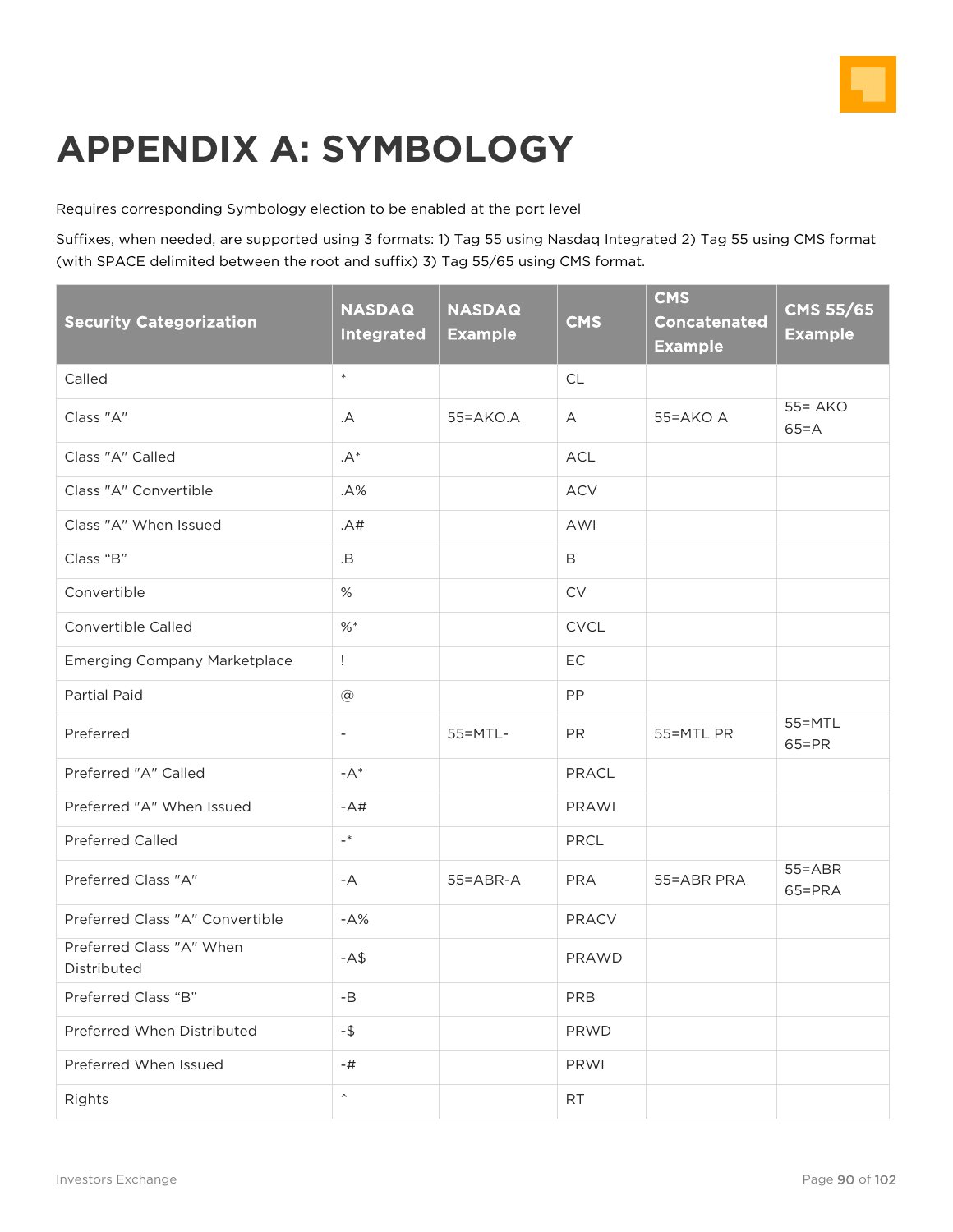

## **APPENDIX A: SYMBOLOGY**

Requires corresponding Symbology election to be enabled at the port level

Suffixes, when needed, are supported using 3 formats: 1) Tag 55 using Nasdaq Integrated 2) Tag 55 using CMS format (with SPACE delimited between the root and suffix) 3) Tag 55/65 using CMS format.

| <b>Security Categorization</b>          | <b>NASDAQ</b><br><b>Integrated</b> | <b>NASDAQ</b><br><b>Example</b> | <b>CMS</b>   | <b>CMS</b><br><b>Concatenated</b><br><b>Example</b> | <b>CMS 55/65</b><br><b>Example</b> |
|-----------------------------------------|------------------------------------|---------------------------------|--------------|-----------------------------------------------------|------------------------------------|
| Called                                  | $\ast$                             |                                 | <b>CL</b>    |                                                     |                                    |
| Class "A"                               | .A                                 | $55 = AKO.A$                    | $\mathsf{A}$ | $55 = AKO$ A                                        | $55 = AKO$<br>$65 = A$             |
| Class "A" Called                        | . $A^*$                            |                                 | ACL          |                                                     |                                    |
| Class "A" Convertible                   | A%                                 |                                 | <b>ACV</b>   |                                                     |                                    |
| Class "A" When Issued                   | .A#                                |                                 | AWI          |                                                     |                                    |
| Class "B"                               | .B                                 |                                 | $\mathsf B$  |                                                     |                                    |
| Convertible                             | %                                  |                                 | <b>CV</b>    |                                                     |                                    |
| Convertible Called                      | %                                  |                                 | <b>CVCL</b>  |                                                     |                                    |
| <b>Emerging Company Marketplace</b>     | $\mathbf{I}$                       |                                 | EC           |                                                     |                                    |
| Partial Paid                            | $^\copyright$                      |                                 | PP           |                                                     |                                    |
| Preferred                               | $\overline{\phantom{a}}$           | 55=MTL-                         | <b>PR</b>    | 55=MTL PR                                           | 55=MTL<br>$65 = PR$                |
| Preferred "A" Called                    | $-A^*$                             |                                 | PRACL        |                                                     |                                    |
| Preferred "A" When Issued               | $-A#$                              |                                 | <b>PRAWI</b> |                                                     |                                    |
| <b>Preferred Called</b>                 | $\overline{\phantom{a}}^*$         |                                 | PRCL         |                                                     |                                    |
| Preferred Class "A"                     | -A                                 | $55 = ABR - A$                  | <b>PRA</b>   | 55=ABR PRA                                          | $55 = ABR$<br>65=PRA               |
| Preferred Class "A" Convertible         | $-A%$                              |                                 | <b>PRACV</b> |                                                     |                                    |
| Preferred Class "A" When<br>Distributed | $- A$ \$                           |                                 | PRAWD        |                                                     |                                    |
| Preferred Class "B"                     | $-B$                               |                                 | PRB          |                                                     |                                    |
| Preferred When Distributed              | -\$                                |                                 | <b>PRWD</b>  |                                                     |                                    |
| Preferred When Issued                   | -#                                 |                                 | <b>PRWI</b>  |                                                     |                                    |
| Rights                                  | $\hat{\phantom{a}}$                |                                 | <b>RT</b>    |                                                     |                                    |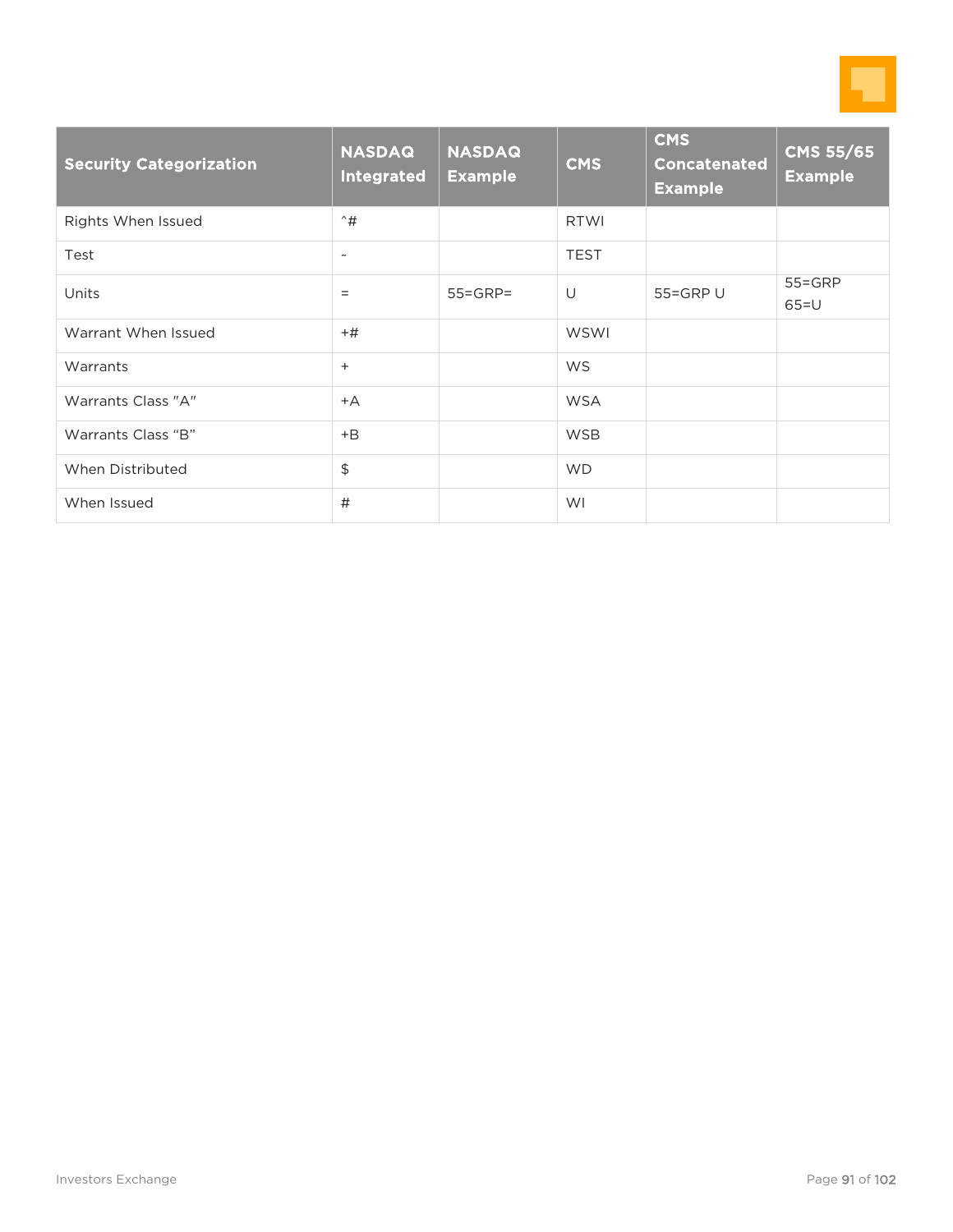

| <b>Security Categorization</b> | <b>NASDAQ</b><br>Integrated | <b>NASDAQ</b><br><b>Example</b> | <b>CMS</b>  | <b>CMS</b><br><b>Concatenated</b><br><b>Example</b> | <b>CMS 55/65</b><br><b>Example</b> |
|--------------------------------|-----------------------------|---------------------------------|-------------|-----------------------------------------------------|------------------------------------|
| Rights When Issued             | $\hat{+}$                   |                                 | <b>RTWI</b> |                                                     |                                    |
| Test                           | $\tilde{\phantom{a}}$       |                                 | <b>TEST</b> |                                                     |                                    |
| Units                          | $=$                         | $55 = GRP =$                    | U           | 55=GRP U                                            | $55 = GRP$<br>$65=U$               |
| Warrant When Issued            | $+#$                        |                                 | WSWI        |                                                     |                                    |
| Warrants                       | $^{+}$                      |                                 | <b>WS</b>   |                                                     |                                    |
| Warrants Class "A"             | $+A$                        |                                 | <b>WSA</b>  |                                                     |                                    |
| Warrants Class "B"             | $+B$                        |                                 | <b>WSB</b>  |                                                     |                                    |
| When Distributed               | \$                          |                                 | <b>WD</b>   |                                                     |                                    |
| When Issued                    | #                           |                                 | WI          |                                                     |                                    |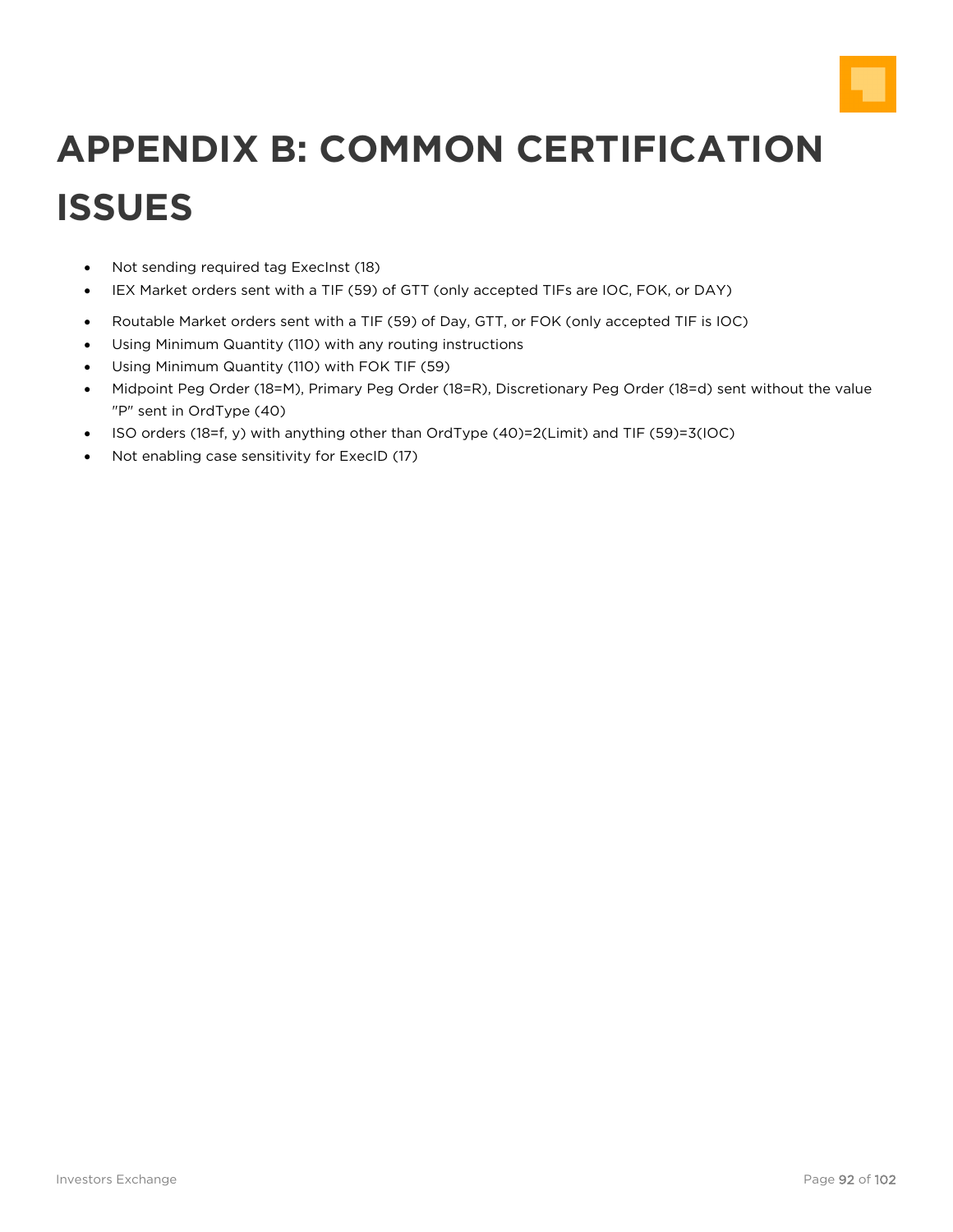

# **APPENDIX B: COMMON CERTIFICATION ISSUES**

- Not sending required tag ExecInst (18)
- IEX Market orders sent with a TIF (59) of GTT (only accepted TIFs are IOC, FOK, or DAY)
- Routable Market orders sent with a TIF (59) of Day, GTT, or FOK (only accepted TIF is IOC)
- Using Minimum Quantity (110) with any routing instructions
- Using Minimum Quantity (110) with FOK TIF (59)
- Midpoint Peg Order (18=M), Primary Peg Order (18=R), Discretionary Peg Order (18=d) sent without the value "P" sent in OrdType (40)
- ISO orders (18=f, y) with anything other than OrdType (40)=2(Limit) and TIF (59)=3(IOC)
- Not enabling case sensitivity for ExecID (17)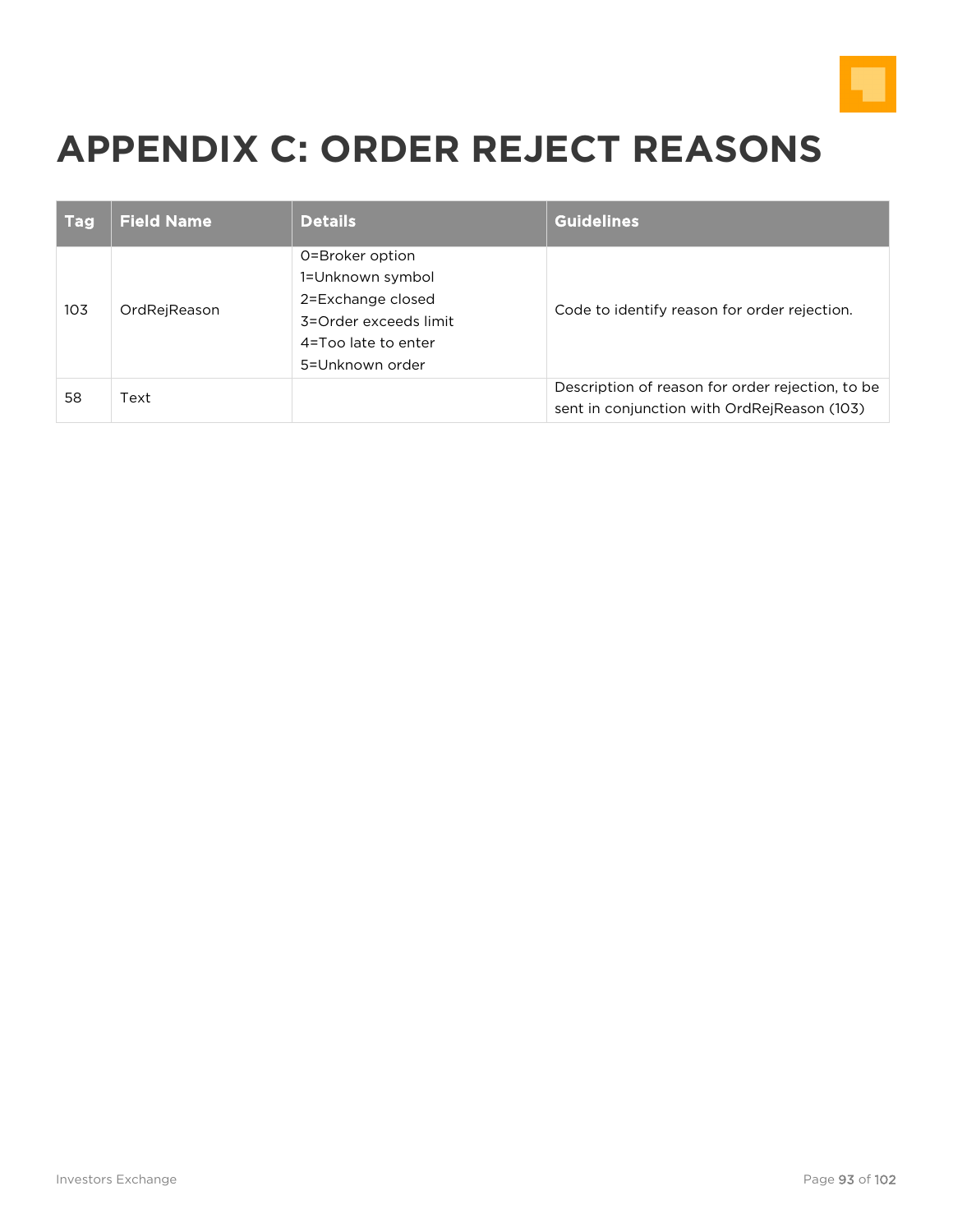

## **APPENDIX C: ORDER REJECT REASONS**

| <b>Tag</b> | <b>Field Name</b> | <b>Details</b>                                                                                                              | <b>Guidelines</b>                                                                               |
|------------|-------------------|-----------------------------------------------------------------------------------------------------------------------------|-------------------------------------------------------------------------------------------------|
| 103        | OrdRejReason      | 0=Broker option<br>1=Unknown symbol<br>2=Exchange closed<br>3=Order exceeds limit<br>4=Too late to enter<br>5=Unknown order | Code to identify reason for order rejection.                                                    |
| 58         | Text              |                                                                                                                             | Description of reason for order rejection, to be<br>sent in conjunction with OrdRejReason (103) |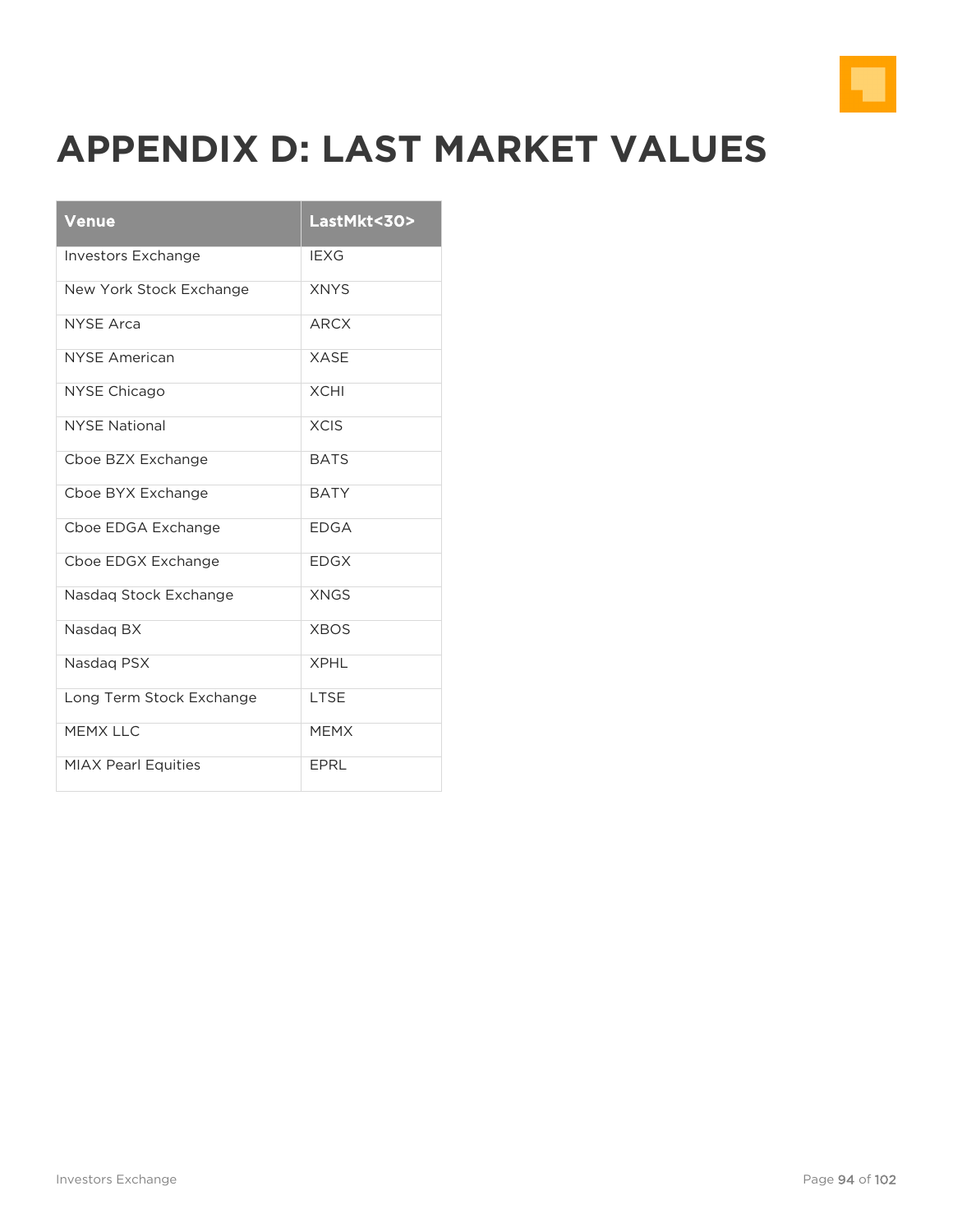

## **APPENDIX D: LAST MARKET VALUES**

| <b>Venue</b>               | LastMkt<30> |
|----------------------------|-------------|
| <b>Investors Exchange</b>  | <b>IEXG</b> |
| New York Stock Exchange    | <b>XNYS</b> |
| <b>NYSE Arca</b>           | <b>ARCX</b> |
| <b>NYSE American</b>       | <b>XASE</b> |
| <b>NYSE Chicago</b>        | <b>XCHI</b> |
| <b>NYSE National</b>       | <b>XCIS</b> |
| Cboe BZX Exchange          | <b>BATS</b> |
| Cboe BYX Exchange          | <b>BATY</b> |
| Cboe EDGA Exchange         | <b>EDGA</b> |
| Cboe EDGX Exchange         | <b>FDGX</b> |
| Nasdag Stock Exchange      | <b>XNGS</b> |
| Nasdaq BX                  | <b>XBOS</b> |
| Nasdag PSX                 | <b>XPHI</b> |
| Long Term Stock Exchange   | LTSE        |
| MFMX I I C                 | <b>MFMX</b> |
| <b>MIAX Pearl Equities</b> | EPRL        |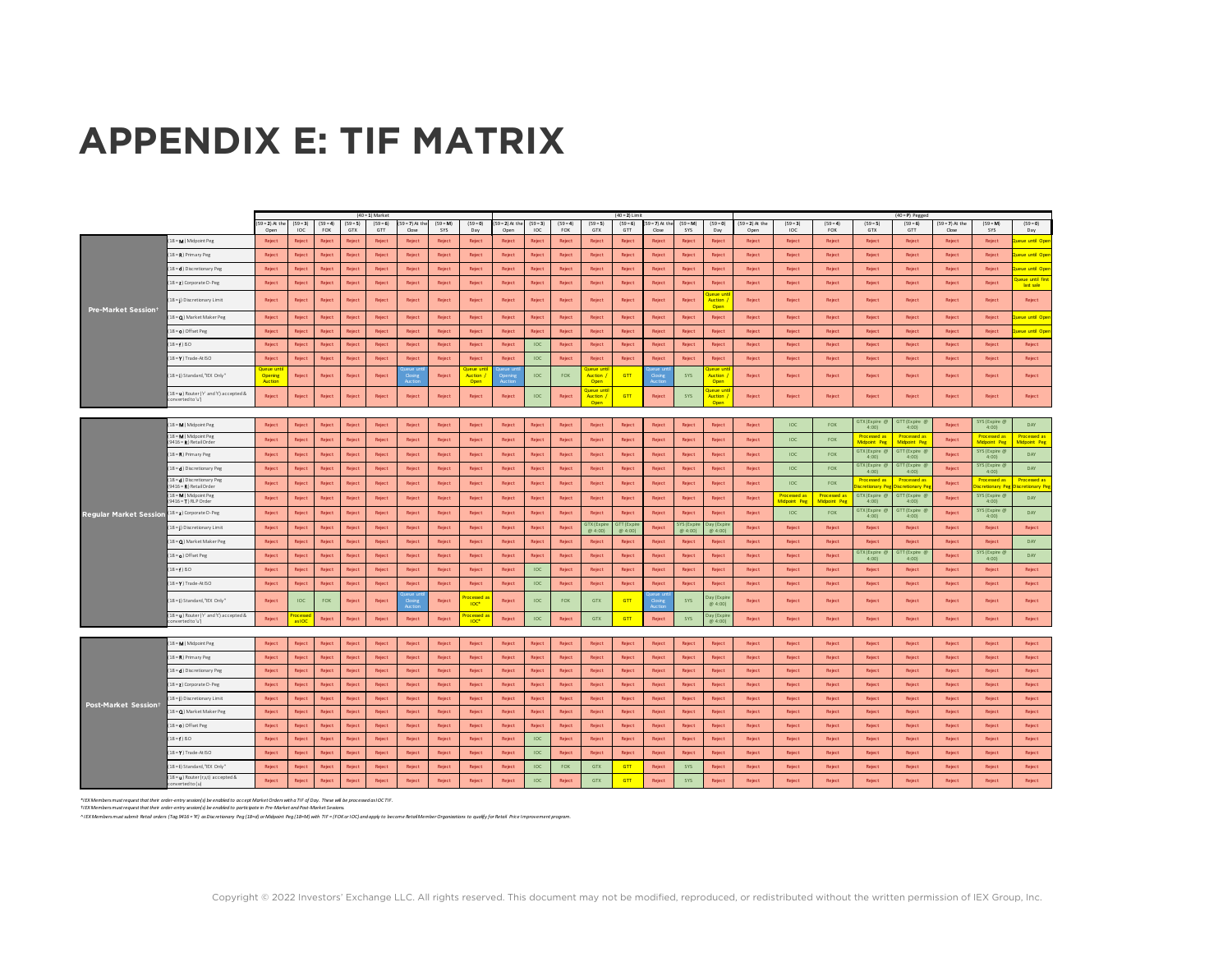## **APPENDIX E: TIF MATRIX**

|                               |                                                             |                                        |                                |                   |                   | $(40 = 1)$ Market |                            |                   |                                           |                          |                   |                   |                                          | $(40 = 2)$ Limit    |                            |                     |                                            |                           |                                     |                                     |                                           | $(40 = P)$ Pegged                  |                            |                                     |                                    |
|-------------------------------|-------------------------------------------------------------|----------------------------------------|--------------------------------|-------------------|-------------------|-------------------|----------------------------|-------------------|-------------------------------------------|--------------------------|-------------------|-------------------|------------------------------------------|---------------------|----------------------------|---------------------|--------------------------------------------|---------------------------|-------------------------------------|-------------------------------------|-------------------------------------------|------------------------------------|----------------------------|-------------------------------------|------------------------------------|
|                               |                                                             | $(59 = 2)$ At the<br>Open              | $(59 = 3)$<br>IOC              | $(59 = 4)$<br>FOK | $(59 = 5)$<br>GTX | $(59 = 6)$<br>GTT | $59 = 7$ ) At the<br>Close | $(59 = M)$<br>SYS | $(59 = 0)$<br>Day                         | $59 = 2)$ At the<br>Open | $(59 = 3)$<br>IOC | $(59 = 4)$<br>FOK | $(59 = 5)$<br>GTX                        | $(59 = 6)$<br>GTT   | $59 = 7$ ) At the<br>Close | $(59 = M)$<br>SYS   | $(59 = 0)$<br>Day                          | $(59 = 2)$ At the<br>Open | $(59 = 3)$<br><b>IOC</b>            | $(59 = 4)$<br>FOK                   | $(59 = 5)$<br>GTX                         | $(59 = 6)$<br>GTT                  | $(59 = 7)$ At the<br>Close | $(59 - M)$<br>SYS                   | $(59 = 0)$<br>Day                  |
|                               | 8 = M ) Midpoint Peg                                        | Reject                                 | Reject                         | Reject            | Reject            | Reject            | Reject                     | Reject            | Reject                                    | Reject                   | <b>Reject</b>     | Reject            | Reject                                   | Reject              | Reject                     | Reject              | <b>Reject</b>                              | Reject                    | Reject                              | Reject                              | Reject                                    | Reject                             | Reject                     | Reject                              | eue until Ope                      |
|                               | 8 = R) Primary Peg                                          | Reject                                 | Reject                         | Reject            | Reject            | Reject            | Reject                     | Reject            | Reject                                    | Reject                   | Reject            | Reject            | Reject                                   | Reject              | Reject                     | Reject              | Reject                                     | Reject                    | Reject                              | Reject                              | Reject                                    | Reject                             | Reject                     | Reject                              | eue until Ope                      |
|                               | 8 = () Discretionary Peg                                    | Reject                                 | Reject                         | Reject            | Reject            | Reject            | Reject                     | Reject            | Reject                                    | Reject                   | Reject            | Reject            | Reject                                   | Reject              | Reject                     | Reject              | Reject                                     | Reject                    | Reject                              | Reject                              | Reject                                    | Reject                             | Reject                     | Reject                              | eue until Ope                      |
|                               | [8 = 2] Corporate D-Peg                                     | Reject                                 | Reiect                         | Reject            | Reject            | Reject            | Reject                     | Reject            | Reject                                    | Reject                   | Relect            | Reject            | Reject                                   | Reject              | Reject                     | Reject              | Reject                                     | Reject                    | Reject                              | Reject                              | Reject                                    | Reject                             | Reject                     | Reject                              | ueue until firs<br>last sale       |
| <b>Pre-Market Session!</b>    | 8 = 1) Discretionary Limit                                  | Reject                                 | Reiect                         | Reject            | Reject            | Reject            | Reject                     | Reject            | Reject                                    | Reject                   | Reject            | Reject            | Reject                                   | Reject              | Reject                     | Reject              | ieue u<br><b>Auction</b><br>Open           | Reject                    | Reject                              | Reject                              | Reject                                    | Reject                             | Reject                     | Reject                              | Reject                             |
|                               | 8 = (1) Market Maker Peg                                    | Reject                                 | Reject                         | Reject            | Reject            | Reject            | Reject                     | Reject            | Reject                                    | Reject                   | Reject            | Reject            | Reject                                   | Reject              | Reject                     | Reject              | Reject                                     | Reject                    | Reject                              | Reject                              | Reject                                    | Reject                             | Reject                     | Reject                              | eue until Ope                      |
|                               | 8 = 0) Offset Peg                                           | Reject                                 | Reject                         | Reject            | Reject            | Reject            | Reject                     | Reject            | Reject                                    | Reject                   | Reject            | Reject            | Reject                                   | Reject              | Reject                     | Reject              | Reject                                     | Reject                    | Reject                              | Reject                              | Reject                                    | Reject                             | Reject                     | Reject                              | eue until Ope                      |
|                               | $18 = f \sin 0$                                             | Reject                                 | Reiect                         | Reject            | Reject            | Reject            | Reject                     | Reject            | Reject                                    | Reject                   | IOC               | Reject            | Reject                                   | Reject              | Reject                     | Reject              | Reject                                     | Reject                    | Reject                              | Reject                              | Reject                                    | Reject                             | Reject                     | Reject                              | Reject                             |
|                               | $18 = 1$ ) Trade-At ISO                                     | Reject                                 | Reject                         | Reject            | Reject            | Reject            | Reject                     | Reject            | Reject                                    | Reject                   | IOC               | Reject            | Reject                                   | Reject              | Reject                     | Reject              | Reject                                     | Reject                    | Reject                              | Reject                              | Reject                                    | Reject                             | Reject                     | Reject                              | Reject                             |
|                               | 18 =   Standard, "EX Only"                                  | <b>Dueue</b> unt<br>Opening<br>Auction | Reject                         | Reject            | Reject            | Reject            |                            | Reject            | <b>RIADA DE</b><br><b>Auction</b><br>Open |                          | IOC               | <b>FOK</b>        | <b>UAUA UN</b><br><b>Auction</b><br>Onen | <b>GTT</b>          |                            | SYS                 | <b>DATIA TIP</b><br><b>Auction</b><br>Onen | Reject                    | Reject                              | Reject                              | Reject                                    | Reject                             | Reject                     | Reject                              | Reject                             |
|                               | 18 = (1) Router ('r' and 't') accepted &<br>mverted to 'u'l | Reject                                 | Reject                         | Reject            | Reject            | Reject            | Reject                     | Reject            | Reject                                    | Reject                   | <b>IOC</b>        | Reject            | ueue uni<br>Auction<br>Onen              | GTT                 | Reject                     | SYS.                | jeue un<br>Auction<br>Onen                 | Reject                    | Reject                              | Reject                              | Reject                                    | Reject                             | Reject                     | Reject                              | Reject                             |
|                               |                                                             |                                        |                                |                   |                   |                   |                            |                   |                                           |                          |                   |                   |                                          |                     |                            |                     |                                            |                           |                                     |                                     |                                           |                                    |                            |                                     |                                    |
|                               | 8 = M ) Midpoint Peg                                        | Reject                                 | Reject                         | Reject            | Reject            | Reject            | Reject                     | Reject            | Reject                                    | Reject                   | Reject            | Reject            | Reject                                   | Reject              | Reject                     | Reject              | Reject                                     | Reject                    | IOC                                 | FOK                                 | GTX(Expire @<br>4:00                      | <b>STT</b> (Expire (<br>4:00       | Reject                     | SYS (Expire &<br>4:00               | DAY                                |
|                               | 18 = M ) Midpoint Peg<br>9416 = R) Retail Order             | Reject                                 | Reject                         | Reject            | Reject            | Reiect            | Reject                     | Reject            | Reject                                    | Reject                   | Reject            | Reject            | Reject                                   | Reject              | Reject                     | Reject              | Reject                                     | Reject                    | <b>IOC</b>                          | FOK                                 | Processed as<br>Vidooint Per              | Processed as<br>Midpoint Per       | Reject                     | Processed a<br>Midpoint Per         | Processed as<br>Midpoint Peg       |
|                               | 18 = R) Primary Peg                                         | Reject                                 | Reiect                         | Reject            | Reject            | Reiect            | Reject                     | Reject            | Reject                                    | Reject                   | Reject            | Reject            | Reject                                   | Reject              | Reject                     | Reject              | Reject                                     | Reject                    | <b>IOC</b>                          | FOK                                 | GTX(Expire (<br>4:001                     | GTT (Expire<br>4:001               | Reject                     | SYS (Expire 6<br>4:001              | <b>DAY</b>                         |
|                               | 18 = 1) Discretionary Peg                                   | Reject                                 | Reject                         | Reject            | Reject            | Reject            | Reject                     | Reject            | Reject                                    | Reject                   | Reject            | Reject            | Reject                                   | Reject              | Reject                     | Reject              | Reiect                                     | Reject                    | 10 <sup>c</sup>                     | <b>FOK</b>                          | GTX(Expire @<br>4:001                     | GTT (Expire<br>4:001               | Reject                     | SYS (Expire 6<br>4:00               | <b>DAY</b>                         |
|                               | 18 = 1) Discretionary Peg<br>9416 = R   Retail Order        | Reject                                 | Reject                         | Reject            | Reject            | Reject            | Reject                     | Reject            | Reject                                    | Reject                   | Reject            | Reject            | Reject                                   | Reject              | Reject                     | Reject              | Reject                                     | Reject                    | <b>IOC</b>                          | <b>FOK</b>                          | <b>Processed as</b><br><b>retionary R</b> | Processed as<br><b>Interionary</b> | Reject                     | <b>Processed as</b><br>cretionary I | <b>Processed as</b><br>retionary P |
|                               | 18 = M ) Midpoint Peg<br>$9416 = 1$ RLP Order               | Reject                                 | Reject                         | Reject            | Reject            | Reject            | Reject                     | Reject            | Reject                                    | Reject                   | Reject            | Reject            | Reject                                   | Reject              | Reject                     | Reject              | Reject                                     | Reject                    | <b>Processed as</b><br>Midpoint Peg | <b>Processed as</b><br>Midpoint Per | GTX (Expire 6<br>4:00                     | GTT (Expire 6<br>4:001             | Reject                     | SYS (Expire @<br>4:001              | <b>DAY</b>                         |
| <b>Regular Market Session</b> | 18 = 2) Corporate D-Peg                                     | Reject                                 | Reiect                         | Reject            | Reject            | Reject            | Reject                     | Reject            | Reject                                    | Reject                   | Reject            | Reject            | Reject                                   | Reject              | Reject                     | Reject              | Reject                                     | Reject                    | <b>IOC</b>                          | FOK                                 | GTX (Expire<br>4:001                      | <b>STT (Expire</b><br>4:001        | Reject                     | SYS (Expire<br>4:001                | DAY                                |
|                               | 18 = 1) Discretionary Limit                                 | Reject                                 | Reject                         | Reject            | Reject            | Reject            | Reject                     | Reject            | Reject                                    | Reject                   | Reject            | Reject            | <b>STX</b> (Expi<br>@4:00)               | TT (Expir<br>@4:00) | Reject                     | YS (Expi<br>@ 4:00) | ty (Expir<br>@4:00)                        | Reject                    | Reject                              | Reject                              | Reject                                    | Reject                             | Reject                     | Reject                              | Reject                             |
|                               | 18 = Q) Market Maker Peg                                    | Reject                                 | Reject                         | Reject            | Reject            | Reject            | Reject                     | Reject            | Reject                                    | Reject                   | Reject            | Reject            | Reject                                   | Reject              | Reject                     | Reject              | Reject                                     | Reject                    | Reject                              | Reject                              | Reject                                    | Reject                             | Reject                     | Reject                              | DAY                                |
|                               | 18 = 0) Offset Peg                                          | Reject                                 | Reject                         | Reject            | Reject            | Reject            | Reject                     | Reject            | Reject                                    | Reject                   | Reject            | Reject            | Reject                                   | Reject              | Reject                     | Reject              | Reject                                     | Reject                    | Reject                              | Reject                              | <b>GTX</b> (Expire @<br>4:001             | <b>STT</b> (Expire (<br>4:001      | Reject                     | SYS (Expire 6<br>4:001              | DAY                                |
|                               | $18 = 180$                                                  | Reject                                 | Reiect                         | Reject            | Reiect            | Reject            | Reject                     | Reject            | Reject                                    | Reject                   | IOC               | Reject            | Reject                                   | Reiect              | Reject                     | Reject              | Reiect                                     | Reject                    | Reject                              | Reject                              | Reject                                    | Reject                             | Reject                     | Reject                              | Reject                             |
|                               | 18 = 1 Trade-At ISO                                         | Reject                                 | Reject                         | Reject            | Reject            | Reject            | Reject                     | Reject            | Reject                                    | Reject                   | IOC               | Reject            | Reject                                   | Reject              | Reject                     | Reject              | Reject                                     | Reject                    | Reject                              | Reject                              | Reject                                    | Reject                             | Reject                     | Reject                              | Reject                             |
|                               | 18=1) Standard, "IEX Only"                                  | Reject                                 | IOC                            | FOK               | Reject            | Reject            |                            | Reject            | ocessed<br><b>TOC</b>                     | Reject                   | IOC               | FOK               | GTX                                      | GTT                 | Cosin<br>Auctio            | SYS                 | av (Expir<br>@4:001                        | Reject                    | Reject                              | Reject                              | Reject                                    | Reject                             | Reject                     | Reject                              | Reject                             |
|                               | 18 = u) Router ('r' and 't') accepted &<br>l'u' at bert     | Reject                                 | <b>rocessed</b><br><b>KIOC</b> | Reject            | Reject            | Reject            | Reject                     | Reject            | <b>rocessed</b><br>TOC*                   | Reject                   | IOC               | Reject            | GTX                                      | GTT                 | Reject                     | <b>SYS</b>          | ay (Expir<br>@ 4:00)                       | Reject                    | Reject                              | Reject                              | Reject                                    | Reject                             | Reject                     | Reject                              | Reject                             |
|                               |                                                             |                                        |                                |                   |                   |                   |                            |                   |                                           |                          |                   |                   |                                          |                     |                            |                     |                                            |                           |                                     |                                     |                                           |                                    |                            |                                     |                                    |
|                               | 8 = M ) Midpoint Peg                                        | Reject                                 | Reject                         | Reject            | Reject            | Reject            | Reject                     | Reject            | Reject                                    | Reject                   | Reject            | Reject            | Reject                                   | Reject              | Reject                     | Reject              | Reject                                     | Reject                    | Reject                              | Reject                              | Reject                                    | Reject                             | Reject                     | Reject                              | Reject                             |
|                               | 8 = R) Primary Peg                                          | Reject                                 | Reject                         | Reject            | Reject            | Reject            | Reject                     | Reject            | Reject                                    | Reject                   | Reject            | Reject            | Reject                                   | Reject              | Reject                     | Reject              | Reject                                     | Reject                    | Reject                              | Reject                              | Reject                                    | Reject                             | Reject                     | Reject                              | Reject                             |
|                               | 8 = d) Discretionary Peg                                    | Reject                                 | Reject                         | Reject            | Reject            | Reject            | Reject                     | Reject            | Reject                                    | Reject                   | Reject            | Reject            | Reject                                   | Reject              | Reject                     | Reject              | Reject                                     | Reject                    | Reject                              | Reject                              | Reject                                    | Reject                             | Reject                     | Reject                              | Reject                             |
|                               | 18 = 2) Corporate D-Peg                                     | Reject                                 | Reject                         | Reject            | Reject            | Reject            | Reject                     | Reject            | Reject                                    | Reject                   | Reject            | Reject            | Reject                                   | Reject              | Reject                     | Reject              | Reject                                     | Reject                    | Reject                              | Reject                              | Reject                                    | Reject                             | Reject                     | Reject                              | Reject                             |
| Post-Market Session           | 8 = 1) Discretionary Limit                                  | Reject                                 | Reject                         | Reject            | Reject            | Reject            | Reject                     | Reject            | Reject                                    | Reject                   | Reject            | Reject            | Reject                                   | Reject              | Reject                     | Reject              | Reject                                     | Reject                    | Reject                              | Reject                              | Reject                                    | Reject                             | Reject                     | Reject                              | Reject                             |
|                               | 8 = Q) Market Maker Peg                                     | Reject                                 | Reject                         | Reject            | Reject            | Reject            | Reject                     | Reject            | Reject                                    | Reject                   | <b>Reject</b>     | Reject            | Reject                                   | Reject              | Reject                     | Reject              | Reject                                     | Reject                    | Reject                              | Reject                              | Reject                                    | Reject                             | Reject                     | Reject                              | Reject                             |
|                               | 8 = 0) Offset Peg                                           | Reject                                 | Reject                         | Reject            | Reject            | Reject            | Reject                     | Reject            | Reject                                    | Reject                   | Reject            | Reject            | Reject                                   | Reject              | Reject                     | Reject              | Reject                                     | Reject                    | Reject                              | Reject                              | Reject                                    | Reject                             | Reject                     | Reject                              | Reject                             |
|                               | $18 = 180$                                                  | Reject                                 | Reject                         | Reject            | Reject            | Reject            | Reject                     | Reject            | Reject                                    | Reject                   | <b>IOC</b>        | Reject            | Reject                                   | Reject              | Reject                     | Reject              | Reject                                     | Reject                    | Reject                              | Reject                              | Reject                                    | Reject                             | Reject                     | Reject                              | Reject                             |
|                               | 18 = 1 ) Trade-At ISO                                       | Reject                                 | Reject                         | Reject            | Reject            | Reject            | Reject                     | Reject            | Reject                                    | Reject                   | <b>IOC</b>        | Reject            | Reject                                   | <b>Reject</b>       | Reject                     | Reject              | Reject                                     | Reject                    | Reject                              | Reject                              | Reject                                    | Reject                             | Reject                     | Reject                              | Reject                             |
|                               | 18 =   Standard, "IEX Only"                                 | Reject                                 | Reject                         | Reject            | Reject            | Reject            | Reject                     | Reject            | Reject                                    | Reject                   | <b>IOC</b>        | <b>FOK</b>        | <b>GTX</b>                               | GTT                 | Reject                     | SYS                 | Reject                                     | Reject                    | Reject                              | Reject                              | Reject                                    | Reject                             | Reject                     | Reject                              | Reject                             |
|                               | 18 = u) Router (r,s,t) accepted &<br>nverted to (u)         | Reject                                 | Reject                         | Reject            | Reject            | Reject            | Reject                     | Reject            | Reject                                    | Reject                   | IOC               | Reject            | GTX                                      | GTT                 | Reject                     | <b>SYS</b>          | Reject                                     | Reject                    | Reject                              | Reject                              | Reject                                    | Reject                             | Reject                     | Reject                              | Reject                             |

*\*IEX Members must request that their order-entry session(s) be enabled to accept Market Orders with a TIF of Day. These will be processed as IOC TIF.*

1 iEX Membersmust request hat their order-entry sesion(s) be enabled to participate of the Archivestre and Post-Market Essions: the enable states and the material property research in the state of the state of the state of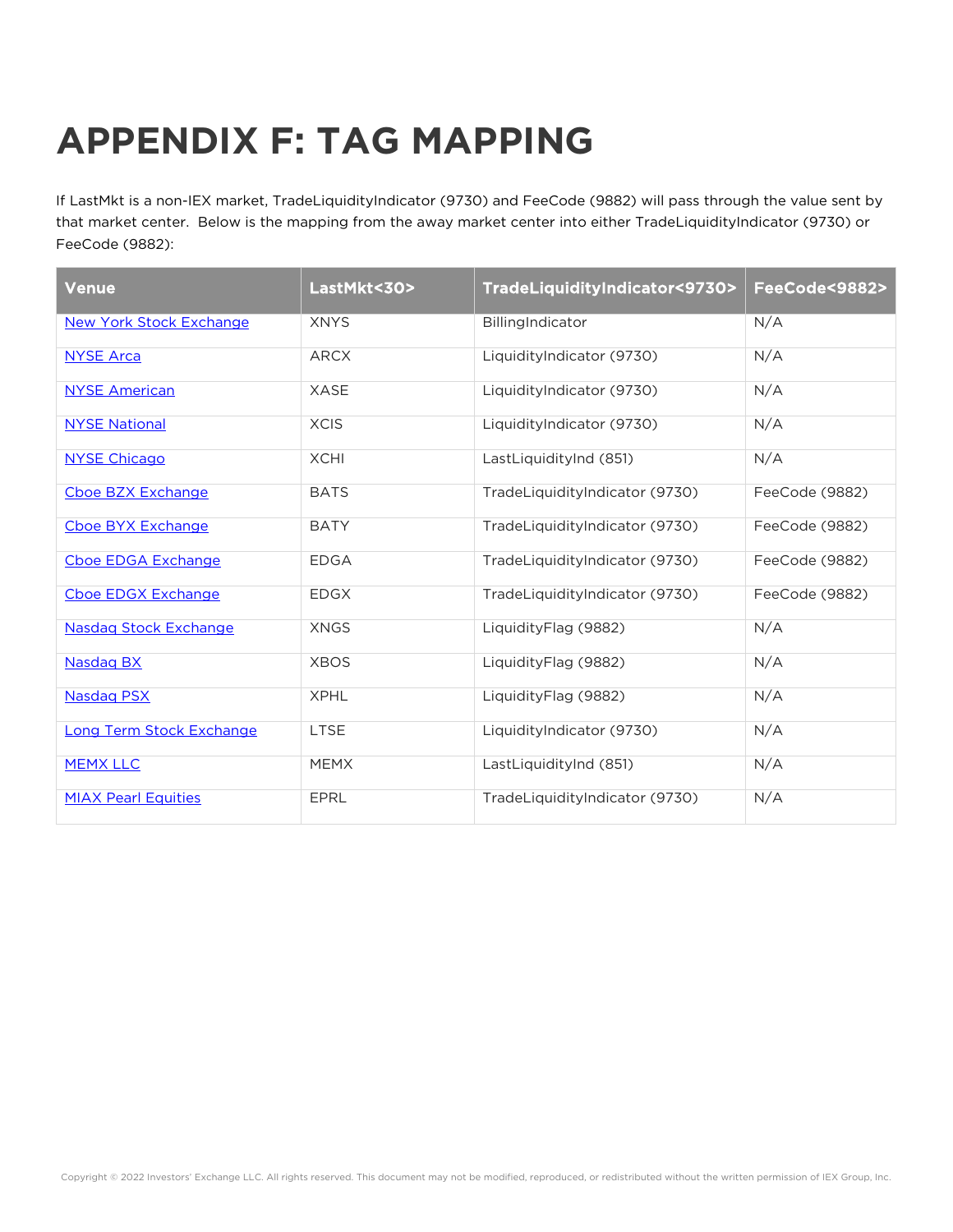## **APPENDIX F: TAG MAPPING**

If LastMkt is a non-IEX market, TradeLiquidityIndicator (9730) and FeeCode (9882) will pass through the value sent by that market center. Below is the mapping from the away market center into either TradeLiquidityIndicator (9730) or FeeCode (9882):

| <b>Venue</b>                   | LastMkt<30> | TradeLiquidityIndicator<9730>  | FeeCode<9882>  |
|--------------------------------|-------------|--------------------------------|----------------|
| <b>New York Stock Exchange</b> | <b>XNYS</b> | BillingIndicator               | N/A            |
| <b>NYSE Arca</b>               | <b>ARCX</b> | LiquidityIndicator (9730)      | N/A            |
| <b>NYSE American</b>           | <b>XASE</b> | LiquidityIndicator (9730)      | N/A            |
| <b>NYSE National</b>           | <b>XCIS</b> | LiquidityIndicator (9730)      | N/A            |
| <b>NYSE Chicago</b>            | <b>XCHI</b> | LastLiquidityInd (851)         | N/A            |
| Cboe BZX Exchange              | <b>BATS</b> | TradeLiquidityIndicator (9730) | FeeCode (9882) |
| Cboe BYX Exchange              | <b>BATY</b> | TradeLiquidityIndicator (9730) | FeeCode (9882) |
| Cboe EDGA Exchange             | <b>EDGA</b> | TradeLiquidityIndicator (9730) | FeeCode (9882) |
| Cboe EDGX Exchange             | <b>EDGX</b> | TradeLiquidityIndicator (9730) | FeeCode (9882) |
| <b>Nasdag Stock Exchange</b>   | <b>XNGS</b> | LiquidityFlag (9882)           | N/A            |
| <b>Nasdag BX</b>               | <b>XBOS</b> | LiquidityFlag (9882)           | N/A            |
| <b>Nasdag PSX</b>              | <b>XPHL</b> | LiquidityFlag (9882)           | N/A            |
| Long Term Stock Exchange       | LTSE        | LiquidityIndicator (9730)      | N/A            |
| <b>MEMX LLC</b>                | <b>MEMX</b> | LastLiquidityInd (851)         | N/A            |
| <b>MIAX Pearl Equities</b>     | <b>EPRL</b> | TradeLiquidityIndicator (9730) | N/A            |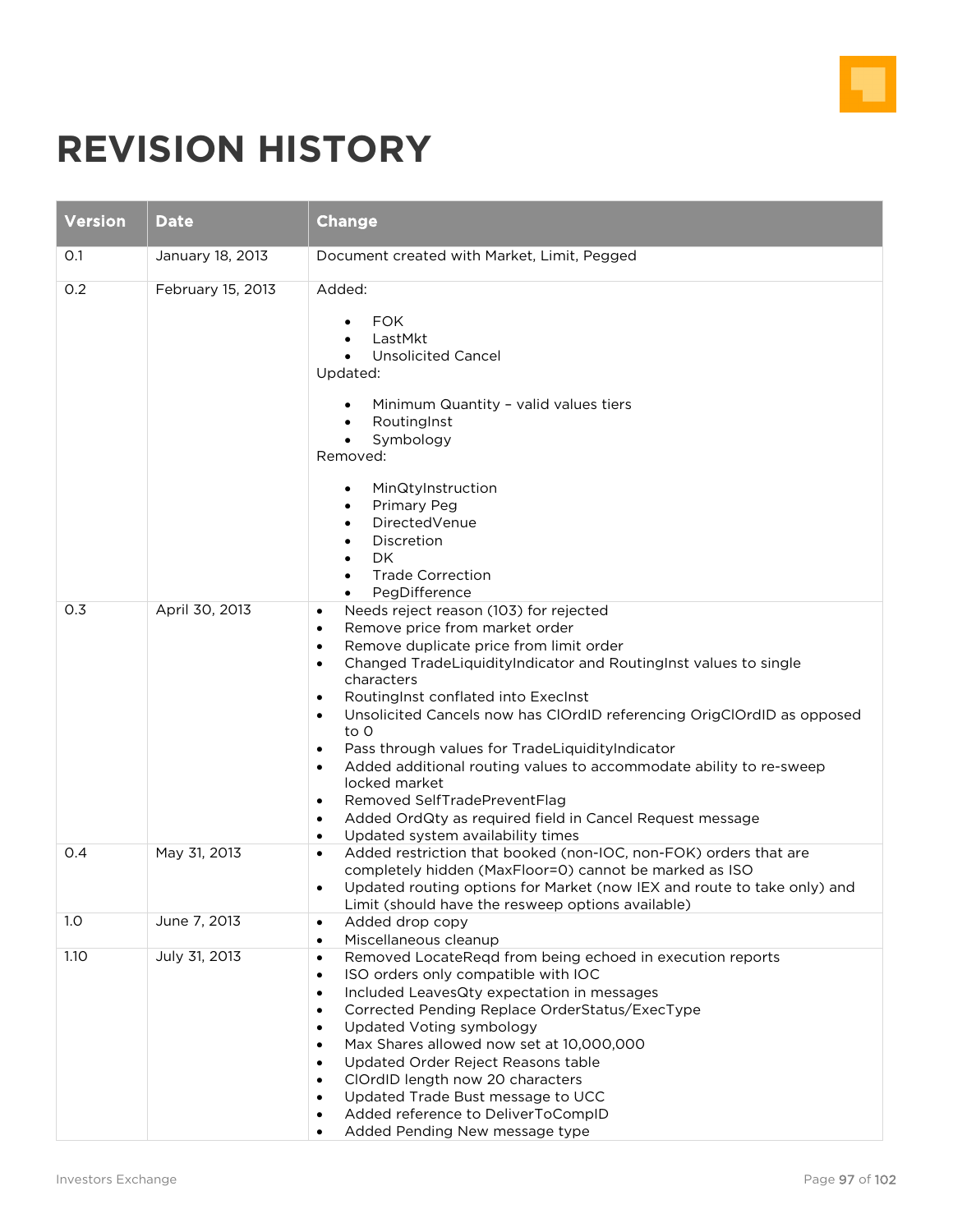

## **REVISION HISTORY**

| <b>Version</b> | <b>Date</b>       | <b>Change</b>                                                                                                                                                                                                                                                                                                                                                                                                                                                                                                                                                                                                                                                                                                                                            |
|----------------|-------------------|----------------------------------------------------------------------------------------------------------------------------------------------------------------------------------------------------------------------------------------------------------------------------------------------------------------------------------------------------------------------------------------------------------------------------------------------------------------------------------------------------------------------------------------------------------------------------------------------------------------------------------------------------------------------------------------------------------------------------------------------------------|
| O.1            | January 18, 2013  | Document created with Market, Limit, Pegged                                                                                                                                                                                                                                                                                                                                                                                                                                                                                                                                                                                                                                                                                                              |
| 0.2            | February 15, 2013 | Added:<br><b>FOK</b><br>$\bullet$<br>LastMkt<br><b>Unsolicited Cancel</b><br>Updated:<br>Minimum Quantity - valid values tiers<br>RoutingInst<br>$\bullet$<br>Symbology<br>$\bullet$<br>Removed:<br>MinQtyInstruction<br>$\bullet$<br>Primary Peg<br>$\bullet$<br>DirectedVenue<br>$\bullet$<br>Discretion<br>DK<br>$\bullet$<br><b>Trade Correction</b><br>$\bullet$<br>PegDifference                                                                                                                                                                                                                                                                                                                                                                   |
| 0.3            | April 30, 2013    | Needs reject reason (103) for rejected<br>$\bullet$<br>Remove price from market order<br>$\bullet$<br>Remove duplicate price from limit order<br>$\bullet$<br>Changed TradeLiquidityIndicator and RoutingInst values to single<br>$\bullet$<br>characters<br>RoutingInst conflated into ExecInst<br>$\bullet$<br>Unsolicited Cancels now has ClOrdID referencing OrigClOrdID as opposed<br>$\bullet$<br>to 0<br>Pass through values for TradeLiquidityIndicator<br>$\bullet$<br>Added additional routing values to accommodate ability to re-sweep<br>$\bullet$<br>locked market<br>Removed SelfTradePreventFlag<br>$\bullet$<br>Added OrdQty as required field in Cancel Request message<br>$\bullet$<br>Updated system availability times<br>$\bullet$ |
| 0.4            | May 31, 2013      | Added restriction that booked (non-IOC, non-FOK) orders that are<br>$\bullet$<br>completely hidden (MaxFloor=0) cannot be marked as ISO<br>Updated routing options for Market (now IEX and route to take only) and<br>$\bullet$<br>Limit (should have the resweep options available)                                                                                                                                                                                                                                                                                                                                                                                                                                                                     |
| 1.0            | June 7, 2013      | Added drop copy<br>$\bullet$<br>Miscellaneous cleanup<br>$\bullet$                                                                                                                                                                                                                                                                                                                                                                                                                                                                                                                                                                                                                                                                                       |
| 1.10           | July 31, 2013     | Removed LocateReqd from being echoed in execution reports<br>$\bullet$<br>ISO orders only compatible with IOC<br>$\bullet$<br>Included LeavesQty expectation in messages<br>$\bullet$<br>Corrected Pending Replace OrderStatus/ExecType<br>$\bullet$<br>Updated Voting symbology<br>$\bullet$<br>Max Shares allowed now set at 10,000,000<br>$\bullet$<br>Updated Order Reject Reasons table<br>$\bullet$<br>ClOrdID length now 20 characters<br>$\bullet$<br>Updated Trade Bust message to UCC<br>Added reference to DeliverToCompID<br>Added Pending New message type                                                                                                                                                                                  |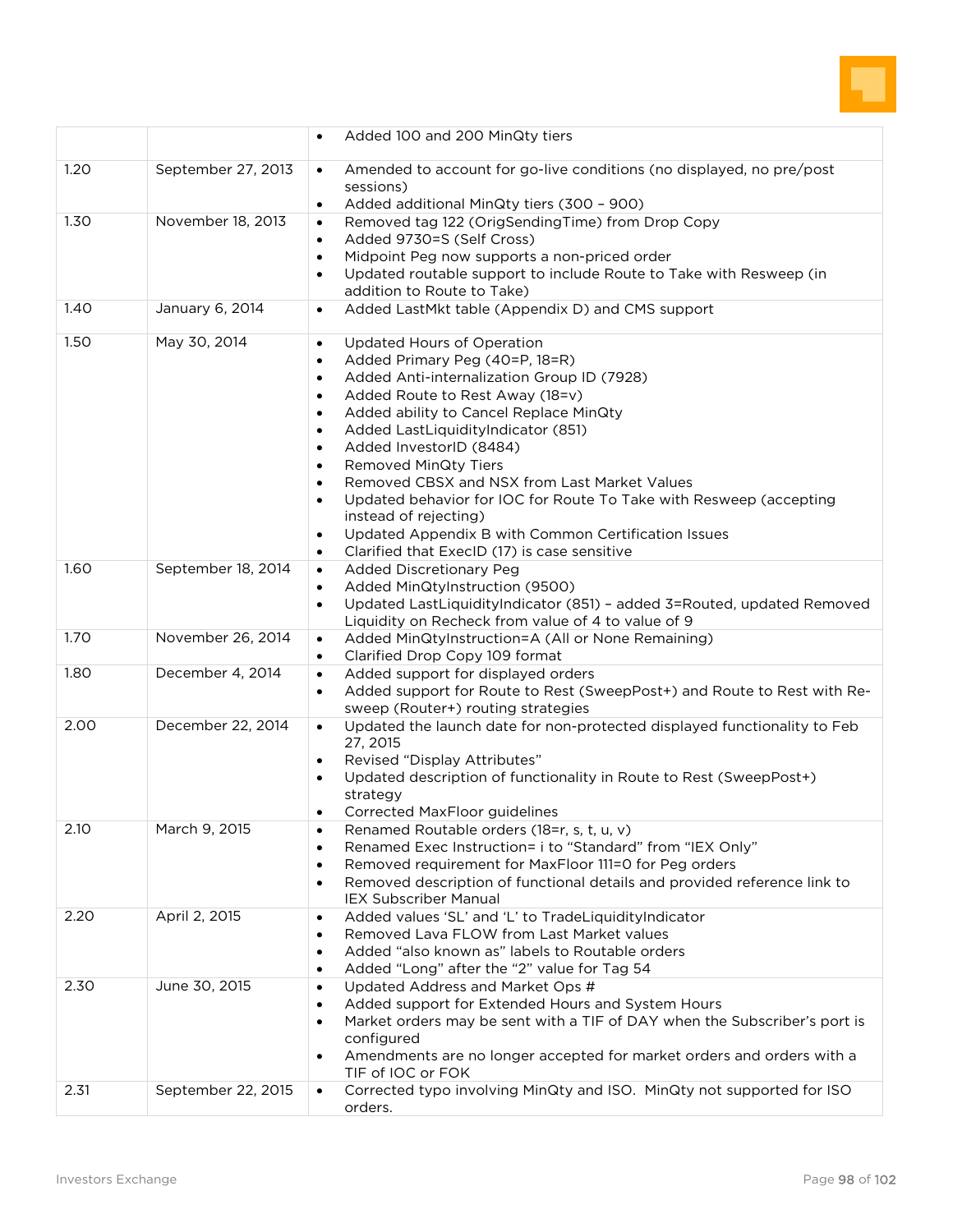

|      |                    | Added 100 and 200 MinQty tiers                                                                                                                                                                                                                                                                                                                                                                                                                                                                                                                                                                                                                                                                            |
|------|--------------------|-----------------------------------------------------------------------------------------------------------------------------------------------------------------------------------------------------------------------------------------------------------------------------------------------------------------------------------------------------------------------------------------------------------------------------------------------------------------------------------------------------------------------------------------------------------------------------------------------------------------------------------------------------------------------------------------------------------|
| 1.20 | September 27, 2013 | Amended to account for go-live conditions (no displayed, no pre/post<br>$\bullet$<br>sessions)<br>Added additional MinQty tiers (300 - 900)<br>$\bullet$                                                                                                                                                                                                                                                                                                                                                                                                                                                                                                                                                  |
| 1.30 | November 18, 2013  | Removed tag 122 (OrigSendingTime) from Drop Copy<br>$\bullet$<br>Added 9730=S (Self Cross)<br>$\bullet$<br>Midpoint Peg now supports a non-priced order<br>$\bullet$<br>Updated routable support to include Route to Take with Resweep (in<br>addition to Route to Take)                                                                                                                                                                                                                                                                                                                                                                                                                                  |
| 1.40 | January 6, 2014    | Added LastMkt table (Appendix D) and CMS support<br>$\bullet$                                                                                                                                                                                                                                                                                                                                                                                                                                                                                                                                                                                                                                             |
| 1.50 | May 30, 2014       | Updated Hours of Operation<br>$\bullet$<br>Added Primary Peg (40=P, 18=R)<br>$\bullet$<br>Added Anti-internalization Group ID (7928)<br>$\bullet$<br>Added Route to Rest Away (18=v)<br>$\bullet$<br>Added ability to Cancel Replace MinQty<br>$\bullet$<br>Added LastLiquidityIndicator (851)<br>$\bullet$<br>Added InvestorID (8484)<br>$\bullet$<br><b>Removed MinQty Tiers</b><br>$\bullet$<br>Removed CBSX and NSX from Last Market Values<br>$\bullet$<br>Updated behavior for IOC for Route To Take with Resweep (accepting<br>$\bullet$<br>instead of rejecting)<br>Updated Appendix B with Common Certification Issues<br>$\bullet$<br>Clarified that ExecID (17) is case sensitive<br>$\bullet$ |
| 1.60 | September 18, 2014 | <b>Added Discretionary Peg</b><br>$\bullet$<br>Added MinQtyInstruction (9500)<br>$\bullet$<br>Updated LastLiquidityIndicator (851) - added 3=Routed, updated Removed<br>$\bullet$<br>Liquidity on Recheck from value of 4 to value of 9                                                                                                                                                                                                                                                                                                                                                                                                                                                                   |
| 1.70 | November 26, 2014  | Added MinQtyInstruction=A (All or None Remaining)<br>$\bullet$<br>Clarified Drop Copy 109 format<br>$\bullet$                                                                                                                                                                                                                                                                                                                                                                                                                                                                                                                                                                                             |
| 1.80 | December 4, 2014   | Added support for displayed orders<br>$\bullet$<br>Added support for Route to Rest (SweepPost+) and Route to Rest with Re-<br>$\bullet$<br>sweep (Router+) routing strategies                                                                                                                                                                                                                                                                                                                                                                                                                                                                                                                             |
| 2.00 | December 22, 2014  | Updated the launch date for non-protected displayed functionality to Feb<br>$\bullet$<br>27, 2015<br>Revised "Display Attributes"<br>Updated description of functionality in Route to Rest (SweepPost+)<br>strategy<br>Corrected MaxFloor guidelines<br>$\bullet$                                                                                                                                                                                                                                                                                                                                                                                                                                         |
| 2.10 | March 9, 2015      | Renamed Routable orders (18=r, s, t, u, v)<br>$\bullet$<br>Renamed Exec Instruction= i to "Standard" from "IEX Only"<br>$\bullet$<br>Removed requirement for MaxFloor 111=0 for Peg orders<br>$\bullet$<br>Removed description of functional details and provided reference link to<br><b>IEX Subscriber Manual</b>                                                                                                                                                                                                                                                                                                                                                                                       |
| 2.20 | April 2, 2015      | Added values 'SL' and 'L' to TradeLiquidityIndicator<br>$\bullet$<br>Removed Lava FLOW from Last Market values<br>$\bullet$<br>Added "also known as" labels to Routable orders<br>$\bullet$<br>Added "Long" after the "2" value for Tag 54<br>$\bullet$                                                                                                                                                                                                                                                                                                                                                                                                                                                   |
| 2.30 | June 30, 2015      | Updated Address and Market Ops #<br>$\bullet$<br>Added support for Extended Hours and System Hours<br>Market orders may be sent with a TIF of DAY when the Subscriber's port is<br>configured<br>Amendments are no longer accepted for market orders and orders with a<br>$\bullet$<br>TIF of IOC or FOK                                                                                                                                                                                                                                                                                                                                                                                                  |
| 2.31 | September 22, 2015 | Corrected typo involving MinQty and ISO. MinQty not supported for ISO<br>$\bullet$<br>orders.                                                                                                                                                                                                                                                                                                                                                                                                                                                                                                                                                                                                             |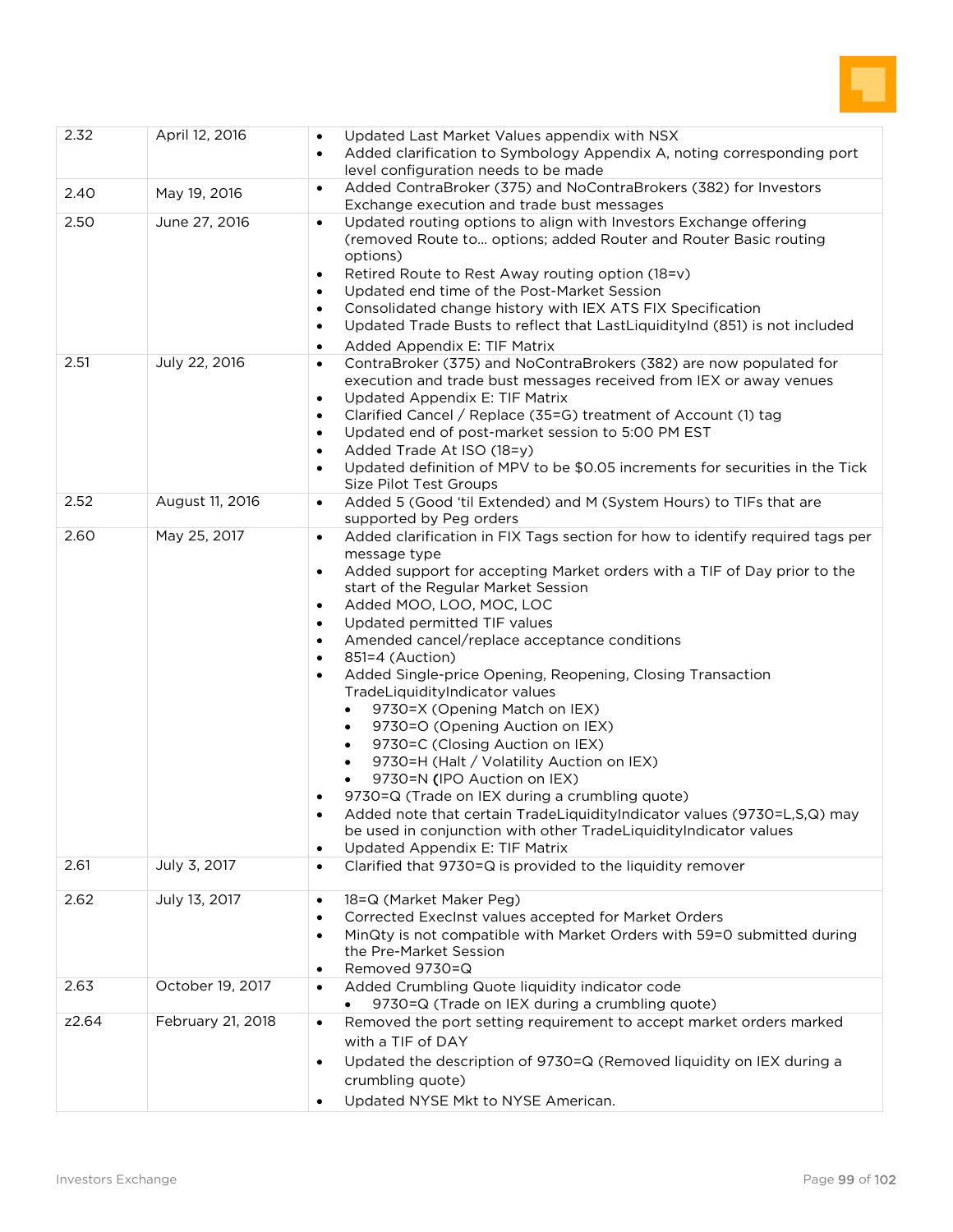

| 2.32  | April 12, 2016    | Updated Last Market Values appendix with NSX<br>$\bullet$<br>Added clarification to Symbology Appendix A, noting corresponding port<br>$\bullet$<br>level configuration needs to be made                                                                                                                                                                                                                                                                                                                                                                                                                                                                                                                                                                                                                                                                                                                                                                                                                             |
|-------|-------------------|----------------------------------------------------------------------------------------------------------------------------------------------------------------------------------------------------------------------------------------------------------------------------------------------------------------------------------------------------------------------------------------------------------------------------------------------------------------------------------------------------------------------------------------------------------------------------------------------------------------------------------------------------------------------------------------------------------------------------------------------------------------------------------------------------------------------------------------------------------------------------------------------------------------------------------------------------------------------------------------------------------------------|
| 2.40  | May 19, 2016      | Added ContraBroker (375) and NoContraBrokers (382) for Investors<br>$\bullet$<br>Exchange execution and trade bust messages                                                                                                                                                                                                                                                                                                                                                                                                                                                                                                                                                                                                                                                                                                                                                                                                                                                                                          |
| 2.50  | June 27, 2016     | Updated routing options to align with Investors Exchange offering<br>$\bullet$<br>(removed Route to options; added Router and Router Basic routing<br>options)<br>Retired Route to Rest Away routing option (18=v)<br>$\bullet$<br>Updated end time of the Post-Market Session<br>$\bullet$<br>Consolidated change history with IEX ATS FIX Specification<br>$\bullet$<br>Updated Trade Busts to reflect that LastLiquidityInd (851) is not included<br>$\bullet$<br>Added Appendix E: TIF Matrix<br>$\bullet$                                                                                                                                                                                                                                                                                                                                                                                                                                                                                                       |
| 2.51  | July 22, 2016     | ContraBroker (375) and NoContraBrokers (382) are now populated for<br>$\bullet$<br>execution and trade bust messages received from IEX or away venues<br>Updated Appendix E: TIF Matrix<br>$\bullet$<br>Clarified Cancel / Replace (35=G) treatment of Account (1) tag<br>$\bullet$<br>Updated end of post-market session to 5:00 PM EST<br>$\bullet$<br>Added Trade At ISO (18=y)<br>Updated definition of MPV to be \$0.05 increments for securities in the Tick<br>Size Pilot Test Groups                                                                                                                                                                                                                                                                                                                                                                                                                                                                                                                         |
| 2.52  | August 11, 2016   | Added 5 (Good 'til Extended) and M (System Hours) to TIFs that are<br>$\bullet$<br>supported by Peg orders                                                                                                                                                                                                                                                                                                                                                                                                                                                                                                                                                                                                                                                                                                                                                                                                                                                                                                           |
| 2.60  | May 25, 2017      | Added clarification in FIX Tags section for how to identify required tags per<br>$\bullet$<br>message type<br>Added support for accepting Market orders with a TIF of Day prior to the<br>$\bullet$<br>start of the Regular Market Session<br>Added MOO, LOO, MOC, LOC<br>$\bullet$<br>Updated permitted TIF values<br>$\bullet$<br>Amended cancel/replace acceptance conditions<br>$\bullet$<br>851=4 (Auction)<br>$\bullet$<br>Added Single-price Opening, Reopening, Closing Transaction<br>TradeLiquidityIndicator values<br>9730=X (Opening Match on IEX)<br>9730=O (Opening Auction on IEX)<br>$\bullet$<br>9730=C (Closing Auction on IEX)<br>$\bullet$<br>9730=H (Halt / Volatility Auction on IEX)<br>$\bullet$<br>9730=N (IPO Auction on IEX)<br>$\bullet$<br>9730=Q (Trade on IEX during a crumbling quote)<br>Added note that certain TradeLiquidityIndicator values (9730=L,S,Q) may<br>be used in conjunction with other TradeLiquidityIndicator values<br>Updated Appendix E: TIF Matrix<br>$\bullet$ |
| 2.61  | July 3, 2017      | Clarified that 9730=Q is provided to the liquidity remover<br>$\bullet$                                                                                                                                                                                                                                                                                                                                                                                                                                                                                                                                                                                                                                                                                                                                                                                                                                                                                                                                              |
| 2.62  | July 13, 2017     | 18=Q (Market Maker Peg)<br>$\bullet$<br>Corrected ExecInst values accepted for Market Orders<br>$\bullet$<br>MinQty is not compatible with Market Orders with 59=0 submitted during<br>the Pre-Market Session<br>Removed 9730=Q<br>$\bullet$                                                                                                                                                                                                                                                                                                                                                                                                                                                                                                                                                                                                                                                                                                                                                                         |
| 2.63  | October 19, 2017  | Added Crumbling Quote liquidity indicator code<br>$\bullet$<br>9730=Q (Trade on IEX during a crumbling quote)                                                                                                                                                                                                                                                                                                                                                                                                                                                                                                                                                                                                                                                                                                                                                                                                                                                                                                        |
| z2.64 | February 21, 2018 | Removed the port setting requirement to accept market orders marked<br>$\bullet$<br>with a TIF of DAY<br>Updated the description of 9730=Q (Removed liquidity on IEX during a<br>$\bullet$<br>crumbling quote)<br>Updated NYSE Mkt to NYSE American.                                                                                                                                                                                                                                                                                                                                                                                                                                                                                                                                                                                                                                                                                                                                                                 |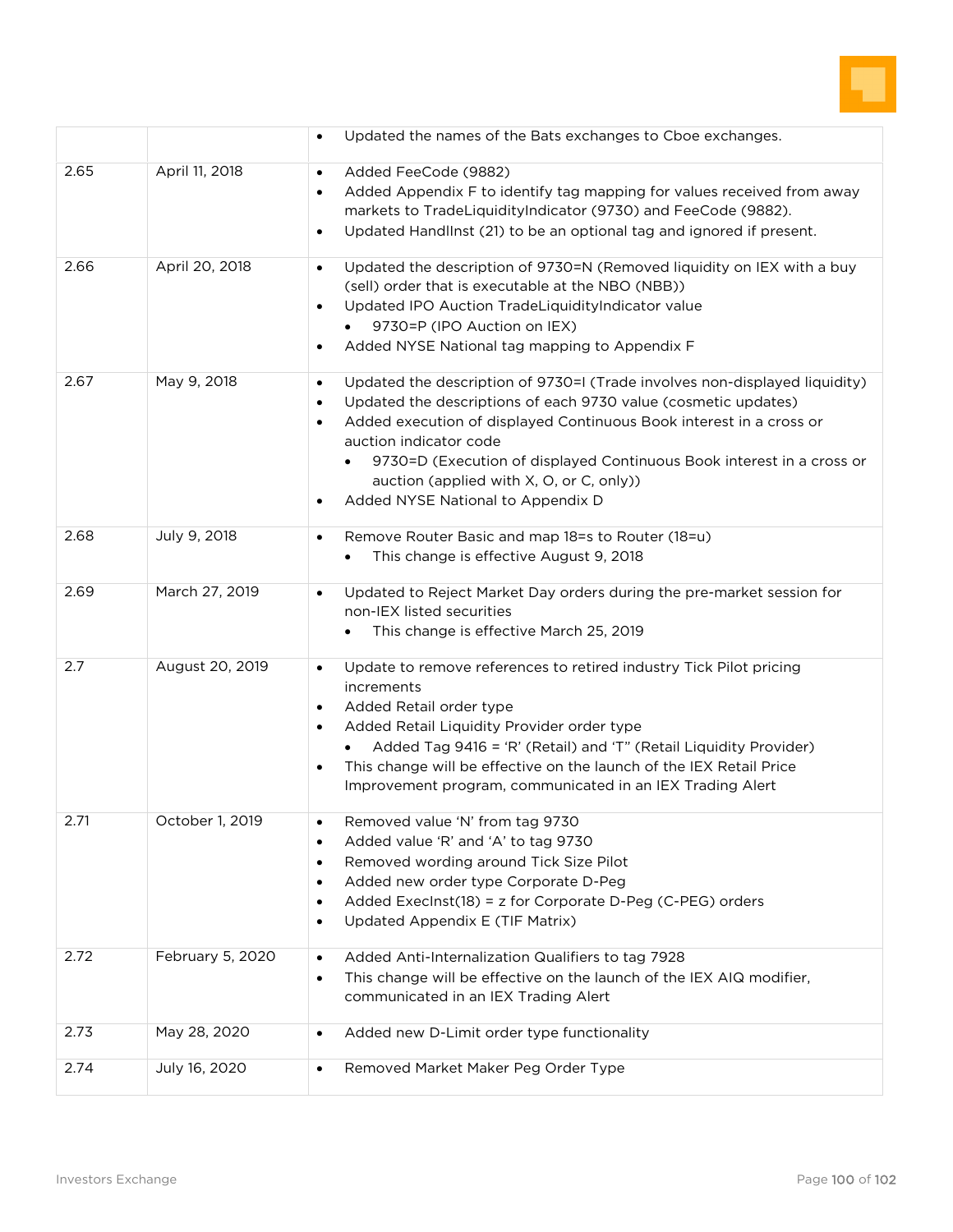

|      |                  | Updated the names of the Bats exchanges to Cboe exchanges.                                                                                                                                                                                                                                                                                                                                                                                     |
|------|------------------|------------------------------------------------------------------------------------------------------------------------------------------------------------------------------------------------------------------------------------------------------------------------------------------------------------------------------------------------------------------------------------------------------------------------------------------------|
| 2.65 | April 11, 2018   | Added FeeCode (9882)<br>$\bullet$<br>Added Appendix F to identify tag mapping for values received from away<br>markets to TradeLiquidityIndicator (9730) and FeeCode (9882).<br>Updated HandlInst (21) to be an optional tag and ignored if present.<br>$\bullet$                                                                                                                                                                              |
| 2.66 | April 20, 2018   | Updated the description of 9730=N (Removed liquidity on IEX with a buy<br>$\bullet$<br>(sell) order that is executable at the NBO (NBB))<br>Updated IPO Auction TradeLiquidityIndicator value<br>$\bullet$<br>9730=P (IPO Auction on IEX)<br>Added NYSE National tag mapping to Appendix F<br>$\bullet$                                                                                                                                        |
| 2.67 | May 9, 2018      | Updated the description of 9730=I (Trade involves non-displayed liquidity)<br>$\bullet$<br>Updated the descriptions of each 9730 value (cosmetic updates)<br>$\bullet$<br>Added execution of displayed Continuous Book interest in a cross or<br>$\bullet$<br>auction indicator code<br>9730=D (Execution of displayed Continuous Book interest in a cross or<br>auction (applied with X, O, or C, only))<br>Added NYSE National to Appendix D |
| 2.68 | July 9, 2018     | Remove Router Basic and map 18=s to Router (18=u)<br>$\bullet$<br>This change is effective August 9, 2018                                                                                                                                                                                                                                                                                                                                      |
| 2.69 | March 27, 2019   | Updated to Reject Market Day orders during the pre-market session for<br>$\bullet$<br>non-IEX listed securities<br>This change is effective March 25, 2019                                                                                                                                                                                                                                                                                     |
| 2.7  | August 20, 2019  | Update to remove references to retired industry Tick Pilot pricing<br>$\bullet$<br>increments<br>Added Retail order type<br>$\bullet$<br>Added Retail Liquidity Provider order type<br>$\bullet$<br>Added Tag 9416 = 'R' (Retail) and 'T" (Retail Liquidity Provider)<br>This change will be effective on the launch of the IEX Retail Price<br>$\bullet$<br>Improvement program, communicated in an IEX Trading Alert                         |
| 2.71 | October 1, 2019  | Removed value 'N' from tag 9730<br>Added value 'R' and 'A' to tag 9730<br>$\bullet$<br>Removed wording around Tick Size Pilot<br>$\bullet$<br>Added new order type Corporate D-Peg<br>Added Execlnst(18) = z for Corporate D-Peg (C-PEG) orders<br>Updated Appendix E (TIF Matrix)<br>$\bullet$                                                                                                                                                |
| 2.72 | February 5, 2020 | Added Anti-Internalization Qualifiers to tag 7928<br>$\bullet$<br>This change will be effective on the launch of the IEX AIQ modifier,<br>$\bullet$<br>communicated in an IEX Trading Alert                                                                                                                                                                                                                                                    |
| 2.73 | May 28, 2020     | Added new D-Limit order type functionality<br>$\bullet$                                                                                                                                                                                                                                                                                                                                                                                        |
| 2.74 | July 16, 2020    | Removed Market Maker Peg Order Type<br>$\bullet$                                                                                                                                                                                                                                                                                                                                                                                               |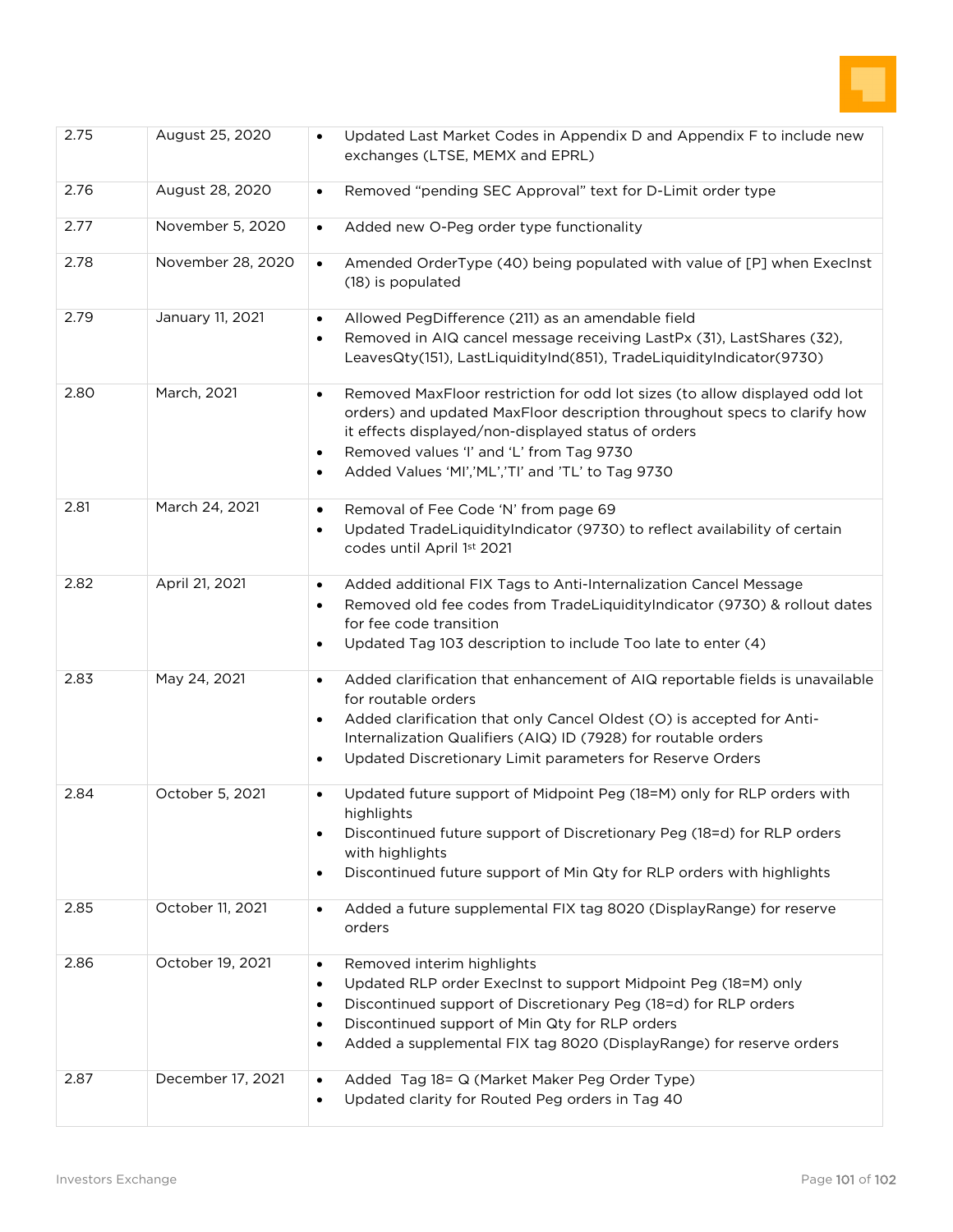

| 2.75 | August 25, 2020   | Updated Last Market Codes in Appendix D and Appendix F to include new<br>$\bullet$<br>exchanges (LTSE, MEMX and EPRL)                                                                                                                                                                                                                                     |
|------|-------------------|-----------------------------------------------------------------------------------------------------------------------------------------------------------------------------------------------------------------------------------------------------------------------------------------------------------------------------------------------------------|
| 2.76 | August 28, 2020   | Removed "pending SEC Approval" text for D-Limit order type<br>$\bullet$                                                                                                                                                                                                                                                                                   |
| 2.77 | November 5, 2020  | Added new O-Peg order type functionality<br>$\bullet$                                                                                                                                                                                                                                                                                                     |
| 2.78 | November 28, 2020 | Amended OrderType (40) being populated with value of [P] when ExecInst<br>$\bullet$<br>(18) is populated                                                                                                                                                                                                                                                  |
| 2.79 | January 11, 2021  | Allowed PegDifference (211) as an amendable field<br>Removed in AIQ cancel message receiving LastPx (31), LastShares (32),<br>LeavesQty(151), LastLiquidityInd(851), TradeLiquidityIndicator(9730)                                                                                                                                                        |
| 2.80 | March, 2021       | Removed MaxFloor restriction for odd lot sizes (to allow displayed odd lot<br>$\bullet$<br>orders) and updated MaxFloor description throughout specs to clarify how<br>it effects displayed/non-displayed status of orders<br>Removed values 'I' and 'L' from Tag 9730<br>$\bullet$<br>Added Values 'MI','ML','TI' and 'TL' to Tag 9730<br>$\bullet$      |
| 2.81 | March 24, 2021    | Removal of Fee Code 'N' from page 69<br>$\bullet$<br>Updated TradeLiquidityIndicator (9730) to reflect availability of certain<br>$\bullet$<br>codes until April 1st 2021                                                                                                                                                                                 |
| 2.82 | April 21, 2021    | Added additional FIX Tags to Anti-Internalization Cancel Message<br>$\bullet$<br>Removed old fee codes from TradeLiquidityIndicator (9730) & rollout dates<br>$\bullet$<br>for fee code transition<br>Updated Tag 103 description to include Too late to enter (4)                                                                                        |
| 2.83 | May 24, 2021      | Added clarification that enhancement of AIQ reportable fields is unavailable<br>$\bullet$<br>for routable orders<br>Added clarification that only Cancel Oldest (O) is accepted for Anti-<br>Internalization Qualifiers (AIQ) ID (7928) for routable orders<br>Updated Discretionary Limit parameters for Reserve Orders<br>$\bullet$                     |
| 2.84 | October 5, 2021   | Updated future support of Midpoint Peg (18=M) only for RLP orders with<br>$\bullet$<br>highlights<br>Discontinued future support of Discretionary Peg (18=d) for RLP orders<br>$\bullet$<br>with highlights<br>Discontinued future support of Min Qty for RLP orders with highlights<br>$\bullet$                                                         |
| 2.85 | October 11, 2021  | Added a future supplemental FIX tag 8020 (DisplayRange) for reserve<br>$\bullet$<br>orders                                                                                                                                                                                                                                                                |
| 2.86 | October 19, 2021  | Removed interim highlights<br>$\bullet$<br>Updated RLP order Execlnst to support Midpoint Peg (18=M) only<br>$\bullet$<br>Discontinued support of Discretionary Peg (18=d) for RLP orders<br>$\bullet$<br>Discontinued support of Min Qty for RLP orders<br>$\bullet$<br>Added a supplemental FIX tag 8020 (DisplayRange) for reserve orders<br>$\bullet$ |
| 2.87 | December 17, 2021 | Added Tag 18= Q (Market Maker Peg Order Type)<br>$\bullet$<br>Updated clarity for Routed Peg orders in Tag 40<br>$\bullet$                                                                                                                                                                                                                                |